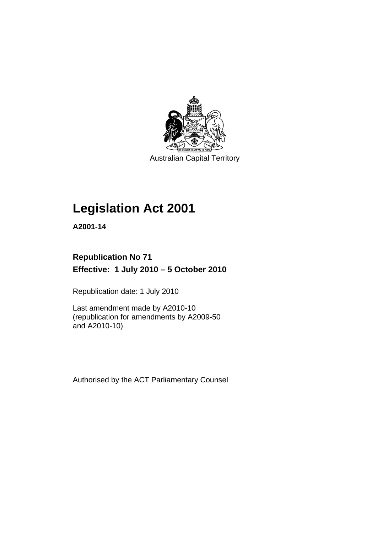

Australian Capital Territory

# **[Legislation Act 2001](#page-16-0)**

**A2001-14** 

## **Republication No 71 Effective: 1 July 2010 – 5 October 2010**

Republication date: 1 July 2010

Last amendment made by A2010-10 (republication for amendments by A2009-50 and A2010-10)

Authorised by the ACT Parliamentary Counsel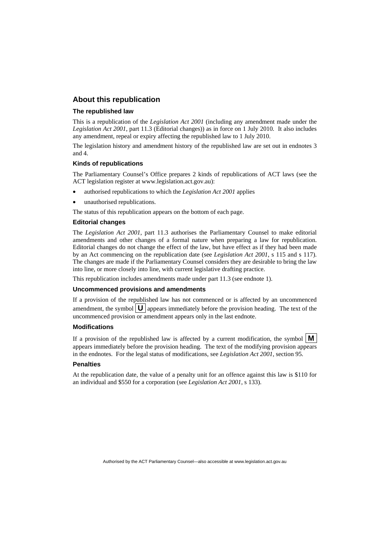## **About this republication**

#### **The republished law**

This is a republication of the *Legislation Act 2001* (including any amendment made under the *Legislation Act 2001*, part 11.3 (Editorial changes)) as in force on 1 July 2010*.* It also includes any amendment, repeal or expiry affecting the republished law to 1 July 2010.

The legislation history and amendment history of the republished law are set out in endnotes 3 and 4.

#### **Kinds of republications**

The Parliamentary Counsel's Office prepares 2 kinds of republications of ACT laws (see the ACT legislation register at www.legislation.act.gov.au):

- authorised republications to which the *Legislation Act 2001* applies
- unauthorised republications.

The status of this republication appears on the bottom of each page.

#### **Editorial changes**

The *Legislation Act 2001*, part 11.3 authorises the Parliamentary Counsel to make editorial amendments and other changes of a formal nature when preparing a law for republication. Editorial changes do not change the effect of the law, but have effect as if they had been made by an Act commencing on the republication date (see *Legislation Act 2001*, s 115 and s 117). The changes are made if the Parliamentary Counsel considers they are desirable to bring the law into line, or more closely into line, with current legislative drafting practice.

This republication includes amendments made under part 11.3 (see endnote 1).

#### **Uncommenced provisions and amendments**

If a provision of the republished law has not commenced or is affected by an uncommenced amendment, the symbol  $\mathbf{U}$  appears immediately before the provision heading. The text of the uncommenced provision or amendment appears only in the last endnote.

#### **Modifications**

If a provision of the republished law is affected by a current modification, the symbol  $\mathbf{M}$ appears immediately before the provision heading. The text of the modifying provision appears in the endnotes. For the legal status of modifications, see *Legislation Act 2001*, section 95.

#### **Penalties**

At the republication date, the value of a penalty unit for an offence against this law is \$110 for an individual and \$550 for a corporation (see *Legislation Act 2001*, s 133).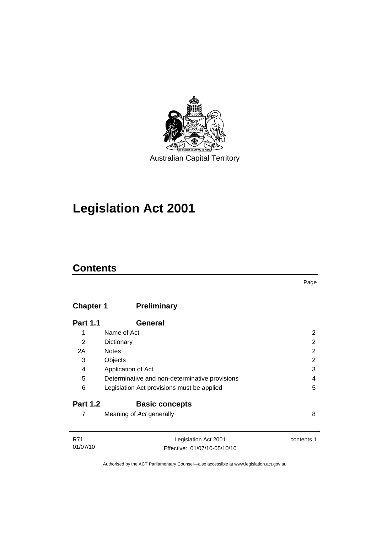

# **[Legislation Act 2001](#page-16-0)**

## **Contents**

## **Chapter 1 Preliminary**

| <b>Part 1.1</b> | <b>General</b>                                 |   |
|-----------------|------------------------------------------------|---|
| 1               | Name of Act                                    | 2 |
| 2               | Dictionary                                     | 2 |
| 2A              | <b>Notes</b>                                   | 2 |
| 3               | Objects                                        | 2 |
| 4               | Application of Act                             | 3 |
| 5               | Determinative and non-determinative provisions | 4 |
| 6               | Legislation Act provisions must be applied     | 5 |
| <b>Part 1.2</b> | <b>Basic concepts</b>                          |   |
|                 | Meaning of Act generally                       | 8 |

| R71      | Legislation Act 2001         | contents 1 |
|----------|------------------------------|------------|
| 01/07/10 | Effective: 01/07/10-05/10/10 |            |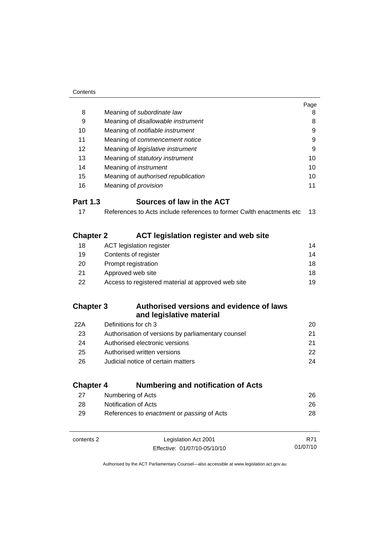|                  |                                                                       | Page |
|------------------|-----------------------------------------------------------------------|------|
| 8                | Meaning of subordinate law                                            | 8    |
| 9                | Meaning of disallowable instrument                                    | 8    |
| 10               | Meaning of notifiable instrument                                      | 9    |
| 11               | Meaning of commencement notice                                        | 9    |
| 12               | Meaning of legislative instrument                                     | 9    |
| 13               | Meaning of statutory instrument                                       | 10   |
| 14               | Meaning of <i>instrument</i>                                          | 10   |
| 15               | Meaning of authorised republication                                   | 10   |
| 16               | Meaning of <i>provision</i>                                           | 11   |
| <b>Part 1.3</b>  | Sources of law in the ACT                                             |      |
| 17               | References to Acts include references to former Cwith enactments etc. | 13   |
| <b>Chapter 2</b> | <b>ACT legislation register and web site</b>                          |      |
| 18               | <b>ACT</b> legislation register                                       | 14   |
| 19               | Contents of register                                                  | 14   |
| 20               | Prompt registration                                                   | 18   |
| 21               | Approved web site                                                     | 18   |
| 22               | Access to registered material at approved web site                    | 19   |
| <b>Chapter 3</b> | Authorised versions and evidence of laws<br>and legislative material  |      |
| 22A              | Definitions for ch 3                                                  | 20   |
| 23               | Authorisation of versions by parliamentary counsel                    | 21   |
| 24               | Authorised electronic versions                                        | 21   |
| 25               | Authorised written versions                                           | 22   |
| 26               | Judicial notice of certain matters                                    | 24   |
| <b>Chapter 4</b> | <b>Numbering and notification of Acts</b>                             |      |
| 27               | Numbering of Acts                                                     | 26   |
| 28               | <b>Notification of Acts</b>                                           | 26   |
| 29               | References to enactment or passing of Acts                            | 28   |

| contents 2 | Legislation Act 2001         | R71      |
|------------|------------------------------|----------|
|            | Effective: 01/07/10-05/10/10 | 01/07/10 |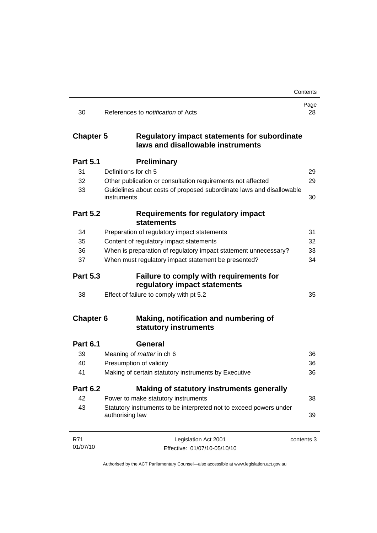|                  |                                                                                          | Contents   |
|------------------|------------------------------------------------------------------------------------------|------------|
| 30               | References to <i>notification</i> of Acts                                                | Page<br>28 |
| <b>Chapter 5</b> | <b>Regulatory impact statements for subordinate</b><br>laws and disallowable instruments |            |
| <b>Part 5.1</b>  | <b>Preliminary</b>                                                                       |            |
| 31               | Definitions for ch 5                                                                     | 29         |
| 32               | Other publication or consultation requirements not affected                              | 29         |
| 33               | Guidelines about costs of proposed subordinate laws and disallowable<br>instruments      | 30         |
| <b>Part 5.2</b>  | <b>Requirements for regulatory impact</b><br><b>statements</b>                           |            |
| 34               | Preparation of regulatory impact statements                                              | 31         |
| 35               | Content of regulatory impact statements                                                  | 32         |
| 36               | When is preparation of regulatory impact statement unnecessary?                          | 33         |
| 37               | When must regulatory impact statement be presented?                                      | 34         |
| <b>Part 5.3</b>  | Failure to comply with requirements for<br>regulatory impact statements                  |            |
| 38               | Effect of failure to comply with pt 5.2                                                  | 35         |
| <b>Chapter 6</b> | Making, notification and numbering of<br>statutory instruments                           |            |
| <b>Part 6.1</b>  | <b>General</b>                                                                           |            |
| 39               | Meaning of <i>matter</i> in ch 6                                                         | 36         |
| 40               | Presumption of validity                                                                  | 36         |
| 41               | Making of certain statutory instruments by Executive                                     | 36         |
| <b>Part 6.2</b>  | Making of statutory instruments generally                                                |            |
| 42               | Power to make statutory instruments                                                      | 38         |
| 43               | Statutory instruments to be interpreted not to exceed powers under<br>authorising law    | 39         |
| R71              | Legislation Act 2001                                                                     | contents 3 |
| 01/07/10         | Effective: 01/07/10-05/10/10                                                             |            |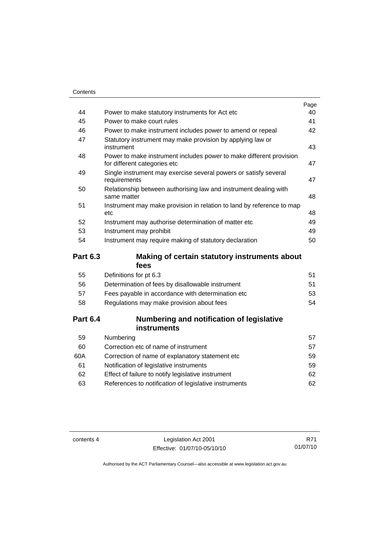|    |                                                                                                     | Page |
|----|-----------------------------------------------------------------------------------------------------|------|
| 44 | Power to make statutory instruments for Act etc.                                                    | 40   |
| 45 | Power to make court rules                                                                           | 41   |
| 46 | Power to make instrument includes power to amend or repeal                                          | 42   |
| 47 | Statutory instrument may make provision by applying law or<br>instrument                            | 43   |
| 48 | Power to make instrument includes power to make different provision<br>for different categories etc | 47   |
| 49 | Single instrument may exercise several powers or satisfy several<br>requirements                    | 47   |
| 50 | Relationship between authorising law and instrument dealing with<br>same matter                     | 48   |
| 51 | Instrument may make provision in relation to land by reference to map<br>etc                        | 48   |
| 52 | Instrument may authorise determination of matter etc                                                | 49   |
| 53 | Instrument may prohibit                                                                             | 49   |
| 54 | Instrument may require making of statutory declaration                                              | 50   |
|    |                                                                                                     |      |

## **Part 6.3 Making of certain statutory instruments about fees**

| 51 |
|----|
| 51 |
| 53 |
| 54 |
|    |

## **Part 6.4 Numbering and notification of legislative instruments**

| Numbering                                                    | 57  |
|--------------------------------------------------------------|-----|
| Correction etc of name of instrument                         | 57  |
| Correction of name of explanatory statement etc.             | 59  |
| Notification of legislative instruments                      | 59  |
| Effect of failure to notify legislative instrument           | 62. |
| References to <i>notification</i> of legislative instruments | 62. |
|                                                              |     |

contents 4 Legislation Act 2001 Effective: 01/07/10-05/10/10

R71 01/07/10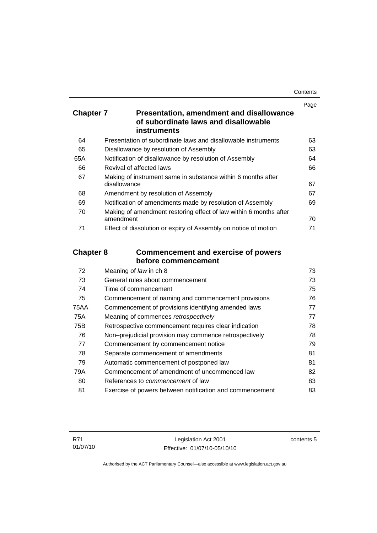| Contents |
|----------|
|----------|

|                  |                                                                                         | Page   |
|------------------|-----------------------------------------------------------------------------------------|--------|
| <b>Chapter 7</b> | <b>Presentation, amendment and disallowance</b><br>of subordinate laws and disallowable |        |
|                  | <b>instruments</b>                                                                      |        |
| 64               | Presentation of subordinate laws and disallowable instruments                           | 63     |
| 65               | Disallowance by resolution of Assembly                                                  | 63     |
| 65A              | Notification of disallowance by resolution of Assembly                                  | 64     |
| 66               | Revival of affected laws                                                                | 66     |
| 67               | Making of instrument same in substance within 6 months after<br>disallowance            | 67     |
| 68               | Amendment by resolution of Assembly                                                     | 67     |
| 69               | Notification of amendments made by resolution of Assembly                               | 69     |
| 70               | Making of amendment restoring effect of law within 6 months after<br>amendment          | 70     |
| 71               | Effect of dissolution or expiry of Assembly on notice of motion                         | 71     |
| <b>Chapter 8</b> | <b>Commencement and exercise of powers</b>                                              |        |
|                  | before commencement                                                                     |        |
| 72               | Meaning of law in ch 8                                                                  | 73     |
| 73               | General rules about commencement                                                        | 73     |
| 74               | Time of commencement                                                                    | 75     |
| 75               | Commencement of naming and commencement provisions                                      | 76     |
| <b>75AA</b>      | Commencement of provisions identifying amended laws                                     | 77     |
| 75A              | Meaning of commences retrospectively                                                    | 77     |
| 75B              | Retrospective commencement requires clear indication                                    | 78     |
| 76               | Non-prejudicial provision may commence retrospectively                                  | 78     |
| 77               | Commencement by commencement notice                                                     | 79     |
| 78               | Separate commencement of amendments                                                     | 81     |
| 79               | Automatic commencement of postponed law                                                 | 81     |
| 79A              | Commencement of amendment of uncommenced law                                            | 82     |
| $\sim$           |                                                                                         | $\sim$ |

80 References to *commencement* of law [83](#page-98-0) 81 Exercise of powers between notification and commencement [83](#page-98-0)

contents 5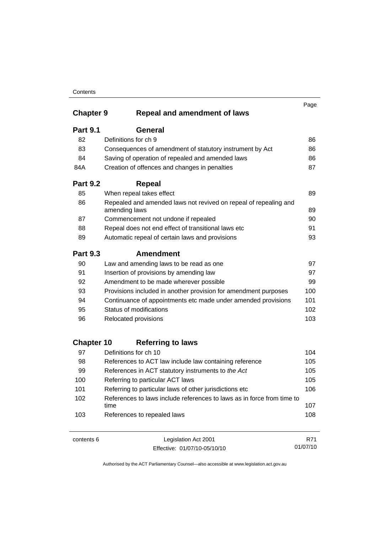|                   |                                                                                   | Page |
|-------------------|-----------------------------------------------------------------------------------|------|
| <b>Chapter 9</b>  | <b>Repeal and amendment of laws</b>                                               |      |
| <b>Part 9.1</b>   | <b>General</b>                                                                    |      |
| 82                | Definitions for ch 9                                                              | 86   |
| 83                | Consequences of amendment of statutory instrument by Act                          | 86   |
| 84                | Saving of operation of repealed and amended laws                                  | 86   |
| 84A               | Creation of offences and changes in penalties                                     | 87   |
| <b>Part 9.2</b>   | <b>Repeal</b>                                                                     |      |
| 85                | When repeal takes effect                                                          | 89   |
| 86                | Repealed and amended laws not revived on repeal of repealing and<br>amending laws | 89   |
| 87                | Commencement not undone if repealed                                               | 90   |
| 88                | Repeal does not end effect of transitional laws etc                               | 91   |
| 89                | Automatic repeal of certain laws and provisions                                   | 93   |
| <b>Part 9.3</b>   | <b>Amendment</b>                                                                  |      |
| 90                | Law and amending laws to be read as one                                           | 97   |
| 91                | Insertion of provisions by amending law                                           | 97   |
| 92                | Amendment to be made wherever possible                                            | 99   |
| 93                | Provisions included in another provision for amendment purposes                   | 100  |
| 94                | Continuance of appointments etc made under amended provisions                     | 101  |
| 95                | Status of modifications                                                           | 102  |
| 96                | Relocated provisions                                                              | 103  |
| <b>Chapter 10</b> | <b>Referring to laws</b>                                                          |      |
| 97                | Definitions for ch 10                                                             | 104  |
| 98                | References to ACT law include law containing reference                            | 105  |
| 99                | References in ACT statutory instruments to the Act                                | 105  |
| 100               | Referring to particular ACT laws                                                  | 105  |
| 101               | Referring to particular laws of other jurisdictions etc                           | 106  |
| 102               | References to laws include references to laws as in force from time to<br>time    | 107  |
| 103               | References to repealed laws                                                       | 108  |

contents 6 Legislation Act 2001 Effective: 01/07/10-05/10/10

R71 01/07/10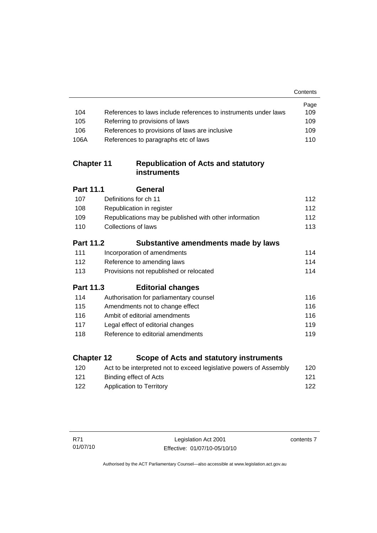|                   |                                                                    | Contents |
|-------------------|--------------------------------------------------------------------|----------|
|                   |                                                                    | Page     |
| 104               | References to laws include references to instruments under laws    | 109      |
| 105               | Referring to provisions of laws                                    | 109      |
| 106               | References to provisions of laws are inclusive                     | 109      |
| 106A              | References to paragraphs etc of laws                               | 110      |
| <b>Chapter 11</b> | <b>Republication of Acts and statutory</b><br>instruments          |          |
| Part 11.1         | General                                                            |          |
| 107               | Definitions for ch 11                                              | 112      |
| 108               | Republication in register                                          | 112      |
| 109               | Republications may be published with other information             | 112      |
| 110               | <b>Collections of laws</b>                                         | 113      |
| <b>Part 11.2</b>  | Substantive amendments made by laws                                |          |
| 111               | Incorporation of amendments                                        | 114      |
| 112               | Reference to amending laws                                         | 114      |
| 113               | Provisions not republished or relocated                            | 114      |
| Part 11.3         | <b>Editorial changes</b>                                           |          |
| 114               | Authorisation for parliamentary counsel                            | 116      |
| 115               | Amendments not to change effect                                    | 116      |
| 116               | Ambit of editorial amendments                                      | 116      |
| 117               | Legal effect of editorial changes                                  | 119      |
| 118               | Reference to editorial amendments                                  | 119      |
| <b>Chapter 12</b> | Scope of Acts and statutory instruments                            |          |
| 120               | Act to be interpreted not to exceed legislative powers of Assembly | 120      |

[121](#page-136-0) Binding effect of Acts 121 [122](#page-137-0) Application to Territory **122** 

contents 7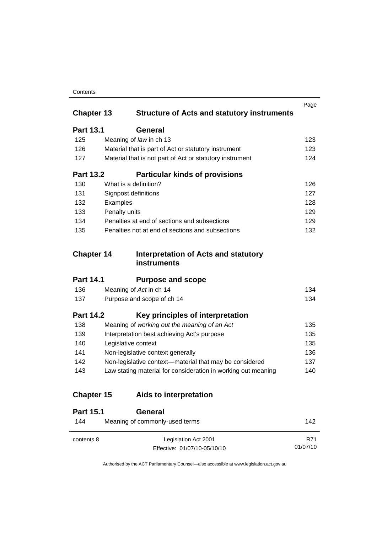|                   |                                                               | Page |
|-------------------|---------------------------------------------------------------|------|
| <b>Chapter 13</b> | <b>Structure of Acts and statutory instruments</b>            |      |
| <b>Part 13.1</b>  | General                                                       |      |
| 125               | Meaning of law in ch 13                                       | 123  |
| 126               | Material that is part of Act or statutory instrument          | 123  |
| 127               | Material that is not part of Act or statutory instrument      | 124  |
| <b>Part 13.2</b>  | <b>Particular kinds of provisions</b>                         |      |
| 130               | What is a definition?                                         | 126  |
| 131               | Signpost definitions                                          | 127  |
| 132               | Examples                                                      | 128  |
| 133               | Penalty units                                                 | 129  |
| 134               | Penalties at end of sections and subsections                  | 129  |
| 135               | Penalties not at end of sections and subsections              | 132  |
|                   |                                                               |      |
| <b>Chapter 14</b> | <b>Interpretation of Acts and statutory</b><br>instruments    |      |
| <b>Part 14.1</b>  | <b>Purpose and scope</b>                                      |      |
| 136               | Meaning of Act in ch 14                                       | 134  |
| 137               | Purpose and scope of ch 14                                    | 134  |
| <b>Part 14.2</b>  | Key principles of interpretation                              |      |
| 138               | Meaning of working out the meaning of an Act                  | 135  |
| 139               | Interpretation best achieving Act's purpose                   | 135  |
| 140               | Legislative context                                           | 135  |
| 141               | Non-legislative context generally                             | 136  |
| 142               | Non-legislative context-material that may be considered       | 137  |
| 143               | Law stating material for consideration in working out meaning | 140  |
| <b>Chapter 15</b> | Aids to interpretation                                        |      |
| <b>Part 15.1</b>  | <b>General</b>                                                |      |
|                   |                                                               |      |
| 144               | Meaning of commonly-used terms                                | 142  |

Authorised by the ACT Parliamentary Counsel—also accessible at www.legislation.act.gov.au

R71 01/07/10

Effective: 01/07/10-05/10/10

contents 8 Legislation Act 2001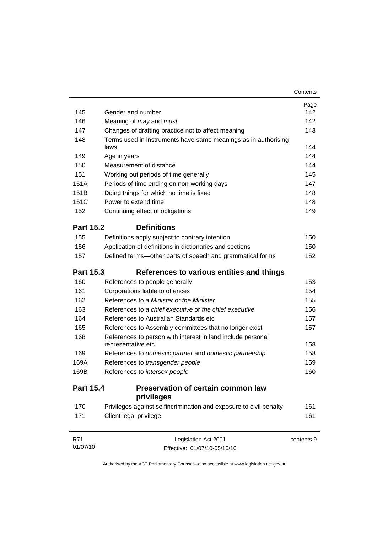| 145              | Gender and number                                                                 | Page<br>142 |
|------------------|-----------------------------------------------------------------------------------|-------------|
| 146              | Meaning of <i>may</i> and <i>must</i>                                             | 142         |
| 147              | Changes of drafting practice not to affect meaning                                | 143         |
| 148              | Terms used in instruments have same meanings as in authorising                    |             |
|                  | laws                                                                              | 144         |
| 149              | Age in years                                                                      | 144         |
| 150              | Measurement of distance                                                           | 144         |
| 151              | Working out periods of time generally                                             | 145         |
| 151A             | Periods of time ending on non-working days                                        | 147         |
| 151B             | Doing things for which no time is fixed                                           | 148         |
| 151C             | Power to extend time                                                              | 148         |
| 152              | Continuing effect of obligations                                                  | 149         |
| <b>Part 15.2</b> | <b>Definitions</b>                                                                |             |
| 155              | Definitions apply subject to contrary intention                                   | 150         |
| 156              | Application of definitions in dictionaries and sections                           | 150         |
| 157              | Defined terms—other parts of speech and grammatical forms                         | 152         |
| <b>Part 15.3</b> | References to various entities and things                                         |             |
| 160              | References to people generally                                                    | 153         |
| 161              | Corporations liable to offences                                                   | 154         |
| 162              | References to a Minister or the Minister                                          | 155         |
| 163              | References to a chief executive or the chief executive                            | 156         |
| 164              | References to Australian Standards etc                                            | 157         |
| 165              | References to Assembly committees that no longer exist                            | 157         |
| 168              | References to person with interest in land include personal<br>representative etc | 158         |
| 169              | References to domestic partner and domestic partnership                           | 158         |
| 169A             | References to transgender people                                                  | 159         |
| 169B             | References to intersex people                                                     | 160         |
| <b>Part 15.4</b> | <b>Preservation of certain common law</b><br>privileges                           |             |
| 170              | Privileges against selfincrimination and exposure to civil penalty                | 161         |
| 171              | Client legal privilege                                                            | 161         |
| R71<br>01/07/10  | Legislation Act 2001<br>Effective: 01/07/10-05/10/10                              | contents 9  |

Authorised by the ACT Parliamentary Counsel—also accessible at www.legislation.act.gov.au

Effective: 01/07/10-05/10/10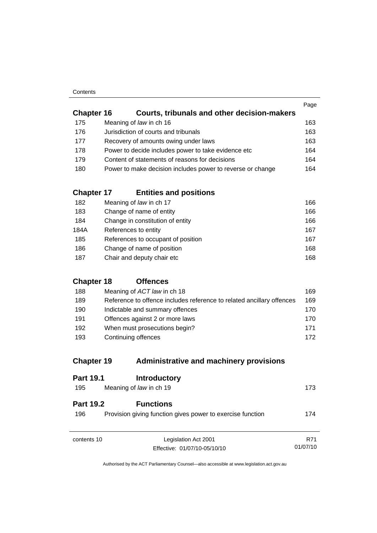|                   |                                                            | Page |
|-------------------|------------------------------------------------------------|------|
| <b>Chapter 16</b> | Courts, tribunals and other decision-makers                |      |
| 175               | Meaning of law in ch 16                                    | 163  |
| 176               | Jurisdiction of courts and tribunals                       | 163  |
| 177               | Recovery of amounts owing under laws                       | 163  |
| 178               | Power to decide includes power to take evidence etc        | 164  |
| 179               | Content of statements of reasons for decisions             | 164  |
| 180               | Power to make decision includes power to reverse or change | 164  |
|                   |                                                            |      |

## **Chapter 17 Entities and positions**

| 182  | Meaning of law in ch 17            | 166 |
|------|------------------------------------|-----|
| 183  | Change of name of entity           | 166 |
| 184  | Change in constitution of entity   | 166 |
| 184A | References to entity               | 167 |
| 185  | References to occupant of position | 167 |
| 186  | Change of name of position         | 168 |
| 187  | Chair and deputy chair etc         | 168 |

## **Chapter 18 Offences**

| 188 | Meaning of ACT law in ch 18                                           | 169 |
|-----|-----------------------------------------------------------------------|-----|
| 189 | Reference to offence includes reference to related ancillary offences | 169 |
| 190 | Indictable and summary offences                                       | 170 |
| 191 | Offences against 2 or more laws                                       | 170 |
| 192 | When must prosecutions begin?                                         | 171 |
| 193 | Continuing offences                                                   | 172 |

## **Chapter 19 Administrative and machinery provisions**

| <b>Part 19.1</b>        | <b>Introductory</b>                                                            |          |
|-------------------------|--------------------------------------------------------------------------------|----------|
| 195                     | Meaning of law in ch 19                                                        | 173      |
| <b>Part 19.2</b><br>196 | <b>Functions</b><br>Provision giving function gives power to exercise function | 174      |
| contents 10             | Legislation Act 2001                                                           | R71      |
|                         | Effective: 01/07/10-05/10/10                                                   | 01/07/10 |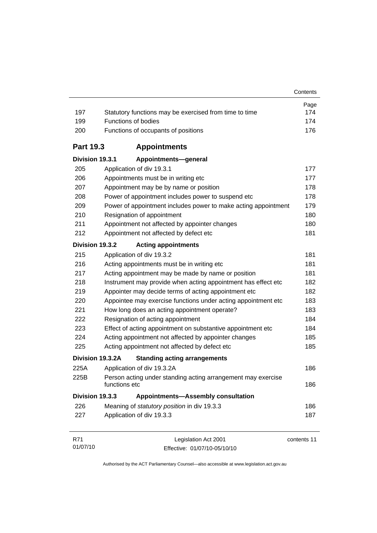| 197              | Statutory functions may be exercised from time to time                        | Page<br>174 |
|------------------|-------------------------------------------------------------------------------|-------------|
| 199              | Functions of bodies                                                           | 174         |
| 200              | Functions of occupants of positions                                           | 176         |
| <b>Part 19.3</b> | <b>Appointments</b>                                                           |             |
| Division 19.3.1  | Appointments-general                                                          |             |
| 205              | Application of div 19.3.1                                                     | 177         |
| 206              | Appointments must be in writing etc                                           | 177         |
| 207              | Appointment may be by name or position                                        | 178         |
| 208              | Power of appointment includes power to suspend etc                            | 178         |
| 209              | Power of appointment includes power to make acting appointment                | 179         |
| 210              | Resignation of appointment                                                    | 180         |
| 211              | Appointment not affected by appointer changes                                 | 180         |
| 212              | Appointment not affected by defect etc                                        | 181         |
| Division 19.3.2  | <b>Acting appointments</b>                                                    |             |
| 215              | Application of div 19.3.2                                                     | 181         |
| 216              | Acting appointments must be in writing etc                                    | 181         |
| 217              | Acting appointment may be made by name or position                            | 181         |
| 218              | Instrument may provide when acting appointment has effect etc                 | 182         |
| 219              | Appointer may decide terms of acting appointment etc                          | 182         |
| 220              | Appointee may exercise functions under acting appointment etc                 | 183         |
| 221              | How long does an acting appointment operate?                                  | 183         |
| 222              | Resignation of acting appointment                                             | 184         |
| 223              | Effect of acting appointment on substantive appointment etc                   | 184         |
| 224              | Acting appointment not affected by appointer changes                          | 185         |
| 225              | Acting appointment not affected by defect etc                                 | 185         |
| Division 19.3.2A | <b>Standing acting arrangements</b>                                           |             |
| 225A             | Application of div 19.3.2A                                                    | 186         |
| 225B             | Person acting under standing acting arrangement may exercise<br>functions etc | 186         |
| Division 19.3.3  | <b>Appointments-Assembly consultation</b>                                     |             |
| 226              | Meaning of statutory position in div 19.3.3                                   | 186         |
| 227              | Application of div 19.3.3                                                     | 187         |
| R71              | Legislation Act 2001                                                          | contents 11 |

Authorised by the ACT Parliamentary Counsel—also accessible at www.legislation.act.gov.au

Effective: 01/07/10-05/10/10

01/07/10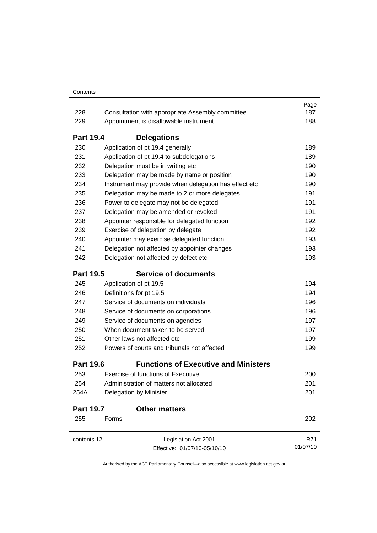|                  |                                                       | Page     |
|------------------|-------------------------------------------------------|----------|
| 228              | Consultation with appropriate Assembly committee      | 187      |
| 229              | Appointment is disallowable instrument                | 188      |
| <b>Part 19.4</b> | <b>Delegations</b>                                    |          |
| 230              | Application of pt 19.4 generally                      | 189      |
| 231              | Application of pt 19.4 to subdelegations              | 189      |
| 232              | Delegation must be in writing etc                     | 190      |
| 233              | Delegation may be made by name or position            | 190      |
| 234              | Instrument may provide when delegation has effect etc | 190      |
| 235              | Delegation may be made to 2 or more delegates         | 191      |
| 236              | Power to delegate may not be delegated                | 191      |
| 237              | Delegation may be amended or revoked                  | 191      |
| 238              | Appointer responsible for delegated function          | 192      |
| 239              | Exercise of delegation by delegate                    | 192      |
| 240              | Appointer may exercise delegated function             | 193      |
| 241              | Delegation not affected by appointer changes          | 193      |
| 242              | Delegation not affected by defect etc                 | 193      |
| <b>Part 19.5</b> | <b>Service of documents</b>                           |          |
| 245              | Application of pt 19.5                                | 194      |
| 246              | Definitions for pt 19.5                               | 194      |
| 247              | Service of documents on individuals                   | 196      |
| 248              | Service of documents on corporations                  | 196      |
| 249              | Service of documents on agencies                      | 197      |
| 250              | When document taken to be served                      | 197      |
| 251              | Other laws not affected etc                           | 199      |
| 252              | Powers of courts and tribunals not affected           | 199      |
| <b>Part 19.6</b> | <b>Functions of Executive and Ministers</b>           |          |
| 253              | <b>Exercise of functions of Executive</b>             | 200      |
| 254              | Administration of matters not allocated               | 201      |
| 254A             | Delegation by Minister                                | 201      |
| <b>Part 19.7</b> | <b>Other matters</b>                                  |          |
| 255              | Forms                                                 | 202      |
| contents 12      | Legislation Act 2001                                  | R71      |
|                  | Effective: 01/07/10-05/10/10                          | 01/07/10 |
|                  |                                                       |          |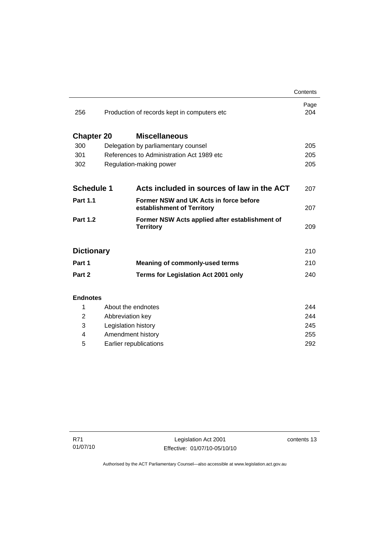|                   |                                              |                                                                      | Contents    |
|-------------------|----------------------------------------------|----------------------------------------------------------------------|-------------|
| 256               | Production of records kept in computers etc. |                                                                      | Page<br>204 |
| <b>Chapter 20</b> |                                              | <b>Miscellaneous</b>                                                 |             |
| 300               | Delegation by parliamentary counsel          |                                                                      | 205         |
| 301               | References to Administration Act 1989 etc.   |                                                                      | 205         |
| 302               | Regulation-making power                      |                                                                      | 205         |
|                   |                                              |                                                                      |             |
| <b>Schedule 1</b> |                                              | Acts included in sources of law in the ACT                           | 207         |
| <b>Part 1.1</b>   |                                              | Former NSW and UK Acts in force before<br>establishment of Territory | 207         |
| <b>Part 1.2</b>   |                                              | Former NSW Acts applied after establishment of<br><b>Territory</b>   | 209         |
| <b>Dictionary</b> |                                              |                                                                      | 210         |
| Part 1            |                                              | <b>Meaning of commonly-used terms</b>                                | 210         |
| Part 2            |                                              | <b>Terms for Legislation Act 2001 only</b>                           | 240         |
|                   |                                              |                                                                      |             |
| <b>Endnotes</b>   |                                              |                                                                      |             |
| 1                 | About the endnotes                           |                                                                      | 244         |
| 2                 | Abbreviation key                             |                                                                      | 244         |
| 3                 | Legislation history                          |                                                                      | 245         |
| 4                 | Amendment history                            |                                                                      | 255         |

5 Earlier republications [292](#page-307-0)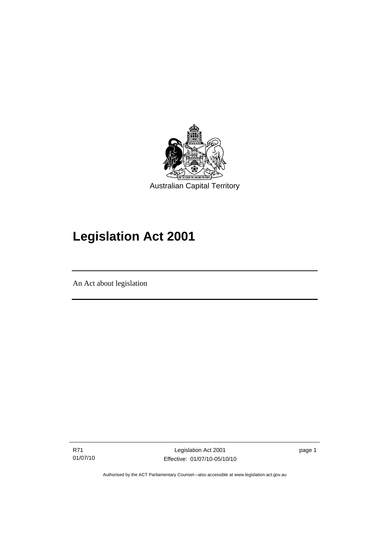<span id="page-16-0"></span>

# **Legislation Act 2001**

An Act about legislation

l

R71 01/07/10

Legislation Act 2001 Effective: 01/07/10-05/10/10 page 1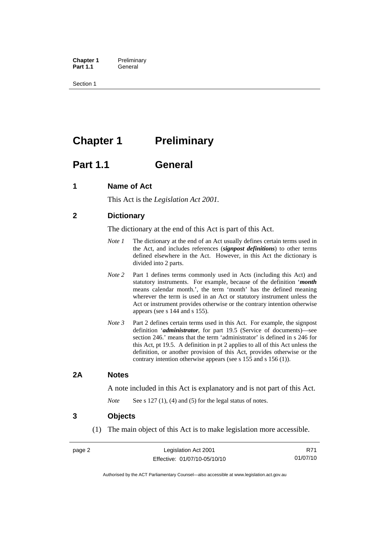<span id="page-17-0"></span>**Chapter 1** Preliminary<br>**Part 1.1** General General

Section 1

## **Chapter 1** Preliminary

## **Part 1.1 General**

## **1 Name of Act**

This Act is the *Legislation Act 2001.* 

## **2 Dictionary**

The dictionary at the end of this Act is part of this Act.

- *Note 1* The dictionary at the end of an Act usually defines certain terms used in the Act, and includes references (*signpost definitions*) to other terms defined elsewhere in the Act. However, in this Act the dictionary is divided into 2 parts.
- *Note* 2 Part 1 defines terms commonly used in Acts (including this Act) and statutory instruments. For example, because of the definition '*month* means calendar month.', the term 'month' has the defined meaning wherever the term is used in an Act or statutory instrument unless the Act or instrument provides otherwise or the contrary intention otherwise appears (see s 144 and s 155).
- *Note 3* Part 2 defines certain terms used in this Act. For example, the signpost definition '*administrator*, for part 19.5 (Service of documents)—see section 246.' means that the term 'administrator' is defined in s 246 for this Act, pt 19.5. A definition in pt 2 applies to all of this Act unless the definition, or another provision of this Act, provides otherwise or the contrary intention otherwise appears (see s 155 and s 156 (1)).

### **2A Notes**

A note included in this Act is explanatory and is not part of this Act.

*Note* See s 127 (1), (4) and (5) for the legal status of notes.

### **3 Objects**

(1) The main object of this Act is to make legislation more accessible.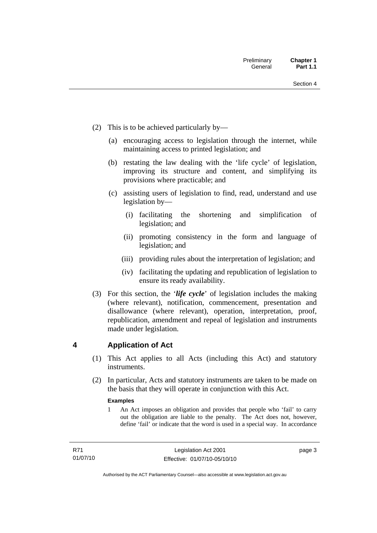- <span id="page-18-0"></span> (2) This is to be achieved particularly by—
	- (a) encouraging access to legislation through the internet, while maintaining access to printed legislation; and
	- (b) restating the law dealing with the 'life cycle' of legislation, improving its structure and content, and simplifying its provisions where practicable; and
	- (c) assisting users of legislation to find, read, understand and use legislation by—
		- (i) facilitating the shortening and simplification of legislation; and
		- (ii) promoting consistency in the form and language of legislation; and
		- (iii) providing rules about the interpretation of legislation; and
		- (iv) facilitating the updating and republication of legislation to ensure its ready availability.
- (3) For this section, the '*life cycle*' of legislation includes the making (where relevant), notification, commencement, presentation and disallowance (where relevant), operation, interpretation, proof, republication, amendment and repeal of legislation and instruments made under legislation.

## **4 Application of Act**

- (1) This Act applies to all Acts (including this Act) and statutory **instruments**
- (2) In particular, Acts and statutory instruments are taken to be made on the basis that they will operate in conjunction with this Act.

#### **Examples**

1 An Act imposes an obligation and provides that people who 'fail' to carry out the obligation are liable to the penalty. The Act does not, however, define 'fail' or indicate that the word is used in a special way. In accordance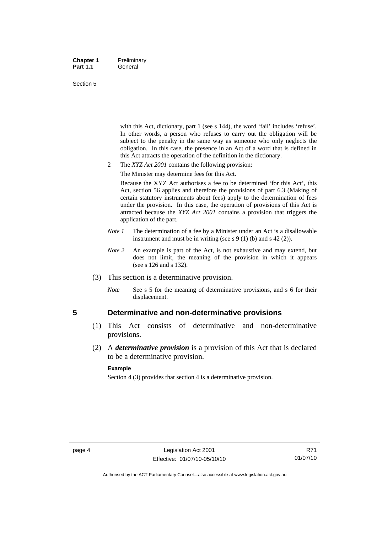#### <span id="page-19-0"></span>**Chapter 1** Preliminary Part 1.1 **General**

#### Section 5

with this Act, dictionary, part 1 (see s 144), the word 'fail' includes 'refuse'. In other words, a person who refuses to carry out the obligation will be subject to the penalty in the same way as someone who only neglects the obligation. In this case, the presence in an Act of a word that is defined in this Act attracts the operation of the definition in the dictionary.

- 2 The *XYZ Act 2001* contains the following provision:
	- The Minister may determine fees for this Act.

Because the XYZ Act authorises a fee to be determined 'for this Act', this Act, section 56 applies and therefore the provisions of part 6.3 (Making of certain statutory instruments about fees) apply to the determination of fees under the provision. In this case, the operation of provisions of this Act is attracted because the *XYZ Act 2001* contains a provision that triggers the application of the part.

- *Note 1* The determination of a fee by a Minister under an Act is a disallowable instrument and must be in writing (see s 9 (1) (b) and s 42 (2)).
- *Note* 2 An example is part of the Act, is not exhaustive and may extend, but does not limit, the meaning of the provision in which it appears (see s 126 and s 132).
- (3) This section is a determinative provision.
	- *Note* See s 5 for the meaning of determinative provisions, and s 6 for their displacement.

### **5 Determinative and non-determinative provisions**

- (1) This Act consists of determinative and non-determinative provisions.
- (2) A *determinative provision* is a provision of this Act that is declared to be a determinative provision.

#### **Example**

Section 4 (3) provides that section 4 is a determinative provision.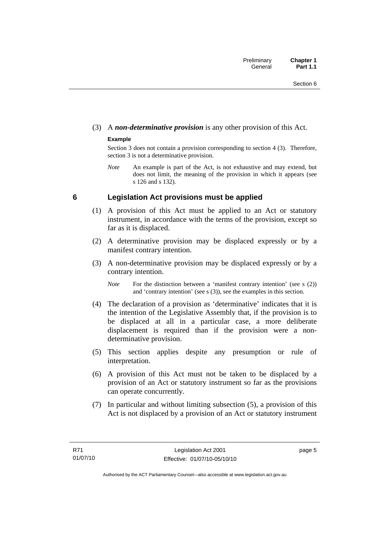## <span id="page-20-0"></span>(3) A *non-determinative provision* is any other provision of this Act.

### **Example**

Section 3 does not contain a provision corresponding to section 4 (3). Therefore, section 3 is not a determinative provision.

*Note* An example is part of the Act, is not exhaustive and may extend, but does not limit, the meaning of the provision in which it appears (see s 126 and s 132).

## **6 Legislation Act provisions must be applied**

- (1) A provision of this Act must be applied to an Act or statutory instrument, in accordance with the terms of the provision, except so far as it is displaced.
- (2) A determinative provision may be displaced expressly or by a manifest contrary intention.
- (3) A non-determinative provision may be displaced expressly or by a contrary intention.

*Note* For the distinction between a 'manifest contrary intention' (see s (2)) and 'contrary intention' (see s (3)), see the examples in this section.

- (4) The declaration of a provision as 'determinative' indicates that it is the intention of the Legislative Assembly that, if the provision is to be displaced at all in a particular case, a more deliberate displacement is required than if the provision were a nondeterminative provision.
- (5) This section applies despite any presumption or rule of interpretation.
- (6) A provision of this Act must not be taken to be displaced by a provision of an Act or statutory instrument so far as the provisions can operate concurrently.
- (7) In particular and without limiting subsection (5), a provision of this Act is not displaced by a provision of an Act or statutory instrument

page 5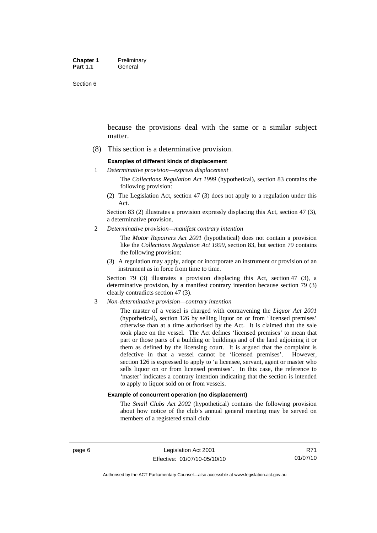Section 6

because the provisions deal with the same or a similar subject matter.

(8) This section is a determinative provision.

#### **Examples of different kinds of displacement**

1 *Determinative provision—express displacement*

The *Collections Regulation Act 1999* (hypothetical), section 83 contains the following provision:

(2) The Legislation Act, section 47 (3) does not apply to a regulation under this Act.

Section 83 (2) illustrates a provision expressly displacing this Act, section 47 (3), a determinative provision.

2 *Determinative provision—manifest contrary intention*

The *Motor Repairers Act 2001* (hypothetical) does not contain a provision like the *Collections Regulation Act 1999*, section 83, but section 79 contains the following provision:

(3) A regulation may apply, adopt or incorporate an instrument or provision of an instrument as in force from time to time.

Section 79 (3) illustrates a provision displacing this Act, section 47 (3), a determinative provision, by a manifest contrary intention because section 79 (3) clearly contradicts section 47 (3).

3 *Non-determinative provision—contrary intention*

The master of a vessel is charged with contravening the *Liquor Act 2001* (hypothetical), section 126 by selling liquor on or from 'licensed premises' otherwise than at a time authorised by the Act. It is claimed that the sale took place on the vessel. The Act defines 'licensed premises' to mean that part or those parts of a building or buildings and of the land adjoining it or them as defined by the licensing court. It is argued that the complaint is defective in that a vessel cannot be 'licensed premises'. However, section 126 is expressed to apply to 'a licensee, servant, agent or master who sells liquor on or from licensed premises'. In this case, the reference to 'master' indicates a contrary intention indicating that the section is intended to apply to liquor sold on or from vessels.

#### **Example of concurrent operation (no displacement)**

The *Small Clubs Act 2002* (hypothetical) contains the following provision about how notice of the club's annual general meeting may be served on members of a registered small club: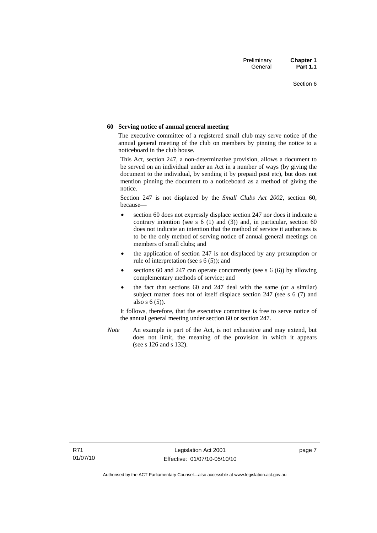#### **60 Serving notice of annual general meeting**

The executive committee of a registered small club may serve notice of the annual general meeting of the club on members by pinning the notice to a noticeboard in the club house.

This Act, section 247, a non-determinative provision, allows a document to be served on an individual under an Act in a number of ways (by giving the document to the individual, by sending it by prepaid post etc), but does not mention pinning the document to a noticeboard as a method of giving the notice.

Section 247 is not displaced by the *Small Clubs Act 2002*, section 60, because—

- section 60 does not expressly displace section 247 nor does it indicate a contrary intention (see s  $6(1)$  and  $(3)$ ) and, in particular, section  $60$ does not indicate an intention that the method of service it authorises is to be the only method of serving notice of annual general meetings on members of small clubs; and
- the application of section 247 is not displaced by any presumption or rule of interpretation (see s 6 (5)); and
- sections 60 and 247 can operate concurrently (see s  $6(6)$ ) by allowing complementary methods of service; and
- the fact that sections 60 and 247 deal with the same (or a similar) subject matter does not of itself displace section 247 (see s 6 (7) and also s 6 (5)).

It follows, therefore, that the executive committee is free to serve notice of the annual general meeting under section 60 or section 247.

*Note* An example is part of the Act, is not exhaustive and may extend, but does not limit, the meaning of the provision in which it appears (see s 126 and s 132).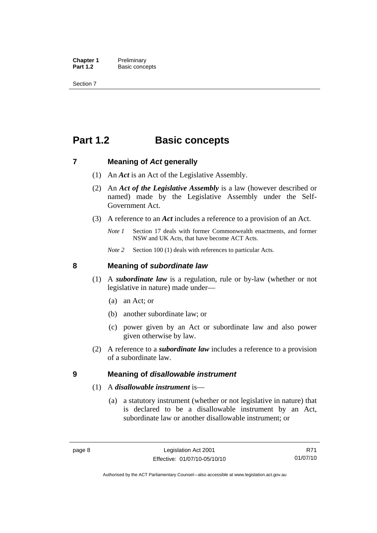<span id="page-23-0"></span>**Chapter 1** Preliminary<br>**Part 1.2** Basic conce **Basic concepts** 

Section 7

## **Part 1.2 Basic concepts**

### **7 Meaning of** *Act* **generally**

- (1) An *Act* is an Act of the Legislative Assembly.
- (2) An *Act of the Legislative Assembly* is a law (however described or named) made by the Legislative Assembly under the Self-Government Act.
- (3) A reference to an *Act* includes a reference to a provision of an Act.
	- *Note 1* Section 17 deals with former Commonwealth enactments, and former NSW and UK Acts, that have become ACT Acts.
	- *Note 2* Section 100 (1) deals with references to particular Acts.

### **8 Meaning of** *subordinate law*

- (1) A *subordinate law* is a regulation, rule or by-law (whether or not legislative in nature) made under—
	- (a) an Act; or
	- (b) another subordinate law; or
	- (c) power given by an Act or subordinate law and also power given otherwise by law.
- (2) A reference to a *subordinate law* includes a reference to a provision of a subordinate law.

### **9 Meaning of** *disallowable instrument*

### (1) A *disallowable instrument* is—

 (a) a statutory instrument (whether or not legislative in nature) that is declared to be a disallowable instrument by an Act, subordinate law or another disallowable instrument; or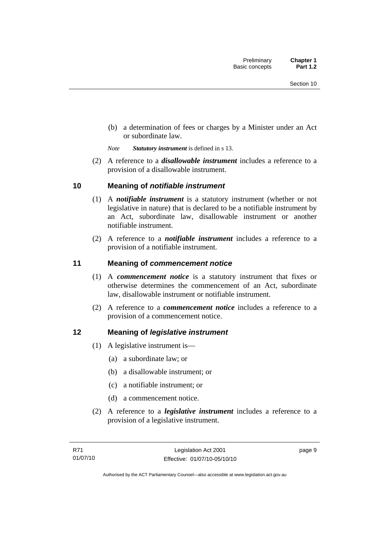<span id="page-24-0"></span> (b) a determination of fees or charges by a Minister under an Act or subordinate law.

*Note Statutory instrument* is defined in s 13.

 (2) A reference to a *disallowable instrument* includes a reference to a provision of a disallowable instrument.

## **10 Meaning of** *notifiable instrument*

- (1) A *notifiable instrument* is a statutory instrument (whether or not legislative in nature) that is declared to be a notifiable instrument by an Act, subordinate law, disallowable instrument or another notifiable instrument.
- (2) A reference to a *notifiable instrument* includes a reference to a provision of a notifiable instrument.

## **11 Meaning of** *commencement notice*

- (1) A *commencement notice* is a statutory instrument that fixes or otherwise determines the commencement of an Act, subordinate law, disallowable instrument or notifiable instrument.
- (2) A reference to a *commencement notice* includes a reference to a provision of a commencement notice.

## **12 Meaning of** *legislative instrument*

- (1) A legislative instrument is—
	- (a) a subordinate law; or
	- (b) a disallowable instrument; or
	- (c) a notifiable instrument; or
	- (d) a commencement notice.
- (2) A reference to a *legislative instrument* includes a reference to a provision of a legislative instrument.

page 9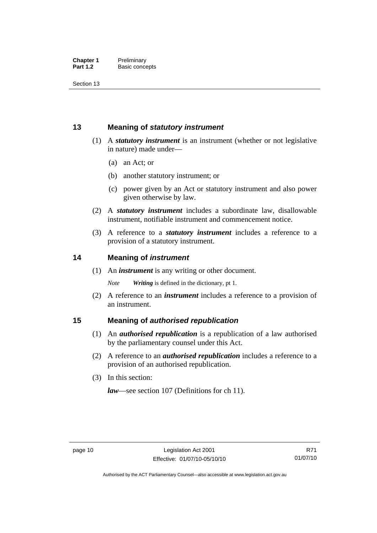<span id="page-25-0"></span>Section 13

## **13 Meaning of** *statutory instrument*

- (1) A *statutory instrument* is an instrument (whether or not legislative in nature) made under—
	- (a) an Act; or
	- (b) another statutory instrument; or
	- (c) power given by an Act or statutory instrument and also power given otherwise by law.
- (2) A *statutory instrument* includes a subordinate law, disallowable instrument, notifiable instrument and commencement notice.
- (3) A reference to a *statutory instrument* includes a reference to a provision of a statutory instrument.

## **14 Meaning of** *instrument*

(1) An *instrument* is any writing or other document.

*Note Writing* is defined in the dictionary, pt 1.

 (2) A reference to an *instrument* includes a reference to a provision of an instrument.

## **15 Meaning of** *authorised republication*

- (1) An *authorised republication* is a republication of a law authorised by the parliamentary counsel under this Act.
- (2) A reference to an *authorised republication* includes a reference to a provision of an authorised republication.
- (3) In this section:

*law*—see section 107 (Definitions for ch 11).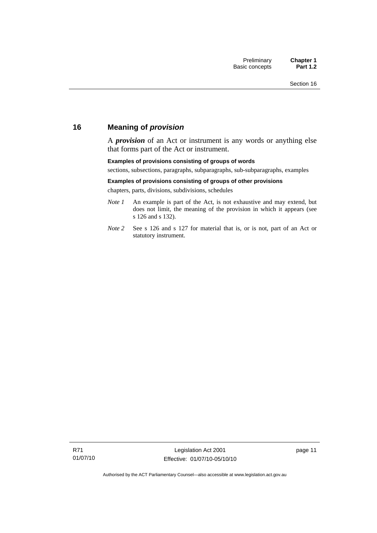## <span id="page-26-0"></span>**16 Meaning of** *provision*

A *provision* of an Act or instrument is any words or anything else that forms part of the Act or instrument.

#### **Examples of provisions consisting of groups of words**

sections, subsections, paragraphs, subparagraphs, sub-subparagraphs, examples

#### **Examples of provisions consisting of groups of other provisions**

chapters, parts, divisions, subdivisions, schedules

- *Note 1* An example is part of the Act, is not exhaustive and may extend, but does not limit, the meaning of the provision in which it appears (see s 126 and s 132).
- *Note 2* See s 126 and s 127 for material that is, or is not, part of an Act or statutory instrument.

page 11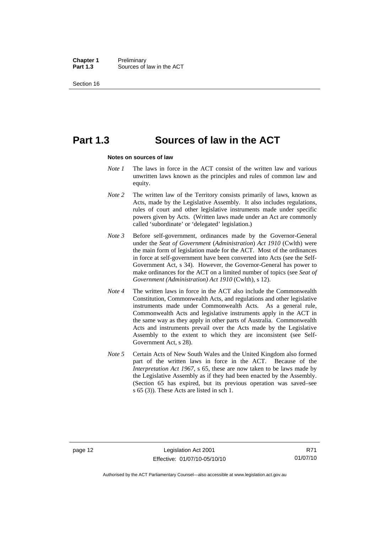**Chapter 1** Preliminary<br>**Part 1.3** Sources of Sources of law in the ACT

Section 16

## **Part 1.3 Sources of law in the ACT**

#### **Notes on sources of law**

- *Note 1* The laws in force in the ACT consist of the written law and various unwritten laws known as the principles and rules of common law and equity.
- *Note* 2 The written law of the Territory consists primarily of laws, known as Acts, made by the Legislative Assembly. It also includes regulations, rules of court and other legislative instruments made under specific powers given by Acts. (Written laws made under an Act are commonly called 'subordinate' or 'delegated' legislation.)
- *Note 3* Before self-government, ordinances made by the Governor-General under the *Seat of Government* (*Administration*) *Act 1910* (Cwlth) were the main form of legislation made for the ACT. Most of the ordinances in force at self-government have been converted into Acts (see the Self-Government Act, s 34). However, the Governor-General has power to make ordinances for the ACT on a limited number of topics (see *Seat of Government (Administration) Act 1910* (Cwlth), s 12).
- *Note 4* The written laws in force in the ACT also include the Commonwealth Constitution, Commonwealth Acts, and regulations and other legislative instruments made under Commonwealth Acts. As a general rule, Commonwealth Acts and legislative instruments apply in the ACT in the same way as they apply in other parts of Australia. Commonwealth Acts and instruments prevail over the Acts made by the Legislative Assembly to the extent to which they are inconsistent (see Self-Government Act, s 28).
- *Note 5* Certain Acts of New South Wales and the United Kingdom also formed part of the written laws in force in the ACT. Because of the *Interpretation Act 1967*, s 65, these are now taken to be laws made by the Legislative Assembly as if they had been enacted by the Assembly. (Section 65 has expired, but its previous operation was saved–see s 65 (3)). These Acts are listed in sch 1.

Authorised by the ACT Parliamentary Counsel—also accessible at www.legislation.act.gov.au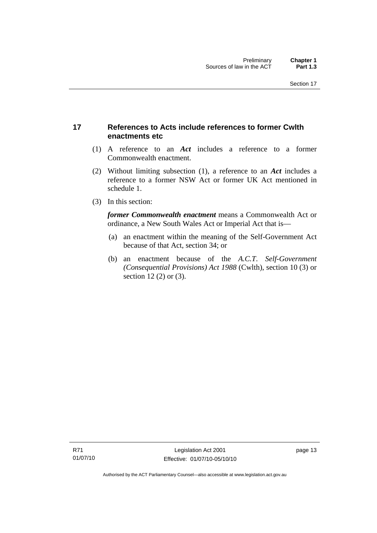## <span id="page-28-0"></span>**17 References to Acts include references to former Cwlth enactments etc**

- (1) A reference to an *Act* includes a reference to a former Commonwealth enactment.
- (2) Without limiting subsection (1), a reference to an *Act* includes a reference to a former NSW Act or former UK Act mentioned in schedule 1.
- (3) In this section:

*former Commonwealth enactment* means a Commonwealth Act or ordinance, a New South Wales Act or Imperial Act that is—

- (a) an enactment within the meaning of the Self-Government Act because of that Act, section 34; or
- (b) an enactment because of the *A.C.T*. *Self-Government (Consequential Provisions) Act 1988* (Cwlth), section 10 (3) or section 12 (2) or (3).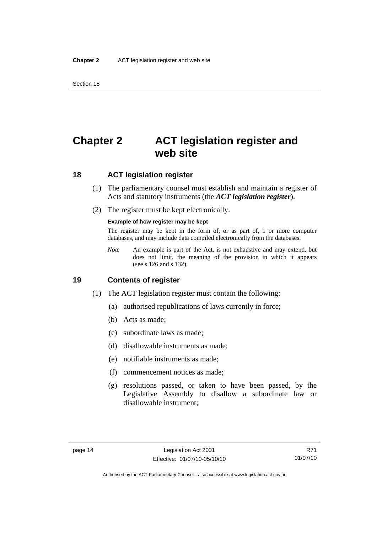## <span id="page-29-0"></span>**Chapter 2 ACT legislation register and web site**

## **18 ACT legislation register**

- (1) The parliamentary counsel must establish and maintain a register of Acts and statutory instruments (the *ACT legislation register*).
- (2) The register must be kept electronically.

#### **Example of how register may be kept**

The register may be kept in the form of, or as part of, 1 or more computer databases, and may include data compiled electronically from the databases.

*Note* An example is part of the Act, is not exhaustive and may extend, but does not limit, the meaning of the provision in which it appears (see s 126 and s 132).

### **19 Contents of register**

- (1) The ACT legislation register must contain the following:
	- (a) authorised republications of laws currently in force;
	- (b) Acts as made;
	- (c) subordinate laws as made;
	- (d) disallowable instruments as made;
	- (e) notifiable instruments as made;
	- (f) commencement notices as made;
	- (g) resolutions passed, or taken to have been passed, by the Legislative Assembly to disallow a subordinate law or disallowable instrument;

R71 01/07/10

Authorised by the ACT Parliamentary Counsel—also accessible at www.legislation.act.gov.au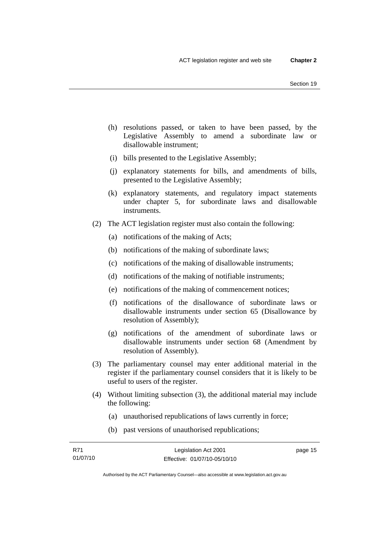- (h) resolutions passed, or taken to have been passed, by the Legislative Assembly to amend a subordinate law or disallowable instrument;
- (i) bills presented to the Legislative Assembly;
- (j) explanatory statements for bills, and amendments of bills, presented to the Legislative Assembly;
- (k) explanatory statements, and regulatory impact statements under chapter 5, for subordinate laws and disallowable instruments.
- (2) The ACT legislation register must also contain the following:
	- (a) notifications of the making of Acts;
	- (b) notifications of the making of subordinate laws;
	- (c) notifications of the making of disallowable instruments;
	- (d) notifications of the making of notifiable instruments;
	- (e) notifications of the making of commencement notices;
	- (f) notifications of the disallowance of subordinate laws or disallowable instruments under section 65 (Disallowance by resolution of Assembly);
	- (g) notifications of the amendment of subordinate laws or disallowable instruments under section 68 (Amendment by resolution of Assembly).
- (3) The parliamentary counsel may enter additional material in the register if the parliamentary counsel considers that it is likely to be useful to users of the register.
- (4) Without limiting subsection (3), the additional material may include the following:
	- (a) unauthorised republications of laws currently in force;
	- (b) past versions of unauthorised republications;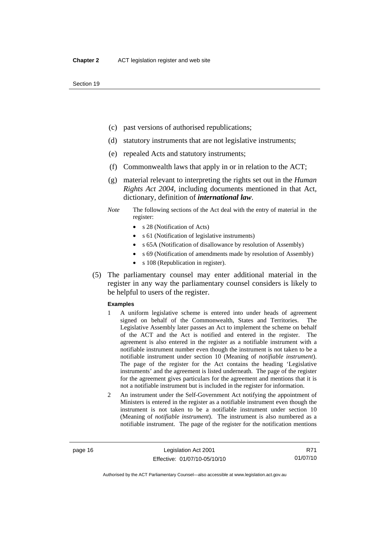- (c) past versions of authorised republications;
- (d) statutory instruments that are not legislative instruments;
- (e) repealed Acts and statutory instruments;
- (f) Commonwealth laws that apply in or in relation to the ACT;
- (g) material relevant to interpreting the rights set out in the *Human Rights Act 2004*, including documents mentioned in that Act, dictionary, definition of *international law*.
- *Note* The following sections of the Act deal with the entry of material in the register:
	- s 28 (Notification of Acts)
	- s 61 (Notification of legislative instruments)
	- s 65A (Notification of disallowance by resolution of Assembly)
	- s 69 (Notification of amendments made by resolution of Assembly)
	- s 108 (Republication in register).
- (5) The parliamentary counsel may enter additional material in the register in any way the parliamentary counsel considers is likely to be helpful to users of the register.

#### **Examples**

- 1 A uniform legislative scheme is entered into under heads of agreement signed on behalf of the Commonwealth, States and Territories. The Legislative Assembly later passes an Act to implement the scheme on behalf of the ACT and the Act is notified and entered in the register. The agreement is also entered in the register as a notifiable instrument with a notifiable instrument number even though the instrument is not taken to be a notifiable instrument under section 10 (Meaning of *notifiable instrument*). The page of the register for the Act contains the heading 'Legislative instruments' and the agreement is listed underneath. The page of the register for the agreement gives particulars for the agreement and mentions that it is not a notifiable instrument but is included in the register for information.
- 2 An instrument under the Self-Government Act notifying the appointment of Ministers is entered in the register as a notifiable instrument even though the instrument is not taken to be a notifiable instrument under section 10 (Meaning of *notifiable instrument*). The instrument is also numbered as a notifiable instrument. The page of the register for the notification mentions

R71 01/07/10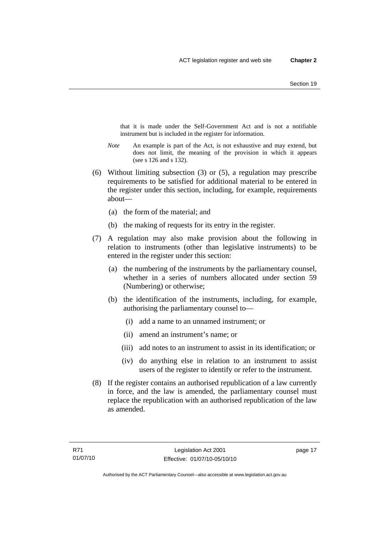that it is made under the Self-Government Act and is not a notifiable instrument but is included in the register for information.

- *Note* An example is part of the Act, is not exhaustive and may extend, but does not limit, the meaning of the provision in which it appears (see s 126 and s 132).
- (6) Without limiting subsection (3) or (5), a regulation may prescribe requirements to be satisfied for additional material to be entered in the register under this section, including, for example, requirements about—
	- (a) the form of the material; and
	- (b) the making of requests for its entry in the register.
- (7) A regulation may also make provision about the following in relation to instruments (other than legislative instruments) to be entered in the register under this section:
	- (a) the numbering of the instruments by the parliamentary counsel, whether in a series of numbers allocated under section 59 (Numbering) or otherwise;
	- (b) the identification of the instruments, including, for example, authorising the parliamentary counsel to—
		- (i) add a name to an unnamed instrument; or
		- (ii) amend an instrument's name; or
		- (iii) add notes to an instrument to assist in its identification; or
		- (iv) do anything else in relation to an instrument to assist users of the register to identify or refer to the instrument.
- (8) If the register contains an authorised republication of a law currently in force, and the law is amended, the parliamentary counsel must replace the republication with an authorised republication of the law as amended.

page 17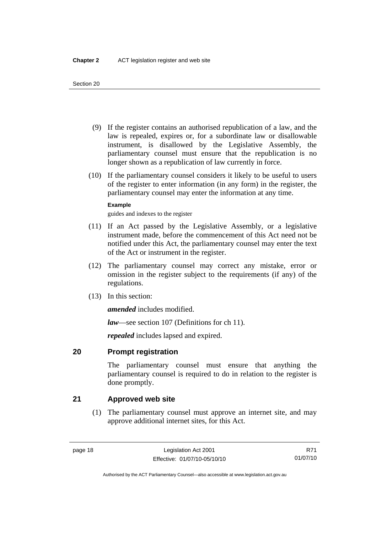- <span id="page-33-0"></span> (9) If the register contains an authorised republication of a law, and the law is repealed, expires or, for a subordinate law or disallowable instrument, is disallowed by the Legislative Assembly, the parliamentary counsel must ensure that the republication is no longer shown as a republication of law currently in force.
- (10) If the parliamentary counsel considers it likely to be useful to users of the register to enter information (in any form) in the register, the parliamentary counsel may enter the information at any time.

### **Example**

guides and indexes to the register

- (11) If an Act passed by the Legislative Assembly, or a legislative instrument made, before the commencement of this Act need not be notified under this Act, the parliamentary counsel may enter the text of the Act or instrument in the register.
- (12) The parliamentary counsel may correct any mistake, error or omission in the register subject to the requirements (if any) of the regulations.
- (13) In this section:

*amended* includes modified.

*law*—see section 107 (Definitions for ch 11).

*repealed* includes lapsed and expired.

## **20 Prompt registration**

The parliamentary counsel must ensure that anything the parliamentary counsel is required to do in relation to the register is done promptly.

## **21 Approved web site**

 (1) The parliamentary counsel must approve an internet site, and may approve additional internet sites, for this Act.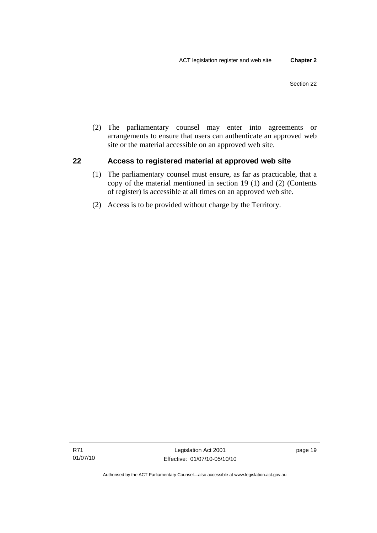<span id="page-34-0"></span> (2) The parliamentary counsel may enter into agreements or arrangements to ensure that users can authenticate an approved web site or the material accessible on an approved web site.

## **22 Access to registered material at approved web site**

- (1) The parliamentary counsel must ensure, as far as practicable, that a copy of the material mentioned in section 19 (1) and (2) (Contents of register) is accessible at all times on an approved web site.
- (2) Access is to be provided without charge by the Territory.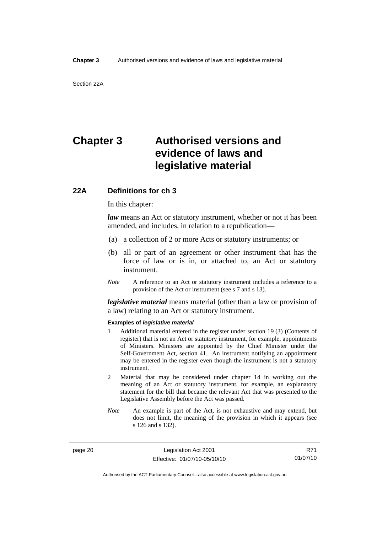## <span id="page-35-0"></span>**Chapter 3 Authorised versions and evidence of laws and legislative material**

## **22A Definitions for ch 3**

In this chapter:

*law* means an Act or statutory instrument, whether or not it has been amended, and includes, in relation to a republication—

- (a) a collection of 2 or more Acts or statutory instruments; or
- (b) all or part of an agreement or other instrument that has the force of law or is in, or attached to, an Act or statutory instrument.
- *Note* A reference to an Act or statutory instrument includes a reference to a provision of the Act or instrument (see s 7 and s 13).

*legislative material* means material (other than a law or provision of a law) relating to an Act or statutory instrument.

#### **Examples of** *legislative material*

- 1 Additional material entered in the register under section 19 (3) (Contents of register) that is not an Act or statutory instrument, for example, appointments of Ministers. Ministers are appointed by the Chief Minister under the Self-Government Act, section 41. An instrument notifying an appointment may be entered in the register even though the instrument is not a statutory instrument.
- 2 Material that may be considered under chapter 14 in working out the meaning of an Act or statutory instrument, for example, an explanatory statement for the bill that became the relevant Act that was presented to the Legislative Assembly before the Act was passed.
- *Note* An example is part of the Act, is not exhaustive and may extend, but does not limit, the meaning of the provision in which it appears (see s 126 and s 132).

page 20 Legislation Act 2001 Effective: 01/07/10-05/10/10

R71 01/07/10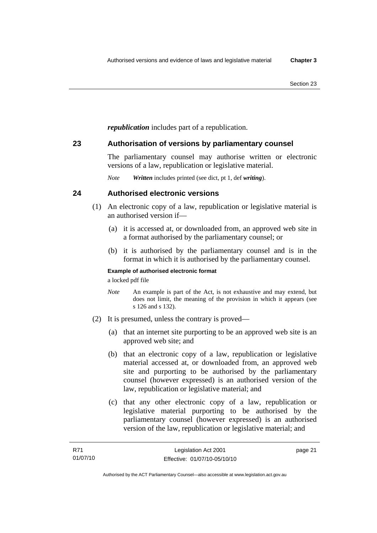*republication* includes part of a republication.

## **23 Authorisation of versions by parliamentary counsel**

The parliamentary counsel may authorise written or electronic versions of a law, republication or legislative material.

*Note Written* includes printed (see dict, pt 1, def *writing*).

## **24 Authorised electronic versions**

- (1) An electronic copy of a law, republication or legislative material is an authorised version if—
	- (a) it is accessed at, or downloaded from, an approved web site in a format authorised by the parliamentary counsel; or
	- (b) it is authorised by the parliamentary counsel and is in the format in which it is authorised by the parliamentary counsel.

### **Example of authorised electronic format**

a locked pdf file

- *Note* An example is part of the Act, is not exhaustive and may extend, but does not limit, the meaning of the provision in which it appears (see s 126 and s 132).
- (2) It is presumed, unless the contrary is proved—
	- (a) that an internet site purporting to be an approved web site is an approved web site; and
	- (b) that an electronic copy of a law, republication or legislative material accessed at, or downloaded from, an approved web site and purporting to be authorised by the parliamentary counsel (however expressed) is an authorised version of the law, republication or legislative material; and
	- (c) that any other electronic copy of a law, republication or legislative material purporting to be authorised by the parliamentary counsel (however expressed) is an authorised version of the law, republication or legislative material; and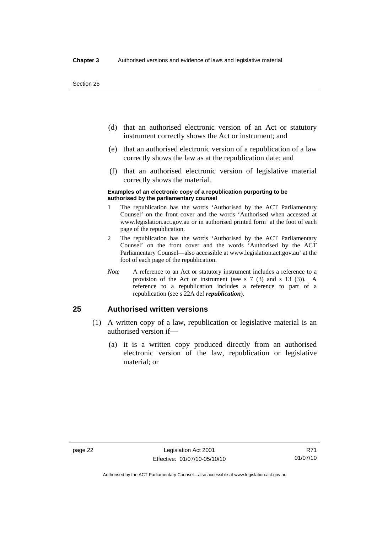- (d) that an authorised electronic version of an Act or statutory instrument correctly shows the Act or instrument; and
- (e) that an authorised electronic version of a republication of a law correctly shows the law as at the republication date; and
- (f) that an authorised electronic version of legislative material correctly shows the material.

#### **Examples of an electronic copy of a republication purporting to be authorised by the parliamentary counsel**

- 1 The republication has the words 'Authorised by the ACT Parliamentary Counsel' on the front cover and the words 'Authorised when accessed at www.legislation.act.gov.au or in authorised printed form' at the foot of each page of the republication.
- 2 The republication has the words 'Authorised by the ACT Parliamentary Counsel' on the front cover and the words 'Authorised by the ACT Parliamentary Counsel—also accessible at www.legislation.act.gov.au' at the foot of each page of the republication.
- *Note* A reference to an Act or statutory instrument includes a reference to a provision of the Act or instrument (see s 7 (3) and s 13 (3)). A reference to a republication includes a reference to part of a republication (see s 22A def *republication*).

## **25 Authorised written versions**

- (1) A written copy of a law, republication or legislative material is an authorised version if—
	- (a) it is a written copy produced directly from an authorised electronic version of the law, republication or legislative material; or

Authorised by the ACT Parliamentary Counsel—also accessible at www.legislation.act.gov.au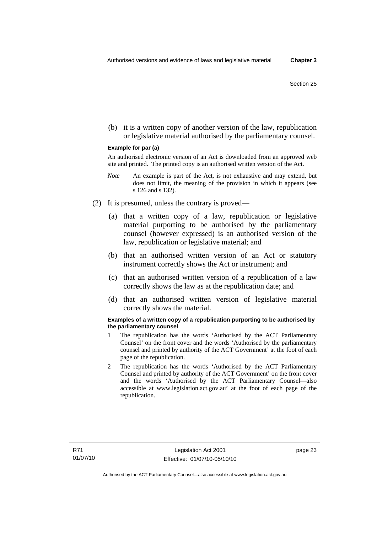(b) it is a written copy of another version of the law, republication or legislative material authorised by the parliamentary counsel.

#### **Example for par (a)**

An authorised electronic version of an Act is downloaded from an approved web site and printed. The printed copy is an authorised written version of the Act.

- *Note* An example is part of the Act, is not exhaustive and may extend, but does not limit, the meaning of the provision in which it appears (see s 126 and s 132).
- (2) It is presumed, unless the contrary is proved—
	- (a) that a written copy of a law, republication or legislative material purporting to be authorised by the parliamentary counsel (however expressed) is an authorised version of the law, republication or legislative material; and
	- (b) that an authorised written version of an Act or statutory instrument correctly shows the Act or instrument; and
	- (c) that an authorised written version of a republication of a law correctly shows the law as at the republication date; and
	- (d) that an authorised written version of legislative material correctly shows the material.

#### **Examples of a written copy of a republication purporting to be authorised by the parliamentary counsel**

- 1 The republication has the words 'Authorised by the ACT Parliamentary Counsel' on the front cover and the words 'Authorised by the parliamentary counsel and printed by authority of the ACT Government' at the foot of each page of the republication.
- 2 The republication has the words 'Authorised by the ACT Parliamentary Counsel and printed by authority of the ACT Government' on the front cover and the words 'Authorised by the ACT Parliamentary Counsel—also accessible at www.legislation.act.gov.au' at the foot of each page of the republication.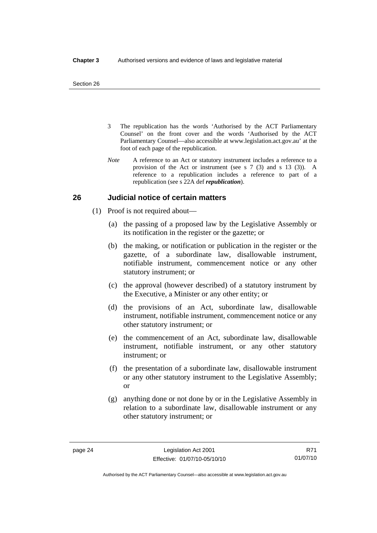- 3 The republication has the words 'Authorised by the ACT Parliamentary Counsel' on the front cover and the words 'Authorised by the ACT Parliamentary Counsel—also accessible at www.legislation.act.gov.au' at the foot of each page of the republication.
- *Note* A reference to an Act or statutory instrument includes a reference to a provision of the Act or instrument (see s 7 (3) and s 13 (3)). A reference to a republication includes a reference to part of a republication (see s 22A def *republication*).

## **26 Judicial notice of certain matters**

- (1) Proof is not required about—
	- (a) the passing of a proposed law by the Legislative Assembly or its notification in the register or the gazette; or
	- (b) the making, or notification or publication in the register or the gazette, of a subordinate law, disallowable instrument, notifiable instrument, commencement notice or any other statutory instrument; or
	- (c) the approval (however described) of a statutory instrument by the Executive, a Minister or any other entity; or
	- (d) the provisions of an Act, subordinate law, disallowable instrument, notifiable instrument, commencement notice or any other statutory instrument; or
	- (e) the commencement of an Act, subordinate law, disallowable instrument, notifiable instrument, or any other statutory instrument; or
	- (f) the presentation of a subordinate law, disallowable instrument or any other statutory instrument to the Legislative Assembly; or
	- (g) anything done or not done by or in the Legislative Assembly in relation to a subordinate law, disallowable instrument or any other statutory instrument; or

R71 01/07/10

Authorised by the ACT Parliamentary Counsel—also accessible at www.legislation.act.gov.au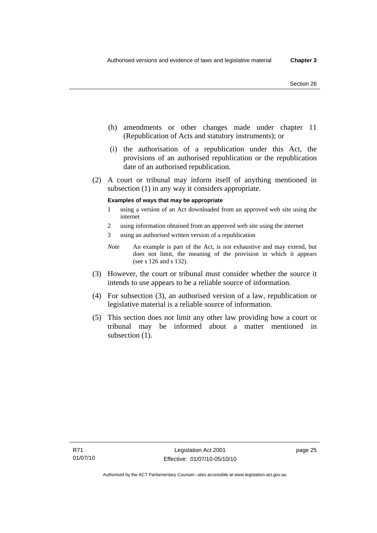- (h) amendments or other changes made under chapter 11 (Republication of Acts and statutory instruments); or
- (i) the authorisation of a republication under this Act, the provisions of an authorised republication or the republication date of an authorised republication.
- (2) A court or tribunal may inform itself of anything mentioned in subsection (1) in any way it considers appropriate.

### **Examples of ways that may be appropriate**

- 1 using a version of an Act downloaded from an approved web site using the internet
- 2 using information obtained from an approved web site using the internet
- 3 using an authorised written version of a republication
- *Note* An example is part of the Act, is not exhaustive and may extend, but does not limit, the meaning of the provision in which it appears (see s 126 and s 132).
- (3) However, the court or tribunal must consider whether the source it intends to use appears to be a reliable source of information.
- (4) For subsection (3), an authorised version of a law, republication or legislative material is a reliable source of information.
- (5) This section does not limit any other law providing how a court or tribunal may be informed about a matter mentioned in subsection  $(1)$ .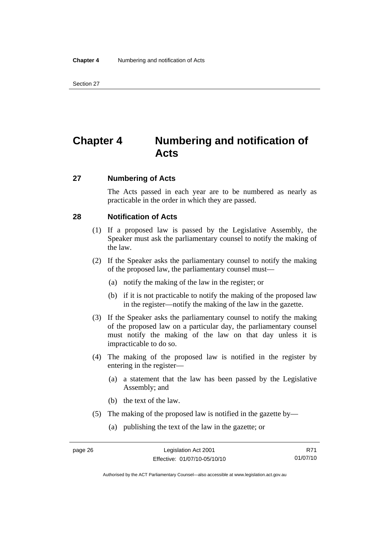## **Chapter 4 Numbering and notification of Acts**

### **27 Numbering of Acts**

The Acts passed in each year are to be numbered as nearly as practicable in the order in which they are passed.

## **28 Notification of Acts**

- (1) If a proposed law is passed by the Legislative Assembly, the Speaker must ask the parliamentary counsel to notify the making of the law.
- (2) If the Speaker asks the parliamentary counsel to notify the making of the proposed law, the parliamentary counsel must—
	- (a) notify the making of the law in the register; or
	- (b) if it is not practicable to notify the making of the proposed law in the register—notify the making of the law in the gazette.
- (3) If the Speaker asks the parliamentary counsel to notify the making of the proposed law on a particular day, the parliamentary counsel must notify the making of the law on that day unless it is impracticable to do so.
- (4) The making of the proposed law is notified in the register by entering in the register—
	- (a) a statement that the law has been passed by the Legislative Assembly; and
	- (b) the text of the law.
- (5) The making of the proposed law is notified in the gazette by—
	- (a) publishing the text of the law in the gazette; or

R71 01/07/10

Authorised by the ACT Parliamentary Counsel—also accessible at www.legislation.act.gov.au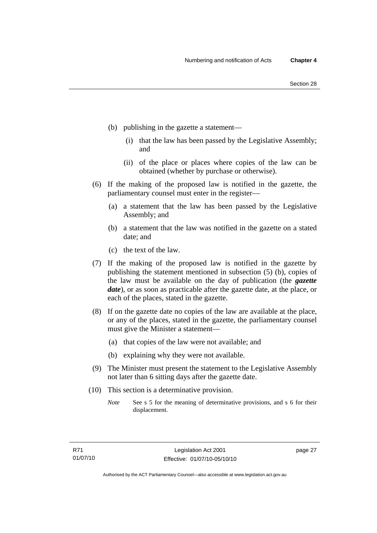- (b) publishing in the gazette a statement—
	- (i) that the law has been passed by the Legislative Assembly; and
	- (ii) of the place or places where copies of the law can be obtained (whether by purchase or otherwise).
- (6) If the making of the proposed law is notified in the gazette, the parliamentary counsel must enter in the register—
	- (a) a statement that the law has been passed by the Legislative Assembly; and
	- (b) a statement that the law was notified in the gazette on a stated date; and
	- (c) the text of the law.
- (7) If the making of the proposed law is notified in the gazette by publishing the statement mentioned in subsection (5) (b), copies of the law must be available on the day of publication (the *gazette date*), or as soon as practicable after the gazette date, at the place, or each of the places, stated in the gazette.
- (8) If on the gazette date no copies of the law are available at the place, or any of the places, stated in the gazette, the parliamentary counsel must give the Minister a statement—
	- (a) that copies of the law were not available; and
	- (b) explaining why they were not available.
- (9) The Minister must present the statement to the Legislative Assembly not later than 6 sitting days after the gazette date.
- (10) This section is a determinative provision.
	- *Note* See s 5 for the meaning of determinative provisions, and s 6 for their displacement.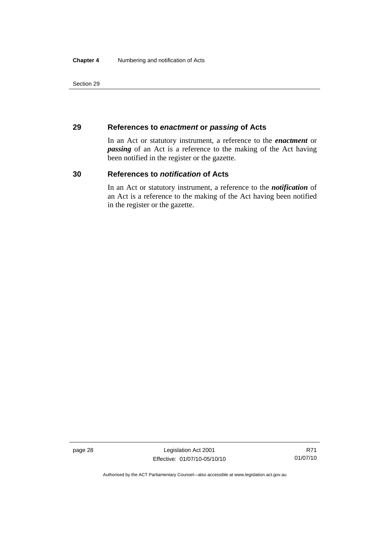## **29 References to** *enactment* **or** *passing* **of Acts**

In an Act or statutory instrument, a reference to the *enactment* or *passing* of an Act is a reference to the making of the Act having been notified in the register or the gazette.

## **30 References to** *notification* **of Acts**

In an Act or statutory instrument, a reference to the *notification* of an Act is a reference to the making of the Act having been notified in the register or the gazette.

page 28 Legislation Act 2001 Effective: 01/07/10-05/10/10

R71 01/07/10

Authorised by the ACT Parliamentary Counsel—also accessible at www.legislation.act.gov.au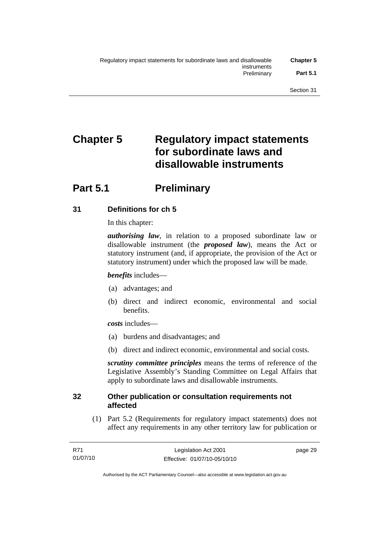# **Chapter 5 Regulatory impact statements for subordinate laws and disallowable instruments**

## **Part 5.1** Preliminary

## **31 Definitions for ch 5**

In this chapter:

*authorising law*, in relation to a proposed subordinate law or disallowable instrument (the *proposed law*), means the Act or statutory instrument (and, if appropriate, the provision of the Act or statutory instrument) under which the proposed law will be made.

## *benefits* includes—

- (a) advantages; and
- (b) direct and indirect economic, environmental and social benefits.

*costs* includes—

- (a) burdens and disadvantages; and
- (b) direct and indirect economic, environmental and social costs.

*scrutiny committee principles* means the terms of reference of the Legislative Assembly's Standing Committee on Legal Affairs that apply to subordinate laws and disallowable instruments.

## **32 Other publication or consultation requirements not affected**

 (1) Part 5.2 (Requirements for regulatory impact statements) does not affect any requirements in any other territory law for publication or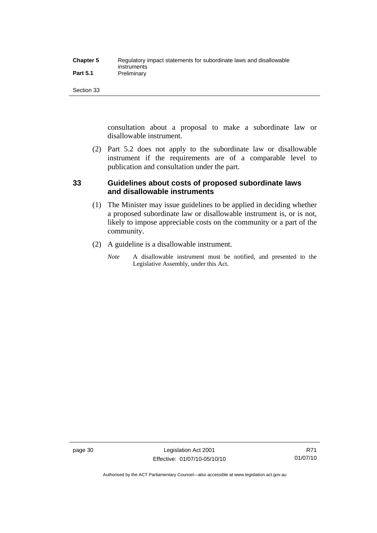| <b>Chapter 5</b> | Regulatory impact statements for subordinate laws and disallowable |
|------------------|--------------------------------------------------------------------|
|                  | instruments                                                        |
| <b>Part 5.1</b>  | Preliminary                                                        |

consultation about a proposal to make a subordinate law or disallowable instrument.

 (2) Part 5.2 does not apply to the subordinate law or disallowable instrument if the requirements are of a comparable level to publication and consultation under the part.

## **33 Guidelines about costs of proposed subordinate laws and disallowable instruments**

- (1) The Minister may issue guidelines to be applied in deciding whether a proposed subordinate law or disallowable instrument is, or is not, likely to impose appreciable costs on the community or a part of the community.
- (2) A guideline is a disallowable instrument.
	- *Note* A disallowable instrument must be notified, and presented to the Legislative Assembly, under this Act.

Authorised by the ACT Parliamentary Counsel—also accessible at www.legislation.act.gov.au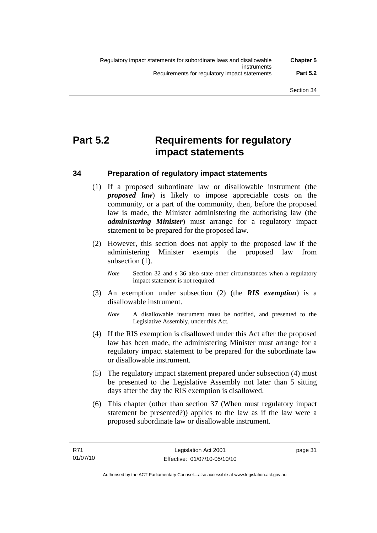## **Part 5.2 Requirements for regulatory impact statements**

## **34 Preparation of regulatory impact statements**

- (1) If a proposed subordinate law or disallowable instrument (the *proposed law*) is likely to impose appreciable costs on the community, or a part of the community, then, before the proposed law is made, the Minister administering the authorising law (the *administering Minister*) must arrange for a regulatory impact statement to be prepared for the proposed law.
- (2) However, this section does not apply to the proposed law if the administering Minister exempts the proposed law from subsection (1).
	- *Note* Section 32 and s 36 also state other circumstances when a regulatory impact statement is not required.
- (3) An exemption under subsection (2) (the *RIS exemption*) is a disallowable instrument.
	- *Note* A disallowable instrument must be notified, and presented to the Legislative Assembly, under this Act.
- (4) If the RIS exemption is disallowed under this Act after the proposed law has been made, the administering Minister must arrange for a regulatory impact statement to be prepared for the subordinate law or disallowable instrument.
- (5) The regulatory impact statement prepared under subsection (4) must be presented to the Legislative Assembly not later than 5 sitting days after the day the RIS exemption is disallowed.
- (6) This chapter (other than section 37 (When must regulatory impact statement be presented?)) applies to the law as if the law were a proposed subordinate law or disallowable instrument.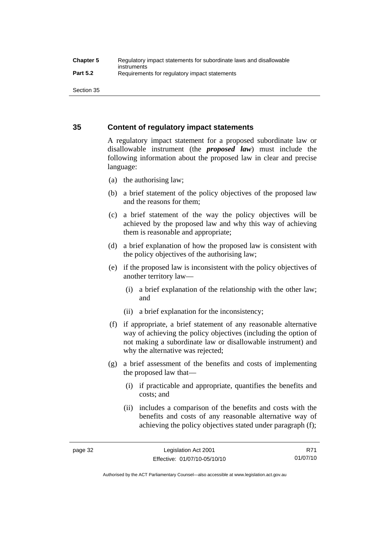## **35 Content of regulatory impact statements**

A regulatory impact statement for a proposed subordinate law or disallowable instrument (the *proposed law*) must include the following information about the proposed law in clear and precise language:

- (a) the authorising law;
- (b) a brief statement of the policy objectives of the proposed law and the reasons for them;
- (c) a brief statement of the way the policy objectives will be achieved by the proposed law and why this way of achieving them is reasonable and appropriate;
- (d) a brief explanation of how the proposed law is consistent with the policy objectives of the authorising law;
- (e) if the proposed law is inconsistent with the policy objectives of another territory law—
	- (i) a brief explanation of the relationship with the other law; and
	- (ii) a brief explanation for the inconsistency;
- (f) if appropriate, a brief statement of any reasonable alternative way of achieving the policy objectives (including the option of not making a subordinate law or disallowable instrument) and why the alternative was rejected;
- (g) a brief assessment of the benefits and costs of implementing the proposed law that—
	- (i) if practicable and appropriate, quantifies the benefits and costs; and
	- (ii) includes a comparison of the benefits and costs with the benefits and costs of any reasonable alternative way of achieving the policy objectives stated under paragraph (f);

Authorised by the ACT Parliamentary Counsel—also accessible at www.legislation.act.gov.au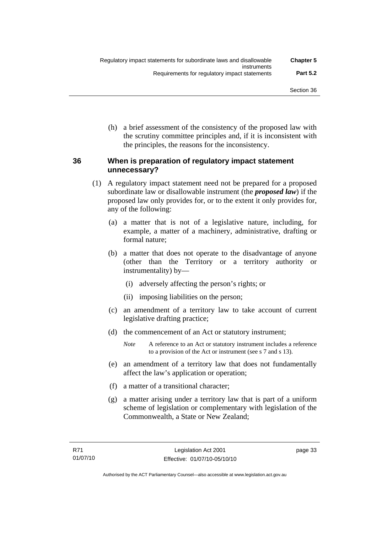(h) a brief assessment of the consistency of the proposed law with the scrutiny committee principles and, if it is inconsistent with the principles, the reasons for the inconsistency.

## **36 When is preparation of regulatory impact statement unnecessary?**

- (1) A regulatory impact statement need not be prepared for a proposed subordinate law or disallowable instrument (the *proposed law*) if the proposed law only provides for, or to the extent it only provides for, any of the following:
	- (a) a matter that is not of a legislative nature, including, for example, a matter of a machinery, administrative, drafting or formal nature;
	- (b) a matter that does not operate to the disadvantage of anyone (other than the Territory or a territory authority or instrumentality) by—
		- (i) adversely affecting the person's rights; or
		- (ii) imposing liabilities on the person;
	- (c) an amendment of a territory law to take account of current legislative drafting practice;
	- (d) the commencement of an Act or statutory instrument;
		- *Note* A reference to an Act or statutory instrument includes a reference to a provision of the Act or instrument (see s 7 and s 13).
	- (e) an amendment of a territory law that does not fundamentally affect the law's application or operation;
	- (f) a matter of a transitional character;
	- (g) a matter arising under a territory law that is part of a uniform scheme of legislation or complementary with legislation of the Commonwealth, a State or New Zealand;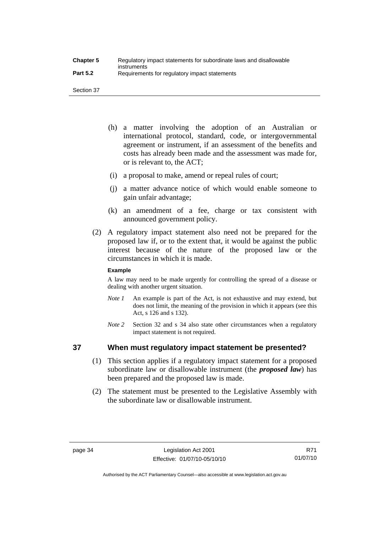- (h) a matter involving the adoption of an Australian or international protocol, standard, code, or intergovernmental agreement or instrument, if an assessment of the benefits and costs has already been made and the assessment was made for, or is relevant to, the ACT;
- (i) a proposal to make, amend or repeal rules of court;
- (j) a matter advance notice of which would enable someone to gain unfair advantage;
- (k) an amendment of a fee, charge or tax consistent with announced government policy.
- (2) A regulatory impact statement also need not be prepared for the proposed law if, or to the extent that, it would be against the public interest because of the nature of the proposed law or the circumstances in which it is made.

### **Example**

A law may need to be made urgently for controlling the spread of a disease or dealing with another urgent situation.

- *Note 1* An example is part of the Act, is not exhaustive and may extend, but does not limit, the meaning of the provision in which it appears (see this Act, s 126 and s 132).
- *Note* 2 Section 32 and s 34 also state other circumstances when a regulatory impact statement is not required.

## **37 When must regulatory impact statement be presented?**

- (1) This section applies if a regulatory impact statement for a proposed subordinate law or disallowable instrument (the *proposed law*) has been prepared and the proposed law is made.
- (2) The statement must be presented to the Legislative Assembly with the subordinate law or disallowable instrument.

Authorised by the ACT Parliamentary Counsel—also accessible at www.legislation.act.gov.au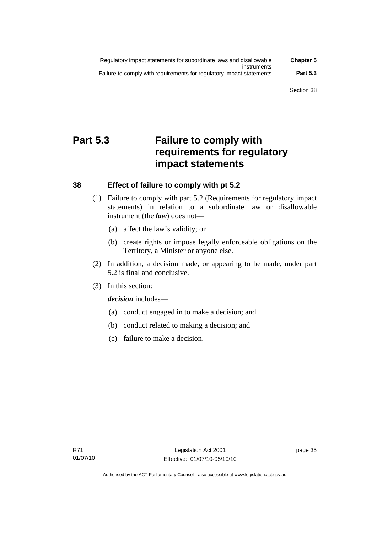| Regulatory impact statements for subordinate laws and disallowable   | <b>Chapter 5</b> |
|----------------------------------------------------------------------|------------------|
| instruments                                                          |                  |
| Failure to comply with requirements for regulatory impact statements | <b>Part 5.3</b>  |

## **Part 5.3 Failure to comply with requirements for regulatory impact statements**

## **38 Effect of failure to comply with pt 5.2**

- (1) Failure to comply with part 5.2 (Requirements for regulatory impact statements) in relation to a subordinate law or disallowable instrument (the *law*) does not—
	- (a) affect the law's validity; or
	- (b) create rights or impose legally enforceable obligations on the Territory, a Minister or anyone else.
- (2) In addition, a decision made, or appearing to be made, under part 5.2 is final and conclusive.
- (3) In this section:

*decision* includes—

- (a) conduct engaged in to make a decision; and
- (b) conduct related to making a decision; and
- (c) failure to make a decision.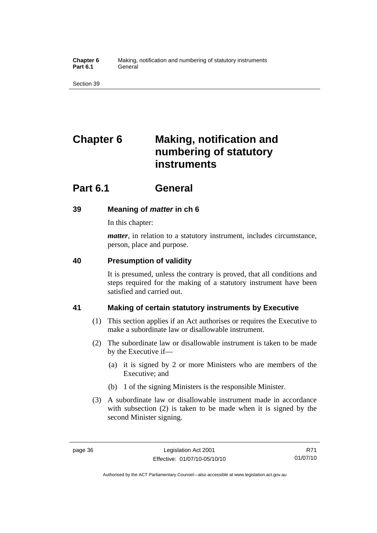**Chapter 6** Making, notification and numbering of statutory instruments Part 6.1 **General** 

Section 39

# **Chapter 6 Making, notification and numbering of statutory instruments**

## **Part 6.1 General**

## **39 Meaning of** *matter* **in ch 6**

In this chapter:

*matter*, in relation to a statutory instrument, includes circumstance, person, place and purpose.

## **40 Presumption of validity**

It is presumed, unless the contrary is proved, that all conditions and steps required for the making of a statutory instrument have been satisfied and carried out.

## **41 Making of certain statutory instruments by Executive**

- (1) This section applies if an Act authorises or requires the Executive to make a subordinate law or disallowable instrument.
- (2) The subordinate law or disallowable instrument is taken to be made by the Executive if—
	- (a) it is signed by 2 or more Ministers who are members of the Executive; and
	- (b) 1 of the signing Ministers is the responsible Minister.
- (3) A subordinate law or disallowable instrument made in accordance with subsection (2) is taken to be made when it is signed by the second Minister signing.

Authorised by the ACT Parliamentary Counsel—also accessible at www.legislation.act.gov.au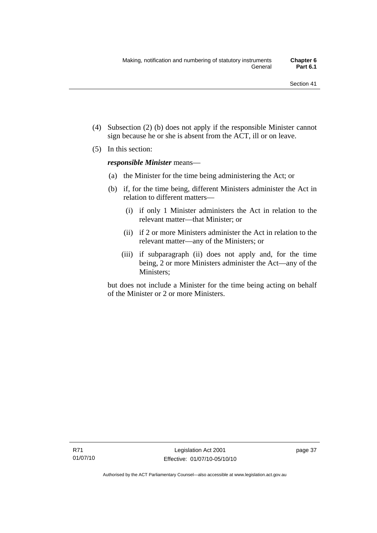- (4) Subsection (2) (b) does not apply if the responsible Minister cannot sign because he or she is absent from the ACT, ill or on leave.
- (5) In this section:

*responsible Minister* means—

- (a) the Minister for the time being administering the Act; or
- (b) if, for the time being, different Ministers administer the Act in relation to different matters—
	- (i) if only 1 Minister administers the Act in relation to the relevant matter—that Minister; or
	- (ii) if 2 or more Ministers administer the Act in relation to the relevant matter—any of the Ministers; or
	- (iii) if subparagraph (ii) does not apply and, for the time being, 2 or more Ministers administer the Act—any of the Ministers;

but does not include a Minister for the time being acting on behalf of the Minister or 2 or more Ministers.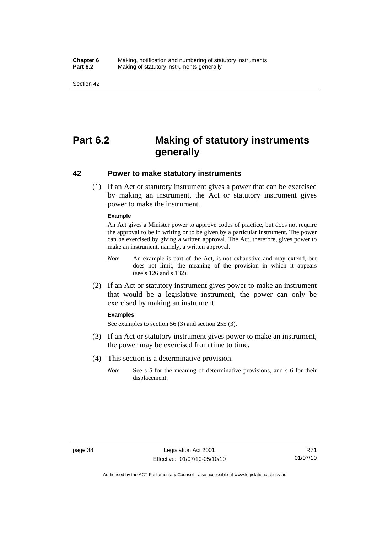#### **Chapter 6** Making, notification and numbering of statutory instruments<br>**Part 6.2** Making of statutory instruments generally **Making of statutory instruments generally**

Section 42

## **Part 6.2 Making of statutory instruments generally**

## **42 Power to make statutory instruments**

 (1) If an Act or statutory instrument gives a power that can be exercised by making an instrument, the Act or statutory instrument gives power to make the instrument.

#### **Example**

An Act gives a Minister power to approve codes of practice, but does not require the approval to be in writing or to be given by a particular instrument. The power can be exercised by giving a written approval. The Act, therefore, gives power to make an instrument, namely, a written approval.

- *Note* An example is part of the Act, is not exhaustive and may extend, but does not limit, the meaning of the provision in which it appears (see s 126 and s 132).
- (2) If an Act or statutory instrument gives power to make an instrument that would be a legislative instrument, the power can only be exercised by making an instrument.

#### **Examples**

See examples to section 56 (3) and section 255 (3).

- (3) If an Act or statutory instrument gives power to make an instrument, the power may be exercised from time to time.
- (4) This section is a determinative provision.
	- *Note* See s 5 for the meaning of determinative provisions, and s 6 for their displacement.

Authorised by the ACT Parliamentary Counsel—also accessible at www.legislation.act.gov.au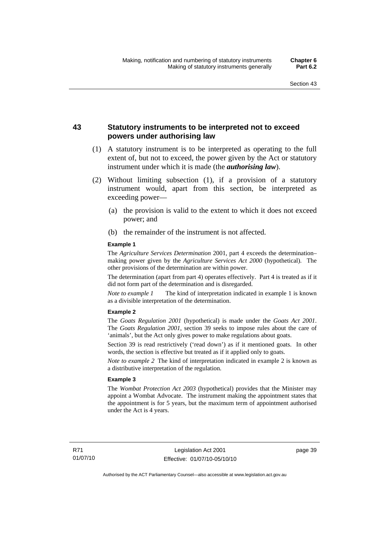## **43 Statutory instruments to be interpreted not to exceed powers under authorising law**

- (1) A statutory instrument is to be interpreted as operating to the full extent of, but not to exceed, the power given by the Act or statutory instrument under which it is made (the *authorising law*).
- (2) Without limiting subsection (1), if a provision of a statutory instrument would, apart from this section, be interpreted as exceeding power—
	- (a) the provision is valid to the extent to which it does not exceed power; and
	- (b) the remainder of the instrument is not affected.

#### **Example 1**

The *Agriculture Services Determination* 2001, part 4 exceeds the determination– making power given by the *Agriculture Services Act 2000* (hypothetical). The other provisions of the determination are within power.

The determination (apart from part 4) operates effectively. Part 4 is treated as if it did not form part of the determination and is disregarded.

*Note to example 1* The kind of interpretation indicated in example 1 is known as a divisible interpretation of the determination.

#### **Example 2**

The *Goats Regulation 2001* (hypothetical) is made under the *Goats Act 2001*. The *Goats Regulation 2001*, section 39 seeks to impose rules about the care of 'animals', but the Act only gives power to make regulations about goats.

Section 39 is read restrictively ('read down') as if it mentioned goats. In other words, the section is effective but treated as if it applied only to goats.

*Note to example 2* The kind of interpretation indicated in example 2 is known as a distributive interpretation of the regulation.

#### **Example 3**

The *Wombat Protection Act 2003* (hypothetical) provides that the Minister may appoint a Wombat Advocate. The instrument making the appointment states that the appointment is for 5 years, but the maximum term of appointment authorised under the Act is 4 years.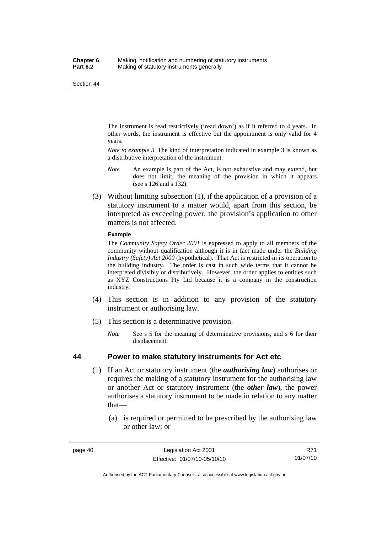The instrument is read restrictively ('read down') as if it referred to 4 years. In other words, the instrument is effective but the appointment is only valid for 4 years.

*Note to example 3* The kind of interpretation indicated in example 3 is known as a distributive interpretation of the instrument.

- *Note* An example is part of the Act, is not exhaustive and may extend, but does not limit, the meaning of the provision in which it appears (see s 126 and s 132).
- (3) Without limiting subsection (1), if the application of a provision of a statutory instrument to a matter would, apart from this section, be interpreted as exceeding power, the provision's application to other matters is not affected.

#### **Example**

The *Community Safety Order 2001* is expressed to apply to all members of the community without qualification although it is in fact made under the *Building Industry (Safety) Act 2000* (hypothetical). That Act is restricted in its operation to the building industry. The order is cast in such wide terms that it cannot be interpreted divisibly or distributively. However, the order applies to entities such as XYZ Constructions Pty Ltd because it is a company in the construction industry.

- (4) This section is in addition to any provision of the statutory instrument or authorising law.
- (5) This section is a determinative provision.
	- *Note* See s 5 for the meaning of determinative provisions, and s 6 for their displacement.

### **44 Power to make statutory instruments for Act etc**

- (1) If an Act or statutory instrument (the *authorising law*) authorises or requires the making of a statutory instrument for the authorising law or another Act or statutory instrument (the *other law*), the power authorises a statutory instrument to be made in relation to any matter that—
	- (a) is required or permitted to be prescribed by the authorising law or other law; or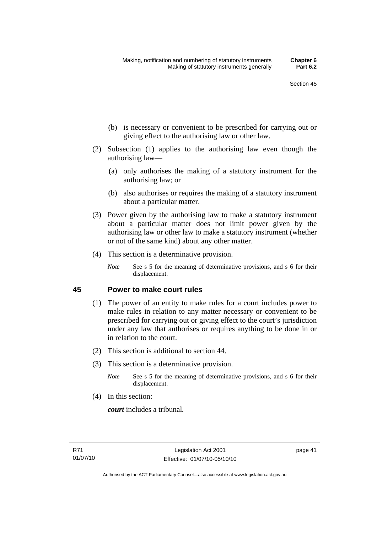- (b) is necessary or convenient to be prescribed for carrying out or giving effect to the authorising law or other law.
- (2) Subsection (1) applies to the authorising law even though the authorising law—
	- (a) only authorises the making of a statutory instrument for the authorising law; or
	- (b) also authorises or requires the making of a statutory instrument about a particular matter.
- (3) Power given by the authorising law to make a statutory instrument about a particular matter does not limit power given by the authorising law or other law to make a statutory instrument (whether or not of the same kind) about any other matter.
- (4) This section is a determinative provision.
	- *Note* See s 5 for the meaning of determinative provisions, and s 6 for their displacement.

## **45 Power to make court rules**

- (1) The power of an entity to make rules for a court includes power to make rules in relation to any matter necessary or convenient to be prescribed for carrying out or giving effect to the court's jurisdiction under any law that authorises or requires anything to be done in or in relation to the court.
- (2) This section is additional to section 44.
- (3) This section is a determinative provision.
	- *Note* See s 5 for the meaning of determinative provisions, and s 6 for their displacement.
- (4) In this section:

*court* includes a tribunal*.*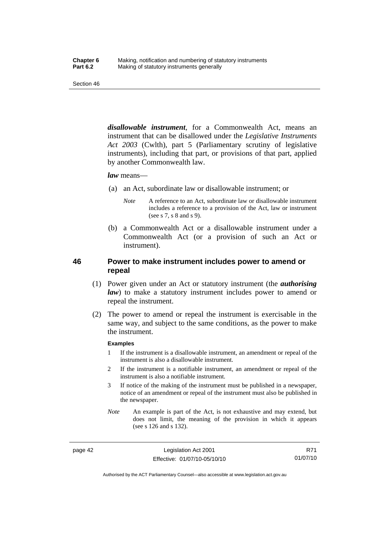*disallowable instrument*, for a Commonwealth Act, means an instrument that can be disallowed under the *Legislative Instruments Act 2003* (Cwlth), part 5 (Parliamentary scrutiny of legislative instruments), including that part, or provisions of that part, applied by another Commonwealth law.

#### *law* means—

- (a) an Act, subordinate law or disallowable instrument; or
	- *Note* A reference to an Act, subordinate law or disallowable instrument includes a reference to a provision of the Act, law or instrument (see s 7, s 8 and s 9).
- (b) a Commonwealth Act or a disallowable instrument under a Commonwealth Act (or a provision of such an Act or instrument).

## **46 Power to make instrument includes power to amend or repeal**

- (1) Power given under an Act or statutory instrument (the *authorising law*) to make a statutory instrument includes power to amend or repeal the instrument.
- (2) The power to amend or repeal the instrument is exercisable in the same way, and subject to the same conditions, as the power to make the instrument.

#### **Examples**

- 1 If the instrument is a disallowable instrument, an amendment or repeal of the instrument is also a disallowable instrument.
- 2 If the instrument is a notifiable instrument, an amendment or repeal of the instrument is also a notifiable instrument.
- 3 If notice of the making of the instrument must be published in a newspaper, notice of an amendment or repeal of the instrument must also be published in the newspaper.
- *Note* An example is part of the Act, is not exhaustive and may extend, but does not limit, the meaning of the provision in which it appears (see s 126 and s 132).

page 42 Legislation Act 2001 Effective: 01/07/10-05/10/10

Authorised by the ACT Parliamentary Counsel—also accessible at www.legislation.act.gov.au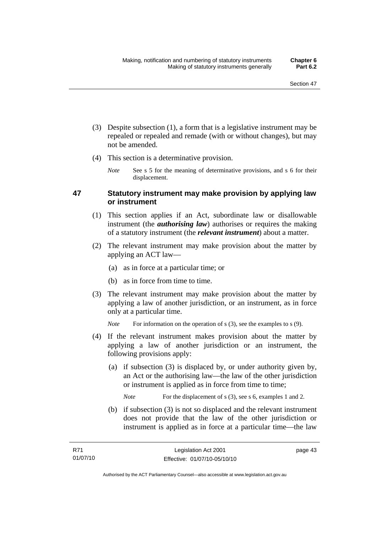- (3) Despite subsection (1), a form that is a legislative instrument may be repealed or repealed and remade (with or without changes), but may not be amended.
- (4) This section is a determinative provision.
	- *Note* See s 5 for the meaning of determinative provisions, and s 6 for their displacement.

## **47 Statutory instrument may make provision by applying law or instrument**

- (1) This section applies if an Act, subordinate law or disallowable instrument (the *authorising law*) authorises or requires the making of a statutory instrument (the *relevant instrument*) about a matter.
- (2) The relevant instrument may make provision about the matter by applying an ACT law—
	- (a) as in force at a particular time; or
	- (b) as in force from time to time.
- (3) The relevant instrument may make provision about the matter by applying a law of another jurisdiction, or an instrument, as in force only at a particular time.

*Note* For information on the operation of s (3), see the examples to s (9).

- (4) If the relevant instrument makes provision about the matter by applying a law of another jurisdiction or an instrument, the following provisions apply:
	- (a) if subsection (3) is displaced by, or under authority given by, an Act or the authorising law—the law of the other jurisdiction or instrument is applied as in force from time to time;

*Note* For the displacement of s (3), see s 6, examples 1 and 2.

 (b) if subsection (3) is not so displaced and the relevant instrument does not provide that the law of the other jurisdiction or instrument is applied as in force at a particular time—the law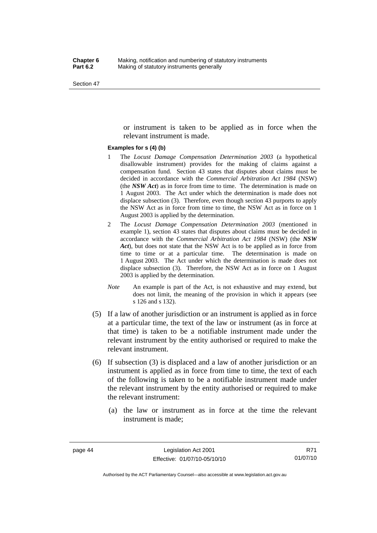or instrument is taken to be applied as in force when the relevant instrument is made.

#### **Examples for s (4) (b)**

- 1 The *Locust Damage Compensation Determination 2003* (a hypothetical disallowable instrument) provides for the making of claims against a compensation fund. Section 43 states that disputes about claims must be decided in accordance with the *Commercial Arbitration Act 1984* (NSW) (the *NSW Act*) as in force from time to time. The determination is made on 1 August 2003. The Act under which the determination is made does not displace subsection (3). Therefore, even though section 43 purports to apply the NSW Act as in force from time to time, the NSW Act as in force on 1 August 2003 is applied by the determination.
- 2 The *Locust Damage Compensation Determination 2003* (mentioned in example 1), section 43 states that disputes about claims must be decided in accordance with the *Commercial Arbitration Act 1984* (NSW) (the *NSW Act*), but does not state that the NSW Act is to be applied as in force from time to time or at a particular time. The determination is made on 1 August 2003. The Act under which the determination is made does not displace subsection (3). Therefore, the NSW Act as in force on 1 August 2003 is applied by the determination.
- *Note* An example is part of the Act, is not exhaustive and may extend, but does not limit, the meaning of the provision in which it appears (see s 126 and s 132).
- (5) If a law of another jurisdiction or an instrument is applied as in force at a particular time, the text of the law or instrument (as in force at that time) is taken to be a notifiable instrument made under the relevant instrument by the entity authorised or required to make the relevant instrument.
- (6) If subsection (3) is displaced and a law of another jurisdiction or an instrument is applied as in force from time to time, the text of each of the following is taken to be a notifiable instrument made under the relevant instrument by the entity authorised or required to make the relevant instrument:
	- (a) the law or instrument as in force at the time the relevant instrument is made;

R71 01/07/10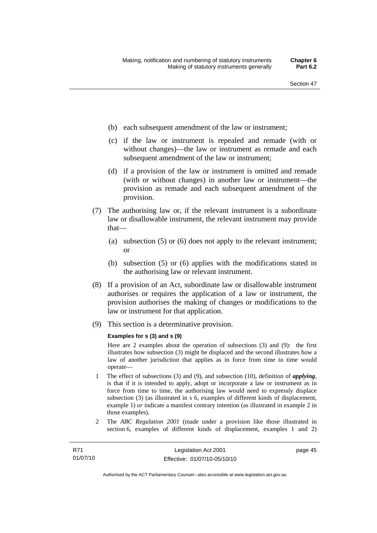- (b) each subsequent amendment of the law or instrument;
- (c) if the law or instrument is repealed and remade (with or without changes)—the law or instrument as remade and each subsequent amendment of the law or instrument;
- (d) if a provision of the law or instrument is omitted and remade (with or without changes) in another law or instrument—the provision as remade and each subsequent amendment of the provision.
- (7) The authorising law or, if the relevant instrument is a subordinate law or disallowable instrument, the relevant instrument may provide that—
	- (a) subsection (5) or (6) does not apply to the relevant instrument; or
	- (b) subsection (5) or (6) applies with the modifications stated in the authorising law or relevant instrument.
- (8) If a provision of an Act, subordinate law or disallowable instrument authorises or requires the application of a law or instrument, the provision authorises the making of changes or modifications to the law or instrument for that application.
- (9) This section is a determinative provision.

#### **Examples for s (3) and s (9)**

Here are 2 examples about the operation of subsections (3) and (9): the first illustrates how subsection (3) might be displaced and the second illustrates how a law of another jurisdiction that applies as in force from time to time would operate—

- 1 The effect of subsections (3) and (9), and subsection (10), definition of *applying*, is that if it is intended to apply, adopt or incorporate a law or instrument as in force from time to time, the authorising law would need to expressly displace subsection (3) (as illustrated in s 6, examples of different kinds of displacement, example 1) *or* indicate a manifest contrary intention (as illustrated in example 2 in those examples).
- 2 The *ABC Regulation 2001* (made under a provision like those illustrated in section 6, examples of different kinds of displacement, examples 1 and 2)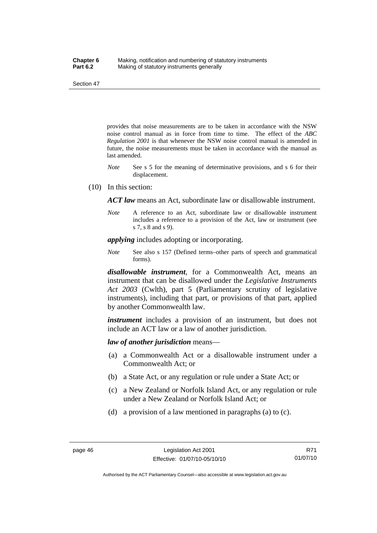provides that noise measurements are to be taken in accordance with the NSW noise control manual as in force from time to time. The effect of the *ABC Regulation 2001* is that whenever the NSW noise control manual is amended in future, the noise measurements must be taken in accordance with the manual as last amended.

- *Note* See s 5 for the meaning of determinative provisions, and s 6 for their displacement.
- (10) In this section:

*ACT law* means an Act, subordinate law or disallowable instrument.

*Note* A reference to an Act, subordinate law or disallowable instrument includes a reference to a provision of the Act, law or instrument (see s 7, s 8 and s 9).

*applying* includes adopting or incorporating.

*Note* See also s 157 (Defined terms–other parts of speech and grammatical forms).

*disallowable instrument*, for a Commonwealth Act, means an instrument that can be disallowed under the *Legislative Instruments Act 2003* (Cwlth), part 5 (Parliamentary scrutiny of legislative instruments), including that part, or provisions of that part, applied by another Commonwealth law.

*instrument* includes a provision of an instrument, but does not include an ACT law or a law of another jurisdiction.

*law of another jurisdiction* means—

- (a) a Commonwealth Act or a disallowable instrument under a Commonwealth Act; or
- (b) a State Act, or any regulation or rule under a State Act; or
- (c) a New Zealand or Norfolk Island Act, or any regulation or rule under a New Zealand or Norfolk Island Act; or
- (d) a provision of a law mentioned in paragraphs (a) to (c).

Authorised by the ACT Parliamentary Counsel—also accessible at www.legislation.act.gov.au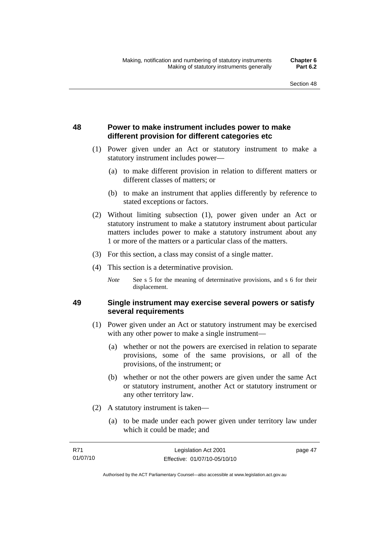page 47

## **48 Power to make instrument includes power to make different provision for different categories etc**

- (1) Power given under an Act or statutory instrument to make a statutory instrument includes power—
	- (a) to make different provision in relation to different matters or different classes of matters; or
	- (b) to make an instrument that applies differently by reference to stated exceptions or factors.
- (2) Without limiting subsection (1), power given under an Act or statutory instrument to make a statutory instrument about particular matters includes power to make a statutory instrument about any 1 or more of the matters or a particular class of the matters.
- (3) For this section, a class may consist of a single matter.
- (4) This section is a determinative provision.
	- *Note* See s 5 for the meaning of determinative provisions, and s 6 for their displacement.

## **49 Single instrument may exercise several powers or satisfy several requirements**

- (1) Power given under an Act or statutory instrument may be exercised with any other power to make a single instrument—
	- (a) whether or not the powers are exercised in relation to separate provisions, some of the same provisions, or all of the provisions, of the instrument; or
	- (b) whether or not the other powers are given under the same Act or statutory instrument, another Act or statutory instrument or any other territory law.
- (2) A statutory instrument is taken—
	- (a) to be made under each power given under territory law under which it could be made; and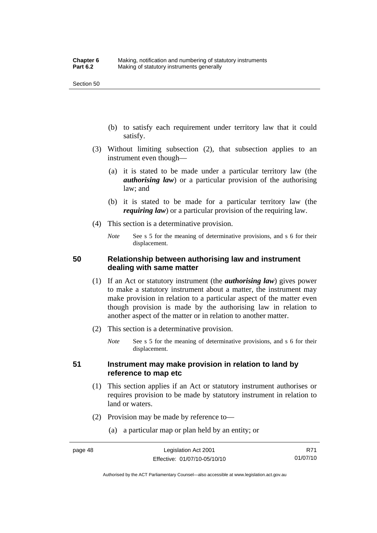- (b) to satisfy each requirement under territory law that it could satisfy.
- (3) Without limiting subsection (2), that subsection applies to an instrument even though—
	- (a) it is stated to be made under a particular territory law (the *authorising law*) or a particular provision of the authorising law; and
	- (b) it is stated to be made for a particular territory law (the *requiring law*) or a particular provision of the requiring law.
- (4) This section is a determinative provision.
	- *Note* See s 5 for the meaning of determinative provisions, and s 6 for their displacement.

## **50 Relationship between authorising law and instrument dealing with same matter**

- (1) If an Act or statutory instrument (the *authorising law*) gives power to make a statutory instrument about a matter, the instrument may make provision in relation to a particular aspect of the matter even though provision is made by the authorising law in relation to another aspect of the matter or in relation to another matter.
- (2) This section is a determinative provision.
	- *Note* See s 5 for the meaning of determinative provisions, and s 6 for their displacement.

## **51 Instrument may make provision in relation to land by reference to map etc**

- (1) This section applies if an Act or statutory instrument authorises or requires provision to be made by statutory instrument in relation to land or waters.
- (2) Provision may be made by reference to—
	- (a) a particular map or plan held by an entity; or

Authorised by the ACT Parliamentary Counsel—also accessible at www.legislation.act.gov.au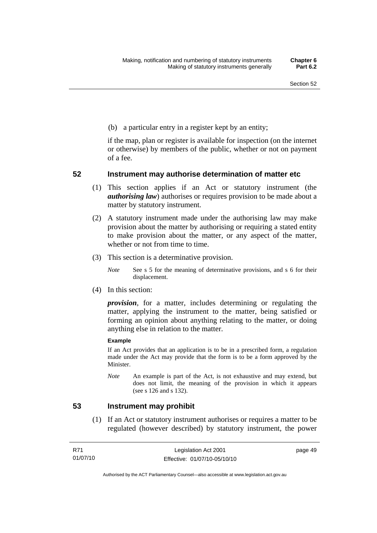(b) a particular entry in a register kept by an entity;

if the map, plan or register is available for inspection (on the internet or otherwise) by members of the public, whether or not on payment of a fee.

## **52 Instrument may authorise determination of matter etc**

- (1) This section applies if an Act or statutory instrument (the *authorising law*) authorises or requires provision to be made about a matter by statutory instrument.
- (2) A statutory instrument made under the authorising law may make provision about the matter by authorising or requiring a stated entity to make provision about the matter, or any aspect of the matter, whether or not from time to time.
- (3) This section is a determinative provision.
	- *Note* See s 5 for the meaning of determinative provisions, and s 6 for their displacement.
- (4) In this section:

*provision*, for a matter, includes determining or regulating the matter, applying the instrument to the matter, being satisfied or forming an opinion about anything relating to the matter, or doing anything else in relation to the matter.

#### **Example**

If an Act provides that an application is to be in a prescribed form, a regulation made under the Act may provide that the form is to be a form approved by the Minister.

*Note* An example is part of the Act, is not exhaustive and may extend, but does not limit, the meaning of the provision in which it appears (see s 126 and s 132).

## **53 Instrument may prohibit**

 (1) If an Act or statutory instrument authorises or requires a matter to be regulated (however described) by statutory instrument, the power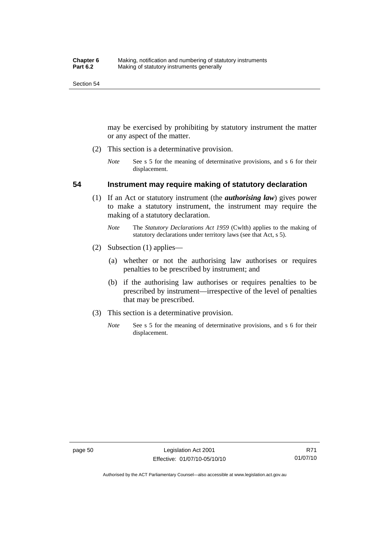may be exercised by prohibiting by statutory instrument the matter or any aspect of the matter.

- (2) This section is a determinative provision.
	- *Note* See s 5 for the meaning of determinative provisions, and s 6 for their displacement.

## **54 Instrument may require making of statutory declaration**

- (1) If an Act or statutory instrument (the *authorising law*) gives power to make a statutory instrument, the instrument may require the making of a statutory declaration.
	- *Note* The *Statutory Declarations Act 1959* (Cwlth) applies to the making of statutory declarations under territory laws (see that Act, s 5).
- (2) Subsection (1) applies—
	- (a) whether or not the authorising law authorises or requires penalties to be prescribed by instrument; and
	- (b) if the authorising law authorises or requires penalties to be prescribed by instrument—irrespective of the level of penalties that may be prescribed.
- (3) This section is a determinative provision.
	- *Note* See s 5 for the meaning of determinative provisions, and s 6 for their displacement.

Authorised by the ACT Parliamentary Counsel—also accessible at www.legislation.act.gov.au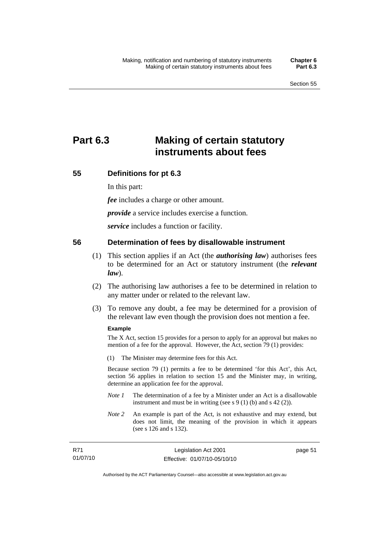# **Part 6.3 Making of certain statutory instruments about fees**

## **55 Definitions for pt 6.3**

In this part:

*fee* includes a charge or other amount.

*provide* a service includes exercise a function.

*service* includes a function or facility.

## **56 Determination of fees by disallowable instrument**

- (1) This section applies if an Act (the *authorising law*) authorises fees to be determined for an Act or statutory instrument (the *relevant law*).
- (2) The authorising law authorises a fee to be determined in relation to any matter under or related to the relevant law.
- (3) To remove any doubt, a fee may be determined for a provision of the relevant law even though the provision does not mention a fee.

### **Example**

The X Act, section 15 provides for a person to apply for an approval but makes no mention of a fee for the approval. However, the Act, section 79 (1) provides:

(1) The Minister may determine fees for this Act.

Because section 79 (1) permits a fee to be determined 'for this Act', this Act, section 56 applies in relation to section 15 and the Minister may, in writing, determine an application fee for the approval.

- *Note 1* The determination of a fee by a Minister under an Act is a disallowable instrument and must be in writing (see s 9 (1) (b) and s 42 (2)).
- *Note 2* An example is part of the Act, is not exhaustive and may extend, but does not limit, the meaning of the provision in which it appears (see s 126 and s 132).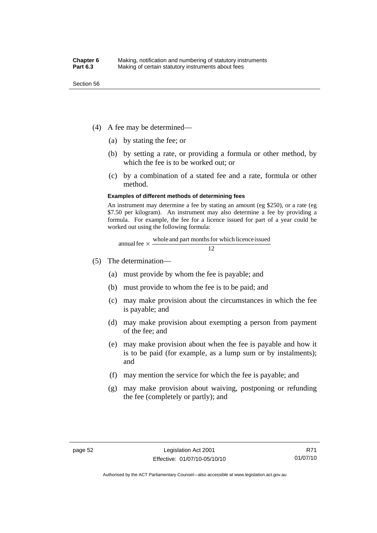- (4) A fee may be determined—
	- (a) by stating the fee; or
	- (b) by setting a rate, or providing a formula or other method, by which the fee is to be worked out; or
	- (c) by a combination of a stated fee and a rate, formula or other method.

#### **Examples of different methods of determining fees**

An instrument may determine a fee by stating an amount (eg \$250), or a rate (eg \$7.50 per kilogram). An instrument may also determine a fee by providing a formula. For example, the fee for a licence issued for part of a year could be worked out using the following formula:

annual fee 
$$
\times
$$
 whole and part months for which licence issued  
12

- (5) The determination—
	- (a) must provide by whom the fee is payable; and
	- (b) must provide to whom the fee is to be paid; and
	- (c) may make provision about the circumstances in which the fee is payable; and
	- (d) may make provision about exempting a person from payment of the fee; and
	- (e) may make provision about when the fee is payable and how it is to be paid (for example, as a lump sum or by instalments); and
	- (f) may mention the service for which the fee is payable; and
	- (g) may make provision about waiving, postponing or refunding the fee (completely or partly); and

Authorised by the ACT Parliamentary Counsel—also accessible at www.legislation.act.gov.au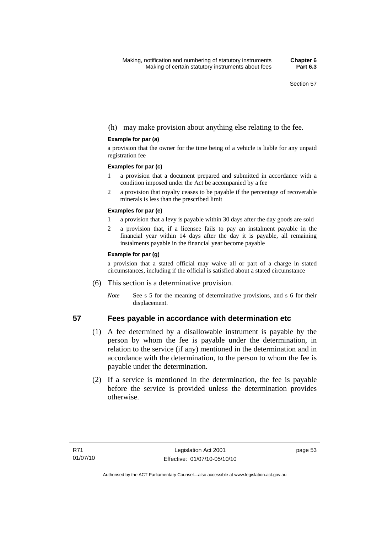## (h) may make provision about anything else relating to the fee.

### **Example for par (a)**

a provision that the owner for the time being of a vehicle is liable for any unpaid registration fee

#### **Examples for par (c)**

- 1 a provision that a document prepared and submitted in accordance with a condition imposed under the Act be accompanied by a fee
- 2 a provision that royalty ceases to be payable if the percentage of recoverable minerals is less than the prescribed limit

### **Examples for par (e)**

- 1 a provision that a levy is payable within 30 days after the day goods are sold
- 2 a provision that, if a licensee fails to pay an instalment payable in the financial year within 14 days after the day it is payable, all remaining instalments payable in the financial year become payable

### **Example for par (g)**

a provision that a stated official may waive all or part of a charge in stated circumstances, including if the official is satisfied about a stated circumstance

- (6) This section is a determinative provision.
	- *Note* See s 5 for the meaning of determinative provisions, and s 6 for their displacement.

## **57 Fees payable in accordance with determination etc**

- (1) A fee determined by a disallowable instrument is payable by the person by whom the fee is payable under the determination, in relation to the service (if any) mentioned in the determination and in accordance with the determination, to the person to whom the fee is payable under the determination.
- (2) If a service is mentioned in the determination, the fee is payable before the service is provided unless the determination provides otherwise.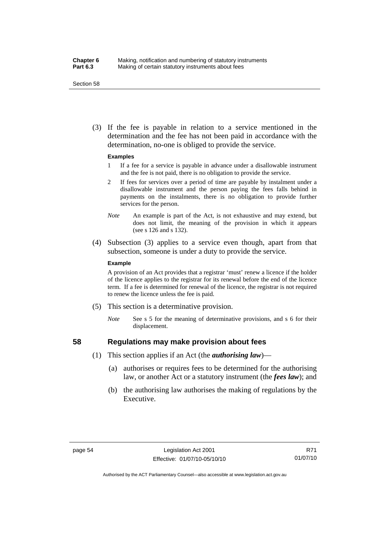### **Chapter 6** Making, notification and numbering of statutory instruments<br>**Part 6.3** Making of certain statutory instruments about fees Making of certain statutory instruments about fees

Section 58

 (3) If the fee is payable in relation to a service mentioned in the determination and the fee has not been paid in accordance with the determination, no-one is obliged to provide the service.

#### **Examples**

- 1 If a fee for a service is payable in advance under a disallowable instrument and the fee is not paid, there is no obligation to provide the service.
- 2 If fees for services over a period of time are payable by instalment under a disallowable instrument and the person paying the fees falls behind in payments on the instalments, there is no obligation to provide further services for the person.
- *Note* An example is part of the Act, is not exhaustive and may extend, but does not limit, the meaning of the provision in which it appears (see s 126 and s 132).
- (4) Subsection (3) applies to a service even though, apart from that subsection, someone is under a duty to provide the service.

#### **Example**

A provision of an Act provides that a registrar 'must' renew a licence if the holder of the licence applies to the registrar for its renewal before the end of the licence term. If a fee is determined for renewal of the licence, the registrar is not required to renew the licence unless the fee is paid.

- (5) This section is a determinative provision.
	- *Note* See s 5 for the meaning of determinative provisions, and s 6 for their displacement.

### **58 Regulations may make provision about fees**

- (1) This section applies if an Act (the *authorising law*)—
	- (a) authorises or requires fees to be determined for the authorising law, or another Act or a statutory instrument (the *fees law*); and
	- (b) the authorising law authorises the making of regulations by the Executive.

Authorised by the ACT Parliamentary Counsel—also accessible at www.legislation.act.gov.au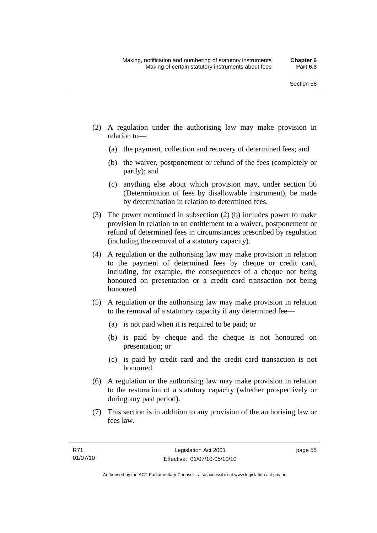- (2) A regulation under the authorising law may make provision in relation to—
	- (a) the payment, collection and recovery of determined fees; and
	- (b) the waiver, postponement or refund of the fees (completely or partly); and
	- (c) anything else about which provision may, under section 56 (Determination of fees by disallowable instrument), be made by determination in relation to determined fees.
- (3) The power mentioned in subsection (2) (b) includes power to make provision in relation to an entitlement to a waiver, postponement or refund of determined fees in circumstances prescribed by regulation (including the removal of a statutory capacity).
- (4) A regulation or the authorising law may make provision in relation to the payment of determined fees by cheque or credit card, including, for example, the consequences of a cheque not being honoured on presentation or a credit card transaction not being honoured.
- (5) A regulation or the authorising law may make provision in relation to the removal of a statutory capacity if any determined fee—
	- (a) is not paid when it is required to be paid; or
	- (b) is paid by cheque and the cheque is not honoured on presentation; or
	- (c) is paid by credit card and the credit card transaction is not honoured.
- (6) A regulation or the authorising law may make provision in relation to the restoration of a statutory capacity (whether prospectively or during any past period).
- (7) This section is in addition to any provision of the authorising law or fees law.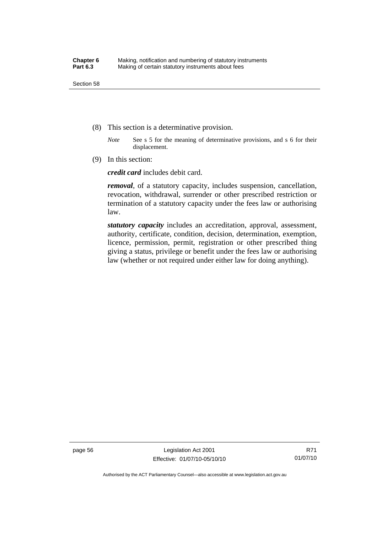- (8) This section is a determinative provision.
	- *Note* See s 5 for the meaning of determinative provisions, and s 6 for their displacement.
- (9) In this section:

*credit card* includes debit card.

*removal*, of a statutory capacity, includes suspension, cancellation, revocation, withdrawal, surrender or other prescribed restriction or termination of a statutory capacity under the fees law or authorising law.

*statutory capacity* includes an accreditation, approval, assessment, authority, certificate, condition, decision, determination, exemption, licence, permission, permit, registration or other prescribed thing giving a status, privilege or benefit under the fees law or authorising law (whether or not required under either law for doing anything).

page 56 Legislation Act 2001 Effective: 01/07/10-05/10/10

Authorised by the ACT Parliamentary Counsel—also accessible at www.legislation.act.gov.au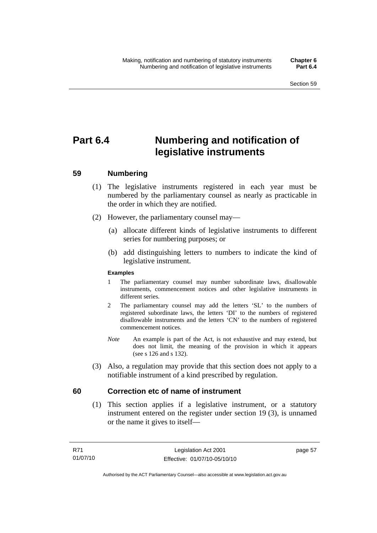# **Part 6.4 Numbering and notification of legislative instruments**

# **59 Numbering**

- (1) The legislative instruments registered in each year must be numbered by the parliamentary counsel as nearly as practicable in the order in which they are notified.
- (2) However, the parliamentary counsel may—
	- (a) allocate different kinds of legislative instruments to different series for numbering purposes; or
	- (b) add distinguishing letters to numbers to indicate the kind of legislative instrument.

## **Examples**

- 1 The parliamentary counsel may number subordinate laws, disallowable instruments, commencement notices and other legislative instruments in different series.
- 2 The parliamentary counsel may add the letters 'SL' to the numbers of registered subordinate laws, the letters 'DI' to the numbers of registered disallowable instruments and the letters 'CN' to the numbers of registered commencement notices.
- *Note* An example is part of the Act, is not exhaustive and may extend, but does not limit, the meaning of the provision in which it appears (see s 126 and s 132).
- (3) Also, a regulation may provide that this section does not apply to a notifiable instrument of a kind prescribed by regulation.

# **60 Correction etc of name of instrument**

 (1) This section applies if a legislative instrument, or a statutory instrument entered on the register under section 19 (3), is unnamed or the name it gives to itself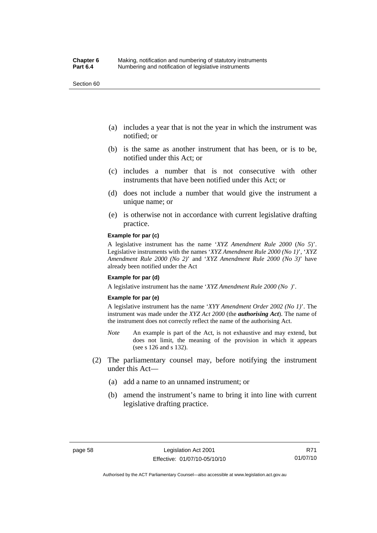Section 60

- (a) includes a year that is not the year in which the instrument was notified; or
- (b) is the same as another instrument that has been, or is to be, notified under this Act; or
- (c) includes a number that is not consecutive with other instruments that have been notified under this Act; or
- (d) does not include a number that would give the instrument a unique name; or
- (e) is otherwise not in accordance with current legislative drafting practice.

#### **Example for par (c)**

A legislative instrument has the name '*XYZ Amendment Rule 2000* (*No 5*)'. Legislative instruments with the names '*XYZ Amendment Rule 2000 (No 1)*', '*XYZ Amendment Rule 2000 (No 2)*' and '*XYZ Amendment Rule 2000 (No 3)*' have already been notified under the Act

#### **Example for par (d)**

A legislative instrument has the name '*XYZ Amendment Rule 2000 (No )*'.

#### **Example for par (e)**

A legislative instrument has the name '*XYY Amendment Order 2002 (No 1)*'. The instrument was made under the *XYZ Act 2000* (the *authorising Act*). The name of the instrument does not correctly reflect the name of the authorising Act.

- *Note* An example is part of the Act, is not exhaustive and may extend, but does not limit, the meaning of the provision in which it appears (see s 126 and s 132).
- (2) The parliamentary counsel may, before notifying the instrument under this Act—
	- (a) add a name to an unnamed instrument; or
	- (b) amend the instrument's name to bring it into line with current legislative drafting practice.

Authorised by the ACT Parliamentary Counsel—also accessible at www.legislation.act.gov.au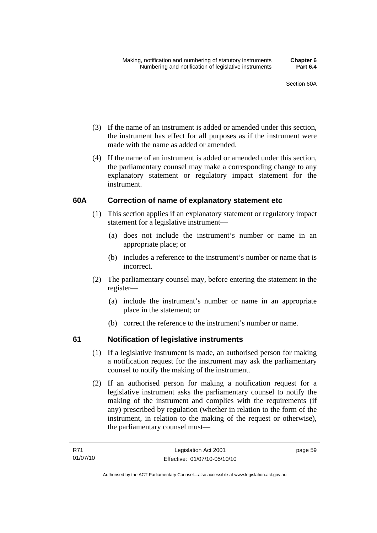- (3) If the name of an instrument is added or amended under this section, the instrument has effect for all purposes as if the instrument were made with the name as added or amended.
- (4) If the name of an instrument is added or amended under this section, the parliamentary counsel may make a corresponding change to any explanatory statement or regulatory impact statement for the instrument.

# **60A Correction of name of explanatory statement etc**

- (1) This section applies if an explanatory statement or regulatory impact statement for a legislative instrument—
	- (a) does not include the instrument's number or name in an appropriate place; or
	- (b) includes a reference to the instrument's number or name that is incorrect.
- (2) The parliamentary counsel may, before entering the statement in the register—
	- (a) include the instrument's number or name in an appropriate place in the statement; or
	- (b) correct the reference to the instrument's number or name.

# **61 Notification of legislative instruments**

- (1) If a legislative instrument is made, an authorised person for making a notification request for the instrument may ask the parliamentary counsel to notify the making of the instrument.
- (2) If an authorised person for making a notification request for a legislative instrument asks the parliamentary counsel to notify the making of the instrument and complies with the requirements (if any) prescribed by regulation (whether in relation to the form of the instrument, in relation to the making of the request or otherwise), the parliamentary counsel must—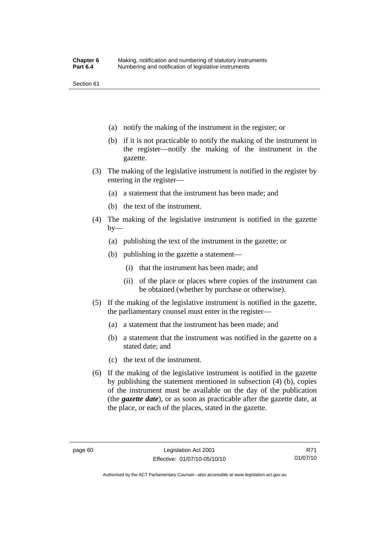Section 61

- (a) notify the making of the instrument in the register; or
- (b) if it is not practicable to notify the making of the instrument in the register—notify the making of the instrument in the gazette.
- (3) The making of the legislative instrument is notified in the register by entering in the register—
	- (a) a statement that the instrument has been made; and
	- (b) the text of the instrument.
- (4) The making of the legislative instrument is notified in the gazette  $by-$ 
	- (a) publishing the text of the instrument in the gazette; or
	- (b) publishing in the gazette a statement—
		- (i) that the instrument has been made; and
		- (ii) of the place or places where copies of the instrument can be obtained (whether by purchase or otherwise).
- (5) If the making of the legislative instrument is notified in the gazette, the parliamentary counsel must enter in the register—
	- (a) a statement that the instrument has been made; and
	- (b) a statement that the instrument was notified in the gazette on a stated date; and
	- (c) the text of the instrument.
- (6) If the making of the legislative instrument is notified in the gazette by publishing the statement mentioned in subsection (4) (b), copies of the instrument must be available on the day of the publication (the *gazette date*), or as soon as practicable after the gazette date, at the place, or each of the places, stated in the gazette.

Authorised by the ACT Parliamentary Counsel—also accessible at www.legislation.act.gov.au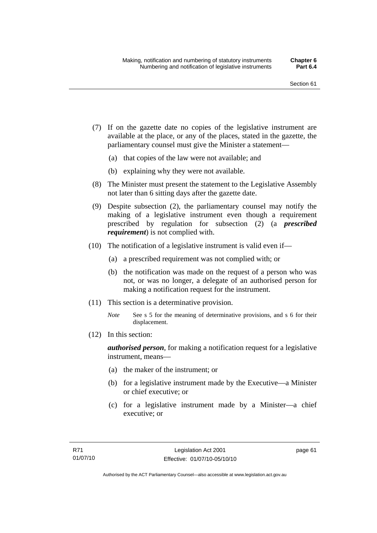- (7) If on the gazette date no copies of the legislative instrument are available at the place, or any of the places, stated in the gazette, the parliamentary counsel must give the Minister a statement—
	- (a) that copies of the law were not available; and
	- (b) explaining why they were not available.
- (8) The Minister must present the statement to the Legislative Assembly not later than 6 sitting days after the gazette date.
- (9) Despite subsection (2), the parliamentary counsel may notify the making of a legislative instrument even though a requirement prescribed by regulation for subsection (2) (a *prescribed requirement*) is not complied with.
- (10) The notification of a legislative instrument is valid even if—
	- (a) a prescribed requirement was not complied with; or
	- (b) the notification was made on the request of a person who was not, or was no longer, a delegate of an authorised person for making a notification request for the instrument.
- (11) This section is a determinative provision.
	- *Note* See s 5 for the meaning of determinative provisions, and s 6 for their displacement.
- (12) In this section:

*authorised person*, for making a notification request for a legislative instrument, means—

- (a) the maker of the instrument; or
- (b) for a legislative instrument made by the Executive—a Minister or chief executive; or
- (c) for a legislative instrument made by a Minister—a chief executive; or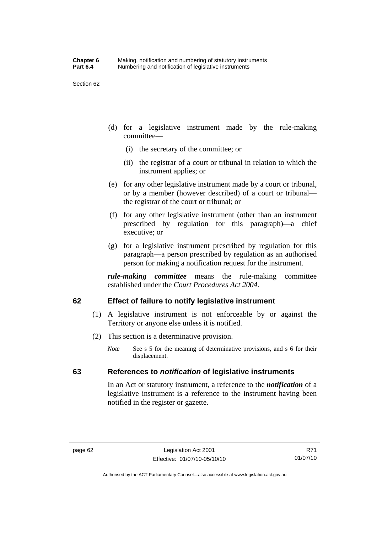Section 62

- (d) for a legislative instrument made by the rule-making committee—
	- (i) the secretary of the committee; or
	- (ii) the registrar of a court or tribunal in relation to which the instrument applies; or
- (e) for any other legislative instrument made by a court or tribunal, or by a member (however described) of a court or tribunal the registrar of the court or tribunal; or
- (f) for any other legislative instrument (other than an instrument prescribed by regulation for this paragraph)—a chief executive; or
- (g) for a legislative instrument prescribed by regulation for this paragraph—a person prescribed by regulation as an authorised person for making a notification request for the instrument.

*rule-making committee* means the rule-making committee established under the *Court Procedures Act 2004*.

# **62 Effect of failure to notify legislative instrument**

- (1) A legislative instrument is not enforceable by or against the Territory or anyone else unless it is notified.
- (2) This section is a determinative provision.
	- *Note* See s 5 for the meaning of determinative provisions, and s 6 for their displacement.

# **63 References to** *notification* **of legislative instruments**

In an Act or statutory instrument, a reference to the *notification* of a legislative instrument is a reference to the instrument having been notified in the register or gazette.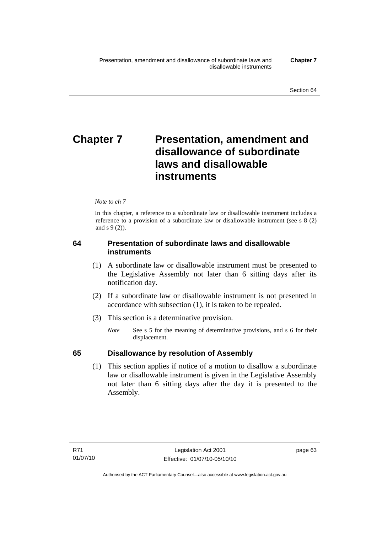# **Chapter 7** Presentation, amendment and **disallowance of subordinate laws and disallowable instruments**

## *Note to ch 7*

In this chapter, a reference to a subordinate law or disallowable instrument includes a reference to a provision of a subordinate law or disallowable instrument (see s 8 (2) and s 9 (2)).

# **64 Presentation of subordinate laws and disallowable instruments**

- (1) A subordinate law or disallowable instrument must be presented to the Legislative Assembly not later than 6 sitting days after its notification day.
- (2) If a subordinate law or disallowable instrument is not presented in accordance with subsection (1), it is taken to be repealed.
- (3) This section is a determinative provision.
	- *Note* See s 5 for the meaning of determinative provisions, and s 6 for their displacement.

# **65 Disallowance by resolution of Assembly**

 (1) This section applies if notice of a motion to disallow a subordinate law or disallowable instrument is given in the Legislative Assembly not later than 6 sitting days after the day it is presented to the Assembly.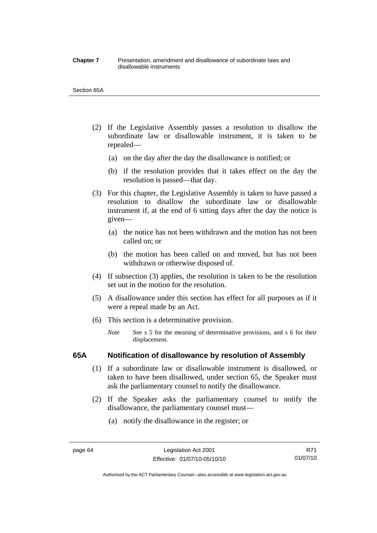#### **Chapter 7** Presentation, amendment and disallowance of subordinate laws and disallowable instruments

#### Section 65A

- (2) If the Legislative Assembly passes a resolution to disallow the subordinate law or disallowable instrument, it is taken to be repealed—
	- (a) on the day after the day the disallowance is notified; or
	- (b) if the resolution provides that it takes effect on the day the resolution is passed—that day.
- (3) For this chapter, the Legislative Assembly is taken to have passed a resolution to disallow the subordinate law or disallowable instrument if, at the end of 6 sitting days after the day the notice is given—
	- (a) the notice has not been withdrawn and the motion has not been called on; or
	- (b) the motion has been called on and moved, but has not been withdrawn or otherwise disposed of.
- (4) If subsection (3) applies, the resolution is taken to be the resolution set out in the motion for the resolution.
- (5) A disallowance under this section has effect for all purposes as if it were a repeal made by an Act.
- (6) This section is a determinative provision.
	- *Note* See s 5 for the meaning of determinative provisions, and s 6 for their displacement.

## **65A Notification of disallowance by resolution of Assembly**

- (1) If a subordinate law or disallowable instrument is disallowed, or taken to have been disallowed, under section 65, the Speaker must ask the parliamentary counsel to notify the disallowance.
- (2) If the Speaker asks the parliamentary counsel to notify the disallowance, the parliamentary counsel must—
	- (a) notify the disallowance in the register; or

Authorised by the ACT Parliamentary Counsel—also accessible at www.legislation.act.gov.au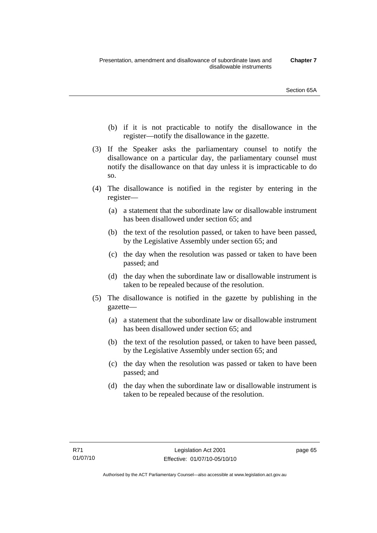- (b) if it is not practicable to notify the disallowance in the register—notify the disallowance in the gazette.
- (3) If the Speaker asks the parliamentary counsel to notify the disallowance on a particular day, the parliamentary counsel must notify the disallowance on that day unless it is impracticable to do so.
- (4) The disallowance is notified in the register by entering in the register—
	- (a) a statement that the subordinate law or disallowable instrument has been disallowed under section 65; and
	- (b) the text of the resolution passed, or taken to have been passed, by the Legislative Assembly under section 65; and
	- (c) the day when the resolution was passed or taken to have been passed; and
	- (d) the day when the subordinate law or disallowable instrument is taken to be repealed because of the resolution.
- (5) The disallowance is notified in the gazette by publishing in the gazette—
	- (a) a statement that the subordinate law or disallowable instrument has been disallowed under section 65; and
	- (b) the text of the resolution passed, or taken to have been passed, by the Legislative Assembly under section 65; and
	- (c) the day when the resolution was passed or taken to have been passed; and
	- (d) the day when the subordinate law or disallowable instrument is taken to be repealed because of the resolution.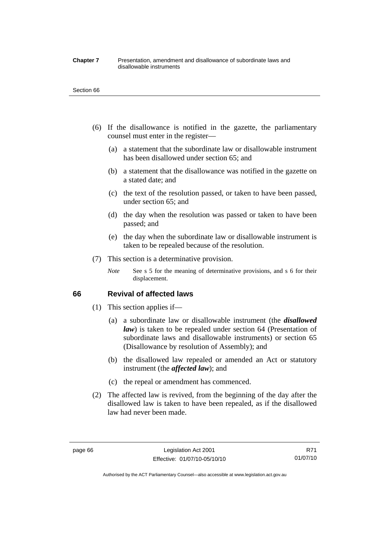#### **Chapter 7** Presentation, amendment and disallowance of subordinate laws and disallowable instruments

#### Section 66

- (6) If the disallowance is notified in the gazette, the parliamentary counsel must enter in the register—
	- (a) a statement that the subordinate law or disallowable instrument has been disallowed under section 65; and
	- (b) a statement that the disallowance was notified in the gazette on a stated date; and
	- (c) the text of the resolution passed, or taken to have been passed, under section 65; and
	- (d) the day when the resolution was passed or taken to have been passed; and
	- (e) the day when the subordinate law or disallowable instrument is taken to be repealed because of the resolution.
- (7) This section is a determinative provision.
	- *Note* See s 5 for the meaning of determinative provisions, and s 6 for their displacement.

## **66 Revival of affected laws**

- (1) This section applies if—
	- (a) a subordinate law or disallowable instrument (the *disallowed law*) is taken to be repealed under section 64 (Presentation of subordinate laws and disallowable instruments) or section 65 (Disallowance by resolution of Assembly); and
	- (b) the disallowed law repealed or amended an Act or statutory instrument (the *affected law*); and
	- (c) the repeal or amendment has commenced.
- (2) The affected law is revived, from the beginning of the day after the disallowed law is taken to have been repealed, as if the disallowed law had never been made.

R71 01/07/10

Authorised by the ACT Parliamentary Counsel—also accessible at www.legislation.act.gov.au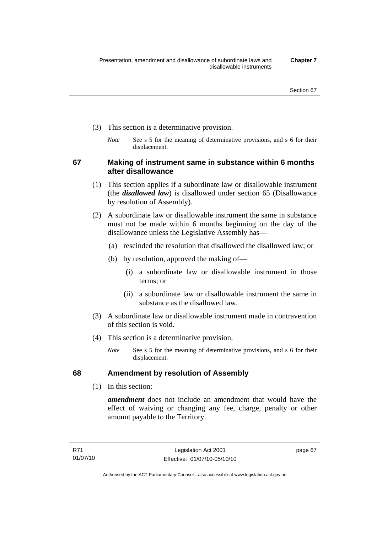- (3) This section is a determinative provision.
	- *Note* See s 5 for the meaning of determinative provisions, and s 6 for their displacement.

**67 Making of instrument same in substance within 6 months after disallowance** 

- (1) This section applies if a subordinate law or disallowable instrument (the *disallowed law*) is disallowed under section 65 (Disallowance by resolution of Assembly).
- (2) A subordinate law or disallowable instrument the same in substance must not be made within 6 months beginning on the day of the disallowance unless the Legislative Assembly has—
	- (a) rescinded the resolution that disallowed the disallowed law; or
	- (b) by resolution, approved the making of—
		- (i) a subordinate law or disallowable instrument in those terms; or
		- (ii) a subordinate law or disallowable instrument the same in substance as the disallowed law.
- (3) A subordinate law or disallowable instrument made in contravention of this section is void.
- (4) This section is a determinative provision.
	- *Note* See s 5 for the meaning of determinative provisions, and s 6 for their displacement.

# **68 Amendment by resolution of Assembly**

(1) In this section:

*amendment* does not include an amendment that would have the effect of waiving or changing any fee, charge, penalty or other amount payable to the Territory.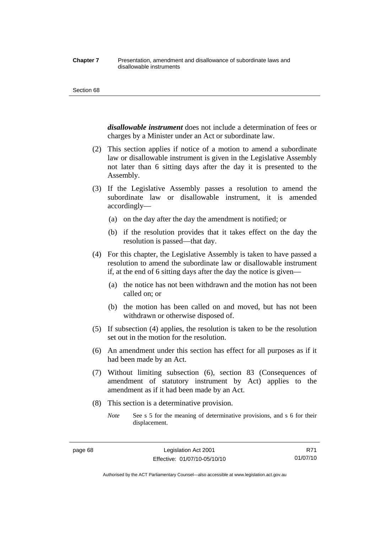#### **Chapter 7** Presentation, amendment and disallowance of subordinate laws and disallowable instruments

#### Section 68

*disallowable instrument* does not include a determination of fees or charges by a Minister under an Act or subordinate law.

- (2) This section applies if notice of a motion to amend a subordinate law or disallowable instrument is given in the Legislative Assembly not later than 6 sitting days after the day it is presented to the Assembly.
- (3) If the Legislative Assembly passes a resolution to amend the subordinate law or disallowable instrument, it is amended accordingly—
	- (a) on the day after the day the amendment is notified; or
	- (b) if the resolution provides that it takes effect on the day the resolution is passed—that day.
- (4) For this chapter, the Legislative Assembly is taken to have passed a resolution to amend the subordinate law or disallowable instrument if, at the end of 6 sitting days after the day the notice is given—
	- (a) the notice has not been withdrawn and the motion has not been called on; or
	- (b) the motion has been called on and moved, but has not been withdrawn or otherwise disposed of.
- (5) If subsection (4) applies, the resolution is taken to be the resolution set out in the motion for the resolution.
- (6) An amendment under this section has effect for all purposes as if it had been made by an Act.
- (7) Without limiting subsection (6), section 83 (Consequences of amendment of statutory instrument by Act) applies to the amendment as if it had been made by an Act.
- (8) This section is a determinative provision.
	- *Note* See s 5 for the meaning of determinative provisions, and s 6 for their displacement.

Authorised by the ACT Parliamentary Counsel—also accessible at www.legislation.act.gov.au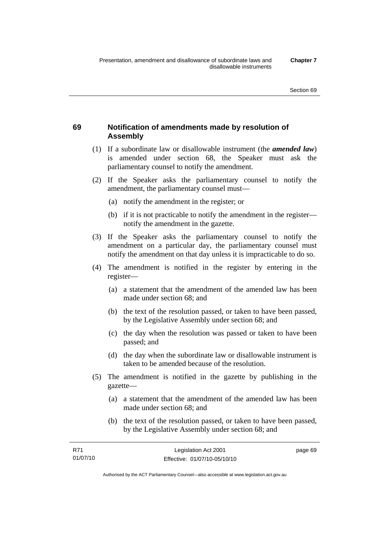# **69 Notification of amendments made by resolution of Assembly**

- (1) If a subordinate law or disallowable instrument (the *amended law*) is amended under section 68, the Speaker must ask the parliamentary counsel to notify the amendment.
- (2) If the Speaker asks the parliamentary counsel to notify the amendment, the parliamentary counsel must—
	- (a) notify the amendment in the register; or
	- (b) if it is not practicable to notify the amendment in the register notify the amendment in the gazette.
- (3) If the Speaker asks the parliamentary counsel to notify the amendment on a particular day, the parliamentary counsel must notify the amendment on that day unless it is impracticable to do so.
- (4) The amendment is notified in the register by entering in the register—
	- (a) a statement that the amendment of the amended law has been made under section 68; and
	- (b) the text of the resolution passed, or taken to have been passed, by the Legislative Assembly under section 68; and
	- (c) the day when the resolution was passed or taken to have been passed; and
	- (d) the day when the subordinate law or disallowable instrument is taken to be amended because of the resolution.
- (5) The amendment is notified in the gazette by publishing in the gazette—
	- (a) a statement that the amendment of the amended law has been made under section 68; and
	- (b) the text of the resolution passed, or taken to have been passed, by the Legislative Assembly under section 68; and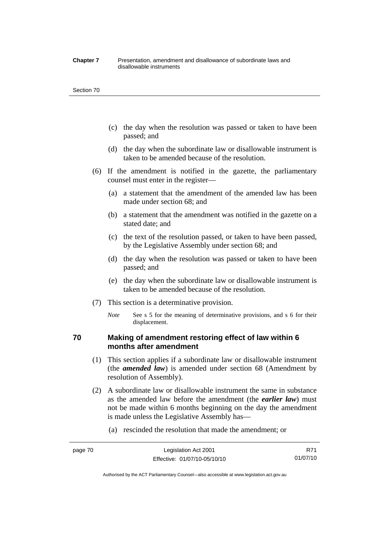#### **Chapter 7** Presentation, amendment and disallowance of subordinate laws and disallowable instruments

#### Section 70

- (c) the day when the resolution was passed or taken to have been passed; and
- (d) the day when the subordinate law or disallowable instrument is taken to be amended because of the resolution.
- (6) If the amendment is notified in the gazette, the parliamentary counsel must enter in the register—
	- (a) a statement that the amendment of the amended law has been made under section 68; and
	- (b) a statement that the amendment was notified in the gazette on a stated date; and
	- (c) the text of the resolution passed, or taken to have been passed, by the Legislative Assembly under section 68; and
	- (d) the day when the resolution was passed or taken to have been passed; and
	- (e) the day when the subordinate law or disallowable instrument is taken to be amended because of the resolution.
- (7) This section is a determinative provision.
	- *Note* See s 5 for the meaning of determinative provisions, and s 6 for their displacement.

# **70 Making of amendment restoring effect of law within 6 months after amendment**

- (1) This section applies if a subordinate law or disallowable instrument (the *amended law*) is amended under section 68 (Amendment by resolution of Assembly).
- (2) A subordinate law or disallowable instrument the same in substance as the amended law before the amendment (the *earlier law*) must not be made within 6 months beginning on the day the amendment is made unless the Legislative Assembly has—
	- (a) rescinded the resolution that made the amendment; or

R71 01/07/10

Authorised by the ACT Parliamentary Counsel—also accessible at www.legislation.act.gov.au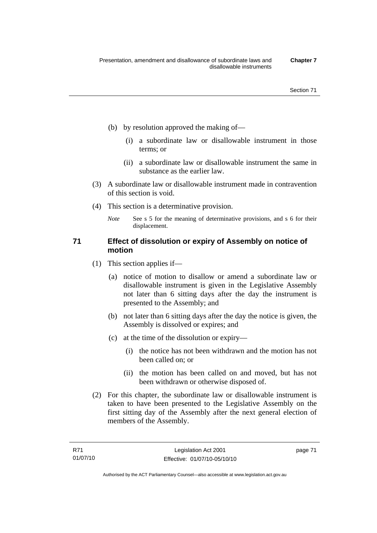- (b) by resolution approved the making of—
	- (i) a subordinate law or disallowable instrument in those terms; or
	- (ii) a subordinate law or disallowable instrument the same in substance as the earlier law.
- (3) A subordinate law or disallowable instrument made in contravention of this section is void.
- (4) This section is a determinative provision.
	- *Note* See s 5 for the meaning of determinative provisions, and s 6 for their displacement.

# **71 Effect of dissolution or expiry of Assembly on notice of motion**

- (1) This section applies if—
	- (a) notice of motion to disallow or amend a subordinate law or disallowable instrument is given in the Legislative Assembly not later than 6 sitting days after the day the instrument is presented to the Assembly; and
	- (b) not later than 6 sitting days after the day the notice is given, the Assembly is dissolved or expires; and
	- (c) at the time of the dissolution or expiry—
		- (i) the notice has not been withdrawn and the motion has not been called on; or
		- (ii) the motion has been called on and moved, but has not been withdrawn or otherwise disposed of.
- (2) For this chapter, the subordinate law or disallowable instrument is taken to have been presented to the Legislative Assembly on the first sitting day of the Assembly after the next general election of members of the Assembly.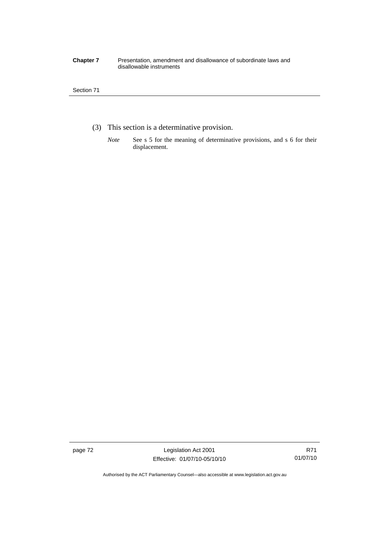#### **Chapter 7** Presentation, amendment and disallowance of subordinate laws and disallowable instruments

## Section 71

- (3) This section is a determinative provision.
	- *Note* See s 5 for the meaning of determinative provisions, and s 6 for their displacement.

page 72 Legislation Act 2001 Effective: 01/07/10-05/10/10

Authorised by the ACT Parliamentary Counsel—also accessible at www.legislation.act.gov.au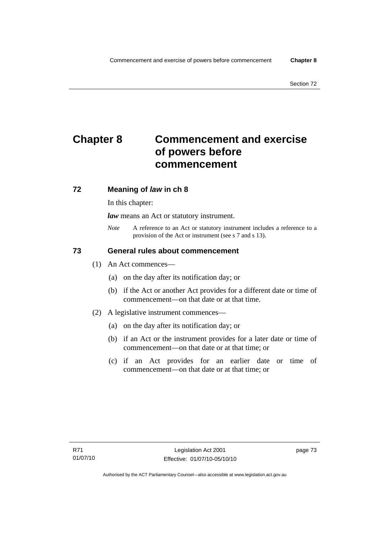# **Chapter 8 Commencement and exercise of powers before commencement**

# **72 Meaning of** *law* **in ch 8**

In this chapter:

*law* means an Act or statutory instrument.

*Note* A reference to an Act or statutory instrument includes a reference to a provision of the Act or instrument (see s 7 and s 13).

# **73 General rules about commencement**

- (1) An Act commences—
	- (a) on the day after its notification day; or
	- (b) if the Act or another Act provides for a different date or time of commencement—on that date or at that time.
- (2) A legislative instrument commences—
	- (a) on the day after its notification day; or
	- (b) if an Act or the instrument provides for a later date or time of commencement—on that date or at that time; or
	- (c) if an Act provides for an earlier date or time of commencement—on that date or at that time; or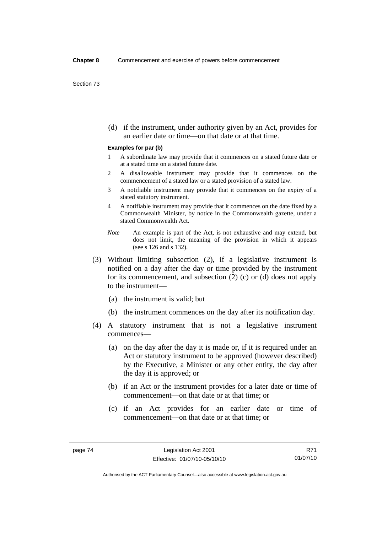(d) if the instrument, under authority given by an Act, provides for an earlier date or time—on that date or at that time.

#### **Examples for par (b)**

- 1 A subordinate law may provide that it commences on a stated future date or at a stated time on a stated future date.
- 2 A disallowable instrument may provide that it commences on the commencement of a stated law or a stated provision of a stated law.
- 3 A notifiable instrument may provide that it commences on the expiry of a stated statutory instrument.
- 4 A notifiable instrument may provide that it commences on the date fixed by a Commonwealth Minister, by notice in the Commonwealth gazette, under a stated Commonwealth Act.
- *Note* An example is part of the Act, is not exhaustive and may extend, but does not limit, the meaning of the provision in which it appears (see s 126 and s 132).
- (3) Without limiting subsection (2), if a legislative instrument is notified on a day after the day or time provided by the instrument for its commencement, and subsection (2) (c) or (d) does not apply to the instrument—
	- (a) the instrument is valid; but
	- (b) the instrument commences on the day after its notification day.
- (4) A statutory instrument that is not a legislative instrument commences—
	- (a) on the day after the day it is made or, if it is required under an Act or statutory instrument to be approved (however described) by the Executive, a Minister or any other entity, the day after the day it is approved; or
	- (b) if an Act or the instrument provides for a later date or time of commencement—on that date or at that time; or
	- (c) if an Act provides for an earlier date or time of commencement—on that date or at that time; or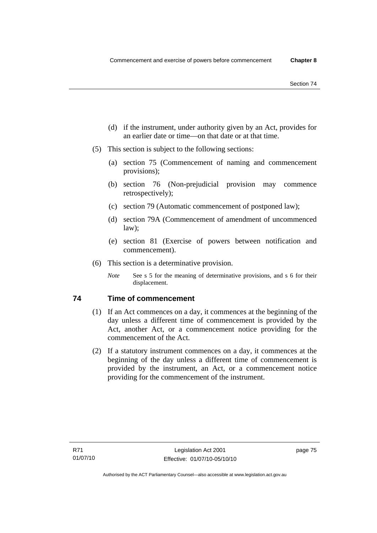- (d) if the instrument, under authority given by an Act, provides for an earlier date or time—on that date or at that time.
- (5) This section is subject to the following sections:
	- (a) section 75 (Commencement of naming and commencement provisions);
	- (b) section 76 (Non-prejudicial provision may commence retrospectively);
	- (c) section 79 (Automatic commencement of postponed law);
	- (d) section 79A (Commencement of amendment of uncommenced law);
	- (e) section 81 (Exercise of powers between notification and commencement).
- (6) This section is a determinative provision.
	- *Note* See s 5 for the meaning of determinative provisions, and s 6 for their displacement.

# **74 Time of commencement**

- (1) If an Act commences on a day, it commences at the beginning of the day unless a different time of commencement is provided by the Act, another Act, or a commencement notice providing for the commencement of the Act.
- (2) If a statutory instrument commences on a day, it commences at the beginning of the day unless a different time of commencement is provided by the instrument, an Act, or a commencement notice providing for the commencement of the instrument.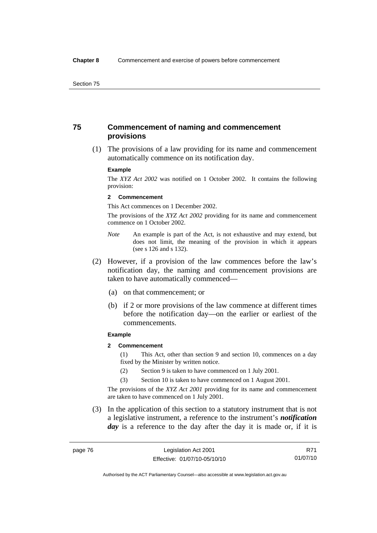# **75 Commencement of naming and commencement provisions**

 (1) The provisions of a law providing for its name and commencement automatically commence on its notification day.

#### **Example**

The *XYZ Act 2002* was notified on 1 October 2002. It contains the following provision:

#### **2 Commencement**

This Act commences on 1 December 2002.

The provisions of the *XYZ Act 2002* providing for its name and commencement commence on 1 October 2002.

- *Note* An example is part of the Act, is not exhaustive and may extend, but does not limit, the meaning of the provision in which it appears (see s 126 and s 132).
- (2) However, if a provision of the law commences before the law's notification day, the naming and commencement provisions are taken to have automatically commenced—
	- (a) on that commencement; or
	- (b) if 2 or more provisions of the law commence at different times before the notification day—on the earlier or earliest of the commencements.

#### **Example**

## **2 Commencement**

(1) This Act, other than section 9 and section 10, commences on a day fixed by the Minister by written notice.

- (2) Section 9 is taken to have commenced on 1 July 2001.
- (3) Section 10 is taken to have commenced on 1 August 2001.

The provisions of the *XYZ Act 2001* providing for its name and commencement are taken to have commenced on 1 July 2001.

 (3) In the application of this section to a statutory instrument that is not a legislative instrument, a reference to the instrument's *notification*  day is a reference to the day after the day it is made or, if it is

R71 01/07/10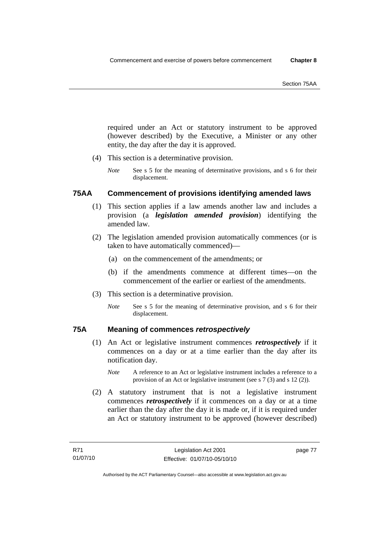required under an Act or statutory instrument to be approved (however described) by the Executive, a Minister or any other entity, the day after the day it is approved.

- (4) This section is a determinative provision.
	- *Note* See s 5 for the meaning of determinative provisions, and s 6 for their displacement.

# **75AA Commencement of provisions identifying amended laws**

- (1) This section applies if a law amends another law and includes a provision (a *legislation amended provision*) identifying the amended law.
- (2) The legislation amended provision automatically commences (or is taken to have automatically commenced)—
	- (a) on the commencement of the amendments; or
	- (b) if the amendments commence at different times—on the commencement of the earlier or earliest of the amendments.
- (3) This section is a determinative provision.
	- *Note* See s 5 for the meaning of determinative provision, and s 6 for their displacement.

# **75A Meaning of commences** *retrospectively*

- (1) An Act or legislative instrument commences *retrospectively* if it commences on a day or at a time earlier than the day after its notification day.
	- *Note* A reference to an Act or legislative instrument includes a reference to a provision of an Act or legislative instrument (see s 7 (3) and s 12 (2)).
- (2) A statutory instrument that is not a legislative instrument commences *retrospectively* if it commences on a day or at a time earlier than the day after the day it is made or, if it is required under an Act or statutory instrument to be approved (however described)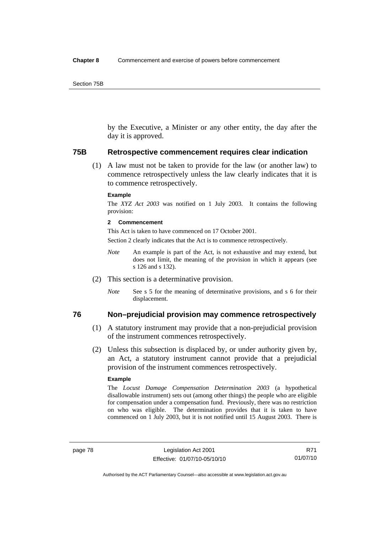by the Executive, a Minister or any other entity, the day after the day it is approved.

#### **75B Retrospective commencement requires clear indication**

 (1) A law must not be taken to provide for the law (or another law) to commence retrospectively unless the law clearly indicates that it is to commence retrospectively.

#### **Example**

The *XYZ Act 2003* was notified on 1 July 2003. It contains the following provision:

#### **2 Commencement**

This Act is taken to have commenced on 17 October 2001.

Section 2 clearly indicates that the Act is to commence retrospectively.

- *Note* An example is part of the Act, is not exhaustive and may extend, but does not limit, the meaning of the provision in which it appears (see s 126 and s 132).
- (2) This section is a determinative provision.
	- *Note* See s 5 for the meaning of determinative provisions, and s 6 for their displacement.

# **76 Non–prejudicial provision may commence retrospectively**

- (1) A statutory instrument may provide that a non-prejudicial provision of the instrument commences retrospectively.
- (2) Unless this subsection is displaced by, or under authority given by, an Act, a statutory instrument cannot provide that a prejudicial provision of the instrument commences retrospectively.

#### **Example**

The *Locust Damage Compensation Determination 2003* (a hypothetical disallowable instrument) sets out (among other things) the people who are eligible for compensation under a compensation fund. Previously, there was no restriction on who was eligible. The determination provides that it is taken to have commenced on 1 July 2003, but it is not notified until 15 August 2003. There is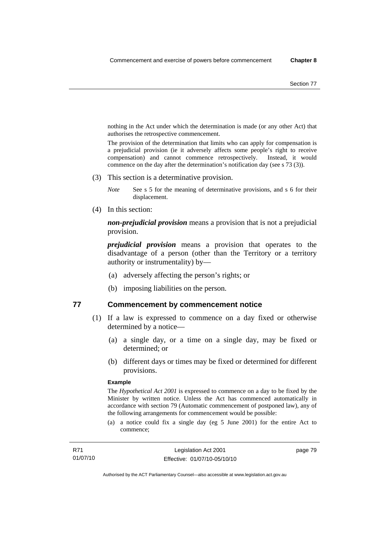nothing in the Act under which the determination is made (or any other Act) that authorises the retrospective commencement.

The provision of the determination that limits who can apply for compensation is a prejudicial provision (ie it adversely affects some people's right to receive compensation) and cannot commence retrospectively. Instead, it would commence on the day after the determination's notification day (see s 73 (3)).

(3) This section is a determinative provision.

*Note* See s 5 for the meaning of determinative provisions, and s 6 for their displacement.

(4) In this section:

*non-prejudicial provision* means a provision that is not a prejudicial provision.

*prejudicial provision* means a provision that operates to the disadvantage of a person (other than the Territory or a territory authority or instrumentality) by—

- (a) adversely affecting the person's rights; or
- (b) imposing liabilities on the person.

## **77 Commencement by commencement notice**

- (1) If a law is expressed to commence on a day fixed or otherwise determined by a notice—
	- (a) a single day, or a time on a single day, may be fixed or determined; or
	- (b) different days or times may be fixed or determined for different provisions.

#### **Example**

The *Hypothetical Act 2001* is expressed to commence on a day to be fixed by the Minister by written notice. Unless the Act has commenced automatically in accordance with section 79 (Automatic commencement of postponed law), any of the following arrangements for commencement would be possible:

(a) a notice could fix a single day (eg 5 June 2001) for the entire Act to commence;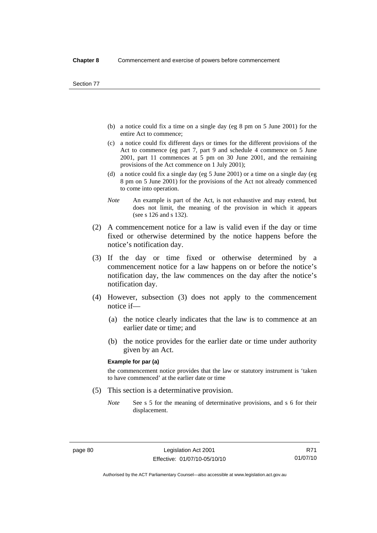- (b) a notice could fix a time on a single day (eg 8 pm on 5 June 2001) for the entire Act to commence;
- (c) a notice could fix different days or times for the different provisions of the Act to commence (eg part 7, part 9 and schedule 4 commence on 5 June 2001, part 11 commences at 5 pm on 30 June 2001, and the remaining provisions of the Act commence on 1 July 2001);
- (d) a notice could fix a single day (eg 5 June 2001) or a time on a single day (eg 8 pm on 5 June 2001) for the provisions of the Act not already commenced to come into operation.
- *Note* An example is part of the Act, is not exhaustive and may extend, but does not limit, the meaning of the provision in which it appears (see s 126 and s 132).
- (2) A commencement notice for a law is valid even if the day or time fixed or otherwise determined by the notice happens before the notice's notification day.
- (3) If the day or time fixed or otherwise determined by a commencement notice for a law happens on or before the notice's notification day, the law commences on the day after the notice's notification day.
- (4) However, subsection (3) does not apply to the commencement notice if—
	- (a) the notice clearly indicates that the law is to commence at an earlier date or time; and
	- (b) the notice provides for the earlier date or time under authority given by an Act.

#### **Example for par (a)**

the commencement notice provides that the law or statutory instrument is 'taken to have commenced' at the earlier date or time

- (5) This section is a determinative provision.
	- *Note* See s 5 for the meaning of determinative provisions, and s 6 for their displacement.

R71 01/07/10

Authorised by the ACT Parliamentary Counsel—also accessible at www.legislation.act.gov.au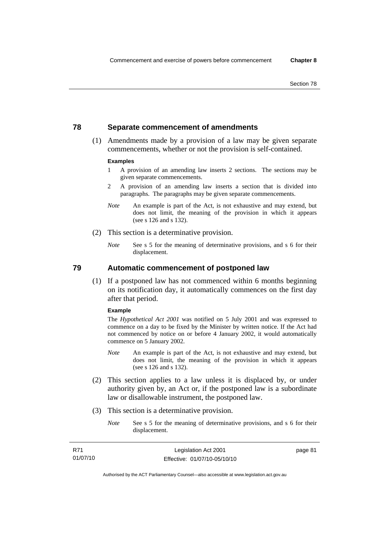# **78 Separate commencement of amendments**

 (1) Amendments made by a provision of a law may be given separate commencements, whether or not the provision is self-contained.

#### **Examples**

- 1 A provision of an amending law inserts 2 sections. The sections may be given separate commencements.
- 2 A provision of an amending law inserts a section that is divided into paragraphs. The paragraphs may be given separate commencements.
- *Note* An example is part of the Act, is not exhaustive and may extend, but does not limit, the meaning of the provision in which it appears (see s 126 and s 132).
- (2) This section is a determinative provision.
	- *Note* See s 5 for the meaning of determinative provisions, and s 6 for their displacement.

**79 Automatic commencement of postponed law** 

 (1) If a postponed law has not commenced within 6 months beginning on its notification day, it automatically commences on the first day after that period.

#### **Example**

The *Hypothetical Act 2001* was notified on 5 July 2001 and was expressed to commence on a day to be fixed by the Minister by written notice. If the Act had not commenced by notice on or before 4 January 2002, it would automatically commence on 5 January 2002.

- *Note* An example is part of the Act, is not exhaustive and may extend, but does not limit, the meaning of the provision in which it appears (see s 126 and s 132).
- (2) This section applies to a law unless it is displaced by, or under authority given by, an Act or, if the postponed law is a subordinate law or disallowable instrument, the postponed law.
- (3) This section is a determinative provision.
	- *Note* See s 5 for the meaning of determinative provisions, and s 6 for their displacement.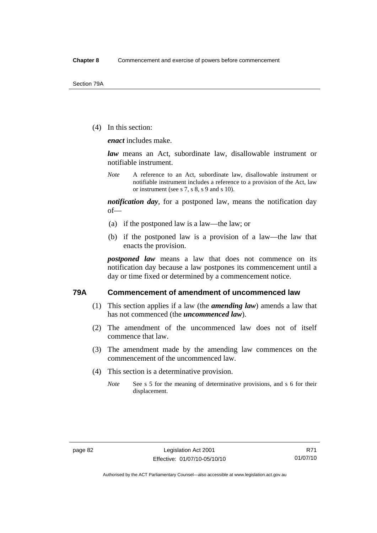(4) In this section:

*enact* includes make.

*law* means an Act, subordinate law, disallowable instrument or notifiable instrument.

*Note* A reference to an Act, subordinate law, disallowable instrument or notifiable instrument includes a reference to a provision of the Act, law or instrument (see s 7, s 8, s 9 and s 10).

*notification day*, for a postponed law, means the notification day of—

- (a) if the postponed law is a law—the law; or
- (b) if the postponed law is a provision of a law—the law that enacts the provision.

*postponed law* means a law that does not commence on its notification day because a law postpones its commencement until a day or time fixed or determined by a commencement notice.

## **79A Commencement of amendment of uncommenced law**

- (1) This section applies if a law (the *amending law*) amends a law that has not commenced (the *uncommenced law*).
- (2) The amendment of the uncommenced law does not of itself commence that law.
- (3) The amendment made by the amending law commences on the commencement of the uncommenced law.
- (4) This section is a determinative provision.
	- *Note* See s 5 for the meaning of determinative provisions, and s 6 for their displacement.

Authorised by the ACT Parliamentary Counsel—also accessible at www.legislation.act.gov.au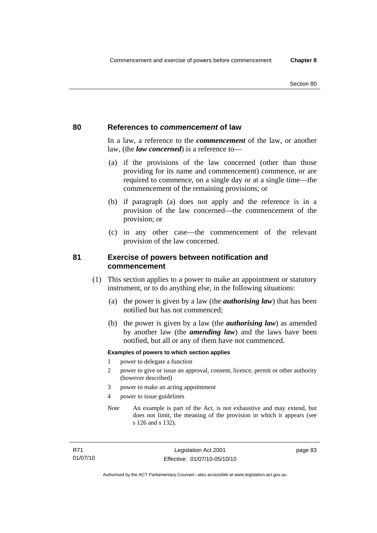## **80 References to** *commencement* **of law**

In a law, a reference to the *commencement* of the law, or another law, (the *law concerned*) is a reference to—

- (a) if the provisions of the law concerned (other than those providing for its name and commencement) commence, or are required to commence, on a single day or at a single time—the commencement of the remaining provisions; or
- (b) if paragraph (a) does not apply and the reference is in a provision of the law concerned—the commencement of the provision; or
- (c) in any other case—the commencement of the relevant provision of the law concerned.

# **81 Exercise of powers between notification and commencement**

- (1) This section applies to a power to make an appointment or statutory instrument, or to do anything else, in the following situations:
	- (a) the power is given by a law (the *authorising law*) that has been notified but has not commenced;
	- (b) the power is given by a law (the *authorising law*) as amended by another law (the *amending law*) and the laws have been notified, but all or any of them have not commenced.

#### **Examples of powers to which section applies**

- 1 power to delegate a function
- 2 power to give or issue an approval, consent, licence, permit or other authority (however described)
- 3 power to make an acting appointment
- 4 power to issue guidelines
- *Note* An example is part of the Act, is not exhaustive and may extend, but does not limit, the meaning of the provision in which it appears (see s 126 and s 132).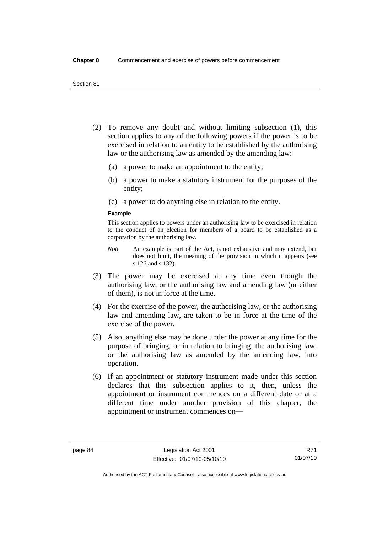- (2) To remove any doubt and without limiting subsection (1), this section applies to any of the following powers if the power is to be exercised in relation to an entity to be established by the authorising law or the authorising law as amended by the amending law:
	- (a) a power to make an appointment to the entity;
	- (b) a power to make a statutory instrument for the purposes of the entity;
	- (c) a power to do anything else in relation to the entity.

#### **Example**

This section applies to powers under an authorising law to be exercised in relation to the conduct of an election for members of a board to be established as a corporation by the authorising law.

- *Note* An example is part of the Act, is not exhaustive and may extend, but does not limit, the meaning of the provision in which it appears (see s 126 and s 132).
- (3) The power may be exercised at any time even though the authorising law, or the authorising law and amending law (or either of them), is not in force at the time.
- (4) For the exercise of the power, the authorising law, or the authorising law and amending law, are taken to be in force at the time of the exercise of the power.
- (5) Also, anything else may be done under the power at any time for the purpose of bringing, or in relation to bringing, the authorising law, or the authorising law as amended by the amending law, into operation.
- (6) If an appointment or statutory instrument made under this section declares that this subsection applies to it, then, unless the appointment or instrument commences on a different date or at a different time under another provision of this chapter, the appointment or instrument commences on—

Authorised by the ACT Parliamentary Counsel—also accessible at www.legislation.act.gov.au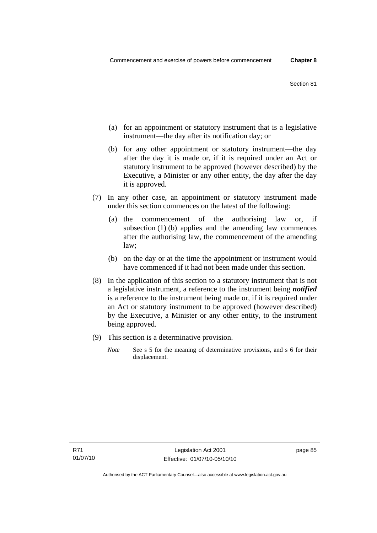- (a) for an appointment or statutory instrument that is a legislative instrument—the day after its notification day; or
- (b) for any other appointment or statutory instrument—the day after the day it is made or, if it is required under an Act or statutory instrument to be approved (however described) by the Executive, a Minister or any other entity, the day after the day it is approved.
- (7) In any other case, an appointment or statutory instrument made under this section commences on the latest of the following:
	- (a) the commencement of the authorising law or, if subsection (1) (b) applies and the amending law commences after the authorising law, the commencement of the amending law;
	- (b) on the day or at the time the appointment or instrument would have commenced if it had not been made under this section.
- (8) In the application of this section to a statutory instrument that is not a legislative instrument, a reference to the instrument being *notified*  is a reference to the instrument being made or, if it is required under an Act or statutory instrument to be approved (however described) by the Executive, a Minister or any other entity, to the instrument being approved.
- (9) This section is a determinative provision.
	- *Note* See s 5 for the meaning of determinative provisions, and s 6 for their displacement.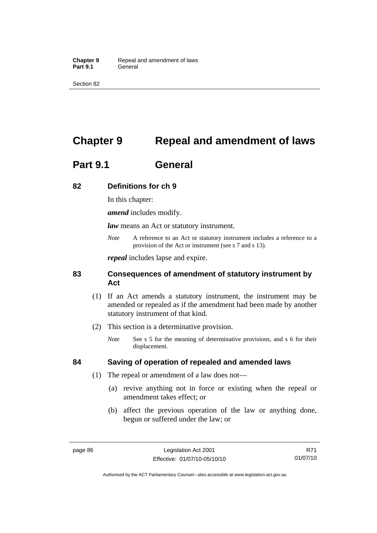Section 82

# **Chapter 9 Repeal and amendment of laws**

# **Part 9.1 General**

# **82 Definitions for ch 9**

In this chapter:

*amend* includes modify.

*law* means an Act or statutory instrument.

*Note* A reference to an Act or statutory instrument includes a reference to a provision of the Act or instrument (see s 7 and s 13).

*repeal* includes lapse and expire.

# **83 Consequences of amendment of statutory instrument by Act**

- (1) If an Act amends a statutory instrument, the instrument may be amended or repealed as if the amendment had been made by another statutory instrument of that kind.
- (2) This section is a determinative provision.
	- *Note* See s 5 for the meaning of determinative provisions, and s 6 for their displacement.

# **84 Saving of operation of repealed and amended laws**

- (1) The repeal or amendment of a law does not—
	- (a) revive anything not in force or existing when the repeal or amendment takes effect; or
	- (b) affect the previous operation of the law or anything done, begun or suffered under the law; or

Authorised by the ACT Parliamentary Counsel—also accessible at www.legislation.act.gov.au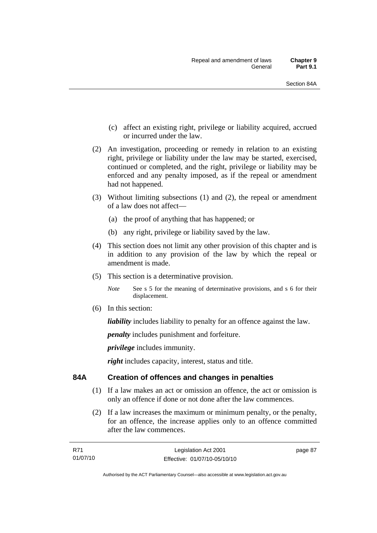- (c) affect an existing right, privilege or liability acquired, accrued or incurred under the law.
- (2) An investigation, proceeding or remedy in relation to an existing right, privilege or liability under the law may be started, exercised, continued or completed, and the right, privilege or liability may be enforced and any penalty imposed, as if the repeal or amendment had not happened.
- (3) Without limiting subsections (1) and (2), the repeal or amendment of a law does not affect—
	- (a) the proof of anything that has happened; or
	- (b) any right, privilege or liability saved by the law.
- (4) This section does not limit any other provision of this chapter and is in addition to any provision of the law by which the repeal or amendment is made.
- (5) This section is a determinative provision.

*Note* See s 5 for the meaning of determinative provisions, and s 6 for their displacement.

(6) In this section:

*liability* includes liability to penalty for an offence against the law.

*penalty* includes punishment and forfeiture.

*privilege* includes immunity.

*right* includes capacity, interest, status and title.

# **84A Creation of offences and changes in penalties**

- (1) If a law makes an act or omission an offence, the act or omission is only an offence if done or not done after the law commences.
- (2) If a law increases the maximum or minimum penalty, or the penalty, for an offence, the increase applies only to an offence committed after the law commences.

| R71      | Legislation Act 2001         |
|----------|------------------------------|
| 01/07/10 | Effective: 01/07/10-05/10/10 |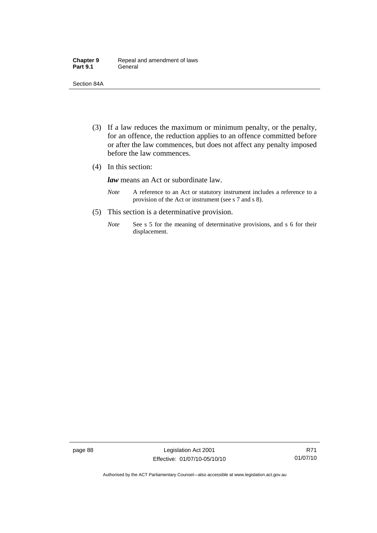| <b>Chapter 9</b> | Repeal and amendment of laws |
|------------------|------------------------------|
| <b>Part 9.1</b>  | General                      |

Section 84A

- (3) If a law reduces the maximum or minimum penalty, or the penalty, for an offence, the reduction applies to an offence committed before or after the law commences, but does not affect any penalty imposed before the law commences.
- (4) In this section:

*law* means an Act or subordinate law.

- *Note* A reference to an Act or statutory instrument includes a reference to a provision of the Act or instrument (see s 7 and s 8).
- (5) This section is a determinative provision.
	- *Note* See s 5 for the meaning of determinative provisions, and s 6 for their displacement.

page 88 Legislation Act 2001 Effective: 01/07/10-05/10/10

Authorised by the ACT Parliamentary Counsel—also accessible at www.legislation.act.gov.au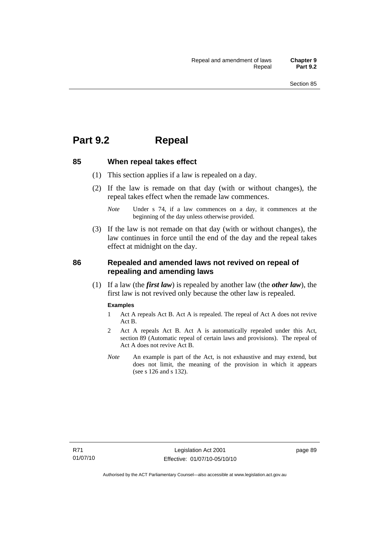# **Part 9.2 Repeal**

#### **85 When repeal takes effect**

- (1) This section applies if a law is repealed on a day.
- (2) If the law is remade on that day (with or without changes), the repeal takes effect when the remade law commences.

 (3) If the law is not remade on that day (with or without changes), the law continues in force until the end of the day and the repeal takes effect at midnight on the day.

# **86 Repealed and amended laws not revived on repeal of repealing and amending laws**

 (1) If a law (the *first law*) is repealed by another law (the *other law*), the first law is not revived only because the other law is repealed.

#### **Examples**

- 1 Act A repeals Act B. Act A is repealed. The repeal of Act A does not revive Act B.
- 2 Act A repeals Act B. Act A is automatically repealed under this Act, section 89 (Automatic repeal of certain laws and provisions). The repeal of Act A does not revive Act B.
- *Note* An example is part of the Act, is not exhaustive and may extend, but does not limit, the meaning of the provision in which it appears (see s 126 and s 132).

*Note* Under s 74, if a law commences on a day, it commences at the beginning of the day unless otherwise provided.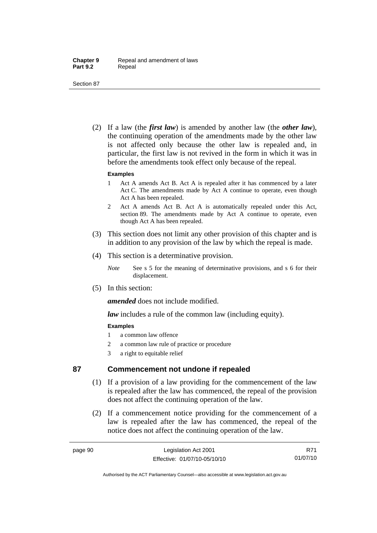Section 87

 (2) If a law (the *first law*) is amended by another law (the *other law*), the continuing operation of the amendments made by the other law is not affected only because the other law is repealed and, in particular, the first law is not revived in the form in which it was in before the amendments took effect only because of the repeal.

#### **Examples**

- 1 Act A amends Act B. Act A is repealed after it has commenced by a later Act C. The amendments made by Act A continue to operate, even though Act A has been repealed.
- 2 Act A amends Act B. Act A is automatically repealed under this Act, section 89. The amendments made by Act A continue to operate, even though Act A has been repealed.
- (3) This section does not limit any other provision of this chapter and is in addition to any provision of the law by which the repeal is made.
- (4) This section is a determinative provision.
	- *Note* See s 5 for the meaning of determinative provisions, and s 6 for their displacement.
- (5) In this section:

*amended* does not include modified.

*law* includes a rule of the common law (including equity).

## **Examples**

- 1 a common law offence
- 2 a common law rule of practice or procedure
- 3 a right to equitable relief

# **87 Commencement not undone if repealed**

- (1) If a provision of a law providing for the commencement of the law is repealed after the law has commenced, the repeal of the provision does not affect the continuing operation of the law.
- (2) If a commencement notice providing for the commencement of a law is repealed after the law has commenced, the repeal of the notice does not affect the continuing operation of the law.

R71 01/07/10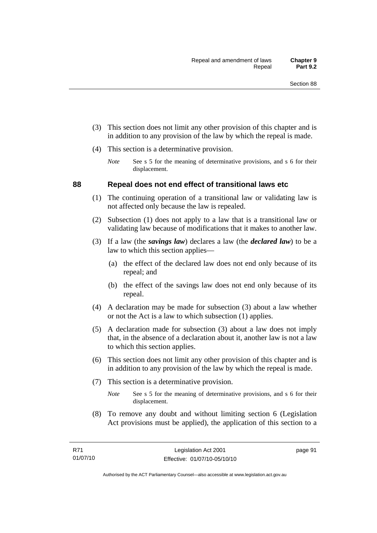- (3) This section does not limit any other provision of this chapter and is in addition to any provision of the law by which the repeal is made.
- (4) This section is a determinative provision.
	- *Note* See s 5 for the meaning of determinative provisions, and s 6 for their displacement.

## **88 Repeal does not end effect of transitional laws etc**

- (1) The continuing operation of a transitional law or validating law is not affected only because the law is repealed.
- (2) Subsection (1) does not apply to a law that is a transitional law or validating law because of modifications that it makes to another law.
- (3) If a law (the *savings law*) declares a law (the *declared law*) to be a law to which this section applies—
	- (a) the effect of the declared law does not end only because of its repeal; and
	- (b) the effect of the savings law does not end only because of its repeal.
- (4) A declaration may be made for subsection (3) about a law whether or not the Act is a law to which subsection (1) applies.
- (5) A declaration made for subsection (3) about a law does not imply that, in the absence of a declaration about it, another law is not a law to which this section applies.
- (6) This section does not limit any other provision of this chapter and is in addition to any provision of the law by which the repeal is made.
- (7) This section is a determinative provision.
	- *Note* See s 5 for the meaning of determinative provisions, and s 6 for their displacement.
- (8) To remove any doubt and without limiting section 6 (Legislation Act provisions must be applied), the application of this section to a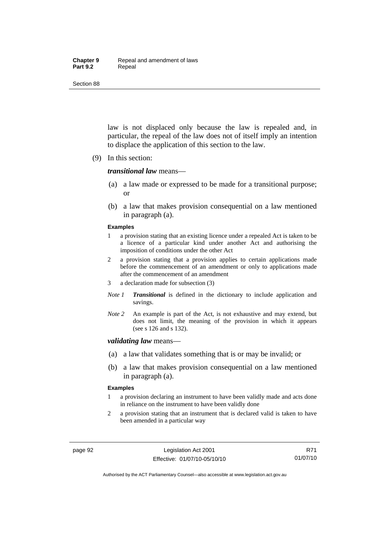#### **Chapter 9** Repeal and amendment of laws Part 9.2 **Repeal**

Section 88

law is not displaced only because the law is repealed and, in particular, the repeal of the law does not of itself imply an intention to displace the application of this section to the law.

(9) In this section:

#### *transitional law* means—

- (a) a law made or expressed to be made for a transitional purpose; or
- (b) a law that makes provision consequential on a law mentioned in paragraph (a).

#### **Examples**

- 1 a provision stating that an existing licence under a repealed Act is taken to be a licence of a particular kind under another Act and authorising the imposition of conditions under the other Act
- 2 a provision stating that a provision applies to certain applications made before the commencement of an amendment or only to applications made after the commencement of an amendment
- 3 a declaration made for subsection (3)
- *Note 1 Transitional* is defined in the dictionary to include application and savings.
- *Note 2* An example is part of the Act, is not exhaustive and may extend, but does not limit, the meaning of the provision in which it appears (see s 126 and s 132).

#### *validating law* means—

- (a) a law that validates something that is or may be invalid; or
- (b) a law that makes provision consequential on a law mentioned in paragraph (a).

#### **Examples**

- 1 a provision declaring an instrument to have been validly made and acts done in reliance on the instrument to have been validly done
- 2 a provision stating that an instrument that is declared valid is taken to have been amended in a particular way

Authorised by the ACT Parliamentary Counsel—also accessible at www.legislation.act.gov.au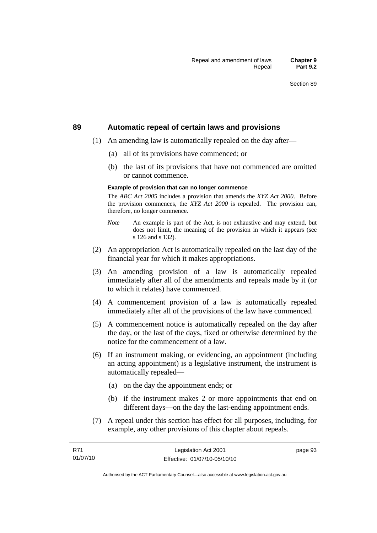#### **89 Automatic repeal of certain laws and provisions**

- (1) An amending law is automatically repealed on the day after—
	- (a) all of its provisions have commenced; or
	- (b) the last of its provisions that have not commenced are omitted or cannot commence.

#### **Example of provision that can no longer commence**

The *ABC Act 2005* includes a provision that amends the *XYZ Act 2000*. Before the provision commences, the *XYZ Act 2000* is repealed. The provision can, therefore, no longer commence.

- *Note* An example is part of the Act, is not exhaustive and may extend, but does not limit, the meaning of the provision in which it appears (see s 126 and s 132).
- (2) An appropriation Act is automatically repealed on the last day of the financial year for which it makes appropriations.
- (3) An amending provision of a law is automatically repealed immediately after all of the amendments and repeals made by it (or to which it relates) have commenced.
- (4) A commencement provision of a law is automatically repealed immediately after all of the provisions of the law have commenced.
- (5) A commencement notice is automatically repealed on the day after the day, or the last of the days, fixed or otherwise determined by the notice for the commencement of a law.
- (6) If an instrument making, or evidencing, an appointment (including an acting appointment) is a legislative instrument, the instrument is automatically repealed—
	- (a) on the day the appointment ends; or
	- (b) if the instrument makes 2 or more appointments that end on different days—on the day the last-ending appointment ends.
- (7) A repeal under this section has effect for all purposes, including, for example, any other provisions of this chapter about repeals.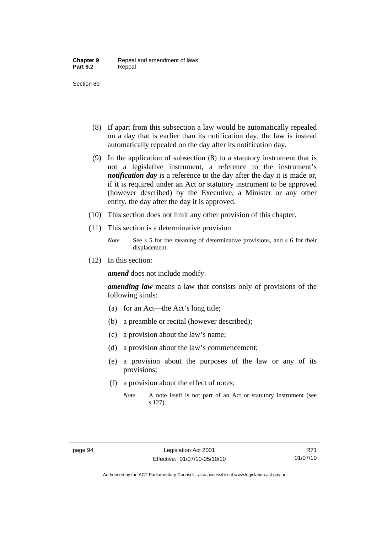- (8) If apart from this subsection a law would be automatically repealed on a day that is earlier than its notification day, the law is instead automatically repealed on the day after its notification day.
- (9) In the application of subsection (8) to a statutory instrument that is not a legislative instrument, a reference to the instrument's *notification day* is a reference to the day after the day it is made or, if it is required under an Act or statutory instrument to be approved (however described) by the Executive, a Minister or any other entity, the day after the day it is approved.
- (10) This section does not limit any other provision of this chapter.
- (11) This section is a determinative provision.
	- *Note* See s 5 for the meaning of determinative provisions, and s 6 for their displacement.
- (12) In this section:

*amend* does not include modify.

*amending law* means a law that consists only of provisions of the following kinds:

- (a) for an Act—the Act's long title;
- (b) a preamble or recital (however described);
- (c) a provision about the law's name;
- (d) a provision about the law's commencement;
- (e) a provision about the purposes of the law or any of its provisions;
- (f) a provision about the effect of notes;
	- *Note* A note itself is not part of an Act or statutory instrument (see s 127).

Authorised by the ACT Parliamentary Counsel—also accessible at www.legislation.act.gov.au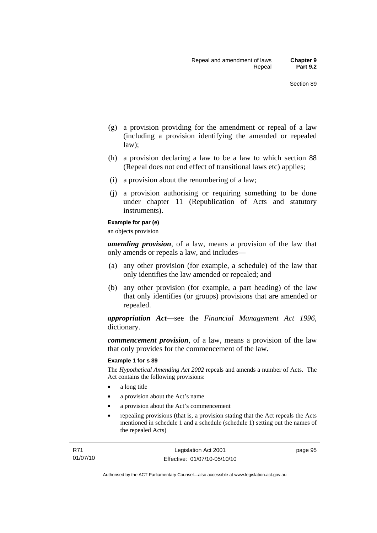- (g) a provision providing for the amendment or repeal of a law (including a provision identifying the amended or repealed law);
- (h) a provision declaring a law to be a law to which section 88 (Repeal does not end effect of transitional laws etc) applies;
- (i) a provision about the renumbering of a law;
- (j) a provision authorising or requiring something to be done under chapter 11 (Republication of Acts and statutory instruments).

#### **Example for par (e)**

an objects provision

*amending provision*, of a law, means a provision of the law that only amends or repeals a law, and includes—

- (a) any other provision (for example, a schedule) of the law that only identifies the law amended or repealed; and
- (b) any other provision (for example, a part heading) of the law that only identifies (or groups) provisions that are amended or repealed.

*appropriation Act*—see the *Financial Management Act 1996*, dictionary.

*commencement provision*, of a law, means a provision of the law that only provides for the commencement of the law.

#### **Example 1 for s 89**

The *Hypothetical Amending Act 2002* repeals and amends a number of Acts. The Act contains the following provisions:

- a long title
- a provision about the Act's name
- a provision about the Act's commencement
- repealing provisions (that is, a provision stating that the Act repeals the Acts mentioned in schedule 1 and a schedule (schedule 1) setting out the names of the repealed Acts)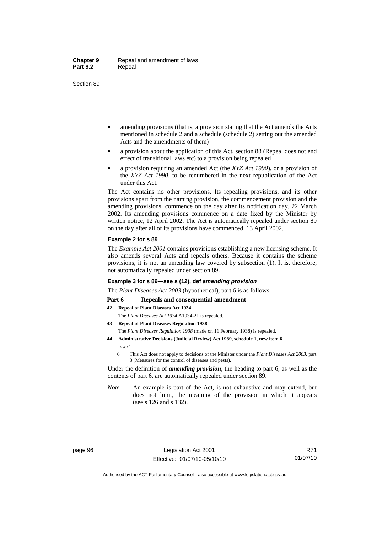- amending provisions (that is, a provision stating that the Act amends the Acts mentioned in schedule 2 and a schedule (schedule 2) setting out the amended Acts and the amendments of them)
- a provision about the application of this Act, section 88 (Repeal does not end effect of transitional laws etc) to a provision being repealed
- a provision requiring an amended Act (the *XYZ Act 1990*), or a provision of the *XYZ Act 1990*, to be renumbered in the next republication of the Act under this Act.

The Act contains no other provisions. Its repealing provisions, and its other provisions apart from the naming provision, the commencement provision and the amending provisions, commence on the day after its notification day, 22 March 2002. Its amending provisions commence on a date fixed by the Minister by written notice, 12 April 2002. The Act is automatically repealed under section 89 on the day after all of its provisions have commenced, 13 April 2002.

#### **Example 2 for s 89**

The *Example Act 2001* contains provisions establishing a new licensing scheme. It also amends several Acts and repeals others. Because it contains the scheme provisions, it is not an amending law covered by subsection (1). It is, therefore, not automatically repealed under section 89.

#### **Example 3 for s 89—see s (12), def** *amending provision*

The *Plant Diseases Act 2003* (hypothetical), part 6 is as follows:

#### Part 6 Repeals and consequential amendment

- **42 Repeal of Plant Diseases Act 1934**
	- The *Plant Diseases Act 1934* A1934-21 is repealed.
- **43 Repeal of Plant Diseases Regulation 1938** The *Plant Diseases Regulation 1938* (made on 11 February 1938) is repealed.
- **44 Administrative Decisions (Judicial Review) Act 1989, schedule 1, new item 6**  *insert* 
	- 6 This Act does not apply to decisions of the Minister under the *Plant Diseases Act 2003*, part 3 (Measures for the control of diseases and pests).

Under the definition of *amending provision*, the heading to part 6, as well as the contents of part 6, are automatically repealed under section 89.

*Note* An example is part of the Act, is not exhaustive and may extend, but does not limit, the meaning of the provision in which it appears (see s 126 and s 132).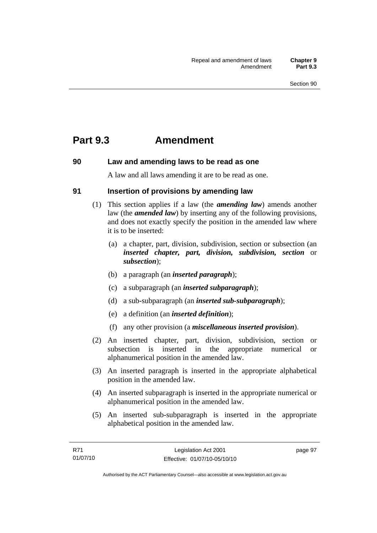## **Part 9.3 Amendment**

## **90 Law and amending laws to be read as one**

A law and all laws amending it are to be read as one.

## **91 Insertion of provisions by amending law**

- (1) This section applies if a law (the *amending law*) amends another law (the *amended law*) by inserting any of the following provisions, and does not exactly specify the position in the amended law where it is to be inserted:
	- (a) a chapter, part, division, subdivision, section or subsection (an *inserted chapter, part, division, subdivision, section* or *subsection*);
	- (b) a paragraph (an *inserted paragraph*);
	- (c) a subparagraph (an *inserted subparagraph*);
	- (d) a sub-subparagraph (an *inserted sub-subparagraph*);
	- (e) a definition (an *inserted definition*);
	- (f) any other provision (a *miscellaneous inserted provision*).
- (2) An inserted chapter, part, division, subdivision, section or subsection is inserted in the appropriate numerical or alphanumerical position in the amended law.
- (3) An inserted paragraph is inserted in the appropriate alphabetical position in the amended law.
- (4) An inserted subparagraph is inserted in the appropriate numerical or alphanumerical position in the amended law.
- (5) An inserted sub-subparagraph is inserted in the appropriate alphabetical position in the amended law.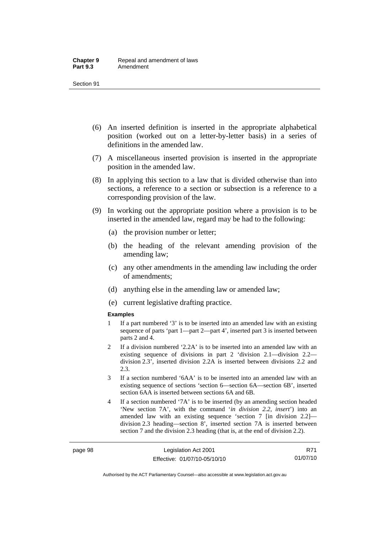- (6) An inserted definition is inserted in the appropriate alphabetical position (worked out on a letter-by-letter basis) in a series of definitions in the amended law.
- (7) A miscellaneous inserted provision is inserted in the appropriate position in the amended law.
- (8) In applying this section to a law that is divided otherwise than into sections, a reference to a section or subsection is a reference to a corresponding provision of the law.
- (9) In working out the appropriate position where a provision is to be inserted in the amended law, regard may be had to the following:
	- (a) the provision number or letter;
	- (b) the heading of the relevant amending provision of the amending law;
	- (c) any other amendments in the amending law including the order of amendments;
	- (d) anything else in the amending law or amended law;
	- (e) current legislative drafting practice.

#### **Examples**

- 1 If a part numbered '3' is to be inserted into an amended law with an existing sequence of parts 'part 1—part 2—part 4', inserted part 3 is inserted between parts 2 and 4.
- 2 If a division numbered '2.2A' is to be inserted into an amended law with an existing sequence of divisions in part 2 'division 2.1—division 2.2 division 2.3', inserted division 2.2A is inserted between divisions 2.2 and 2.3.
- 3 If a section numbered '6AA' is to be inserted into an amended law with an existing sequence of sections 'section 6—section 6A—section 6B', inserted section 6AA is inserted between sections 6A and 6B.
- 4 If a section numbered '7A' is to be inserted (by an amending section headed 'New section 7A', with the command '*in division 2.2, insert*') into an amended law with an existing sequence 'section 7 [in division 2.2] division 2.3 heading—section 8', inserted section 7A is inserted between section 7 and the division 2.3 heading (that is, at the end of division 2.2).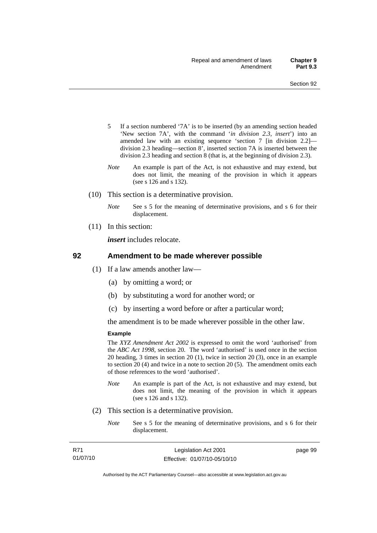- 5 If a section numbered '7A' is to be inserted (by an amending section headed 'New section 7A', with the command '*in division 2.3, insert*') into an amended law with an existing sequence 'section 7 [in division 2.2] division 2.3 heading—section 8', inserted section 7A is inserted between the division 2.3 heading and section 8 (that is, at the beginning of division 2.3).
- *Note* An example is part of the Act, is not exhaustive and may extend, but does not limit, the meaning of the provision in which it appears (see s 126 and s 132).
- (10) This section is a determinative provision.
	- *Note* See s 5 for the meaning of determinative provisions, and s 6 for their displacement.
- (11) In this section:

*insert* includes relocate.

#### **92 Amendment to be made wherever possible**

- (1) If a law amends another law—
	- (a) by omitting a word; or
	- (b) by substituting a word for another word; or
	- (c) by inserting a word before or after a particular word;

the amendment is to be made wherever possible in the other law.

#### **Example**

The *XYZ Amendment Act 2002* is expressed to omit the word 'authorised' from the *ABC Act 1998*, section 20. The word 'authorised' is used once in the section 20 heading, 3 times in section 20 (1), twice in section 20 (3), once in an example to section 20 (4) and twice in a note to section 20 (5). The amendment omits each of those references to the word 'authorised'.

- *Note* An example is part of the Act, is not exhaustive and may extend, but does not limit, the meaning of the provision in which it appears (see s 126 and s 132).
- (2) This section is a determinative provision.
	- *Note* See s 5 for the meaning of determinative provisions, and s 6 for their displacement.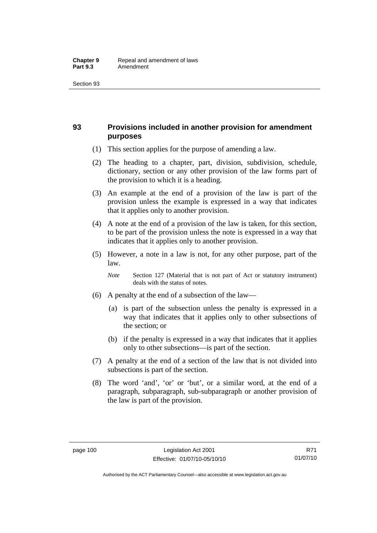## **93 Provisions included in another provision for amendment purposes**

- (1) This section applies for the purpose of amending a law.
- (2) The heading to a chapter, part, division, subdivision, schedule, dictionary, section or any other provision of the law forms part of the provision to which it is a heading.
- (3) An example at the end of a provision of the law is part of the provision unless the example is expressed in a way that indicates that it applies only to another provision.
- (4) A note at the end of a provision of the law is taken, for this section, to be part of the provision unless the note is expressed in a way that indicates that it applies only to another provision.
- (5) However, a note in a law is not, for any other purpose, part of the law.

*Note* Section 127 (Material that is not part of Act or statutory instrument) deals with the status of notes.

- (6) A penalty at the end of a subsection of the law—
	- (a) is part of the subsection unless the penalty is expressed in a way that indicates that it applies only to other subsections of the section; or
	- (b) if the penalty is expressed in a way that indicates that it applies only to other subsections—is part of the section.
- (7) A penalty at the end of a section of the law that is not divided into subsections is part of the section.
- (8) The word 'and', 'or' or 'but', or a similar word, at the end of a paragraph, subparagraph, sub-subparagraph or another provision of the law is part of the provision.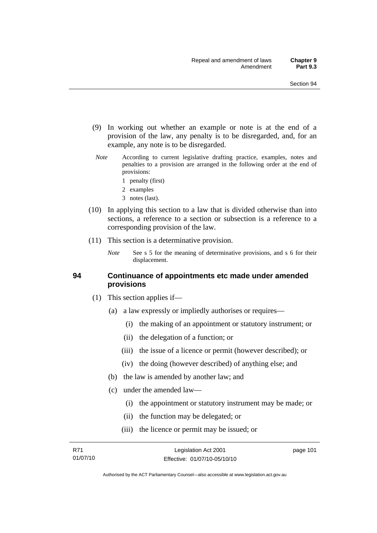- (9) In working out whether an example or note is at the end of a provision of the law, any penalty is to be disregarded, and, for an example, any note is to be disregarded.
- *Note* According to current legislative drafting practice, examples, notes and penalties to a provision are arranged in the following order at the end of provisions:
	- 1 penalty (first)
	- 2 examples
	- 3 notes (last).
- (10) In applying this section to a law that is divided otherwise than into sections, a reference to a section or subsection is a reference to a corresponding provision of the law.
- (11) This section is a determinative provision.
	- *Note* See s 5 for the meaning of determinative provisions, and s 6 for their displacement.

#### **94 Continuance of appointments etc made under amended provisions**

- (1) This section applies if—
	- (a) a law expressly or impliedly authorises or requires—
		- (i) the making of an appointment or statutory instrument; or
		- (ii) the delegation of a function; or
		- (iii) the issue of a licence or permit (however described); or
		- (iv) the doing (however described) of anything else; and
	- (b) the law is amended by another law; and
	- (c) under the amended law—
		- (i) the appointment or statutory instrument may be made; or
		- (ii) the function may be delegated; or
		- (iii) the licence or permit may be issued; or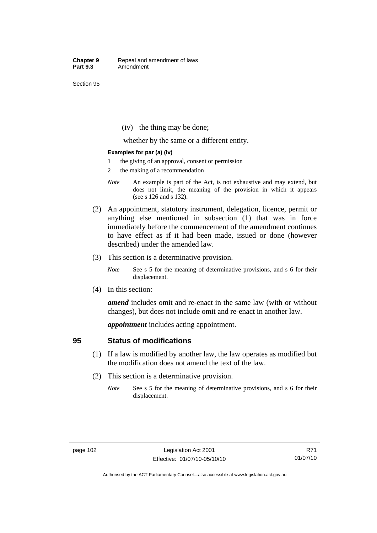(iv) the thing may be done;

whether by the same or a different entity.

#### **Examples for par (a) (iv)**

- 1 the giving of an approval, consent or permission
- 2 the making of a recommendation
- *Note* An example is part of the Act, is not exhaustive and may extend, but does not limit, the meaning of the provision in which it appears (see s 126 and s 132).
- (2) An appointment, statutory instrument, delegation, licence, permit or anything else mentioned in subsection (1) that was in force immediately before the commencement of the amendment continues to have effect as if it had been made, issued or done (however described) under the amended law.
- (3) This section is a determinative provision.
	- *Note* See s 5 for the meaning of determinative provisions, and s 6 for their displacement.
- (4) In this section:

*amend* includes omit and re-enact in the same law (with or without changes), but does not include omit and re-enact in another law.

*appointment* includes acting appointment.

#### **95 Status of modifications**

- (1) If a law is modified by another law, the law operates as modified but the modification does not amend the text of the law.
- (2) This section is a determinative provision.
	- *Note* See s 5 for the meaning of determinative provisions, and s 6 for their displacement.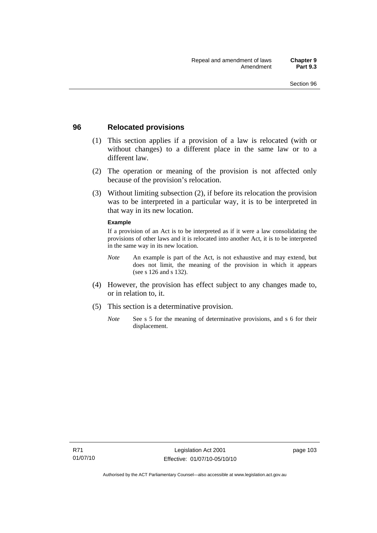### **96 Relocated provisions**

- (1) This section applies if a provision of a law is relocated (with or without changes) to a different place in the same law or to a different law.
- (2) The operation or meaning of the provision is not affected only because of the provision's relocation.
- (3) Without limiting subsection (2), if before its relocation the provision was to be interpreted in a particular way, it is to be interpreted in that way in its new location.

#### **Example**

If a provision of an Act is to be interpreted as if it were a law consolidating the provisions of other laws and it is relocated into another Act, it is to be interpreted in the same way in its new location.

- *Note* An example is part of the Act, is not exhaustive and may extend, but does not limit, the meaning of the provision in which it appears (see s 126 and s 132).
- (4) However, the provision has effect subject to any changes made to, or in relation to, it.
- (5) This section is a determinative provision.
	- *Note* See s 5 for the meaning of determinative provisions, and s 6 for their displacement.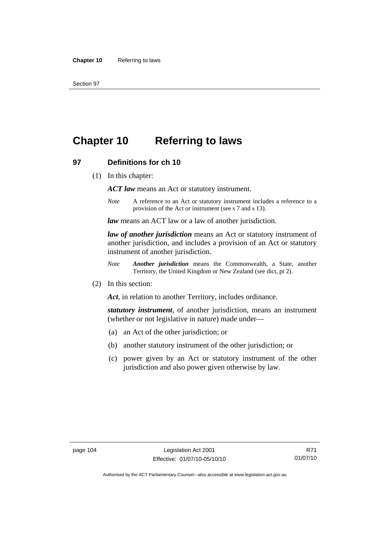# **Chapter 10 Referring to laws**

#### **97 Definitions for ch 10**

(1) In this chapter:

*ACT law* means an Act or statutory instrument.

*Note* A reference to an Act or statutory instrument includes a reference to a provision of the Act or instrument (see s 7 and s 13).

*law* means an ACT law or a law of another jurisdiction.

*law of another jurisdiction* means an Act or statutory instrument of another jurisdiction, and includes a provision of an Act or statutory instrument of another jurisdiction.

- *Note Another jurisdiction* means the Commonwealth, a State, another Territory, the United Kingdom or New Zealand (see dict, pt 2).
- (2) In this section:

*Act*, in relation to another Territory, includes ordinance.

*statutory instrument*, of another jurisdiction, means an instrument (whether or not legislative in nature) made under—

- (a) an Act of the other jurisdiction; or
- (b) another statutory instrument of the other jurisdiction; or
- (c) power given by an Act or statutory instrument of the other jurisdiction and also power given otherwise by law.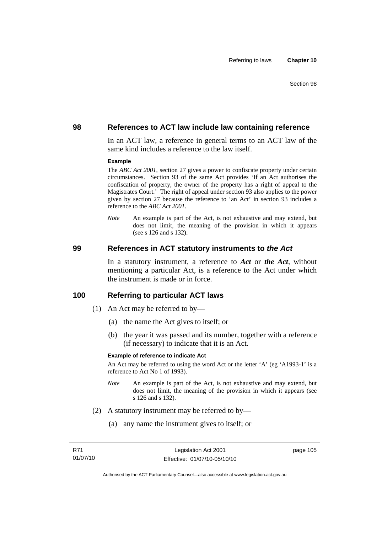#### **98 References to ACT law include law containing reference**

In an ACT law, a reference in general terms to an ACT law of the same kind includes a reference to the law itself.

#### **Example**

The *ABC Act 2001*, section 27 gives a power to confiscate property under certain circumstances. Section 93 of the same Act provides 'If an Act authorises the confiscation of property, the owner of the property has a right of appeal to the Magistrates Court.' The right of appeal under section 93 also applies to the power given by section 27 because the reference to 'an Act' in section 93 includes a reference to the *ABC Act 2001*.

*Note* An example is part of the Act, is not exhaustive and may extend, but does not limit, the meaning of the provision in which it appears (see s 126 and s 132).

#### **99 References in ACT statutory instruments to** *the Act*

In a statutory instrument, a reference to *Act* or *the Act*, without mentioning a particular Act, is a reference to the Act under which the instrument is made or in force.

#### **100 Referring to particular ACT laws**

- (1) An Act may be referred to by—
	- (a) the name the Act gives to itself; or
	- (b) the year it was passed and its number, together with a reference (if necessary) to indicate that it is an Act.

#### **Example of reference to indicate Act**

An Act may be referred to using the word Act or the letter 'A' (eg 'A1993-1' is a reference to Act No 1 of 1993).

- *Note* An example is part of the Act, is not exhaustive and may extend, but does not limit, the meaning of the provision in which it appears (see s 126 and s 132).
- (2) A statutory instrument may be referred to by—
	- (a) any name the instrument gives to itself; or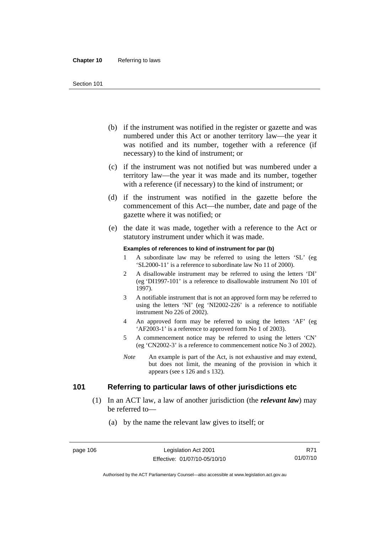- (b) if the instrument was notified in the register or gazette and was numbered under this Act or another territory law—the year it was notified and its number, together with a reference (if necessary) to the kind of instrument; or
- (c) if the instrument was not notified but was numbered under a territory law—the year it was made and its number, together with a reference (if necessary) to the kind of instrument; or
- (d) if the instrument was notified in the gazette before the commencement of this Act—the number, date and page of the gazette where it was notified; or
- (e) the date it was made, together with a reference to the Act or statutory instrument under which it was made.

#### **Examples of references to kind of instrument for par (b)**

- 1 A subordinate law may be referred to using the letters 'SL' (eg 'SL2000-11' is a reference to subordinate law No 11 of 2000).
- 2 A disallowable instrument may be referred to using the letters 'DI' (eg 'DI1997-101' is a reference to disallowable instrument No 101 of 1997).
- 3 A notifiable instrument that is not an approved form may be referred to using the letters 'NI' (eg 'NI2002-226' is a reference to notifiable instrument No 226 of 2002).
- 4 An approved form may be referred to using the letters 'AF' (eg 'AF2003-1' is a reference to approved form No 1 of 2003).
- 5 A commencement notice may be referred to using the letters 'CN' (eg 'CN2002-3' is a reference to commencement notice No 3 of 2002).
- *Note* An example is part of the Act, is not exhaustive and may extend, but does not limit, the meaning of the provision in which it appears (see s 126 and s 132).

## **101 Referring to particular laws of other jurisdictions etc**

- (1) In an ACT law, a law of another jurisdiction (the *relevant law*) may be referred to—
	- (a) by the name the relevant law gives to itself; or

Authorised by the ACT Parliamentary Counsel—also accessible at www.legislation.act.gov.au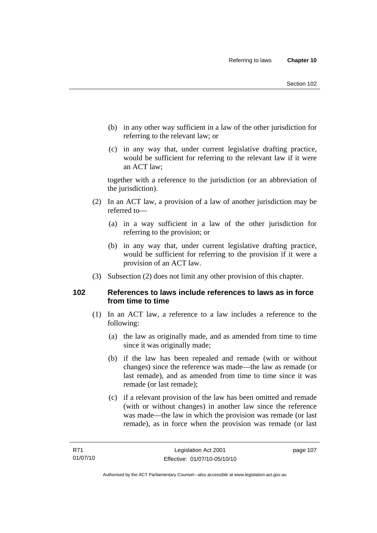- (b) in any other way sufficient in a law of the other jurisdiction for referring to the relevant law; or
- (c) in any way that, under current legislative drafting practice, would be sufficient for referring to the relevant law if it were an ACT law;

together with a reference to the jurisdiction (or an abbreviation of the jurisdiction).

- (2) In an ACT law, a provision of a law of another jurisdiction may be referred to—
	- (a) in a way sufficient in a law of the other jurisdiction for referring to the provision; or
	- (b) in any way that, under current legislative drafting practice, would be sufficient for referring to the provision if it were a provision of an ACT law.
- (3) Subsection (2) does not limit any other provision of this chapter.

## **102 References to laws include references to laws as in force from time to time**

- (1) In an ACT law, a reference to a law includes a reference to the following:
	- (a) the law as originally made, and as amended from time to time since it was originally made;
	- (b) if the law has been repealed and remade (with or without changes) since the reference was made—the law as remade (or last remade), and as amended from time to time since it was remade (or last remade);
	- (c) if a relevant provision of the law has been omitted and remade (with or without changes) in another law since the reference was made—the law in which the provision was remade (or last remade), as in force when the provision was remade (or last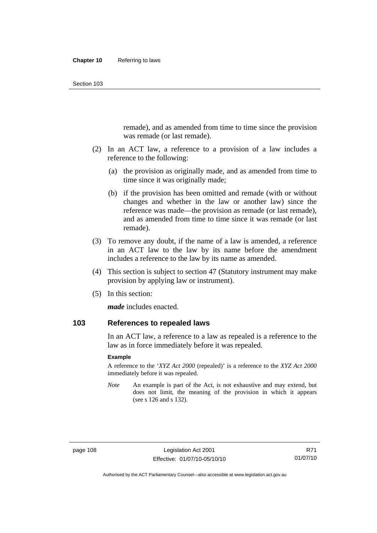remade), and as amended from time to time since the provision was remade (or last remade).

- (2) In an ACT law, a reference to a provision of a law includes a reference to the following:
	- (a) the provision as originally made, and as amended from time to time since it was originally made;
	- (b) if the provision has been omitted and remade (with or without changes and whether in the law or another law) since the reference was made—the provision as remade (or last remade), and as amended from time to time since it was remade (or last remade).
- (3) To remove any doubt, if the name of a law is amended, a reference in an ACT law to the law by its name before the amendment includes a reference to the law by its name as amended.
- (4) This section is subject to section 47 (Statutory instrument may make provision by applying law or instrument).
- (5) In this section:

*made* includes enacted.

## **103 References to repealed laws**

In an ACT law, a reference to a law as repealed is a reference to the law as in force immediately before it was repealed.

#### **Example**

A reference to the '*XYZ Act 2000* (repealed)' is a reference to the *XYZ Act 2000* immediately before it was repealed.

*Note* An example is part of the Act, is not exhaustive and may extend, but does not limit, the meaning of the provision in which it appears (see s 126 and s 132).

Authorised by the ACT Parliamentary Counsel—also accessible at www.legislation.act.gov.au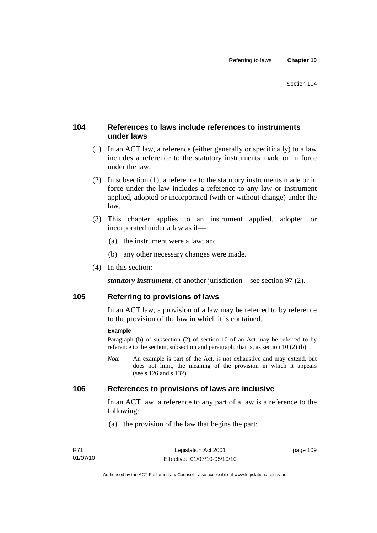## **104 References to laws include references to instruments under laws**

- (1) In an ACT law, a reference (either generally or specifically) to a law includes a reference to the statutory instruments made or in force under the law.
- (2) In subsection (1), a reference to the statutory instruments made or in force under the law includes a reference to any law or instrument applied, adopted or incorporated (with or without change) under the law.
- (3) This chapter applies to an instrument applied, adopted or incorporated under a law as if—
	- (a) the instrument were a law; and
	- (b) any other necessary changes were made.
- (4) In this section:

*statutory instrument*, of another jurisdiction—see section 97 (2).

## **105 Referring to provisions of laws**

In an ACT law, a provision of a law may be referred to by reference to the provision of the law in which it is contained.

#### **Example**

Paragraph (b) of subsection (2) of section 10 of an Act may be referred to by reference to the section, subsection and paragraph, that is, as section 10 (2) (b).

*Note* An example is part of the Act, is not exhaustive and may extend, but does not limit, the meaning of the provision in which it appears (see s 126 and s 132).

#### **106 References to provisions of laws are inclusive**

In an ACT law, a reference to any part of a law is a reference to the following:

(a) the provision of the law that begins the part;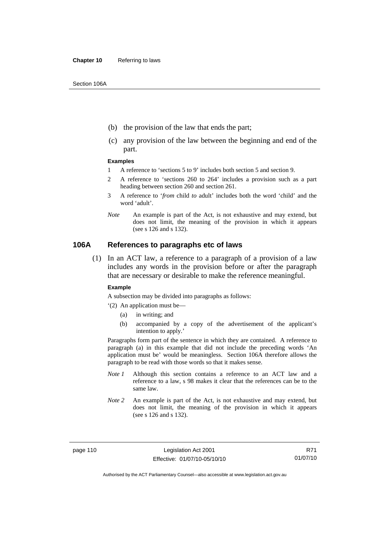- (b) the provision of the law that ends the part;
- (c) any provision of the law between the beginning and end of the part.

#### **Examples**

- 1 A reference to 'sections 5 to 9' includes both section 5 and section 9.
- 2 A reference to 'sections 260 to 264' includes a provision such as a part heading between section 260 and section 261.
- 3 A reference to '*from* child *to* adult' includes both the word 'child' and the word 'adult'.
- *Note* An example is part of the Act, is not exhaustive and may extend, but does not limit, the meaning of the provision in which it appears (see s 126 and s 132).

#### **106A References to paragraphs etc of laws**

 (1) In an ACT law, a reference to a paragraph of a provision of a law includes any words in the provision before or after the paragraph that are necessary or desirable to make the reference meaningful.

#### **Example**

A subsection may be divided into paragraphs as follows:

- '(2) An application must be—
	- (a) in writing; and
	- (b) accompanied by a copy of the advertisement of the applicant's intention to apply.'

Paragraphs form part of the sentence in which they are contained. A reference to paragraph (a) in this example that did not include the preceding words 'An application must be' would be meaningless. Section 106A therefore allows the paragraph to be read with those words so that it makes sense.

- *Note 1* Although this section contains a reference to an ACT law and a reference to a law, s 98 makes it clear that the references can be to the same law.
- *Note 2* An example is part of the Act, is not exhaustive and may extend, but does not limit, the meaning of the provision in which it appears (see s 126 and s 132).

page 110 Legislation Act 2001 Effective: 01/07/10-05/10/10

R71 01/07/10

Authorised by the ACT Parliamentary Counsel—also accessible at www.legislation.act.gov.au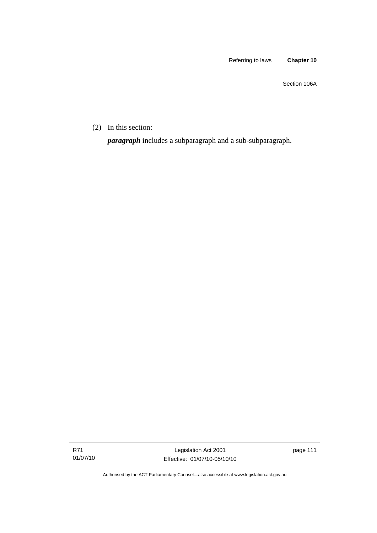Section 106A

(2) In this section:

*paragraph* includes a subparagraph and a sub-subparagraph.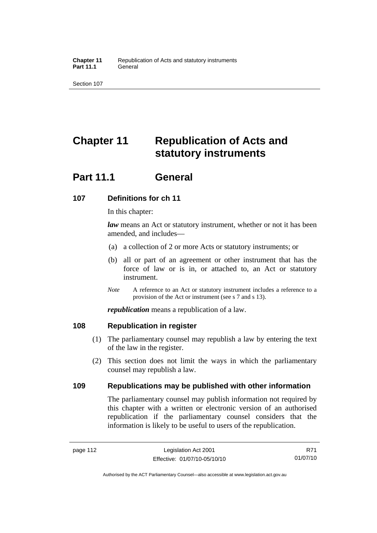# **Chapter 11 Republication of Acts and statutory instruments**

## **Part 11.1 General**

## **107 Definitions for ch 11**

In this chapter:

*law* means an Act or statutory instrument, whether or not it has been amended, and includes—

- (a) a collection of 2 or more Acts or statutory instruments; or
- (b) all or part of an agreement or other instrument that has the force of law or is in, or attached to, an Act or statutory instrument.
- *Note* A reference to an Act or statutory instrument includes a reference to a provision of the Act or instrument (see s 7 and s 13).

*republication* means a republication of a law.

## **108 Republication in register**

- (1) The parliamentary counsel may republish a law by entering the text of the law in the register.
- (2) This section does not limit the ways in which the parliamentary counsel may republish a law.

## **109 Republications may be published with other information**

The parliamentary counsel may publish information not required by this chapter with a written or electronic version of an authorised republication if the parliamentary counsel considers that the information is likely to be useful to users of the republication.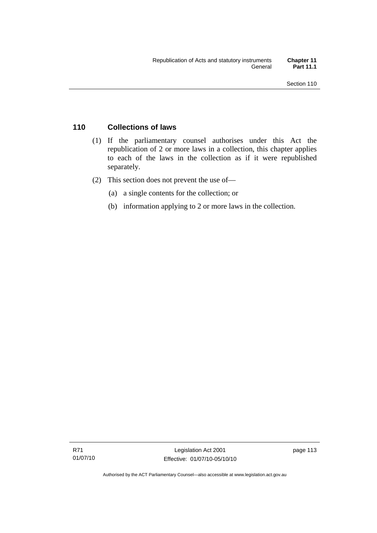## **110 Collections of laws**

- (1) If the parliamentary counsel authorises under this Act the republication of 2 or more laws in a collection, this chapter applies to each of the laws in the collection as if it were republished separately.
- (2) This section does not prevent the use of—
	- (a) a single contents for the collection; or
	- (b) information applying to 2 or more laws in the collection.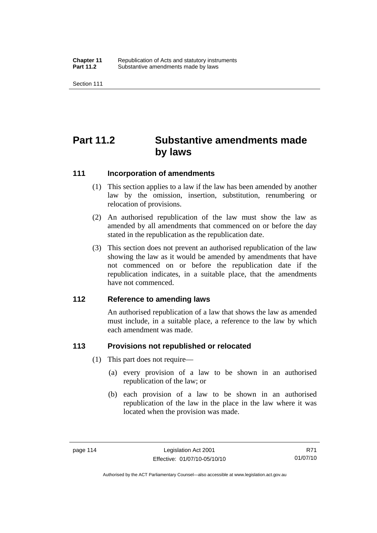# **Part 11.2 Substantive amendments made by laws**

#### **111 Incorporation of amendments**

- (1) This section applies to a law if the law has been amended by another law by the omission, insertion, substitution, renumbering or relocation of provisions.
- (2) An authorised republication of the law must show the law as amended by all amendments that commenced on or before the day stated in the republication as the republication date.
- (3) This section does not prevent an authorised republication of the law showing the law as it would be amended by amendments that have not commenced on or before the republication date if the republication indicates, in a suitable place, that the amendments have not commenced.

## **112 Reference to amending laws**

An authorised republication of a law that shows the law as amended must include, in a suitable place, a reference to the law by which each amendment was made.

## **113 Provisions not republished or relocated**

- (1) This part does not require—
	- (a) every provision of a law to be shown in an authorised republication of the law; or
	- (b) each provision of a law to be shown in an authorised republication of the law in the place in the law where it was located when the provision was made.

Authorised by the ACT Parliamentary Counsel—also accessible at www.legislation.act.gov.au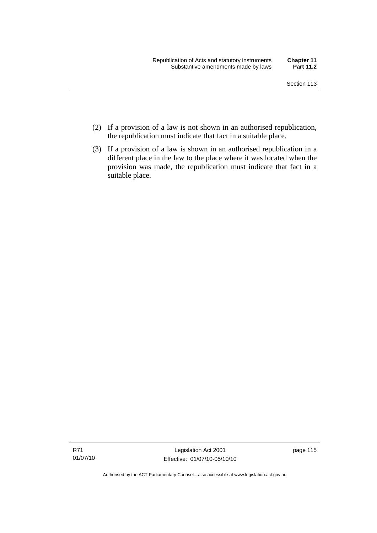- (2) If a provision of a law is not shown in an authorised republication, the republication must indicate that fact in a suitable place.
- (3) If a provision of a law is shown in an authorised republication in a different place in the law to the place where it was located when the provision was made, the republication must indicate that fact in a suitable place.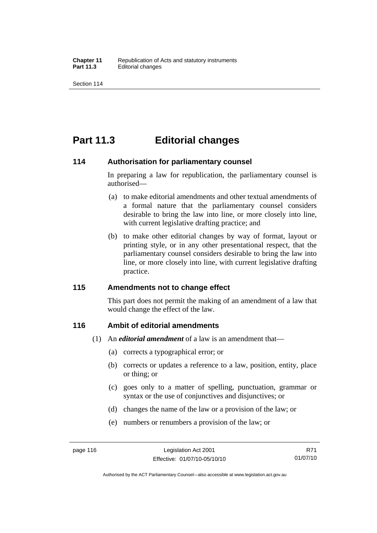## **Part 11.3 Editorial changes**

#### **114 Authorisation for parliamentary counsel**

In preparing a law for republication, the parliamentary counsel is authorised—

- (a) to make editorial amendments and other textual amendments of a formal nature that the parliamentary counsel considers desirable to bring the law into line, or more closely into line, with current legislative drafting practice; and
- (b) to make other editorial changes by way of format, layout or printing style, or in any other presentational respect, that the parliamentary counsel considers desirable to bring the law into line, or more closely into line, with current legislative drafting practice.

## **115 Amendments not to change effect**

This part does not permit the making of an amendment of a law that would change the effect of the law.

## **116 Ambit of editorial amendments**

- (1) An *editorial amendment* of a law is an amendment that—
	- (a) corrects a typographical error; or
	- (b) corrects or updates a reference to a law, position, entity, place or thing; or
	- (c) goes only to a matter of spelling, punctuation, grammar or syntax or the use of conjunctives and disjunctives; or
	- (d) changes the name of the law or a provision of the law; or
	- (e) numbers or renumbers a provision of the law; or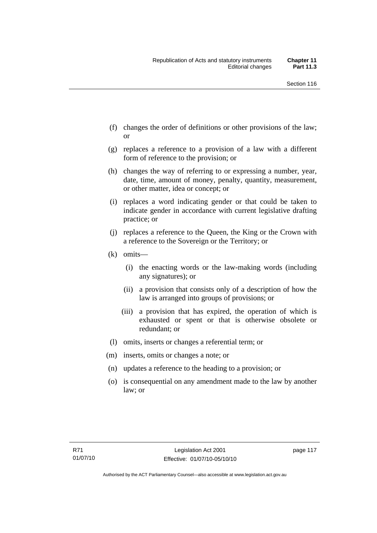- (f) changes the order of definitions or other provisions of the law; or
- (g) replaces a reference to a provision of a law with a different form of reference to the provision; or
- (h) changes the way of referring to or expressing a number, year, date, time, amount of money, penalty, quantity, measurement, or other matter, idea or concept; or
- (i) replaces a word indicating gender or that could be taken to indicate gender in accordance with current legislative drafting practice; or
- (j) replaces a reference to the Queen, the King or the Crown with a reference to the Sovereign or the Territory; or
- (k) omits—
	- (i) the enacting words or the law-making words (including any signatures); or
	- (ii) a provision that consists only of a description of how the law is arranged into groups of provisions; or
	- (iii) a provision that has expired, the operation of which is exhausted or spent or that is otherwise obsolete or redundant; or
- (l) omits, inserts or changes a referential term; or
- (m) inserts, omits or changes a note; or
- (n) updates a reference to the heading to a provision; or
- (o) is consequential on any amendment made to the law by another law; or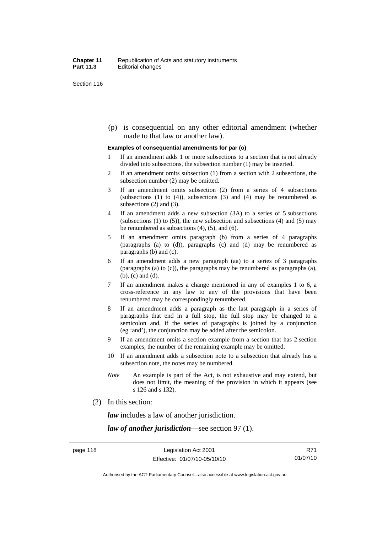(p) is consequential on any other editorial amendment (whether made to that law or another law).

#### **Examples of consequential amendments for par (o)**

- 1 If an amendment adds 1 or more subsections to a section that is not already divided into subsections, the subsection number (1) may be inserted.
- 2 If an amendment omits subsection (1) from a section with 2 subsections, the subsection number (2) may be omitted.
- 3 If an amendment omits subsection (2) from a series of 4 subsections (subsections  $(1)$  to  $(4)$ ), subsections  $(3)$  and  $(4)$  may be renumbered as subsections (2) and (3).
- 4 If an amendment adds a new subsection (3A) to a series of 5 subsections (subsections  $(1)$  to  $(5)$ ), the new subsection and subsections  $(4)$  and  $(5)$  may be renumbered as subsections (4), (5), and (6).
- 5 If an amendment omits paragraph (b) from a series of 4 paragraphs (paragraphs (a) to (d)), paragraphs (c) and (d) may be renumbered as paragraphs (b) and (c).
- 6 If an amendment adds a new paragraph (aa) to a series of 3 paragraphs (paragraphs (a) to (c)), the paragraphs may be renumbered as paragraphs (a), (b), (c) and (d).
- 7 If an amendment makes a change mentioned in any of examples 1 to 6, a cross-reference in any law to any of the provisions that have been renumbered may be correspondingly renumbered.
- 8 If an amendment adds a paragraph as the last paragraph in a series of paragraphs that end in a full stop, the full stop may be changed to a semicolon and, if the series of paragraphs is joined by a conjunction (eg 'and'), the conjunction may be added after the semicolon.
- 9 If an amendment omits a section example from a section that has 2 section examples, the number of the remaining example may be omitted.
- 10 If an amendment adds a subsection note to a subsection that already has a subsection note, the notes may be numbered.
- *Note* An example is part of the Act, is not exhaustive and may extend, but does not limit, the meaning of the provision in which it appears (see s 126 and s 132).
- (2) In this section:

*law* includes a law of another jurisdiction.

*law of another jurisdiction*—see section 97 (1).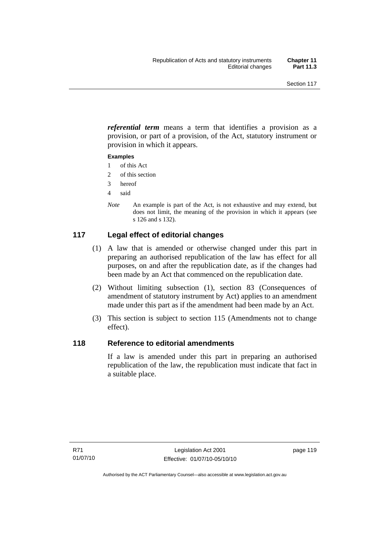*referential term* means a term that identifies a provision as a provision, or part of a provision, of the Act, statutory instrument or provision in which it appears.

#### **Examples**

- 1 of this Act
- 2 of this section
- 3 hereof
- 4 said
- *Note* An example is part of the Act, is not exhaustive and may extend, but does not limit, the meaning of the provision in which it appears (see s 126 and s 132).

## **117 Legal effect of editorial changes**

- (1) A law that is amended or otherwise changed under this part in preparing an authorised republication of the law has effect for all purposes, on and after the republication date, as if the changes had been made by an Act that commenced on the republication date.
- (2) Without limiting subsection (1), section 83 (Consequences of amendment of statutory instrument by Act) applies to an amendment made under this part as if the amendment had been made by an Act.
- (3) This section is subject to section 115 (Amendments not to change effect).

## **118 Reference to editorial amendments**

If a law is amended under this part in preparing an authorised republication of the law, the republication must indicate that fact in a suitable place.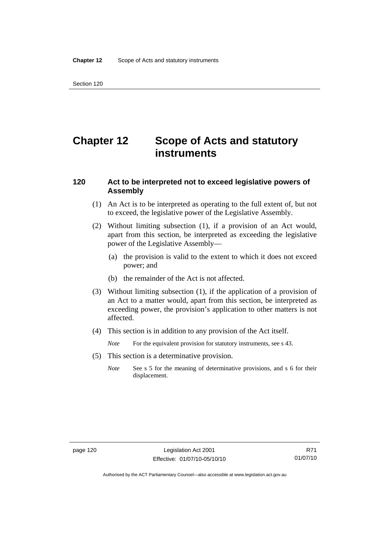# **Chapter 12 Scope of Acts and statutory instruments**

### **120 Act to be interpreted not to exceed legislative powers of Assembly**

- (1) An Act is to be interpreted as operating to the full extent of, but not to exceed, the legislative power of the Legislative Assembly.
- (2) Without limiting subsection (1), if a provision of an Act would, apart from this section, be interpreted as exceeding the legislative power of the Legislative Assembly—
	- (a) the provision is valid to the extent to which it does not exceed power; and
	- (b) the remainder of the Act is not affected.
- (3) Without limiting subsection (1), if the application of a provision of an Act to a matter would, apart from this section, be interpreted as exceeding power, the provision's application to other matters is not affected.
- (4) This section is in addition to any provision of the Act itself.
	- *Note* For the equivalent provision for statutory instruments, see s 43.
- (5) This section is a determinative provision.
	- *Note* See s 5 for the meaning of determinative provisions, and s 6 for their displacement.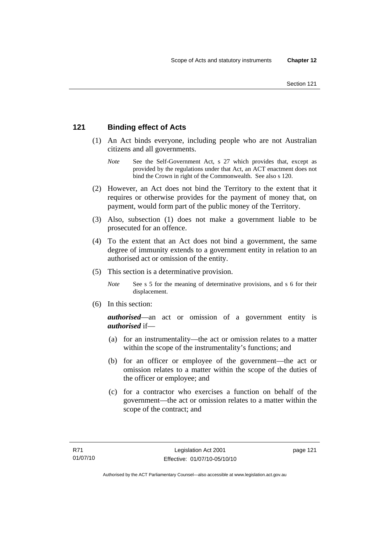## **121 Binding effect of Acts**

- (1) An Act binds everyone, including people who are not Australian citizens and all governments.
	- *Note* See the Self-Government Act, s 27 which provides that, except as provided by the regulations under that Act, an ACT enactment does not bind the Crown in right of the Commonwealth. See also s 120.
- (2) However, an Act does not bind the Territory to the extent that it requires or otherwise provides for the payment of money that, on payment, would form part of the public money of the Territory.
- (3) Also, subsection (1) does not make a government liable to be prosecuted for an offence.
- (4) To the extent that an Act does not bind a government, the same degree of immunity extends to a government entity in relation to an authorised act or omission of the entity.
- (5) This section is a determinative provision.
	- *Note* See s 5 for the meaning of determinative provisions, and s 6 for their displacement.
- (6) In this section:

*authorised*—an act or omission of a government entity is *authorised* if—

- (a) for an instrumentality—the act or omission relates to a matter within the scope of the instrumentality's functions; and
- (b) for an officer or employee of the government—the act or omission relates to a matter within the scope of the duties of the officer or employee; and
- (c) for a contractor who exercises a function on behalf of the government—the act or omission relates to a matter within the scope of the contract; and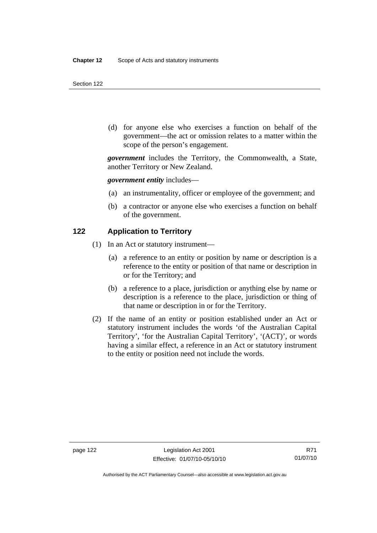(d) for anyone else who exercises a function on behalf of the government—the act or omission relates to a matter within the scope of the person's engagement.

*government* includes the Territory, the Commonwealth, a State, another Territory or New Zealand.

*government entity* includes—

- (a) an instrumentality, officer or employee of the government; and
- (b) a contractor or anyone else who exercises a function on behalf of the government.

#### **122 Application to Territory**

- (1) In an Act or statutory instrument—
	- (a) a reference to an entity or position by name or description is a reference to the entity or position of that name or description in or for the Territory; and
	- (b) a reference to a place, jurisdiction or anything else by name or description is a reference to the place, jurisdiction or thing of that name or description in or for the Territory.
- (2) If the name of an entity or position established under an Act or statutory instrument includes the words 'of the Australian Capital Territory', 'for the Australian Capital Territory', '(ACT)', or words having a similar effect, a reference in an Act or statutory instrument to the entity or position need not include the words.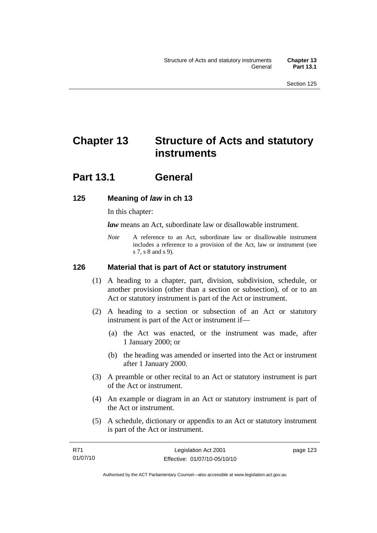# **Chapter 13 Structure of Acts and statutory instruments**

## **Part 13.1 General**

## **125 Meaning of** *law* **in ch 13**

In this chapter:

*law* means an Act, subordinate law or disallowable instrument.

*Note* A reference to an Act, subordinate law or disallowable instrument includes a reference to a provision of the Act, law or instrument (see s 7, s 8 and s 9).

## **126 Material that is part of Act or statutory instrument**

- (1) A heading to a chapter, part, division, subdivision, schedule, or another provision (other than a section or subsection), of or to an Act or statutory instrument is part of the Act or instrument.
- (2) A heading to a section or subsection of an Act or statutory instrument is part of the Act or instrument if—
	- (a) the Act was enacted, or the instrument was made, after 1 January 2000; or
	- (b) the heading was amended or inserted into the Act or instrument after 1 January 2000.
- (3) A preamble or other recital to an Act or statutory instrument is part of the Act or instrument.
- (4) An example or diagram in an Act or statutory instrument is part of the Act or instrument.
- (5) A schedule, dictionary or appendix to an Act or statutory instrument is part of the Act or instrument.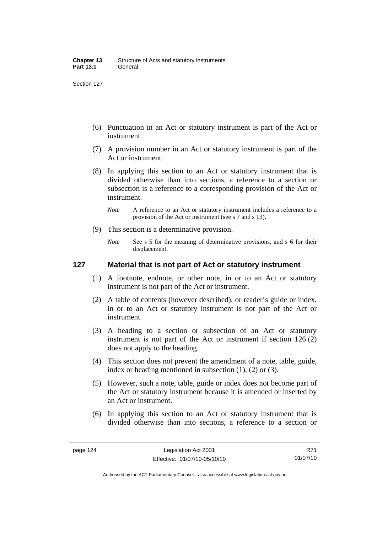- (6) Punctuation in an Act or statutory instrument is part of the Act or instrument.
- (7) A provision number in an Act or statutory instrument is part of the Act or instrument.
- (8) In applying this section to an Act or statutory instrument that is divided otherwise than into sections, a reference to a section or subsection is a reference to a corresponding provision of the Act or instrument.
	- *Note* A reference to an Act or statutory instrument includes a reference to a provision of the Act or instrument (see s 7 and s 13).
- (9) This section is a determinative provision.
	- *Note* See s 5 for the meaning of determinative provisions, and s 6 for their displacement.

### **127 Material that is not part of Act or statutory instrument**

- (1) A footnote, endnote, or other note, in or to an Act or statutory instrument is not part of the Act or instrument.
- (2) A table of contents (however described), or reader's guide or index, in or to an Act or statutory instrument is not part of the Act or instrument.
- (3) A heading to a section or subsection of an Act or statutory instrument is not part of the Act or instrument if section 126 (2) does not apply to the heading.
- (4) This section does not prevent the amendment of a note, table, guide, index or heading mentioned in subsection (1), (2) or (3).
- (5) However, such a note, table, guide or index does not become part of the Act or statutory instrument because it is amended or inserted by an Act or instrument.
- (6) In applying this section to an Act or statutory instrument that is divided otherwise than into sections, a reference to a section or

R71 01/07/10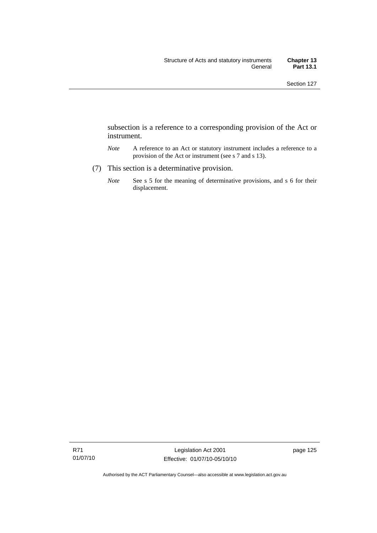subsection is a reference to a corresponding provision of the Act or instrument.

- *Note* A reference to an Act or statutory instrument includes a reference to a provision of the Act or instrument (see s 7 and s 13).
- (7) This section is a determinative provision.
	- *Note* See s 5 for the meaning of determinative provisions, and s 6 for their displacement.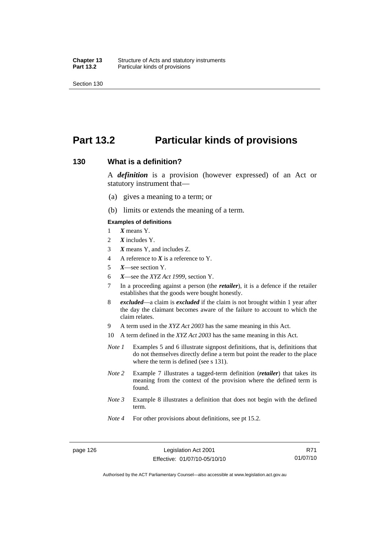## **Part 13.2 Particular kinds of provisions**

#### **130 What is a definition?**

A *definition* is a provision (however expressed) of an Act or statutory instrument that—

- (a) gives a meaning to a term; or
- (b) limits or extends the meaning of a term.

#### **Examples of definitions**

- 1 *X* means Y.
- 2 *X* includes Y.
- 3 *X* means Y, and includes Z.
- 4 A reference to *X* is a reference to Y.
- 5 *X*—see section Y.
- 6 *X*—see the *XYZ Act 1999*, section Y.
- 7 In a proceeding against a person (the *retailer*), it is a defence if the retailer establishes that the goods were bought honestly.
- 8 *excluded*—a claim is *excluded* if the claim is not brought within 1 year after the day the claimant becomes aware of the failure to account to which the claim relates.
- 9 A term used in the *XYZ Act 2003* has the same meaning in this Act.
- 10 A term defined in the *XYZ Act 2003* has the same meaning in this Act.
- *Note 1* Examples 5 and 6 illustrate signpost definitions, that is, definitions that do not themselves directly define a term but point the reader to the place where the term is defined (see s 131).
- *Note 2* Example 7 illustrates a tagged-term definition (*retailer*) that takes its meaning from the context of the provision where the defined term is found.
- *Note 3* Example 8 illustrates a definition that does not begin with the defined term.
- *Note 4* For other provisions about definitions, see pt 15.2.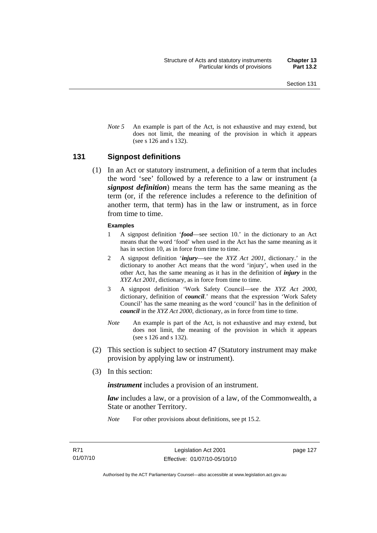*Note* 5 An example is part of the Act, is not exhaustive and may extend, but does not limit, the meaning of the provision in which it appears (see s 126 and s 132).

#### **131 Signpost definitions**

 (1) In an Act or statutory instrument, a definition of a term that includes the word 'see' followed by a reference to a law or instrument (a *signpost definition*) means the term has the same meaning as the term (or, if the reference includes a reference to the definition of another term, that term) has in the law or instrument, as in force from time to time.

#### **Examples**

- 1 A signpost definition '*food*—see section 10.' in the dictionary to an Act means that the word 'food' when used in the Act has the same meaning as it has in section 10, as in force from time to time.
- 2 A signpost definition '*injury*—see the *XYZ Act 2001*, dictionary.' in the dictionary to another Act means that the word 'injury', when used in the other Act, has the same meaning as it has in the definition of *injury* in the *XYZ Act 2001*, dictionary, as in force from time to time.
- 3 A signpost definition 'Work Safety Council—see the *XYZ Act 2000*, dictionary, definition of *council*.' means that the expression 'Work Safety Council' has the same meaning as the word 'council' has in the definition of *council* in the *XYZ Act 2000*, dictionary, as in force from time to time.
- *Note* An example is part of the Act, is not exhaustive and may extend, but does not limit, the meaning of the provision in which it appears (see s 126 and s 132).
- (2) This section is subject to section 47 (Statutory instrument may make provision by applying law or instrument).
- (3) In this section:

*instrument* includes a provision of an instrument.

*law* includes a law, or a provision of a law, of the Commonwealth, a State or another Territory.

*Note* For other provisions about definitions, see pt 15.2.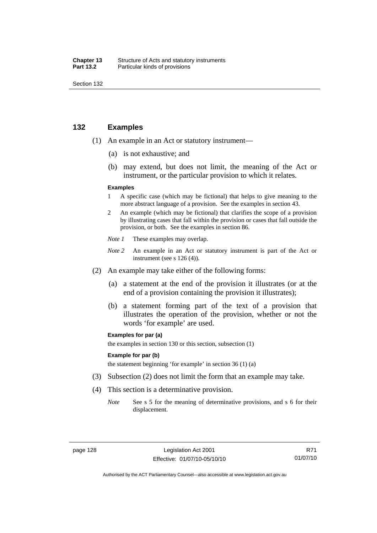| Chapter 13       | Structure of Acts and statutory instruments |
|------------------|---------------------------------------------|
| <b>Part 13.2</b> | Particular kinds of provisions              |

## **132 Examples**

- (1) An example in an Act or statutory instrument—
	- (a) is not exhaustive; and
	- (b) may extend, but does not limit, the meaning of the Act or instrument, or the particular provision to which it relates.

#### **Examples**

- 1 A specific case (which may be fictional) that helps to give meaning to the more abstract language of a provision. See the examples in section 43.
- 2 An example (which may be fictional) that clarifies the scope of a provision by illustrating cases that fall within the provision or cases that fall outside the provision, or both. See the examples in section 86.
- *Note 1* These examples may overlap.
- *Note* 2 An example in an Act or statutory instrument is part of the Act or instrument (see s 126 (4)).
- (2) An example may take either of the following forms:
	- (a) a statement at the end of the provision it illustrates (or at the end of a provision containing the provision it illustrates);
	- (b) a statement forming part of the text of a provision that illustrates the operation of the provision, whether or not the words 'for example' are used.

#### **Examples for par (a)**

the examples in section 130 or this section, subsection (1)

#### **Example for par (b)**

the statement beginning 'for example' in section 36 (1) (a)

- (3) Subsection (2) does not limit the form that an example may take.
- (4) This section is a determinative provision.
	- *Note* See s 5 for the meaning of determinative provisions, and s 6 for their displacement.

R71 01/07/10

Authorised by the ACT Parliamentary Counsel—also accessible at www.legislation.act.gov.au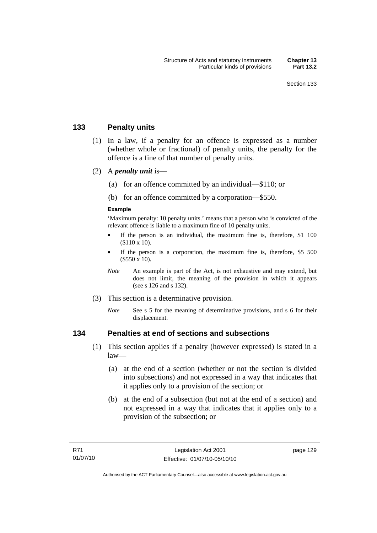## **133 Penalty units**

- (1) In a law, if a penalty for an offence is expressed as a number (whether whole or fractional) of penalty units, the penalty for the offence is a fine of that number of penalty units.
- (2) A *penalty unit* is—
	- (a) for an offence committed by an individual—\$110; or
	- (b) for an offence committed by a corporation—\$550.

#### **Example**

'Maximum penalty: 10 penalty units.' means that a person who is convicted of the relevant offence is liable to a maximum fine of 10 penalty units.

- If the person is an individual, the maximum fine is, therefore, \$1 100 (\$110 x 10).
- If the person is a corporation, the maximum fine is, therefore, \$5 500 (\$550 x 10).
- *Note* An example is part of the Act, is not exhaustive and may extend, but does not limit, the meaning of the provision in which it appears (see s 126 and s 132).
- (3) This section is a determinative provision.
	- *Note* See s 5 for the meaning of determinative provisions, and s 6 for their displacement.

## **134 Penalties at end of sections and subsections**

- (1) This section applies if a penalty (however expressed) is stated in a law—
	- (a) at the end of a section (whether or not the section is divided into subsections) and not expressed in a way that indicates that it applies only to a provision of the section; or
	- (b) at the end of a subsection (but not at the end of a section) and not expressed in a way that indicates that it applies only to a provision of the subsection; or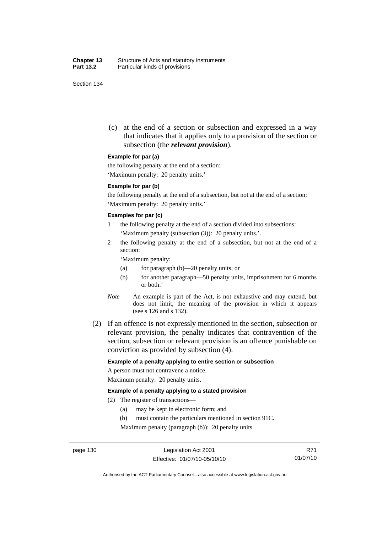(c) at the end of a section or subsection and expressed in a way that indicates that it applies only to a provision of the section or subsection (the *relevant provision*).

#### **Example for par (a)**

the following penalty at the end of a section:

'Maximum penalty: 20 penalty units.'

#### **Example for par (b)**

the following penalty at the end of a subsection, but not at the end of a section: 'Maximum penalty: 20 penalty units.'

#### **Examples for par (c)**

- 1 the following penalty at the end of a section divided into subsections: 'Maximum penalty (subsection (3)): 20 penalty units.'.
- 2 the following penalty at the end of a subsection, but not at the end of a section:

'Maximum penalty:

- (a) for paragraph (b)—20 penalty units; or
- (b) for another paragraph—50 penalty units, imprisonment for 6 months or both.'
- *Note* An example is part of the Act, is not exhaustive and may extend, but does not limit, the meaning of the provision in which it appears (see s 126 and s 132).
- (2) If an offence is not expressly mentioned in the section, subsection or relevant provision, the penalty indicates that contravention of the section, subsection or relevant provision is an offence punishable on conviction as provided by subsection (4).

#### **Example of a penalty applying to entire section or subsection**

A person must not contravene a notice. Maximum penalty: 20 penalty units.

#### **Example of a penalty applying to a stated provision**

- (2) The register of transactions—
	- (a) may be kept in electronic form; and
	- (b) must contain the particulars mentioned in section 91C.

Maximum penalty (paragraph (b)): 20 penalty units.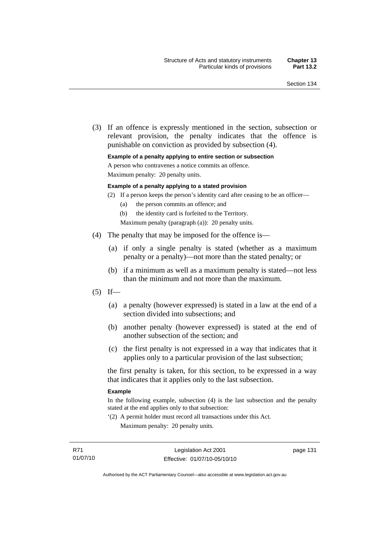(3) If an offence is expressly mentioned in the section, subsection or relevant provision, the penalty indicates that the offence is punishable on conviction as provided by subsection (4).

#### **Example of a penalty applying to entire section or subsection**

A person who contravenes a notice commits an offence.

Maximum penalty: 20 penalty units.

#### **Example of a penalty applying to a stated provision**

- (2) If a person keeps the person's identity card after ceasing to be an officer—
	- (a) the person commits an offence; and
	- (b) the identity card is forfeited to the Territory.

Maximum penalty (paragraph (a)): 20 penalty units.

- (4) The penalty that may be imposed for the offence is—
	- (a) if only a single penalty is stated (whether as a maximum penalty or a penalty)—not more than the stated penalty; or
	- (b) if a minimum as well as a maximum penalty is stated—not less than the minimum and not more than the maximum.
- $(5)$  If—
	- (a) a penalty (however expressed) is stated in a law at the end of a section divided into subsections; and
	- (b) another penalty (however expressed) is stated at the end of another subsection of the section; and
	- (c) the first penalty is not expressed in a way that indicates that it applies only to a particular provision of the last subsection;

the first penalty is taken, for this section, to be expressed in a way that indicates that it applies only to the last subsection.

#### **Example**

In the following example, subsection (4) is the last subsection and the penalty stated at the end applies only to that subsection:

'(2) A permit holder must record all transactions under this Act. Maximum penalty: 20 penalty units.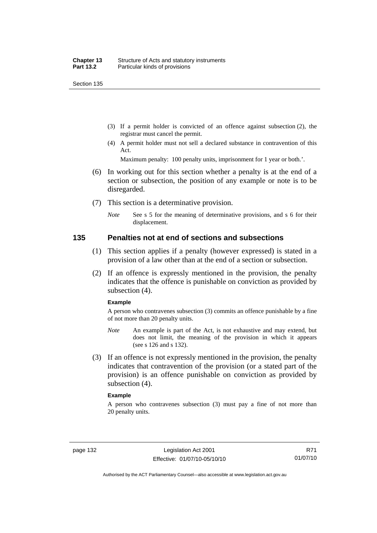- (3) If a permit holder is convicted of an offence against subsection (2), the registrar must cancel the permit.
- (4) A permit holder must not sell a declared substance in contravention of this Act.

Maximum penalty: 100 penalty units, imprisonment for 1 year or both.'.

- (6) In working out for this section whether a penalty is at the end of a section or subsection, the position of any example or note is to be disregarded.
- (7) This section is a determinative provision.
	- *Note* See s 5 for the meaning of determinative provisions, and s 6 for their displacement.

#### **135 Penalties not at end of sections and subsections**

- (1) This section applies if a penalty (however expressed) is stated in a provision of a law other than at the end of a section or subsection.
- (2) If an offence is expressly mentioned in the provision, the penalty indicates that the offence is punishable on conviction as provided by subsection (4).

#### **Example**

A person who contravenes subsection (3) commits an offence punishable by a fine of not more than 20 penalty units.

- *Note* An example is part of the Act, is not exhaustive and may extend, but does not limit, the meaning of the provision in which it appears (see s 126 and s 132).
- (3) If an offence is not expressly mentioned in the provision, the penalty indicates that contravention of the provision (or a stated part of the provision) is an offence punishable on conviction as provided by subsection (4).

#### **Example**

A person who contravenes subsection (3) must pay a fine of not more than 20 penalty units.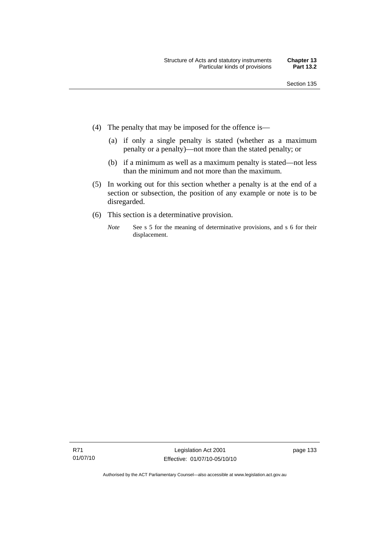- (4) The penalty that may be imposed for the offence is—
	- (a) if only a single penalty is stated (whether as a maximum penalty or a penalty)—not more than the stated penalty; or
	- (b) if a minimum as well as a maximum penalty is stated—not less than the minimum and not more than the maximum.
- (5) In working out for this section whether a penalty is at the end of a section or subsection, the position of any example or note is to be disregarded.
- (6) This section is a determinative provision.
	- *Note* See s 5 for the meaning of determinative provisions, and s 6 for their displacement.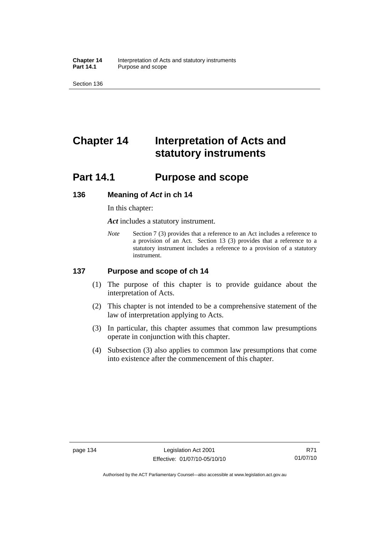**Chapter 14** Interpretation of Acts and statutory instruments<br>**Part 14.1** Purpose and scope Purpose and scope

Section 136

# **Chapter 14 Interpretation of Acts and statutory instruments**

## **Part 14.1 Purpose and scope**

#### **136 Meaning of** *Act* **in ch 14**

In this chapter:

*Act* includes a statutory instrument.

*Note* Section 7 (3) provides that a reference to an Act includes a reference to a provision of an Act. Section 13 (3) provides that a reference to a statutory instrument includes a reference to a provision of a statutory instrument.

## **137 Purpose and scope of ch 14**

- (1) The purpose of this chapter is to provide guidance about the interpretation of Acts.
- (2) This chapter is not intended to be a comprehensive statement of the law of interpretation applying to Acts.
- (3) In particular, this chapter assumes that common law presumptions operate in conjunction with this chapter.
- (4) Subsection (3) also applies to common law presumptions that come into existence after the commencement of this chapter.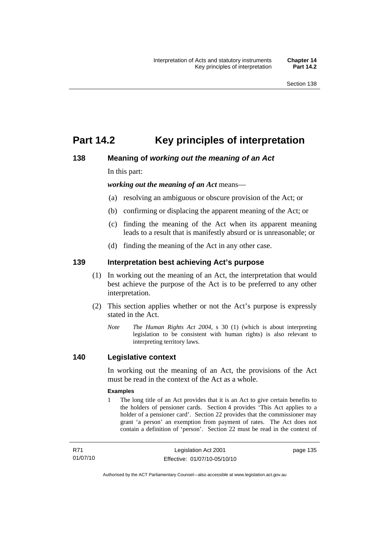## **Part 14.2 Key principles of interpretation**

## **138 Meaning of** *working out the meaning of an Act*

In this part:

*working out the meaning of an Act* means—

- (a) resolving an ambiguous or obscure provision of the Act; or
- (b) confirming or displacing the apparent meaning of the Act; or
- (c) finding the meaning of the Act when its apparent meaning leads to a result that is manifestly absurd or is unreasonable; or
- (d) finding the meaning of the Act in any other case.

## **139 Interpretation best achieving Act's purpose**

- (1) In working out the meaning of an Act, the interpretation that would best achieve the purpose of the Act is to be preferred to any other interpretation.
- (2) This section applies whether or not the Act's purpose is expressly stated in the Act.
	- *Note T*he *Human Rights Act 2004*, s 30 (1) (which is about interpreting legislation to be consistent with human rights) is also relevant to interpreting territory laws.

## **140 Legislative context**

In working out the meaning of an Act, the provisions of the Act must be read in the context of the Act as a whole.

#### **Examples**

1 The long title of an Act provides that it is an Act to give certain benefits to the holders of pensioner cards. Section 4 provides 'This Act applies to a holder of a pensioner card'. Section 22 provides that the commissioner may grant 'a person' an exemption from payment of rates. The Act does not contain a definition of 'person'. Section 22 must be read in the context of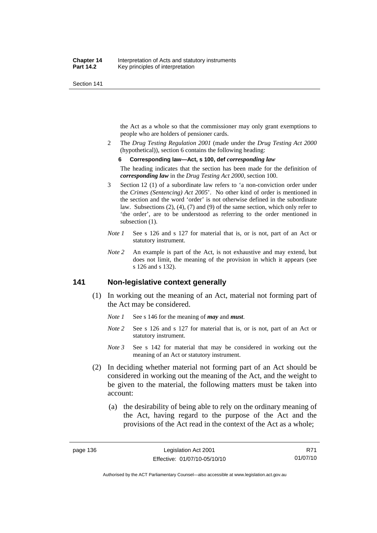the Act as a whole so that the commissioner may only grant exemptions to people who are holders of pensioner cards.

2 The *Drug Testing Regulation 2001* (made under the *Drug Testing Act 2000* (hypothetical)), section 6 contains the following heading:

#### **6 Corresponding law—Act, s 100, def** *corresponding law*

The heading indicates that the section has been made for the definition of *corresponding law* in the *Drug Testing Act 2000*, section 100.

- 3 Section 12 (1) of a subordinate law refers to 'a non-conviction order under the *Crimes (Sentencing) Act 2005*'. No other kind of order is mentioned in the section and the word 'order' is not otherwise defined in the subordinate law. Subsections (2), (4), (7) and (9) of the same section, which only refer to 'the order', are to be understood as referring to the order mentioned in subsection  $(1)$ .
- *Note 1* See s 126 and s 127 for material that is, or is not, part of an Act or statutory instrument.
- *Note 2* An example is part of the Act, is not exhaustive and may extend, but does not limit, the meaning of the provision in which it appears (see s 126 and s 132).

## **141 Non-legislative context generally**

- (1) In working out the meaning of an Act, material not forming part of the Act may be considered.
	- *Note 1* See s 146 for the meaning of *may* and *must*.
	- *Note* 2 See s 126 and s 127 for material that is, or is not, part of an Act or statutory instrument.
	- *Note 3* See s 142 for material that may be considered in working out the meaning of an Act or statutory instrument.
- (2) In deciding whether material not forming part of an Act should be considered in working out the meaning of the Act, and the weight to be given to the material, the following matters must be taken into account:
	- (a) the desirability of being able to rely on the ordinary meaning of the Act, having regard to the purpose of the Act and the provisions of the Act read in the context of the Act as a whole;

R71 01/07/10

Authorised by the ACT Parliamentary Counsel—also accessible at www.legislation.act.gov.au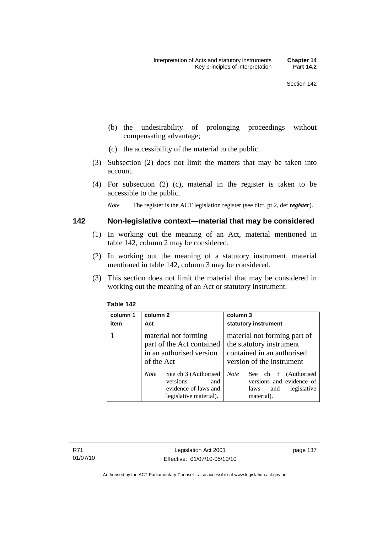- (b) the undesirability of prolonging proceedings without compensating advantage;
- (c) the accessibility of the material to the public.
- (3) Subsection (2) does not limit the matters that may be taken into account.
- (4) For subsection (2) (c), material in the register is taken to be accessible to the public.

*Note* The register is the ACT legislation register (see dict, pt 2, def *register*).

#### **142 Non-legislative context—material that may be considered**

- (1) In working out the meaning of an Act, material mentioned in table 142, column 2 may be considered.
- (2) In working out the meaning of a statutory instrument, material mentioned in table 142, column 3 may be considered.
- (3) This section does not limit the material that may be considered in working out the meaning of an Act or statutory instrument.

| column 1<br>item | column 2<br>Act                                                                                                                    | column 3<br>statutory instrument                                                                                                                           |
|------------------|------------------------------------------------------------------------------------------------------------------------------------|------------------------------------------------------------------------------------------------------------------------------------------------------------|
|                  | material not forming<br>part of the Act contained<br>in an authorised version<br>of the Act<br>See ch 3 (Authorised<br><b>Note</b> | material not forming part of<br>the statutory instrument<br>contained in an authorised<br>version of the instrument<br><b>Note</b><br>See ch 3 (Authorised |
|                  | versions<br>and<br>evidence of laws and<br>legislative material).                                                                  | versions and evidence of<br>legislative<br>laws<br>and<br>material).                                                                                       |

#### **Table 142**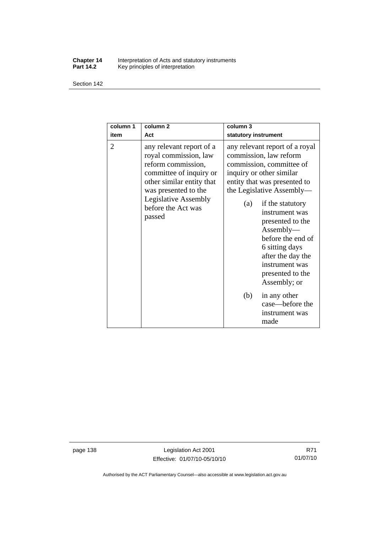#### **Chapter 14** Interpretation of Acts and statutory instruments **Part 14.2** Key principles of interpretation

Section 142

| column 1<br>item | column <sub>2</sub><br>Act                                                                                                                                                                                             | column 3<br>statutory instrument                                                                                                                                                                                                                                                                                                                                              |
|------------------|------------------------------------------------------------------------------------------------------------------------------------------------------------------------------------------------------------------------|-------------------------------------------------------------------------------------------------------------------------------------------------------------------------------------------------------------------------------------------------------------------------------------------------------------------------------------------------------------------------------|
| 2                | any relevant report of a<br>royal commission, law<br>reform commission,<br>committee of inquiry or<br>other similar entity that<br>was presented to the<br><b>Legislative Assembly</b><br>before the Act was<br>passed | any relevant report of a royal<br>commission, law reform<br>commission, committee of<br>inquiry or other similar<br>entity that was presented to<br>the Legislative Assembly—<br>if the statutory<br>(a)<br>instrument was<br>presented to the<br>Assently—<br>before the end of<br>6 sitting days<br>after the day the<br>instrument was<br>presented to the<br>Assembly; or |
|                  |                                                                                                                                                                                                                        | (b)<br>in any other<br>case—before the<br>instrument was<br>made                                                                                                                                                                                                                                                                                                              |

page 138 Legislation Act 2001 Effective: 01/07/10-05/10/10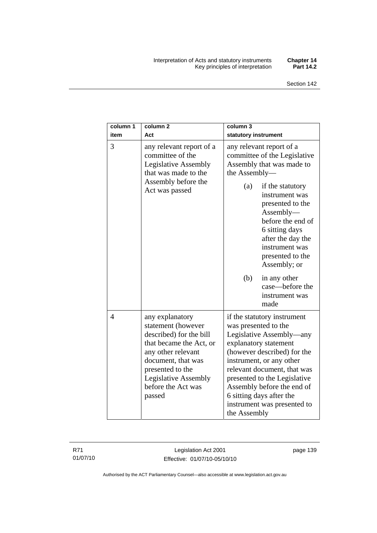#### Interpretation of Acts and statutory instruments **Chapter 14**  Key principles of interpretation **Part 14.2**

| column 1<br>item | column <sub>2</sub><br>Act                                                                                                                                                                                                 | column 3<br>statutory instrument                                                                                                                                                                                                                                                                                                            |
|------------------|----------------------------------------------------------------------------------------------------------------------------------------------------------------------------------------------------------------------------|---------------------------------------------------------------------------------------------------------------------------------------------------------------------------------------------------------------------------------------------------------------------------------------------------------------------------------------------|
| 3                | any relevant report of a<br>committee of the<br>Legislative Assembly<br>that was made to the<br>Assembly before the<br>Act was passed                                                                                      | any relevant report of a<br>committee of the Legislative<br>Assembly that was made to<br>the Assembly-                                                                                                                                                                                                                                      |
|                  |                                                                                                                                                                                                                            | if the statutory<br>(a)<br>instrument was<br>presented to the<br>$\text{Assembly}\text{---}$<br>before the end of<br>6 sitting days<br>after the day the<br>instrument was<br>presented to the<br>Assembly; or                                                                                                                              |
|                  |                                                                                                                                                                                                                            | (b)<br>in any other<br>case-before the<br>instrument was<br>made                                                                                                                                                                                                                                                                            |
| $\overline{4}$   | any explanatory<br>statement (however<br>described) for the bill<br>that became the Act, or<br>any other relevant<br>document, that was<br>presented to the<br><b>Legislative Assembly</b><br>before the Act was<br>passed | if the statutory instrument<br>was presented to the<br>Legislative Assembly—any<br>explanatory statement<br>(however described) for the<br>instrument, or any other<br>relevant document, that was<br>presented to the Legislative<br>Assembly before the end of<br>6 sitting days after the<br>instrument was presented to<br>the Assembly |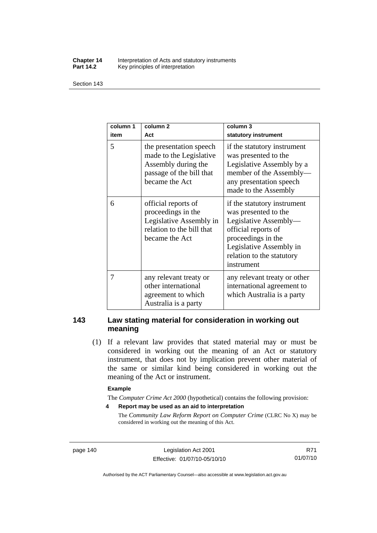#### **Chapter 14** Interpretation of Acts and statutory instruments<br>**Part 14.2** Key principles of interpretation Key principles of interpretation

Section 143

| column 1<br>item | column <sub>2</sub><br>Act                                                                                              | column 3<br>statutory instrument                                                                                                                                                                |
|------------------|-------------------------------------------------------------------------------------------------------------------------|-------------------------------------------------------------------------------------------------------------------------------------------------------------------------------------------------|
| 5                | the presentation speech<br>made to the Legislative<br>Assembly during the<br>passage of the bill that<br>became the Act | if the statutory instrument<br>was presented to the<br>Legislative Assembly by a<br>member of the Assembly-<br>any presentation speech<br>made to the Assembly                                  |
| 6                | official reports of<br>proceedings in the<br>Legislative Assembly in<br>relation to the bill that<br>became the Act     | if the statutory instrument<br>was presented to the<br>Legislative Assembly-<br>official reports of<br>proceedings in the<br>Legislative Assembly in<br>relation to the statutory<br>instrument |
| 7                | any relevant treaty or<br>other international<br>agreement to which<br>Australia is a party                             | any relevant treaty or other<br>international agreement to<br>which Australia is a party                                                                                                        |

## **143 Law stating material for consideration in working out meaning**

 (1) If a relevant law provides that stated material may or must be considered in working out the meaning of an Act or statutory instrument, that does not by implication prevent other material of the same or similar kind being considered in working out the meaning of the Act or instrument.

#### **Example**

The *Computer Crime Act 2000* (hypothetical) contains the following provision:

**4 Report may be used as an aid to interpretation** 

The *Community Law Reform Report on Computer Crime* (CLRC No X) may be considered in working out the meaning of this Act.

page 140 Legislation Act 2001 Effective: 01/07/10-05/10/10

R71 01/07/10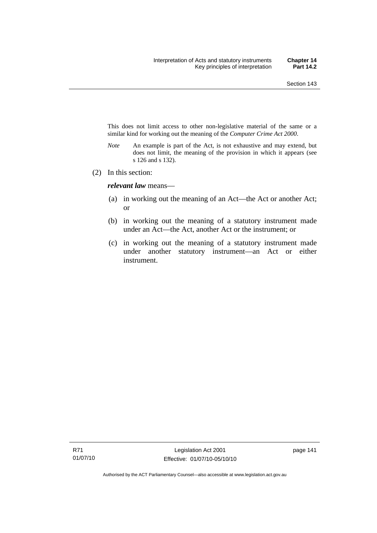This does not limit access to other non-legislative material of the same or a similar kind for working out the meaning of the *Computer Crime Act 2000*.

- *Note* An example is part of the Act, is not exhaustive and may extend, but does not limit, the meaning of the provision in which it appears (see s 126 and s 132).
- (2) In this section:

*relevant law* means—

- (a) in working out the meaning of an Act—the Act or another Act; or
- (b) in working out the meaning of a statutory instrument made under an Act—the Act, another Act or the instrument; or
- (c) in working out the meaning of a statutory instrument made under another statutory instrument—an Act or either instrument.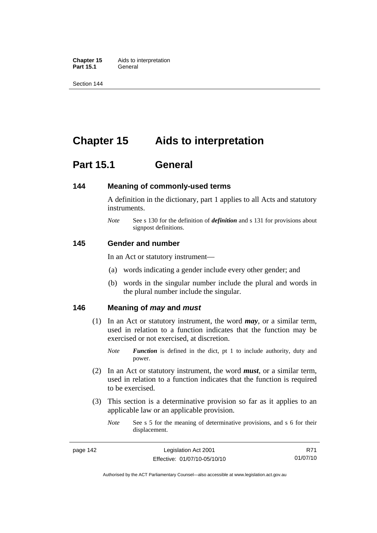**Chapter 15** Aids to interpretation **Part 15.1** General

Section 144

## **Chapter 15 Aids to interpretation**

## **Part 15.1 General**

#### **144 Meaning of commonly-used terms**

A definition in the dictionary, part 1 applies to all Acts and statutory instruments.

*Note* See s 130 for the definition of *definition* and s 131 for provisions about signpost definitions.

#### **145 Gender and number**

In an Act or statutory instrument—

- (a) words indicating a gender include every other gender; and
- (b) words in the singular number include the plural and words in the plural number include the singular.

#### **146 Meaning of** *may* **and** *must*

- (1) In an Act or statutory instrument, the word *may*, or a similar term, used in relation to a function indicates that the function may be exercised or not exercised, at discretion.
	- *Note Function* is defined in the dict, pt 1 to include authority, duty and power.
- (2) In an Act or statutory instrument, the word *must*, or a similar term, used in relation to a function indicates that the function is required to be exercised.
- (3) This section is a determinative provision so far as it applies to an applicable law or an applicable provision.
	- *Note* See s 5 for the meaning of determinative provisions, and s 6 for their displacement.

R71 01/07/10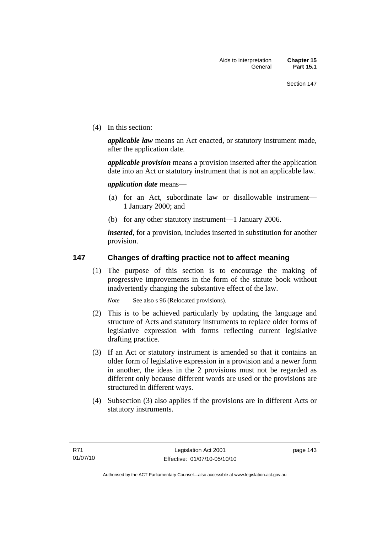(4) In this section:

*applicable law* means an Act enacted, or statutory instrument made, after the application date.

*applicable provision* means a provision inserted after the application date into an Act or statutory instrument that is not an applicable law.

*application date* means—

- (a) for an Act, subordinate law or disallowable instrument— 1 January 2000; and
- (b) for any other statutory instrument—1 January 2006.

*inserted*, for a provision, includes inserted in substitution for another provision.

## **147 Changes of drafting practice not to affect meaning**

 (1) The purpose of this section is to encourage the making of progressive improvements in the form of the statute book without inadvertently changing the substantive effect of the law.

*Note* See also s 96 (Relocated provisions).

- (2) This is to be achieved particularly by updating the language and structure of Acts and statutory instruments to replace older forms of legislative expression with forms reflecting current legislative drafting practice.
- (3) If an Act or statutory instrument is amended so that it contains an older form of legislative expression in a provision and a newer form in another, the ideas in the 2 provisions must not be regarded as different only because different words are used or the provisions are structured in different ways.
- (4) Subsection (3) also applies if the provisions are in different Acts or statutory instruments.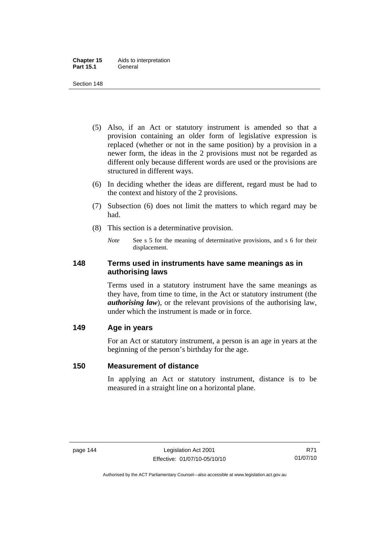- (5) Also, if an Act or statutory instrument is amended so that a provision containing an older form of legislative expression is replaced (whether or not in the same position) by a provision in a newer form, the ideas in the 2 provisions must not be regarded as different only because different words are used or the provisions are structured in different ways.
- (6) In deciding whether the ideas are different, regard must be had to the context and history of the 2 provisions.
- (7) Subsection (6) does not limit the matters to which regard may be had.
- (8) This section is a determinative provision.
	- *Note* See s 5 for the meaning of determinative provisions, and s 6 for their displacement.

## **148 Terms used in instruments have same meanings as in authorising laws**

Terms used in a statutory instrument have the same meanings as they have, from time to time, in the Act or statutory instrument (the *authorising law*), or the relevant provisions of the authorising law, under which the instrument is made or in force.

## **149 Age in years**

For an Act or statutory instrument, a person is an age in years at the beginning of the person's birthday for the age.

## **150 Measurement of distance**

In applying an Act or statutory instrument, distance is to be measured in a straight line on a horizontal plane.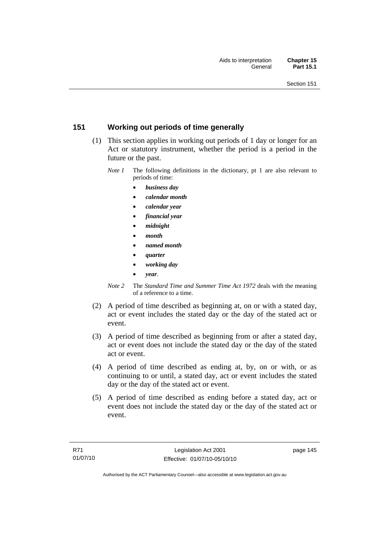## **151 Working out periods of time generally**

- (1) This section applies in working out periods of 1 day or longer for an Act or statutory instrument, whether the period is a period in the future or the past.
	- *Note 1* The following definitions in the dictionary, pt 1 are also relevant to periods of time:
		- *business day*
		- *calendar month*
		- *calendar year*
		- *financial year*
		- *midnight*
		- *month*
		- *named month*
		- *quarter*
		- *working day*
		- *year*.
	- *Note 2* The *Standard Time and Summer Time Act 1972* deals with the meaning of a reference to a time.
- (2) A period of time described as beginning at, on or with a stated day, act or event includes the stated day or the day of the stated act or event.
- (3) A period of time described as beginning from or after a stated day, act or event does not include the stated day or the day of the stated act or event.
- (4) A period of time described as ending at, by, on or with, or as continuing to or until, a stated day, act or event includes the stated day or the day of the stated act or event.
- (5) A period of time described as ending before a stated day, act or event does not include the stated day or the day of the stated act or event.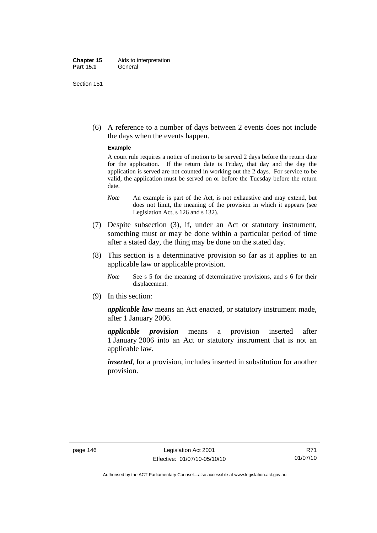#### **Chapter 15** Aids to interpretation **Part 15.1** General

Section 151

 (6) A reference to a number of days between 2 events does not include the days when the events happen.

#### **Example**

A court rule requires a notice of motion to be served 2 days before the return date for the application. If the return date is Friday, that day and the day the application is served are not counted in working out the 2 days. For service to be valid, the application must be served on or before the Tuesday before the return date.

- *Note* An example is part of the Act, is not exhaustive and may extend, but does not limit, the meaning of the provision in which it appears (see Legislation Act, s 126 and s 132).
- (7) Despite subsection (3), if, under an Act or statutory instrument, something must or may be done within a particular period of time after a stated day, the thing may be done on the stated day.
- (8) This section is a determinative provision so far as it applies to an applicable law or applicable provision.
	- *Note* See s 5 for the meaning of determinative provisions, and s 6 for their displacement.
- (9) In this section:

*applicable law* means an Act enacted, or statutory instrument made, after 1 January 2006.

*applicable provision* means a provision inserted after 1 January 2006 into an Act or statutory instrument that is not an applicable law.

*inserted*, for a provision, includes inserted in substitution for another provision.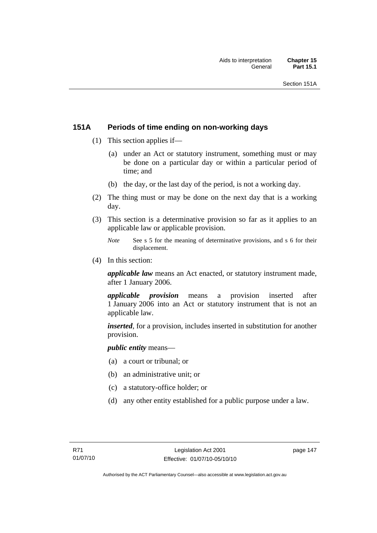## **151A Periods of time ending on non-working days**

- (1) This section applies if—
	- (a) under an Act or statutory instrument, something must or may be done on a particular day or within a particular period of time; and
	- (b) the day, or the last day of the period, is not a working day.
- (2) The thing must or may be done on the next day that is a working day.
- (3) This section is a determinative provision so far as it applies to an applicable law or applicable provision.
	- *Note* See s 5 for the meaning of determinative provisions, and s 6 for their displacement.
- (4) In this section:

*applicable law* means an Act enacted, or statutory instrument made, after 1 January 2006.

*applicable provision* means a provision inserted after 1 January 2006 into an Act or statutory instrument that is not an applicable law.

*inserted*, for a provision, includes inserted in substitution for another provision.

*public entity* means—

- (a) a court or tribunal; or
- (b) an administrative unit; or
- (c) a statutory-office holder; or
- (d) any other entity established for a public purpose under a law.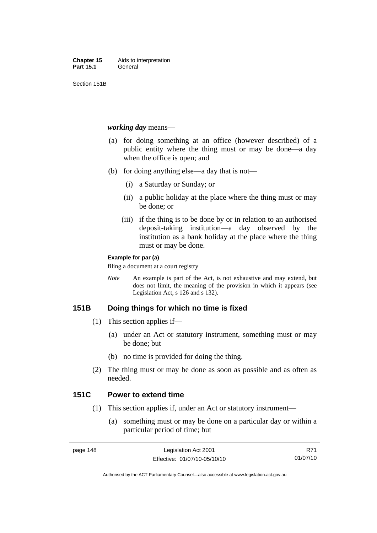Section 151B

#### *working day* means—

- (a) for doing something at an office (however described) of a public entity where the thing must or may be done—a day when the office is open; and
- (b) for doing anything else—a day that is not—
	- (i) a Saturday or Sunday; or
	- (ii) a public holiday at the place where the thing must or may be done; or
	- (iii) if the thing is to be done by or in relation to an authorised deposit-taking institution—a day observed by the institution as a bank holiday at the place where the thing must or may be done.

#### **Example for par (a)**

filing a document at a court registry

*Note* An example is part of the Act, is not exhaustive and may extend, but does not limit, the meaning of the provision in which it appears (see Legislation Act, s 126 and s 132).

## **151B Doing things for which no time is fixed**

- (1) This section applies if—
	- (a) under an Act or statutory instrument, something must or may be done; but
	- (b) no time is provided for doing the thing.
- (2) The thing must or may be done as soon as possible and as often as needed.

## **151C Power to extend time**

- (1) This section applies if, under an Act or statutory instrument—
	- (a) something must or may be done on a particular day or within a particular period of time; but

R71 01/07/10

Authorised by the ACT Parliamentary Counsel—also accessible at www.legislation.act.gov.au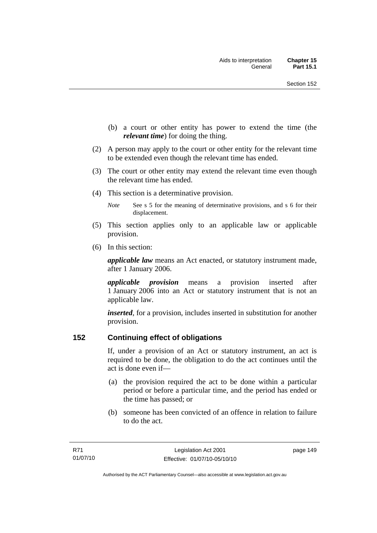- (b) a court or other entity has power to extend the time (the *relevant time*) for doing the thing.
- (2) A person may apply to the court or other entity for the relevant time to be extended even though the relevant time has ended.
- (3) The court or other entity may extend the relevant time even though the relevant time has ended.
- (4) This section is a determinative provision.
	- *Note* See s 5 for the meaning of determinative provisions, and s 6 for their displacement.
- (5) This section applies only to an applicable law or applicable provision.
- (6) In this section:

*applicable law* means an Act enacted, or statutory instrument made, after 1 January 2006.

*applicable provision* means a provision inserted after 1 January 2006 into an Act or statutory instrument that is not an applicable law.

*inserted*, for a provision, includes inserted in substitution for another provision.

## **152 Continuing effect of obligations**

If, under a provision of an Act or statutory instrument, an act is required to be done, the obligation to do the act continues until the act is done even if—

- (a) the provision required the act to be done within a particular period or before a particular time, and the period has ended or the time has passed; or
- (b) someone has been convicted of an offence in relation to failure to do the act.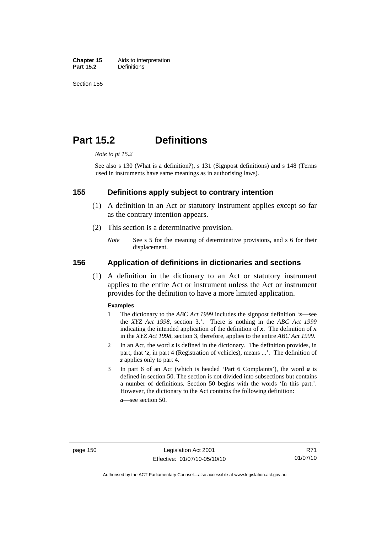**Chapter 15** Aids to interpretation<br>**Part 15.2** Definitions **Definitions** 

Section 155

## **Part 15.2 Definitions**

*Note to pt 15.2* 

See also s 130 (What is a definition?), s 131 (Signpost definitions) and s 148 (Terms used in instruments have same meanings as in authorising laws).

#### **155 Definitions apply subject to contrary intention**

- (1) A definition in an Act or statutory instrument applies except so far as the contrary intention appears.
- (2) This section is a determinative provision.
	- *Note* See s 5 for the meaning of determinative provisions, and s 6 for their displacement.

#### **156 Application of definitions in dictionaries and sections**

 (1) A definition in the dictionary to an Act or statutory instrument applies to the entire Act or instrument unless the Act or instrument provides for the definition to have a more limited application.

#### **Examples**

- 1 The dictionary to the *ABC Act 1999* includes the signpost definition '*x*—see the *XYZ Act 1998*, section 3.'. There is nothing in the *ABC Act 1999* indicating the intended application of the definition of  $x$ . The definition of  $x$ in the *XYZ Act 1998*, section 3, therefore, applies to the entire *ABC Act 1999*.
- 2 In an Act, the word *z* is defined in the dictionary. The definition provides, in part, that '*z*, in part 4 (Registration of vehicles), means ...'. The definition of *z* applies only to part 4.
- 3 In part 6 of an Act (which is headed 'Part 6 Complaints'), the word *a* is defined in section 50. The section is not divided into subsections but contains a number of definitions. Section 50 begins with the words 'In this part:'. However, the dictionary to the Act contains the following definition:

*a*—see section 50.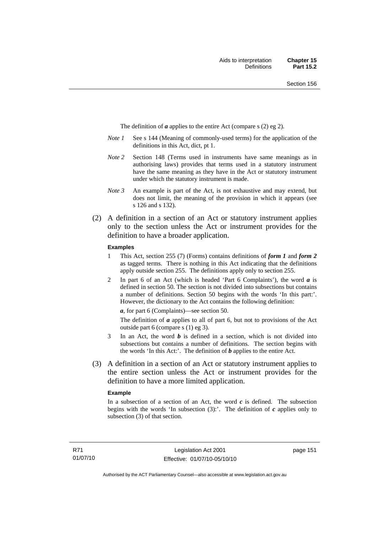The definition of *a* applies to the entire Act (compare s (2) eg 2).

- *Note 1* See s 144 (Meaning of commonly-used terms) for the application of the definitions in this Act, dict, pt 1.
- *Note 2* Section 148 (Terms used in instruments have same meanings as in authorising laws) provides that terms used in a statutory instrument have the same meaning as they have in the Act or statutory instrument under which the statutory instrument is made.
- *Note 3* An example is part of the Act, is not exhaustive and may extend, but does not limit, the meaning of the provision in which it appears (see s 126 and s 132).
- (2) A definition in a section of an Act or statutory instrument applies only to the section unless the Act or instrument provides for the definition to have a broader application.

#### **Examples**

- 1 This Act, section 255 (7) (Forms) contains definitions of *form 1* and *form 2* as tagged terms. There is nothing in this Act indicating that the definitions apply outside section 255. The definitions apply only to section 255.
- 2 In part 6 of an Act (which is headed 'Part 6 Complaints'), the word *a* is defined in section 50. The section is not divided into subsections but contains a number of definitions. Section 50 begins with the words 'In this part:'. However, the dictionary to the Act contains the following definition:

*a*, for part 6 (Complaints)—see section 50.

The definition of *a* applies to all of part 6, but not to provisions of the Act outside part 6 (compare s (1) eg 3).

- 3 In an Act, the word *b* is defined in a section, which is not divided into subsections but contains a number of definitions. The section begins with the words 'In this Act:'. The definition of *b* applies to the entire Act.
- (3) A definition in a section of an Act or statutory instrument applies to the entire section unless the Act or instrument provides for the definition to have a more limited application.

#### **Example**

In a subsection of a section of an Act, the word  $c$  is defined. The subsection begins with the words 'In subsection  $(3)$ :'. The definition of  $c$  applies only to subsection (3) of that section.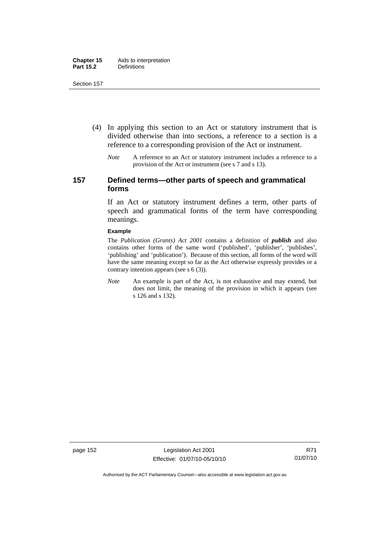- (4) In applying this section to an Act or statutory instrument that is divided otherwise than into sections, a reference to a section is a reference to a corresponding provision of the Act or instrument.
	- *Note* A reference to an Act or statutory instrument includes a reference to a provision of the Act or instrument (see s 7 and s 13).

## **157 Defined terms—other parts of speech and grammatical forms**

If an Act or statutory instrument defines a term, other parts of speech and grammatical forms of the term have corresponding meanings.

#### **Example**

The *Publication (Grants) Act 2001* contains a definition of *publish* and also contains other forms of the same word ('published', 'publisher', 'publishes', 'publishing' and 'publication'). Because of this section, all forms of the word will have the same meaning except so far as the Act otherwise expressly provides or a contrary intention appears (see s 6 (3)).

*Note* An example is part of the Act, is not exhaustive and may extend, but does not limit, the meaning of the provision in which it appears (see s 126 and s 132).

page 152 Legislation Act 2001 Effective: 01/07/10-05/10/10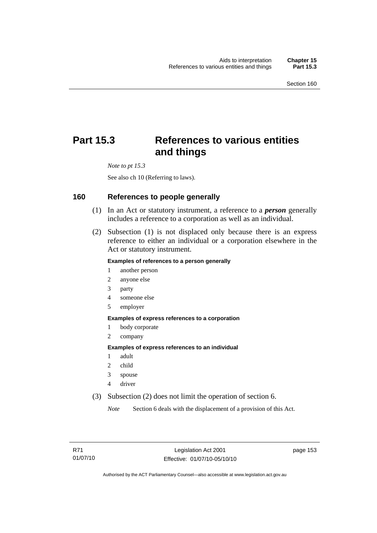# **Part 15.3 References to various entities and things**

*Note to pt 15.3* 

See also ch 10 (Referring to laws).

#### **160 References to people generally**

- (1) In an Act or statutory instrument, a reference to a *person* generally includes a reference to a corporation as well as an individual.
- (2) Subsection (1) is not displaced only because there is an express reference to either an individual or a corporation elsewhere in the Act or statutory instrument.

#### **Examples of references to a person generally**

- 1 another person
- 2 anyone else
- 3 party
- 4 someone else
- 5 employer

#### **Examples of express references to a corporation**

- 1 body corporate
- 2 company

#### **Examples of express references to an individual**

- 1 adult
- 2 child
- 3 spouse
- 4 driver
- (3) Subsection (2) does not limit the operation of section 6.

*Note* Section 6 deals with the displacement of a provision of this Act.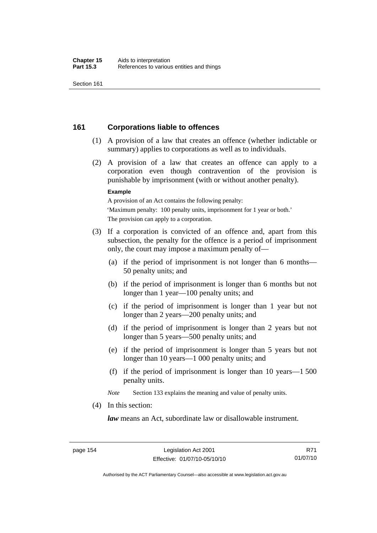## **161 Corporations liable to offences**

- (1) A provision of a law that creates an offence (whether indictable or summary) applies to corporations as well as to individuals.
- (2) A provision of a law that creates an offence can apply to a corporation even though contravention of the provision is punishable by imprisonment (with or without another penalty).

#### **Example**

A provision of an Act contains the following penalty: 'Maximum penalty: 100 penalty units, imprisonment for 1 year or both.' The provision can apply to a corporation.

- (3) If a corporation is convicted of an offence and, apart from this subsection, the penalty for the offence is a period of imprisonment only, the court may impose a maximum penalty of—
	- (a) if the period of imprisonment is not longer than 6 months— 50 penalty units; and
	- (b) if the period of imprisonment is longer than 6 months but not longer than 1 year—100 penalty units; and
	- (c) if the period of imprisonment is longer than 1 year but not longer than 2 years—200 penalty units; and
	- (d) if the period of imprisonment is longer than 2 years but not longer than 5 years—500 penalty units; and
	- (e) if the period of imprisonment is longer than 5 years but not longer than 10 years—1 000 penalty units; and
	- (f) if the period of imprisonment is longer than 10 years—1 500 penalty units.

*Note* Section 133 explains the meaning and value of penalty units.

(4) In this section:

*law* means an Act, subordinate law or disallowable instrument.

Authorised by the ACT Parliamentary Counsel—also accessible at www.legislation.act.gov.au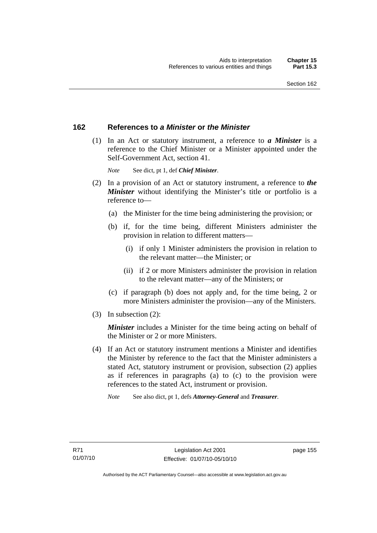## **162 References to** *a Minister* **or** *the Minister*

 (1) In an Act or statutory instrument, a reference to *a Minister* is a reference to the Chief Minister or a Minister appointed under the Self-Government Act, section 41.

*Note* See dict, pt 1, def *Chief Minister*.

- (2) In a provision of an Act or statutory instrument, a reference to *the Minister* without identifying the Minister's title or portfolio is a reference to—
	- (a) the Minister for the time being administering the provision; or
	- (b) if, for the time being, different Ministers administer the provision in relation to different matters—
		- (i) if only 1 Minister administers the provision in relation to the relevant matter—the Minister; or
		- (ii) if 2 or more Ministers administer the provision in relation to the relevant matter—any of the Ministers; or
	- (c) if paragraph (b) does not apply and, for the time being, 2 or more Ministers administer the provision—any of the Ministers.
- (3) In subsection (2):

*Minister* includes a Minister for the time being acting on behalf of the Minister or 2 or more Ministers.

 (4) If an Act or statutory instrument mentions a Minister and identifies the Minister by reference to the fact that the Minister administers a stated Act, statutory instrument or provision, subsection (2) applies as if references in paragraphs (a) to (c) to the provision were references to the stated Act, instrument or provision.

*Note* See also dict, pt 1, defs *Attorney-General* and *Treasurer*.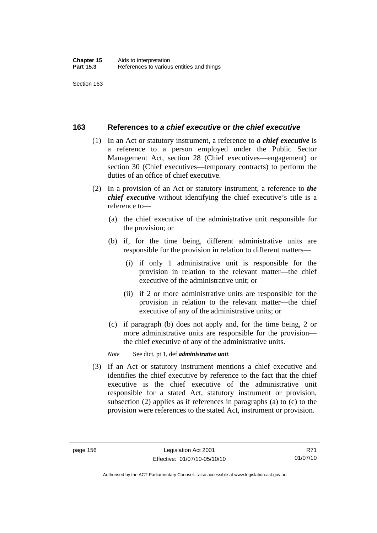## **163 References to** *a chief executive* **or** *the chief executive*

- (1) In an Act or statutory instrument, a reference to *a chief executive* is a reference to a person employed under the Public Sector Management Act, section 28 (Chief executives—engagement) or section 30 (Chief executives—temporary contracts) to perform the duties of an office of chief executive.
- (2) In a provision of an Act or statutory instrument, a reference to *the chief executive* without identifying the chief executive's title is a reference to—
	- (a) the chief executive of the administrative unit responsible for the provision; or
	- (b) if, for the time being, different administrative units are responsible for the provision in relation to different matters—
		- (i) if only 1 administrative unit is responsible for the provision in relation to the relevant matter—the chief executive of the administrative unit; or
		- (ii) if 2 or more administrative units are responsible for the provision in relation to the relevant matter—the chief executive of any of the administrative units; or
	- (c) if paragraph (b) does not apply and, for the time being, 2 or more administrative units are responsible for the provision the chief executive of any of the administrative units.

*Note* See dict, pt 1, def *administrative unit*.

 (3) If an Act or statutory instrument mentions a chief executive and identifies the chief executive by reference to the fact that the chief executive is the chief executive of the administrative unit responsible for a stated Act, statutory instrument or provision, subsection (2) applies as if references in paragraphs (a) to (c) to the provision were references to the stated Act, instrument or provision.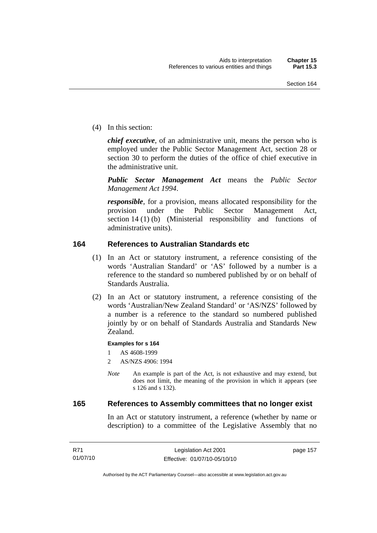(4) In this section:

*chief executive*, of an administrative unit, means the person who is employed under the Public Sector Management Act, section 28 or section 30 to perform the duties of the office of chief executive in the administrative unit.

*Public Sector Management Act* means the *Public Sector Management Act 1994*.

*responsible*, for a provision, means allocated responsibility for the provision under the Public Sector Management Act, section 14 (1) (b) (Ministerial responsibility and functions of administrative units).

## **164 References to Australian Standards etc**

- (1) In an Act or statutory instrument, a reference consisting of the words 'Australian Standard' or 'AS' followed by a number is a reference to the standard so numbered published by or on behalf of Standards Australia.
- (2) In an Act or statutory instrument, a reference consisting of the words 'Australian/New Zealand Standard' or 'AS/NZS' followed by a number is a reference to the standard so numbered published jointly by or on behalf of Standards Australia and Standards New Zealand.

#### **Examples for s 164**

1 AS 4608-1999

- 2 AS/NZS 4906: 1994
- *Note* An example is part of the Act, is not exhaustive and may extend, but does not limit, the meaning of the provision in which it appears (see s 126 and s 132).

#### **165 References to Assembly committees that no longer exist**

In an Act or statutory instrument, a reference (whether by name or description) to a committee of the Legislative Assembly that no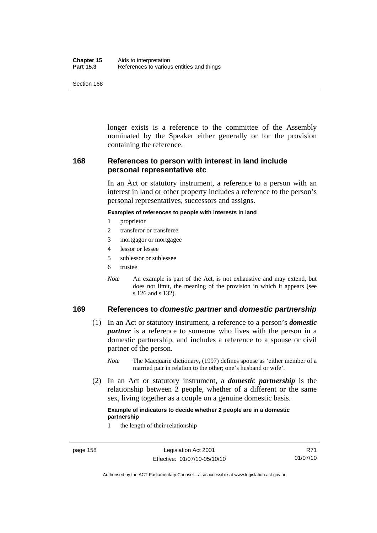| Chapter 15       | Aids to interpretation                    |
|------------------|-------------------------------------------|
| <b>Part 15.3</b> | References to various entities and things |

longer exists is a reference to the committee of the Assembly nominated by the Speaker either generally or for the provision containing the reference.

## **168 References to person with interest in land include personal representative etc**

In an Act or statutory instrument, a reference to a person with an interest in land or other property includes a reference to the person's personal representatives, successors and assigns.

#### **Examples of references to people with interests in land**

- 1 proprietor
- 2 transferor or transferee
- 3 mortgagor or mortgagee
- 4 lessor or lessee
- 5 sublessor or sublessee
- 6 trustee
- *Note* An example is part of the Act, is not exhaustive and may extend, but does not limit, the meaning of the provision in which it appears (see s 126 and s 132).

## **169 References to** *domestic partner* **and** *domestic partnership*

- (1) In an Act or statutory instrument, a reference to a person's *domestic partner* is a reference to someone who lives with the person in a domestic partnership, and includes a reference to a spouse or civil partner of the person.
	- *Note* The Macquarie dictionary, (1997) defines spouse as 'either member of a married pair in relation to the other; one's husband or wife'.
- (2) In an Act or statutory instrument, a *domestic partnership* is the relationship between 2 people, whether of a different or the same sex, living together as a couple on a genuine domestic basis.

#### **Example of indicators to decide whether 2 people are in a domestic partnership**

1 the length of their relationship

Authorised by the ACT Parliamentary Counsel—also accessible at www.legislation.act.gov.au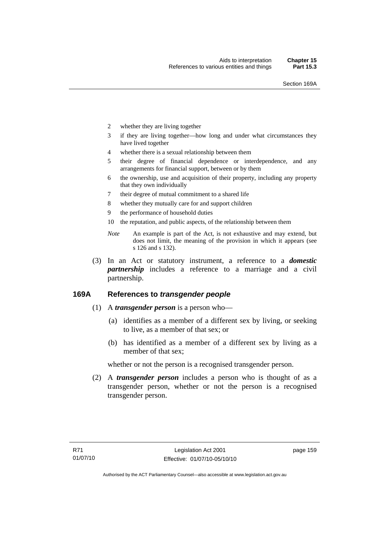- 2 whether they are living together
- 3 if they are living together—how long and under what circumstances they have lived together
- 4 whether there is a sexual relationship between them
- 5 their degree of financial dependence or interdependence, and any arrangements for financial support, between or by them
- 6 the ownership, use and acquisition of their property, including any property that they own individually
- 7 their degree of mutual commitment to a shared life
- 8 whether they mutually care for and support children
- 9 the performance of household duties
- 10 the reputation, and public aspects, of the relationship between them
- *Note* An example is part of the Act, is not exhaustive and may extend, but does not limit, the meaning of the provision in which it appears (see s 126 and s 132).
- (3) In an Act or statutory instrument, a reference to a *domestic partnership* includes a reference to a marriage and a civil partnership.

## **169A References to** *transgender people*

- (1) A *transgender person* is a person who—
	- (a) identifies as a member of a different sex by living, or seeking to live, as a member of that sex; or
	- (b) has identified as a member of a different sex by living as a member of that sex;

whether or not the person is a recognised transgender person.

 (2) A *transgender person* includes a person who is thought of as a transgender person, whether or not the person is a recognised transgender person.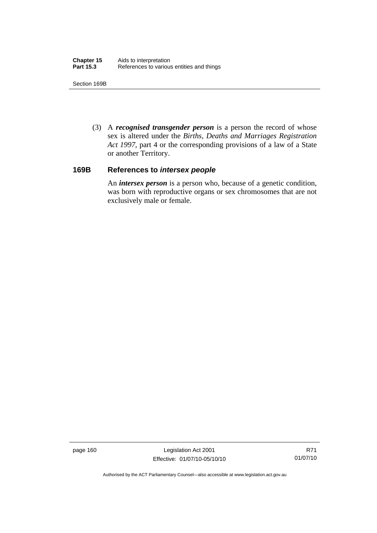Section 169B

 (3) A *recognised transgender person* is a person the record of whose sex is altered under the *Births, Deaths and Marriages Registration Act 1997*, part 4 or the corresponding provisions of a law of a State or another Territory.

## **169B References to** *intersex people*

An *intersex person* is a person who, because of a genetic condition, was born with reproductive organs or sex chromosomes that are not exclusively male or female.

page 160 Legislation Act 2001 Effective: 01/07/10-05/10/10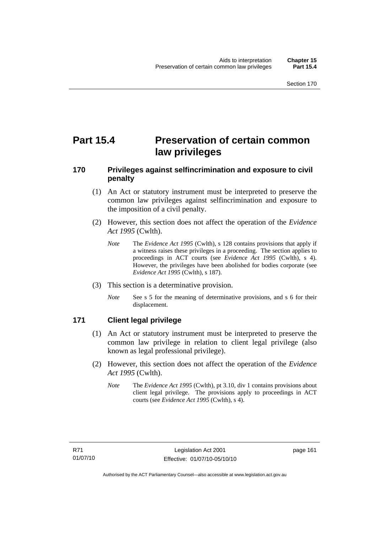# **Part 15.4 Preservation of certain common law privileges**

## **170 Privileges against selfincrimination and exposure to civil penalty**

- (1) An Act or statutory instrument must be interpreted to preserve the common law privileges against selfincrimination and exposure to the imposition of a civil penalty.
- (2) However, this section does not affect the operation of the *Evidence Act 1995* (Cwlth).
	- *Note* The *Evidence Act 1995* (Cwlth), s 128 contains provisions that apply if a witness raises these privileges in a proceeding. The section applies to proceedings in ACT courts (see *Evidence Act 1995* (Cwlth), s 4). However, the privileges have been abolished for bodies corporate (see *Evidence Act 1995* (Cwlth), s 187).
- (3) This section is a determinative provision.
	- *Note* See s 5 for the meaning of determinative provisions, and s 6 for their displacement.

## **171 Client legal privilege**

- (1) An Act or statutory instrument must be interpreted to preserve the common law privilege in relation to client legal privilege (also known as legal professional privilege).
- (2) However, this section does not affect the operation of the *Evidence Act 1995* (Cwlth).
	- *Note* The *Evidence Act 1995* (Cwlth), pt 3.10, div 1 contains provisions about client legal privilege. The provisions apply to proceedings in ACT courts (see *Evidence Act 1995* (Cwlth), s 4).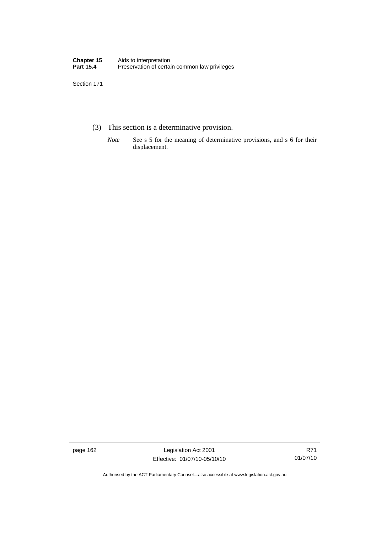- (3) This section is a determinative provision.
	- *Note* See s 5 for the meaning of determinative provisions, and s 6 for their displacement.

page 162 Legislation Act 2001 Effective: 01/07/10-05/10/10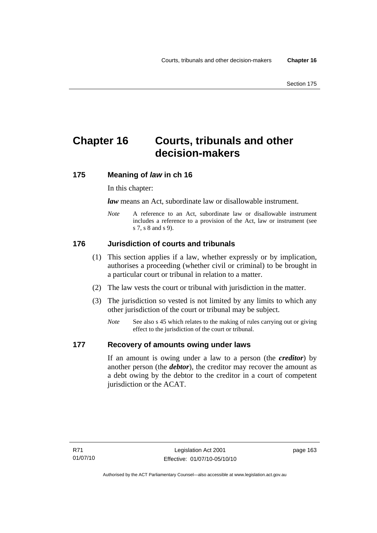# **Chapter 16 Courts, tribunals and other decision-makers**

## **175 Meaning of** *law* **in ch 16**

In this chapter:

*law* means an Act, subordinate law or disallowable instrument.

*Note* A reference to an Act, subordinate law or disallowable instrument includes a reference to a provision of the Act, law or instrument (see s 7, s 8 and s 9).

## **176 Jurisdiction of courts and tribunals**

- (1) This section applies if a law, whether expressly or by implication, authorises a proceeding (whether civil or criminal) to be brought in a particular court or tribunal in relation to a matter.
- (2) The law vests the court or tribunal with jurisdiction in the matter.
- (3) The jurisdiction so vested is not limited by any limits to which any other jurisdiction of the court or tribunal may be subject.
	- *Note* See also s 45 which relates to the making of rules carrying out or giving effect to the jurisdiction of the court or tribunal.

## **177 Recovery of amounts owing under laws**

If an amount is owing under a law to a person (the *creditor*) by another person (the *debtor*), the creditor may recover the amount as a debt owing by the debtor to the creditor in a court of competent jurisdiction or the ACAT.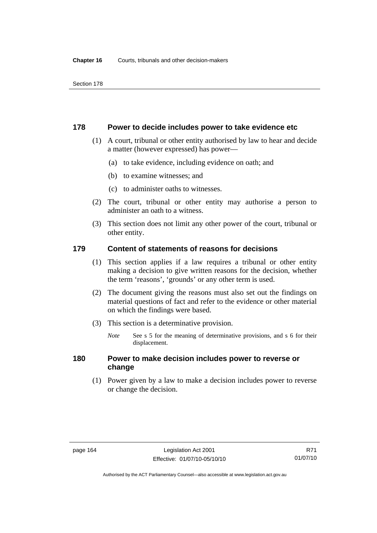#### **178 Power to decide includes power to take evidence etc**

- (1) A court, tribunal or other entity authorised by law to hear and decide a matter (however expressed) has power—
	- (a) to take evidence, including evidence on oath; and
	- (b) to examine witnesses; and
	- (c) to administer oaths to witnesses.
- (2) The court, tribunal or other entity may authorise a person to administer an oath to a witness.
- (3) This section does not limit any other power of the court, tribunal or other entity.

## **179 Content of statements of reasons for decisions**

- (1) This section applies if a law requires a tribunal or other entity making a decision to give written reasons for the decision, whether the term 'reasons', 'grounds' or any other term is used.
- (2) The document giving the reasons must also set out the findings on material questions of fact and refer to the evidence or other material on which the findings were based.
- (3) This section is a determinative provision.
	- *Note* See s 5 for the meaning of determinative provisions, and s 6 for their displacement.

## **180 Power to make decision includes power to reverse or change**

 (1) Power given by a law to make a decision includes power to reverse or change the decision.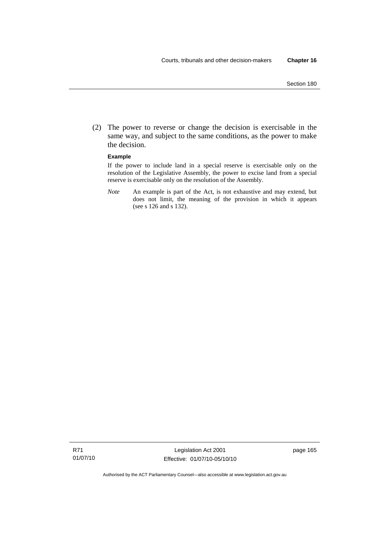(2) The power to reverse or change the decision is exercisable in the same way, and subject to the same conditions, as the power to make the decision.

#### **Example**

If the power to include land in a special reserve is exercisable only on the resolution of the Legislative Assembly, the power to excise land from a special reserve is exercisable only on the resolution of the Assembly.

*Note* An example is part of the Act, is not exhaustive and may extend, but does not limit, the meaning of the provision in which it appears (see s 126 and s 132).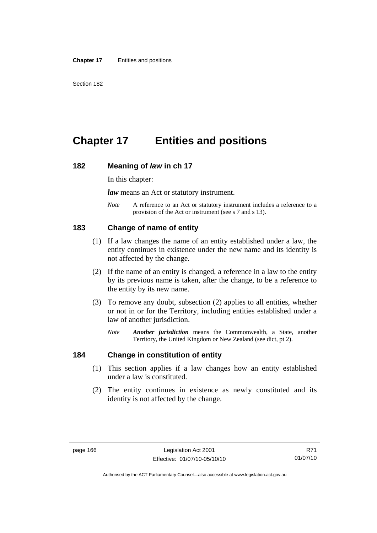# **Chapter 17 Entities and positions**

#### **182 Meaning of** *law* **in ch 17**

In this chapter:

*law* means an Act or statutory instrument.

*Note* A reference to an Act or statutory instrument includes a reference to a provision of the Act or instrument (see s 7 and s 13).

#### **183 Change of name of entity**

- (1) If a law changes the name of an entity established under a law, the entity continues in existence under the new name and its identity is not affected by the change.
- (2) If the name of an entity is changed, a reference in a law to the entity by its previous name is taken, after the change, to be a reference to the entity by its new name.
- (3) To remove any doubt, subsection (2) applies to all entities, whether or not in or for the Territory, including entities established under a law of another jurisdiction.
	- *Note Another jurisdiction* means the Commonwealth, a State, another Territory, the United Kingdom or New Zealand (see dict, pt 2).

#### **184 Change in constitution of entity**

- (1) This section applies if a law changes how an entity established under a law is constituted.
- (2) The entity continues in existence as newly constituted and its identity is not affected by the change.

R71 01/07/10

Authorised by the ACT Parliamentary Counsel—also accessible at www.legislation.act.gov.au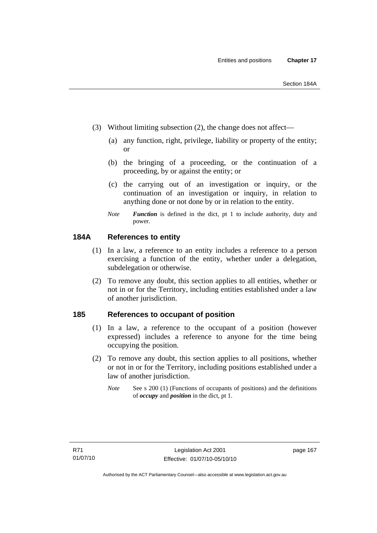- (3) Without limiting subsection (2), the change does not affect—
	- (a) any function, right, privilege, liability or property of the entity; or
	- (b) the bringing of a proceeding, or the continuation of a proceeding, by or against the entity; or
	- (c) the carrying out of an investigation or inquiry, or the continuation of an investigation or inquiry, in relation to anything done or not done by or in relation to the entity.
	- *Note Function* is defined in the dict, pt 1 to include authority, duty and power.

## **184A References to entity**

- (1) In a law, a reference to an entity includes a reference to a person exercising a function of the entity, whether under a delegation, subdelegation or otherwise.
- (2) To remove any doubt, this section applies to all entities, whether or not in or for the Territory, including entities established under a law of another jurisdiction.

#### **185 References to occupant of position**

- (1) In a law, a reference to the occupant of a position (however expressed) includes a reference to anyone for the time being occupying the position.
- (2) To remove any doubt, this section applies to all positions, whether or not in or for the Territory, including positions established under a law of another jurisdiction.
	- *Note* See s 200 (1) (Functions of occupants of positions) and the definitions of *occupy* and *position* in the dict, pt 1.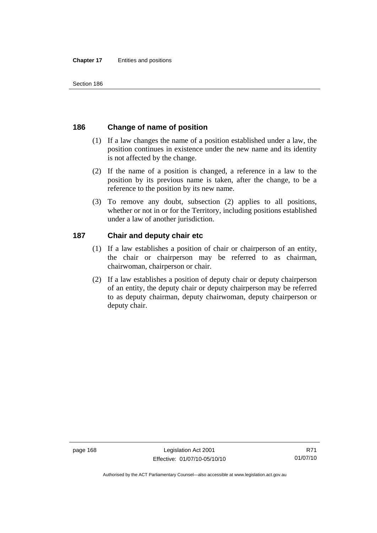# **186 Change of name of position**

- (1) If a law changes the name of a position established under a law, the position continues in existence under the new name and its identity is not affected by the change.
- (2) If the name of a position is changed, a reference in a law to the position by its previous name is taken, after the change, to be a reference to the position by its new name.
- (3) To remove any doubt, subsection (2) applies to all positions, whether or not in or for the Territory, including positions established under a law of another jurisdiction.

# **187 Chair and deputy chair etc**

- (1) If a law establishes a position of chair or chairperson of an entity, the chair or chairperson may be referred to as chairman, chairwoman, chairperson or chair.
- (2) If a law establishes a position of deputy chair or deputy chairperson of an entity, the deputy chair or deputy chairperson may be referred to as deputy chairman, deputy chairwoman, deputy chairperson or deputy chair.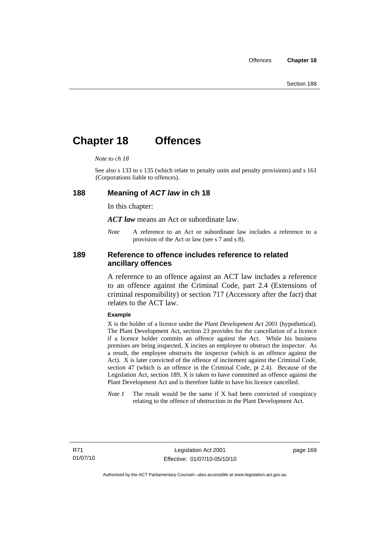# **Chapter 18 Offences**

#### *Note to ch 18*

See also s 133 to s 135 (which relate to penalty units and penalty provisions) and s 161 (Corporations liable to offences).

#### **188 Meaning of** *ACT law* **in ch 18**

In this chapter:

*ACT law* means an Act or subordinate law.

*Note* A reference to an Act or subordinate law includes a reference to a provision of the Act or law (see s 7 and s 8).

#### **189 Reference to offence includes reference to related ancillary offences**

A reference to an offence against an ACT law includes a reference to an offence against the Criminal Code, part 2.4 (Extensions of criminal responsibility) or section 717 (Accessory after the fact) that relates to the ACT law.

#### **Example**

X is the holder of a licence under the *Plant Development Act 2001* (hypothetical). The Plant Development Act, section 23 provides for the cancellation of a licence if a licence holder commits an offence against the Act. While his business premises are being inspected, X incites an employee to obstruct the inspector. As a result, the employee obstructs the inspector (which is an offence against the Act). X is later convicted of the offence of incitement against the Criminal Code, section 47 (which is an offence in the Criminal Code, pt 2.4). Because of the Legislation Act, section 189, X is taken to have committed an offence against the Plant Development Act and is therefore liable to have his licence cancelled.

*Note 1* The result would be the same if X had been convicted of conspiracy relating to the offence of obstruction in the Plant Development Act.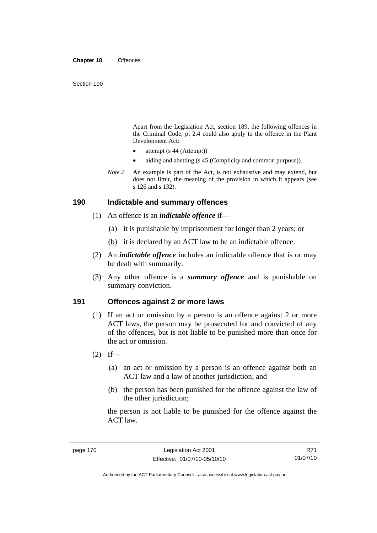Apart from the Legislation Act, section 189, the following offences in the Criminal Code*,* pt 2.4 could also apply to the offence in the Plant Development Act:

- attempt (s 44 (Attempt))
- aiding and abetting (s 45 (Complicity and common purpose)).
- *Note* 2 An example is part of the Act, is not exhaustive and may extend, but does not limit, the meaning of the provision in which it appears (see s 126 and s 132).

#### **190 Indictable and summary offences**

- (1) An offence is an *indictable offence* if—
	- (a) it is punishable by imprisonment for longer than 2 years; or
	- (b) it is declared by an ACT law to be an indictable offence.
- (2) An *indictable offence* includes an indictable offence that is or may be dealt with summarily.
- (3) Any other offence is a *summary offence* and is punishable on summary conviction.

#### **191 Offences against 2 or more laws**

- (1) If an act or omission by a person is an offence against 2 or more ACT laws, the person may be prosecuted for and convicted of any of the offences, but is not liable to be punished more than once for the act or omission.
- $(2)$  If—
	- (a) an act or omission by a person is an offence against both an ACT law and a law of another jurisdiction; and
	- (b) the person has been punished for the offence against the law of the other jurisdiction:

the person is not liable to be punished for the offence against the ACT law.

R71 01/07/10

Authorised by the ACT Parliamentary Counsel—also accessible at www.legislation.act.gov.au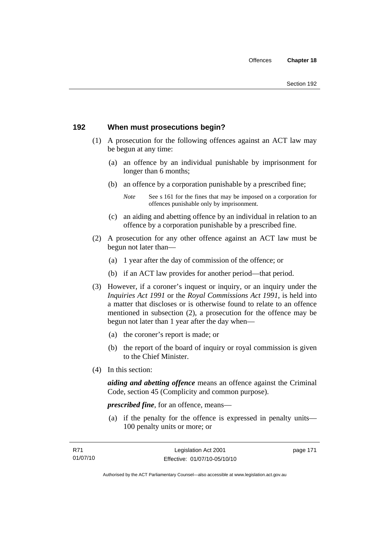# **192 When must prosecutions begin?**

- (1) A prosecution for the following offences against an ACT law may be begun at any time:
	- (a) an offence by an individual punishable by imprisonment for longer than 6 months;
	- (b) an offence by a corporation punishable by a prescribed fine;
		- *Note* See s 161 for the fines that may be imposed on a corporation for offences punishable only by imprisonment.
	- (c) an aiding and abetting offence by an individual in relation to an offence by a corporation punishable by a prescribed fine.
- (2) A prosecution for any other offence against an ACT law must be begun not later than—
	- (a) 1 year after the day of commission of the offence; or
	- (b) if an ACT law provides for another period—that period.
- (3) However, if a coroner's inquest or inquiry, or an inquiry under the *Inquiries Act 1991* or the *Royal Commissions Act 1991*, is held into a matter that discloses or is otherwise found to relate to an offence mentioned in subsection (2), a prosecution for the offence may be begun not later than 1 year after the day when—
	- (a) the coroner's report is made; or
	- (b) the report of the board of inquiry or royal commission is given to the Chief Minister.
- (4) In this section:

*aiding and abetting offence* means an offence against the Criminal Code, section 45 (Complicity and common purpose).

*prescribed fine*, for an offence, means—

 (a) if the penalty for the offence is expressed in penalty units— 100 penalty units or more; or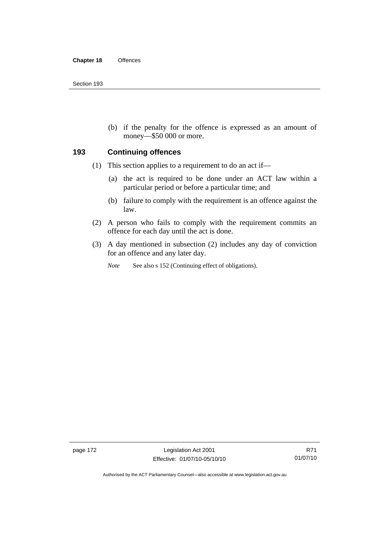(b) if the penalty for the offence is expressed as an amount of money—\$50 000 or more.

#### **193 Continuing offences**

- (1) This section applies to a requirement to do an act if—
	- (a) the act is required to be done under an ACT law within a particular period or before a particular time; and
	- (b) failure to comply with the requirement is an offence against the law.
- (2) A person who fails to comply with the requirement commits an offence for each day until the act is done.
- (3) A day mentioned in subsection (2) includes any day of conviction for an offence and any later day.

*Note* See also s 152 (Continuing effect of obligations).

page 172 Legislation Act 2001 Effective: 01/07/10-05/10/10

Authorised by the ACT Parliamentary Counsel—also accessible at www.legislation.act.gov.au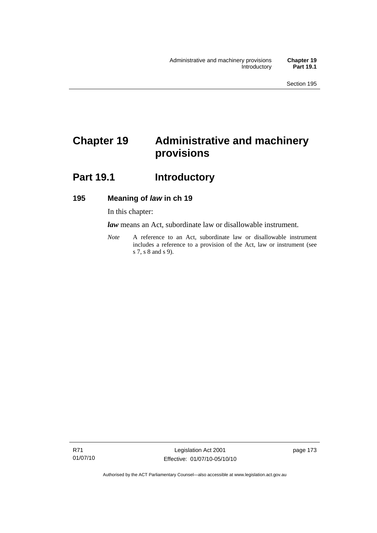# **Chapter 19 Administrative and machinery provisions**

# Part 19.1 **Introductory**

## **195 Meaning of** *law* **in ch 19**

In this chapter:

*law* means an Act, subordinate law or disallowable instrument.

*Note* A reference to an Act, subordinate law or disallowable instrument includes a reference to a provision of the Act, law or instrument (see s 7, s 8 and s 9).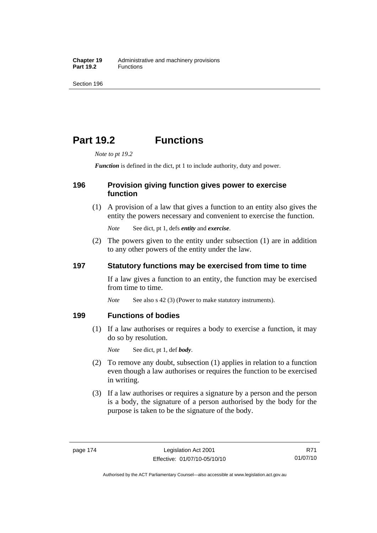# **Part 19.2 Functions**

*Note to pt 19.2* 

*Function* is defined in the dict, pt 1 to include authority, duty and power.

## **196 Provision giving function gives power to exercise function**

 (1) A provision of a law that gives a function to an entity also gives the entity the powers necessary and convenient to exercise the function.

*Note* See dict, pt 1, defs *entity* and *exercise*.

 (2) The powers given to the entity under subsection (1) are in addition to any other powers of the entity under the law.

## **197 Statutory functions may be exercised from time to time**

If a law gives a function to an entity, the function may be exercised from time to time.

*Note* See also s 42 (3) (Power to make statutory instruments).

### **199 Functions of bodies**

 (1) If a law authorises or requires a body to exercise a function, it may do so by resolution.

*Note* See dict, pt 1, def *body*.

- (2) To remove any doubt, subsection (1) applies in relation to a function even though a law authorises or requires the function to be exercised in writing.
- (3) If a law authorises or requires a signature by a person and the person is a body, the signature of a person authorised by the body for the purpose is taken to be the signature of the body.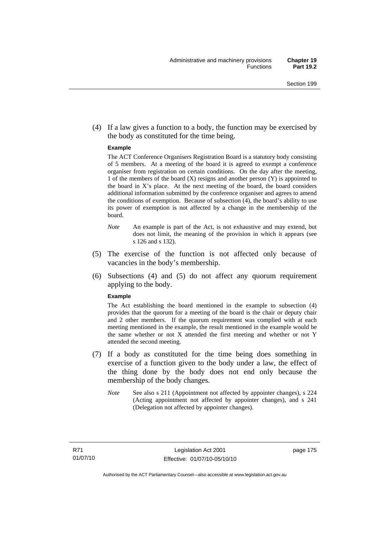(4) If a law gives a function to a body, the function may be exercised by the body as constituted for the time being.

#### **Example**

The ACT Conference Organisers Registration Board is a statutory body consisting of 5 members. At a meeting of the board it is agreed to exempt a conference organiser from registration on certain conditions. On the day after the meeting, 1 of the members of the board (X) resigns and another person (Y) is appointed to the board in  $X$ 's place. At the next meeting of the board, the board considers additional information submitted by the conference organiser and agrees to amend the conditions of exemption. Because of subsection (4), the board's ability to use its power of exemption is not affected by a change in the membership of the board.

- *Note* An example is part of the Act, is not exhaustive and may extend, but does not limit, the meaning of the provision in which it appears (see s 126 and s 132).
- (5) The exercise of the function is not affected only because of vacancies in the body's membership.
- (6) Subsections (4) and (5) do not affect any quorum requirement applying to the body.

#### **Example**

The Act establishing the board mentioned in the example to subsection (4) provides that the quorum for a meeting of the board is the chair or deputy chair and 2 other members. If the quorum requirement was complied with at each meeting mentioned in the example, the result mentioned in the example would be the same whether or not X attended the first meeting and whether or not Y attended the second meeting.

- (7) If a body as constituted for the time being does something in exercise of a function given to the body under a law, the effect of the thing done by the body does not end only because the membership of the body changes.
	- *Note* See also s 211 (Appointment not affected by appointer changes), s 224 (Acting appointment not affected by appointer changes), and s 241 (Delegation not affected by appointer changes).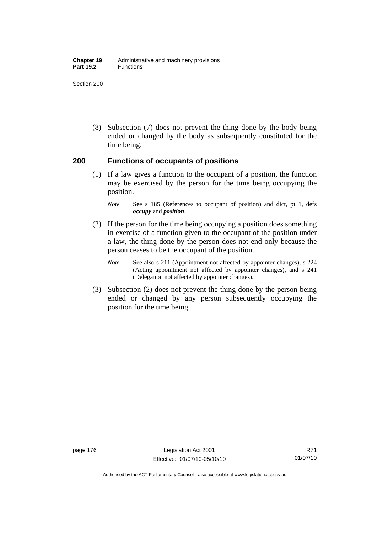#### **Chapter 19** Administrative and machinery provisions Part 19.2 **Functions**

Section 200

 (8) Subsection (7) does not prevent the thing done by the body being ended or changed by the body as subsequently constituted for the time being.

#### **200 Functions of occupants of positions**

 (1) If a law gives a function to the occupant of a position, the function may be exercised by the person for the time being occupying the position.

- (2) If the person for the time being occupying a position does something in exercise of a function given to the occupant of the position under a law, the thing done by the person does not end only because the person ceases to be the occupant of the position.
	- *Note* See also s 211 (Appointment not affected by appointer changes), s 224 (Acting appointment not affected by appointer changes), and s 241 (Delegation not affected by appointer changes).
- (3) Subsection (2) does not prevent the thing done by the person being ended or changed by any person subsequently occupying the position for the time being.

*Note* See s 185 (References to occupant of position) and dict, pt 1, defs *occupy* and *position*.

Authorised by the ACT Parliamentary Counsel—also accessible at www.legislation.act.gov.au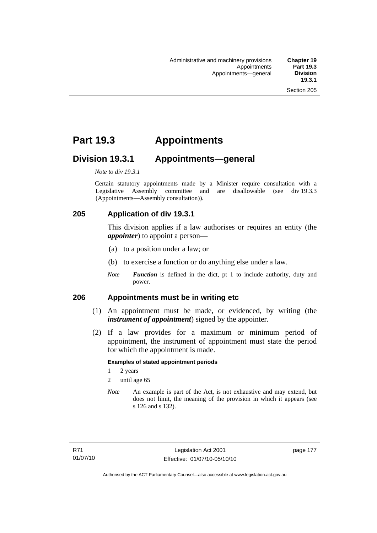# **Part 19.3 Appointments**

# **Division 19.3.1 Appointments—general**

*Note to div 19.3.1* 

Certain statutory appointments made by a Minister require consultation with a Legislative Assembly committee and are disallowable (see div 19.3.3) (Appointments—Assembly consultation)).

# **205 Application of div 19.3.1**

This division applies if a law authorises or requires an entity (the *appointer*) to appoint a person—

- (a) to a position under a law; or
- (b) to exercise a function or do anything else under a law.
- *Note Function* is defined in the dict, pt 1 to include authority, duty and power.

#### **206 Appointments must be in writing etc**

- (1) An appointment must be made, or evidenced, by writing (the *instrument of appointment*) signed by the appointer.
- (2) If a law provides for a maximum or minimum period of appointment, the instrument of appointment must state the period for which the appointment is made.

#### **Examples of stated appointment periods**

- 1 2 years
- 2 until age 65
- *Note* An example is part of the Act, is not exhaustive and may extend, but does not limit, the meaning of the provision in which it appears (see s 126 and s 132).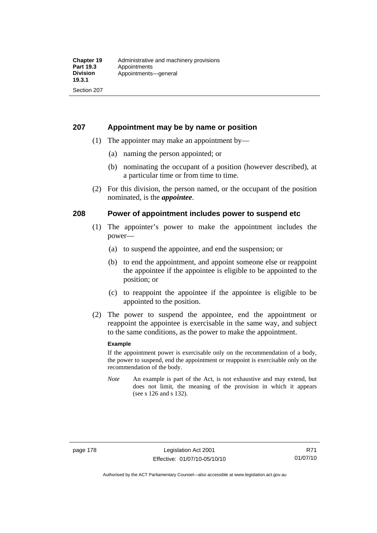## **207 Appointment may be by name or position**

- (1) The appointer may make an appointment by—
	- (a) naming the person appointed; or
	- (b) nominating the occupant of a position (however described), at a particular time or from time to time.
- (2) For this division, the person named, or the occupant of the position nominated, is the *appointee*.

## **208 Power of appointment includes power to suspend etc**

- (1) The appointer's power to make the appointment includes the power—
	- (a) to suspend the appointee, and end the suspension; or
	- (b) to end the appointment, and appoint someone else or reappoint the appointee if the appointee is eligible to be appointed to the position; or
	- (c) to reappoint the appointee if the appointee is eligible to be appointed to the position.
- (2) The power to suspend the appointee, end the appointment or reappoint the appointee is exercisable in the same way, and subject to the same conditions, as the power to make the appointment.

#### **Example**

If the appointment power is exercisable only on the recommendation of a body, the power to suspend, end the appointment or reappoint is exercisable only on the recommendation of the body.

*Note* An example is part of the Act, is not exhaustive and may extend, but does not limit, the meaning of the provision in which it appears (see s 126 and s 132).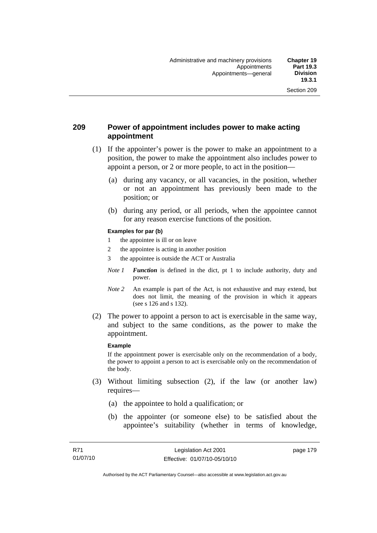## **209 Power of appointment includes power to make acting appointment**

- (1) If the appointer's power is the power to make an appointment to a position, the power to make the appointment also includes power to appoint a person, or 2 or more people, to act in the position—
	- (a) during any vacancy, or all vacancies, in the position, whether or not an appointment has previously been made to the position; or
	- (b) during any period, or all periods, when the appointee cannot for any reason exercise functions of the position.

#### **Examples for par (b)**

- 1 the appointee is ill or on leave
- 2 the appointee is acting in another position
- 3 the appointee is outside the ACT or Australia
- *Note 1 Function* is defined in the dict, pt 1 to include authority, duty and power.
- *Note* 2 An example is part of the Act, is not exhaustive and may extend, but does not limit, the meaning of the provision in which it appears (see s 126 and s 132).
- (2) The power to appoint a person to act is exercisable in the same way, and subject to the same conditions, as the power to make the appointment.

#### **Example**

If the appointment power is exercisable only on the recommendation of a body, the power to appoint a person to act is exercisable only on the recommendation of the body.

- (3) Without limiting subsection (2), if the law (or another law) requires—
	- (a) the appointee to hold a qualification; or
	- (b) the appointer (or someone else) to be satisfied about the appointee's suitability (whether in terms of knowledge,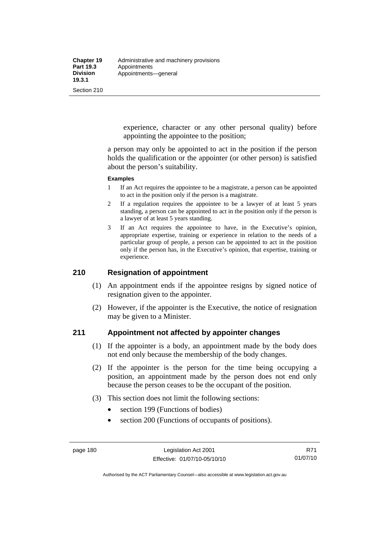experience, character or any other personal quality) before appointing the appointee to the position;

a person may only be appointed to act in the position if the person holds the qualification or the appointer (or other person) is satisfied about the person's suitability.

#### **Examples**

- 1 If an Act requires the appointee to be a magistrate, a person can be appointed to act in the position only if the person is a magistrate.
- 2 If a regulation requires the appointee to be a lawyer of at least 5 years standing, a person can be appointed to act in the position only if the person is a lawyer of at least 5 years standing.
- 3 If an Act requires the appointee to have, in the Executive's opinion, appropriate expertise, training or experience in relation to the needs of a particular group of people, a person can be appointed to act in the position only if the person has, in the Executive's opinion, that expertise, training or experience.

# **210 Resignation of appointment**

- (1) An appointment ends if the appointee resigns by signed notice of resignation given to the appointer.
- (2) However, if the appointer is the Executive, the notice of resignation may be given to a Minister.

#### **211 Appointment not affected by appointer changes**

- (1) If the appointer is a body, an appointment made by the body does not end only because the membership of the body changes.
- (2) If the appointer is the person for the time being occupying a position, an appointment made by the person does not end only because the person ceases to be the occupant of the position.
- (3) This section does not limit the following sections:
	- section 199 (Functions of bodies)
	- section 200 (Functions of occupants of positions).

Authorised by the ACT Parliamentary Counsel—also accessible at www.legislation.act.gov.au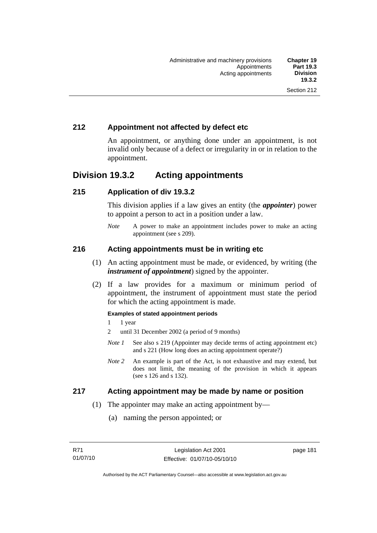# **212 Appointment not affected by defect etc**

An appointment, or anything done under an appointment, is not invalid only because of a defect or irregularity in or in relation to the appointment.

# **Division 19.3.2 Acting appointments**

## **215 Application of div 19.3.2**

This division applies if a law gives an entity (the *appointer*) power to appoint a person to act in a position under a law.

*Note* A power to make an appointment includes power to make an acting appointment (see s 209).

## **216 Acting appointments must be in writing etc**

- (1) An acting appointment must be made, or evidenced, by writing (the *instrument of appointment*) signed by the appointer.
- (2) If a law provides for a maximum or minimum period of appointment, the instrument of appointment must state the period for which the acting appointment is made.

#### **Examples of stated appointment periods**

- 1 1 year
- 2 until 31 December 2002 (a period of 9 months)
- *Note 1* See also s 219 (Appointer may decide terms of acting appointment etc) and s 221 (How long does an acting appointment operate?)
- *Note 2* An example is part of the Act, is not exhaustive and may extend, but does not limit, the meaning of the provision in which it appears (see s 126 and s 132).

#### **217 Acting appointment may be made by name or position**

- (1) The appointer may make an acting appointment by—
	- (a) naming the person appointed; or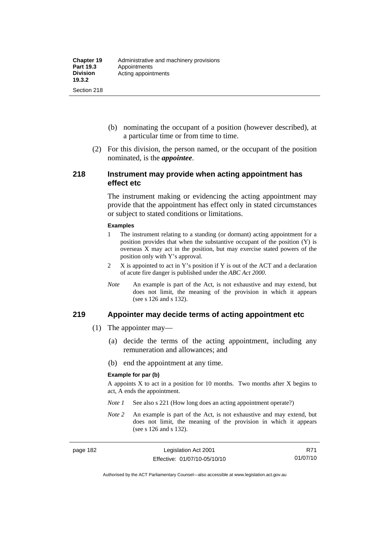- (b) nominating the occupant of a position (however described), at a particular time or from time to time.
- (2) For this division, the person named, or the occupant of the position nominated, is the *appointee*.

#### **218 Instrument may provide when acting appointment has effect etc**

The instrument making or evidencing the acting appointment may provide that the appointment has effect only in stated circumstances or subject to stated conditions or limitations.

#### **Examples**

- 1 The instrument relating to a standing (or dormant) acting appointment for a position provides that when the substantive occupant of the position (Y) is overseas X may act in the position, but may exercise stated powers of the position only with Y's approval.
- 2 X is appointed to act in Y's position if Y is out of the ACT and a declaration of acute fire danger is published under the *ABC Act 2000*.
- *Note* An example is part of the Act, is not exhaustive and may extend, but does not limit, the meaning of the provision in which it appears (see s 126 and s 132).

#### **219 Appointer may decide terms of acting appointment etc**

- (1) The appointer may—
	- (a) decide the terms of the acting appointment, including any remuneration and allowances; and
	- (b) end the appointment at any time.

#### **Example for par (b)**

A appoints  $X$  to act in a position for 10 months. Two months after  $X$  begins to act, A ends the appointment.

- *Note 1* See also s 221 (How long does an acting appointment operate?)
- *Note 2* An example is part of the Act, is not exhaustive and may extend, but does not limit, the meaning of the provision in which it appears (see s 126 and s 132).

R71 01/07/10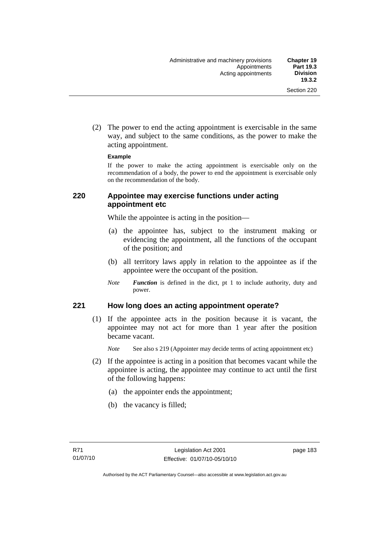(2) The power to end the acting appointment is exercisable in the same way, and subject to the same conditions, as the power to make the acting appointment.

#### **Example**

If the power to make the acting appointment is exercisable only on the recommendation of a body, the power to end the appointment is exercisable only on the recommendation of the body.

### **220 Appointee may exercise functions under acting appointment etc**

While the appointee is acting in the position—

- (a) the appointee has, subject to the instrument making or evidencing the appointment, all the functions of the occupant of the position; and
- (b) all territory laws apply in relation to the appointee as if the appointee were the occupant of the position.
- *Note Function* is defined in the dict, pt 1 to include authority, duty and power.

#### **221 How long does an acting appointment operate?**

 (1) If the appointee acts in the position because it is vacant, the appointee may not act for more than 1 year after the position became vacant.

*Note* See also s 219 (Appointer may decide terms of acting appointment etc)

- (2) If the appointee is acting in a position that becomes vacant while the appointee is acting, the appointee may continue to act until the first of the following happens:
	- (a) the appointer ends the appointment;
	- (b) the vacancy is filled;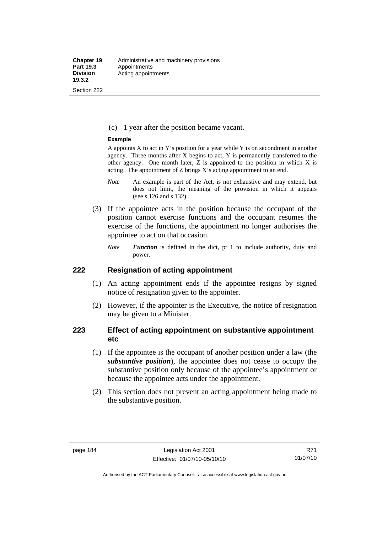(c) 1 year after the position became vacant.

#### **Example**

A appoints  $X$  to act in Y's position for a year while Y is on secondment in another agency. Three months after X begins to act, Y is permanently transferred to the other agency. One month later, Z is appointed to the position in which X is acting. The appointment of Z brings X's acting appointment to an end.

- *Note* An example is part of the Act, is not exhaustive and may extend, but does not limit, the meaning of the provision in which it appears (see s 126 and s 132).
- (3) If the appointee acts in the position because the occupant of the position cannot exercise functions and the occupant resumes the exercise of the functions, the appointment no longer authorises the appointee to act on that occasion.
	- *Note Function* is defined in the dict, pt 1 to include authority, duty and power.

#### **222 Resignation of acting appointment**

- (1) An acting appointment ends if the appointee resigns by signed notice of resignation given to the appointer.
- (2) However, if the appointer is the Executive, the notice of resignation may be given to a Minister.

## **223 Effect of acting appointment on substantive appointment etc**

- (1) If the appointee is the occupant of another position under a law (the *substantive position*), the appointee does not cease to occupy the substantive position only because of the appointee's appointment or because the appointee acts under the appointment.
- (2) This section does not prevent an acting appointment being made to the substantive position.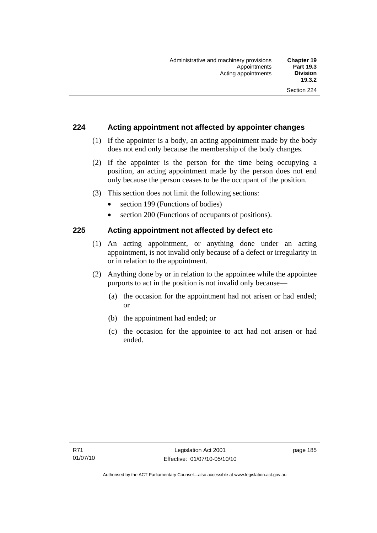### **224 Acting appointment not affected by appointer changes**

- (1) If the appointer is a body, an acting appointment made by the body does not end only because the membership of the body changes.
- (2) If the appointer is the person for the time being occupying a position, an acting appointment made by the person does not end only because the person ceases to be the occupant of the position.
- (3) This section does not limit the following sections:
	- section 199 (Functions of bodies)
	- section 200 (Functions of occupants of positions).

#### **225 Acting appointment not affected by defect etc**

- (1) An acting appointment, or anything done under an acting appointment, is not invalid only because of a defect or irregularity in or in relation to the appointment.
- (2) Anything done by or in relation to the appointee while the appointee purports to act in the position is not invalid only because—
	- (a) the occasion for the appointment had not arisen or had ended; or
	- (b) the appointment had ended; or
	- (c) the occasion for the appointee to act had not arisen or had ended.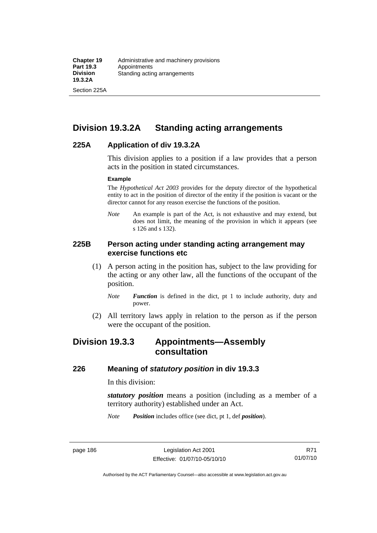Section 225A

# **Division 19.3.2A Standing acting arrangements**

#### **225A Application of div 19.3.2A**

This division applies to a position if a law provides that a person acts in the position in stated circumstances.

#### **Example**

The *Hypothetical Act 2003* provides for the deputy director of the hypothetical entity to act in the position of director of the entity if the position is vacant or the director cannot for any reason exercise the functions of the position.

*Note* An example is part of the Act, is not exhaustive and may extend, but does not limit, the meaning of the provision in which it appears (see s 126 and s 132).

#### **225B Person acting under standing acting arrangement may exercise functions etc**

- (1) A person acting in the position has, subject to the law providing for the acting or any other law, all the functions of the occupant of the position.
	- *Note Function* is defined in the dict, pt 1 to include authority, duty and power.
- (2) All territory laws apply in relation to the person as if the person were the occupant of the position.

# **Division 19.3.3 Appointments—Assembly consultation**

#### **226 Meaning of** *statutory position* **in div 19.3.3**

In this division:

*statutory position* means a position (including as a member of a territory authority) established under an Act.

*Note Position* includes office (see dict, pt 1, def *position*).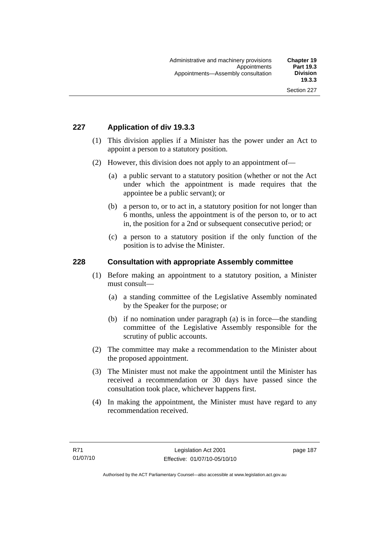# **227 Application of div 19.3.3**

- (1) This division applies if a Minister has the power under an Act to appoint a person to a statutory position.
- (2) However, this division does not apply to an appointment of—
	- (a) a public servant to a statutory position (whether or not the Act under which the appointment is made requires that the appointee be a public servant); or
	- (b) a person to, or to act in, a statutory position for not longer than 6 months, unless the appointment is of the person to, or to act in, the position for a 2nd or subsequent consecutive period; or
	- (c) a person to a statutory position if the only function of the position is to advise the Minister.

#### **228 Consultation with appropriate Assembly committee**

- (1) Before making an appointment to a statutory position, a Minister must consult—
	- (a) a standing committee of the Legislative Assembly nominated by the Speaker for the purpose; or
	- (b) if no nomination under paragraph (a) is in force—the standing committee of the Legislative Assembly responsible for the scrutiny of public accounts.
- (2) The committee may make a recommendation to the Minister about the proposed appointment.
- (3) The Minister must not make the appointment until the Minister has received a recommendation or 30 days have passed since the consultation took place, whichever happens first.
- (4) In making the appointment, the Minister must have regard to any recommendation received.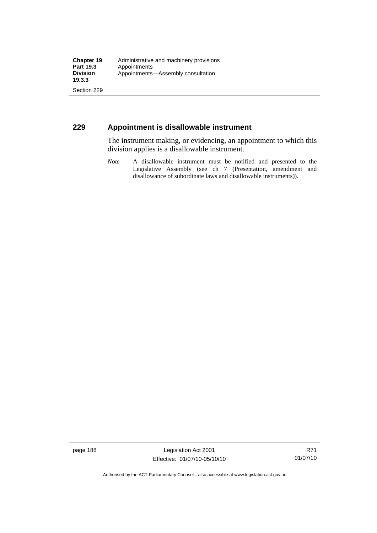## **229 Appointment is disallowable instrument**

The instrument making, or evidencing, an appointment to which this division applies is a disallowable instrument.

*Note* A disallowable instrument must be notified and presented to the Legislative Assembly (see ch 7 (Presentation, amendment and disallowance of subordinate laws and disallowable instruments)).

page 188 Legislation Act 2001 Effective: 01/07/10-05/10/10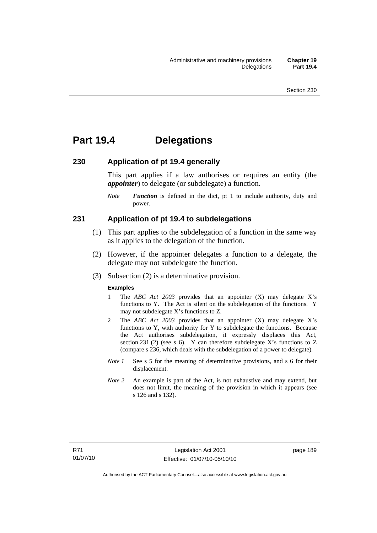# **Part 19.4 Delegations**

#### **230 Application of pt 19.4 generally**

This part applies if a law authorises or requires an entity (the *appointer*) to delegate (or subdelegate) a function.

*Note Function* is defined in the dict, pt 1 to include authority, duty and power.

#### **231 Application of pt 19.4 to subdelegations**

- (1) This part applies to the subdelegation of a function in the same way as it applies to the delegation of the function.
- (2) However, if the appointer delegates a function to a delegate, the delegate may not subdelegate the function.
- (3) Subsection (2) is a determinative provision.

#### **Examples**

- 1 The *ABC Act 2003* provides that an appointer (X) may delegate X's functions to Y. The Act is silent on the subdelegation of the functions. Y may not subdelegate X's functions to Z.
- 2 The *ABC Act 2003* provides that an appointer (X) may delegate X's functions to Y, with authority for Y to subdelegate the functions. Because the Act authorises subdelegation, it expressly displaces this Act, section 231 (2) (see s 6). Y can therefore subdelegate X's functions to  $Z$ (compare s 236, which deals with the subdelegation of a power to delegate)*.*
- *Note 1* See s 5 for the meaning of determinative provisions, and s 6 for their displacement.
- *Note* 2 An example is part of the Act, is not exhaustive and may extend, but does not limit, the meaning of the provision in which it appears (see s 126 and s 132).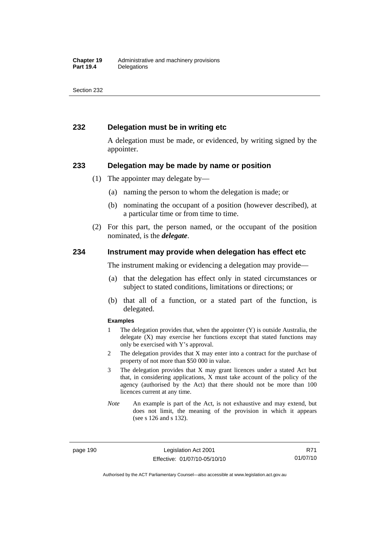### **232 Delegation must be in writing etc**

A delegation must be made, or evidenced, by writing signed by the appointer.

#### **233 Delegation may be made by name or position**

- (1) The appointer may delegate by—
	- (a) naming the person to whom the delegation is made; or
	- (b) nominating the occupant of a position (however described), at a particular time or from time to time.
- (2) For this part, the person named, or the occupant of the position nominated, is the *delegate*.

#### **234 Instrument may provide when delegation has effect etc**

The instrument making or evidencing a delegation may provide—

- (a) that the delegation has effect only in stated circumstances or subject to stated conditions, limitations or directions; or
- (b) that all of a function, or a stated part of the function, is delegated.

#### **Examples**

- 1 The delegation provides that, when the appointer (Y) is outside Australia, the delegate (X) may exercise her functions except that stated functions may only be exercised with Y's approval.
- 2 The delegation provides that X may enter into a contract for the purchase of property of not more than \$50 000 in value.
- 3 The delegation provides that X may grant licences under a stated Act but that, in considering applications, X must take account of the policy of the agency (authorised by the Act) that there should not be more than 100 licences current at any time.
- *Note* An example is part of the Act, is not exhaustive and may extend, but does not limit, the meaning of the provision in which it appears (see s 126 and s 132).

page 190 Legislation Act 2001 Effective: 01/07/10-05/10/10

R71 01/07/10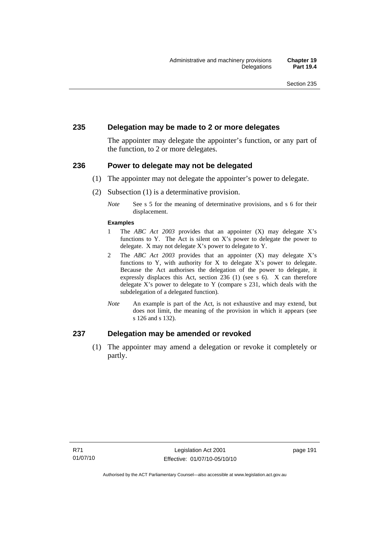#### **235 Delegation may be made to 2 or more delegates**

The appointer may delegate the appointer's function, or any part of the function, to 2 or more delegates.

#### **236 Power to delegate may not be delegated**

- (1) The appointer may not delegate the appointer's power to delegate.
- (2) Subsection (1) is a determinative provision.
	- *Note* See s 5 for the meaning of determinative provisions, and s 6 for their displacement.

#### **Examples**

- 1 The *ABC Act 2003* provides that an appointer (X) may delegate X's functions to Y. The Act is silent on X's power to delegate the power to delegate. X may not delegate X's power to delegate to Y.
- 2 The *ABC Act 2003* provides that an appointer (X) may delegate X's functions to Y, with authority for X to delegate X's power to delegate. Because the Act authorises the delegation of the power to delegate, it expressly displaces this Act, section 236 (1) (see s 6). X can therefore delegate X's power to delegate to Y (compare s 231, which deals with the subdelegation of a delegated function)*.*
- *Note* An example is part of the Act, is not exhaustive and may extend, but does not limit, the meaning of the provision in which it appears (see s 126 and s 132).

#### **237 Delegation may be amended or revoked**

 (1) The appointer may amend a delegation or revoke it completely or partly.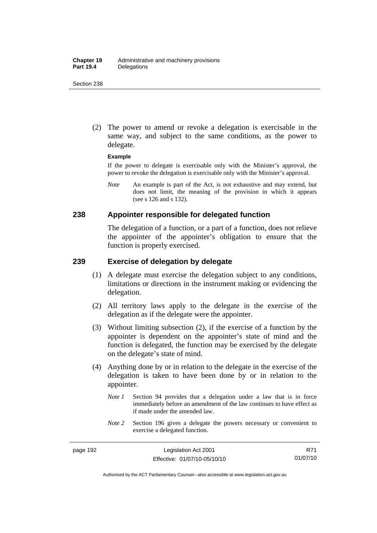(2) The power to amend or revoke a delegation is exercisable in the same way, and subject to the same conditions, as the power to delegate.

#### **Example**

If the power to delegate is exercisable only with the Minister's approval, the power to revoke the delegation is exercisable only with the Minister's approval.

*Note* An example is part of the Act, is not exhaustive and may extend, but does not limit, the meaning of the provision in which it appears (see s 126 and s 132).

#### **238 Appointer responsible for delegated function**

The delegation of a function, or a part of a function, does not relieve the appointer of the appointer's obligation to ensure that the function is properly exercised.

## **239 Exercise of delegation by delegate**

- (1) A delegate must exercise the delegation subject to any conditions, limitations or directions in the instrument making or evidencing the delegation.
- (2) All territory laws apply to the delegate in the exercise of the delegation as if the delegate were the appointer.
- (3) Without limiting subsection (2), if the exercise of a function by the appointer is dependent on the appointer's state of mind and the function is delegated, the function may be exercised by the delegate on the delegate's state of mind.
- (4) Anything done by or in relation to the delegate in the exercise of the delegation is taken to have been done by or in relation to the appointer.
	- *Note 1* Section 94 provides that a delegation under a law that is in force immediately before an amendment of the law continues to have effect as if made under the amended law.
	- *Note* 2 Section 196 gives a delegate the powers necessary or convenient to exercise a delegated function.

Authorised by the ACT Parliamentary Counsel—also accessible at www.legislation.act.gov.au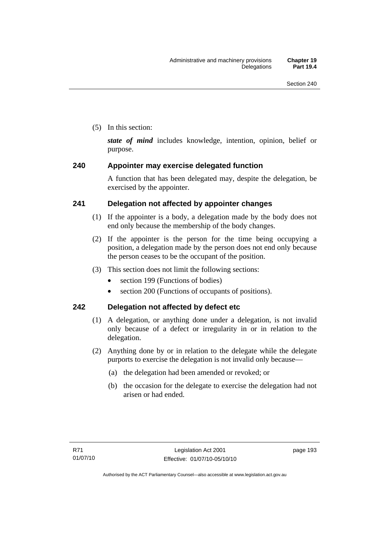(5) In this section:

*state of mind* includes knowledge, intention, opinion, belief or purpose.

# **240 Appointer may exercise delegated function**

A function that has been delegated may, despite the delegation, be exercised by the appointer.

# **241 Delegation not affected by appointer changes**

- (1) If the appointer is a body, a delegation made by the body does not end only because the membership of the body changes.
- (2) If the appointer is the person for the time being occupying a position, a delegation made by the person does not end only because the person ceases to be the occupant of the position.
- (3) This section does not limit the following sections:
	- section 199 (Functions of bodies)
	- section 200 (Functions of occupants of positions).

# **242 Delegation not affected by defect etc**

- (1) A delegation, or anything done under a delegation, is not invalid only because of a defect or irregularity in or in relation to the delegation.
- (2) Anything done by or in relation to the delegate while the delegate purports to exercise the delegation is not invalid only because—
	- (a) the delegation had been amended or revoked; or
	- (b) the occasion for the delegate to exercise the delegation had not arisen or had ended.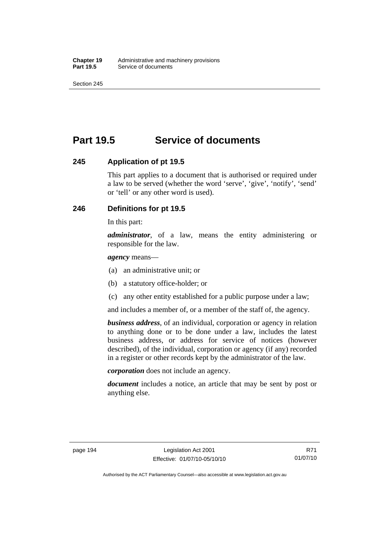# **Part 19.5 Service of documents**

#### **245 Application of pt 19.5**

This part applies to a document that is authorised or required under a law to be served (whether the word 'serve', 'give', 'notify', 'send' or 'tell' or any other word is used).

# **246 Definitions for pt 19.5**

In this part:

*administrator*, of a law, means the entity administering or responsible for the law.

*agency* means—

- (a) an administrative unit; or
- (b) a statutory office-holder; or
- (c) any other entity established for a public purpose under a law;

and includes a member of, or a member of the staff of, the agency.

*business address*, of an individual, corporation or agency in relation to anything done or to be done under a law, includes the latest business address, or address for service of notices (however described), of the individual, corporation or agency (if any) recorded in a register or other records kept by the administrator of the law.

*corporation* does not include an agency.

*document* includes a notice, an article that may be sent by post or anything else.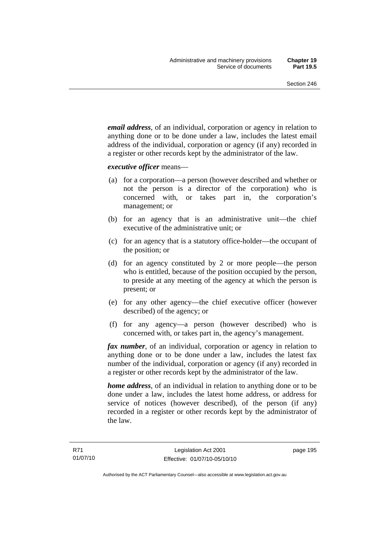*email address*, of an individual, corporation or agency in relation to anything done or to be done under a law, includes the latest email address of the individual, corporation or agency (if any) recorded in a register or other records kept by the administrator of the law.

*executive officer* means—

- (a) for a corporation—a person (however described and whether or not the person is a director of the corporation) who is concerned with, or takes part in, the corporation's management; or
- (b) for an agency that is an administrative unit—the chief executive of the administrative unit; or
- (c) for an agency that is a statutory office-holder—the occupant of the position; or
- (d) for an agency constituted by 2 or more people—the person who is entitled, because of the position occupied by the person, to preside at any meeting of the agency at which the person is present; or
- (e) for any other agency—the chief executive officer (however described) of the agency; or
- (f) for any agency—a person (however described) who is concerned with, or takes part in, the agency's management.

*fax number*, of an individual, corporation or agency in relation to anything done or to be done under a law, includes the latest fax number of the individual, corporation or agency (if any) recorded in a register or other records kept by the administrator of the law.

*home address*, of an individual in relation to anything done or to be done under a law, includes the latest home address, or address for service of notices (however described), of the person (if any) recorded in a register or other records kept by the administrator of the law.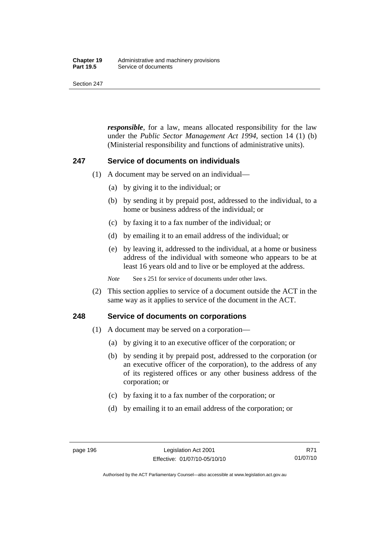#### **Chapter 19** Administrative and machinery provisions<br>**Part 19.5** Service of documents **Service of documents**

Section 247

*responsible*, for a law, means allocated responsibility for the law under the *Public Sector Management Act 1994*, section 14 (1) (b) (Ministerial responsibility and functions of administrative units).

#### **247 Service of documents on individuals**

- (1) A document may be served on an individual—
	- (a) by giving it to the individual; or
	- (b) by sending it by prepaid post, addressed to the individual, to a home or business address of the individual; or
	- (c) by faxing it to a fax number of the individual; or
	- (d) by emailing it to an email address of the individual; or
	- (e) by leaving it, addressed to the individual, at a home or business address of the individual with someone who appears to be at least 16 years old and to live or be employed at the address.

*Note* See s 251 for service of documents under other laws.

 (2) This section applies to service of a document outside the ACT in the same way as it applies to service of the document in the ACT.

#### **248 Service of documents on corporations**

- (1) A document may be served on a corporation—
	- (a) by giving it to an executive officer of the corporation; or
	- (b) by sending it by prepaid post, addressed to the corporation (or an executive officer of the corporation), to the address of any of its registered offices or any other business address of the corporation; or
	- (c) by faxing it to a fax number of the corporation; or
	- (d) by emailing it to an email address of the corporation; or

Authorised by the ACT Parliamentary Counsel—also accessible at www.legislation.act.gov.au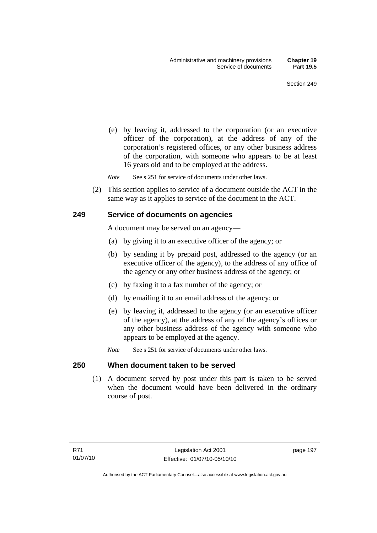(e) by leaving it, addressed to the corporation (or an executive officer of the corporation), at the address of any of the corporation's registered offices, or any other business address of the corporation, with someone who appears to be at least 16 years old and to be employed at the address.

*Note* See s 251 for service of documents under other laws.

 (2) This section applies to service of a document outside the ACT in the same way as it applies to service of the document in the ACT.

#### **249 Service of documents on agencies**

A document may be served on an agency—

- (a) by giving it to an executive officer of the agency; or
- (b) by sending it by prepaid post, addressed to the agency (or an executive officer of the agency), to the address of any office of the agency or any other business address of the agency; or
- (c) by faxing it to a fax number of the agency; or
- (d) by emailing it to an email address of the agency; or
- (e) by leaving it, addressed to the agency (or an executive officer of the agency), at the address of any of the agency's offices or any other business address of the agency with someone who appears to be employed at the agency.
- *Note* See s 251 for service of documents under other laws.

#### **250 When document taken to be served**

 (1) A document served by post under this part is taken to be served when the document would have been delivered in the ordinary course of post.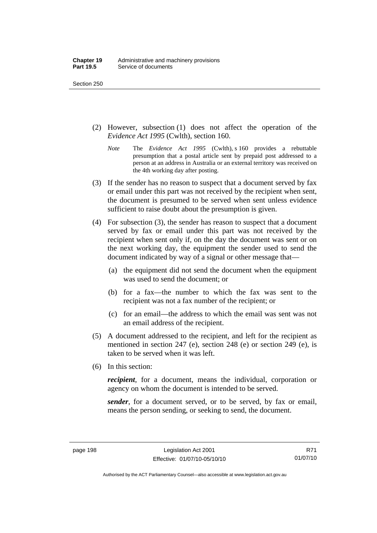- (2) However, subsection (1) does not affect the operation of the *Evidence Act 1995* (Cwlth), section 160.
	- *Note* The *Evidence Act 1995* (Cwlth), s 160 provides a rebuttable presumption that a postal article sent by prepaid post addressed to a person at an address in Australia or an external territory was received on the 4th working day after posting.
- (3) If the sender has no reason to suspect that a document served by fax or email under this part was not received by the recipient when sent, the document is presumed to be served when sent unless evidence sufficient to raise doubt about the presumption is given.
- (4) For subsection (3), the sender has reason to suspect that a document served by fax or email under this part was not received by the recipient when sent only if, on the day the document was sent or on the next working day, the equipment the sender used to send the document indicated by way of a signal or other message that—
	- (a) the equipment did not send the document when the equipment was used to send the document; or
	- (b) for a fax—the number to which the fax was sent to the recipient was not a fax number of the recipient; or
	- (c) for an email—the address to which the email was sent was not an email address of the recipient.
- (5) A document addressed to the recipient, and left for the recipient as mentioned in section 247 (e), section 248 (e) or section 249 (e), is taken to be served when it was left.
- (6) In this section:

*recipient*, for a document, means the individual, corporation or agency on whom the document is intended to be served.

*sender*, for a document served, or to be served, by fax or email, means the person sending, or seeking to send, the document.

Authorised by the ACT Parliamentary Counsel—also accessible at www.legislation.act.gov.au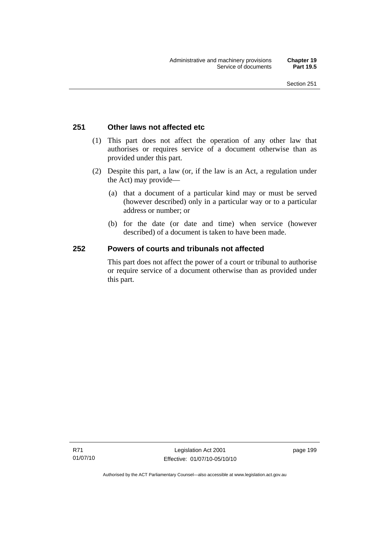## **251 Other laws not affected etc**

- (1) This part does not affect the operation of any other law that authorises or requires service of a document otherwise than as provided under this part.
- (2) Despite this part, a law (or, if the law is an Act, a regulation under the Act) may provide—
	- (a) that a document of a particular kind may or must be served (however described) only in a particular way or to a particular address or number; or
	- (b) for the date (or date and time) when service (however described) of a document is taken to have been made.

## **252 Powers of courts and tribunals not affected**

This part does not affect the power of a court or tribunal to authorise or require service of a document otherwise than as provided under this part.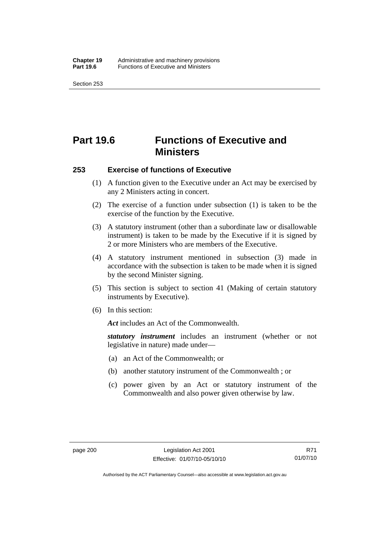# **Part 19.6 Functions of Executive and Ministers**

#### **253 Exercise of functions of Executive**

- (1) A function given to the Executive under an Act may be exercised by any 2 Ministers acting in concert.
- (2) The exercise of a function under subsection (1) is taken to be the exercise of the function by the Executive.
- (3) A statutory instrument (other than a subordinate law or disallowable instrument) is taken to be made by the Executive if it is signed by 2 or more Ministers who are members of the Executive.
- (4) A statutory instrument mentioned in subsection (3) made in accordance with the subsection is taken to be made when it is signed by the second Minister signing.
- (5) This section is subject to section 41 (Making of certain statutory instruments by Executive).
- (6) In this section:

*Act* includes an Act of the Commonwealth.

*statutory instrument* includes an instrument (whether or not legislative in nature) made under—

- (a) an Act of the Commonwealth; or
- (b) another statutory instrument of the Commonwealth ; or
- (c) power given by an Act or statutory instrument of the Commonwealth and also power given otherwise by law.

Authorised by the ACT Parliamentary Counsel—also accessible at www.legislation.act.gov.au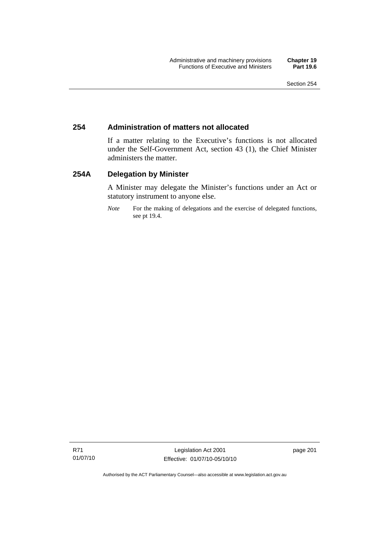## **254 Administration of matters not allocated**

If a matter relating to the Executive's functions is not allocated under the Self-Government Act, section 43 (1), the Chief Minister administers the matter.

## **254A Delegation by Minister**

A Minister may delegate the Minister's functions under an Act or statutory instrument to anyone else.

*Note* For the making of delegations and the exercise of delegated functions, see pt 19.4.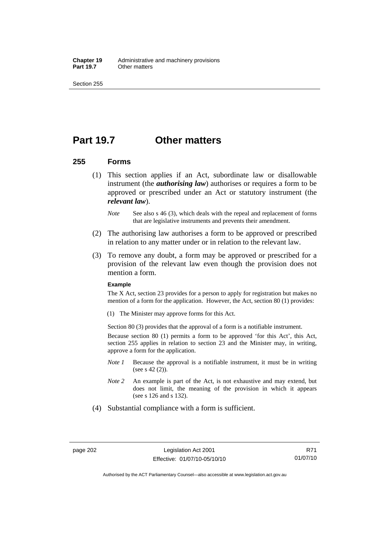**Chapter 19** Administrative and machinery provisions<br>**Part 19.7** Other matters **Other matters** 

Section 255

## **Part 19.7 Other matters**

### **255 Forms**

- (1) This section applies if an Act, subordinate law or disallowable instrument (the *authorising law*) authorises or requires a form to be approved or prescribed under an Act or statutory instrument (the *relevant law*).
	- *Note* See also s 46 (3), which deals with the repeal and replacement of forms that are legislative instruments and prevents their amendment.
- (2) The authorising law authorises a form to be approved or prescribed in relation to any matter under or in relation to the relevant law.
- (3) To remove any doubt, a form may be approved or prescribed for a provision of the relevant law even though the provision does not mention a form.

#### **Example**

The X Act, section 23 provides for a person to apply for registration but makes no mention of a form for the application. However, the Act, section 80 (1) provides:

(1) The Minister may approve forms for this Act.

Section 80 (3) provides that the approval of a form is a notifiable instrument.

Because section 80 (1) permits a form to be approved 'for this Act', this Act, section 255 applies in relation to section 23 and the Minister may, in writing, approve a form for the application.

- *Note 1* Because the approval is a notifiable instrument, it must be in writing (see s 42 (2)).
- *Note 2* An example is part of the Act, is not exhaustive and may extend, but does not limit, the meaning of the provision in which it appears (see s 126 and s 132).
- (4) Substantial compliance with a form is sufficient.

Authorised by the ACT Parliamentary Counsel—also accessible at www.legislation.act.gov.au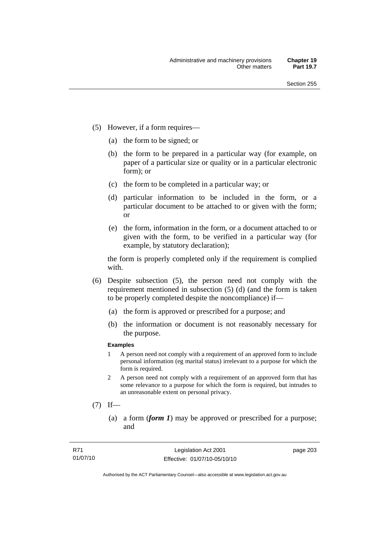- (5) However, if a form requires—
	- (a) the form to be signed; or
	- (b) the form to be prepared in a particular way (for example, on paper of a particular size or quality or in a particular electronic form); or
	- (c) the form to be completed in a particular way; or
	- (d) particular information to be included in the form, or a particular document to be attached to or given with the form; or
	- (e) the form, information in the form, or a document attached to or given with the form, to be verified in a particular way (for example, by statutory declaration);

the form is properly completed only if the requirement is complied with.

- (6) Despite subsection (5), the person need not comply with the requirement mentioned in subsection (5) (d) (and the form is taken to be properly completed despite the noncompliance) if—
	- (a) the form is approved or prescribed for a purpose; and
	- (b) the information or document is not reasonably necessary for the purpose.

### **Examples**

- 1 A person need not comply with a requirement of an approved form to include personal information (eg marital status) irrelevant to a purpose for which the form is required.
- 2 A person need not comply with a requirement of an approved form that has some relevance to a purpose for which the form is required, but intrudes to an unreasonable extent on personal privacy.
- $(7)$  If—
	- (a) a form (*form 1*) may be approved or prescribed for a purpose; and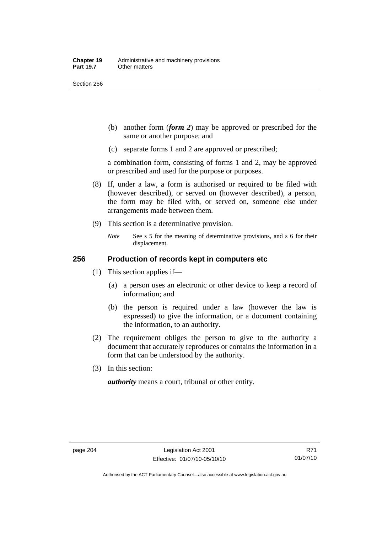Section 256

- (b) another form (*form 2*) may be approved or prescribed for the same or another purpose; and
- (c) separate forms 1 and 2 are approved or prescribed;

a combination form, consisting of forms 1 and 2, may be approved or prescribed and used for the purpose or purposes.

- (8) If, under a law, a form is authorised or required to be filed with (however described), or served on (however described), a person, the form may be filed with, or served on, someone else under arrangements made between them.
- (9) This section is a determinative provision.
	- *Note* See s 5 for the meaning of determinative provisions, and s 6 for their displacement.

## **256 Production of records kept in computers etc**

- (1) This section applies if—
	- (a) a person uses an electronic or other device to keep a record of information; and
	- (b) the person is required under a law (however the law is expressed) to give the information, or a document containing the information, to an authority.
- (2) The requirement obliges the person to give to the authority a document that accurately reproduces or contains the information in a form that can be understood by the authority.
- (3) In this section:

*authority* means a court, tribunal or other entity.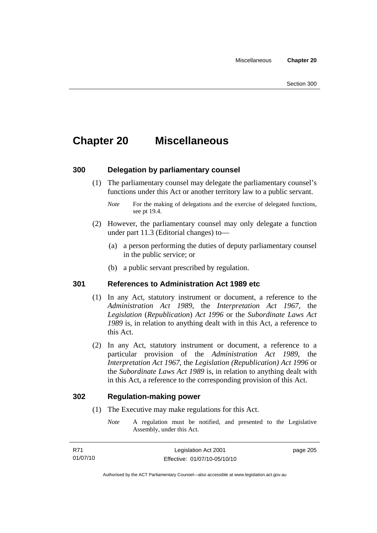# **Chapter 20 Miscellaneous**

## **300 Delegation by parliamentary counsel**

 (1) The parliamentary counsel may delegate the parliamentary counsel's functions under this Act or another territory law to a public servant.

- (2) However, the parliamentary counsel may only delegate a function under part 11.3 (Editorial changes) to—
	- (a) a person performing the duties of deputy parliamentary counsel in the public service; or
	- (b) a public servant prescribed by regulation.

## **301 References to Administration Act 1989 etc**

- (1) In any Act, statutory instrument or document, a reference to the *Administration Act 1989*, the *Interpretation Act 1967*, the *Legislation* (*Republication*) *Act 1996* or the *Subordinate Laws Act 1989* is, in relation to anything dealt with in this Act, a reference to this Act.
- (2) In any Act, statutory instrument or document, a reference to a particular provision of the *Administration Act 1989*, the *Interpretation Act 1967*, the *Legislation (Republication) Act 1996* or the *Subordinate Laws Act 1989* is, in relation to anything dealt with in this Act, a reference to the corresponding provision of this Act.

### **302 Regulation-making power**

- (1) The Executive may make regulations for this Act.
	- *Note* A regulation must be notified, and presented to the Legislative Assembly, under this Act.

*Note* For the making of delegations and the exercise of delegated functions, see pt 19.4.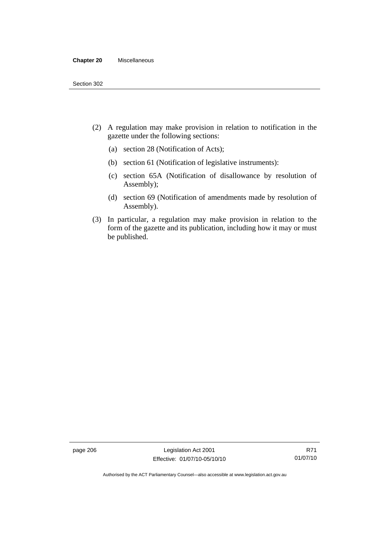#### **Chapter 20** Miscellaneous

- (2) A regulation may make provision in relation to notification in the gazette under the following sections:
	- (a) section 28 (Notification of Acts);
	- (b) section 61 (Notification of legislative instruments):
	- (c) section 65A (Notification of disallowance by resolution of Assembly);
	- (d) section 69 (Notification of amendments made by resolution of Assembly).
- (3) In particular, a regulation may make provision in relation to the form of the gazette and its publication, including how it may or must be published.

page 206 Legislation Act 2001 Effective: 01/07/10-05/10/10

Authorised by the ACT Parliamentary Counsel—also accessible at www.legislation.act.gov.au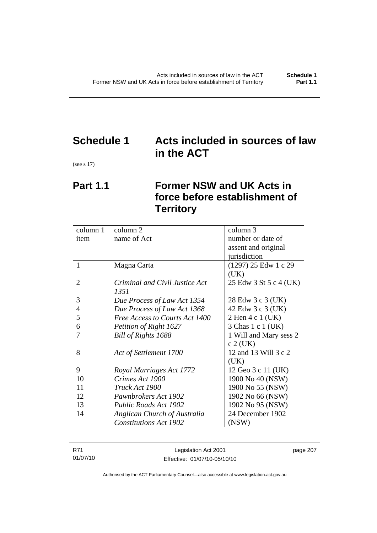# **Schedule 1 Acts included in sources of law in the ACT**

(see s 17)

# **Part 1.1 Former NSW and UK Acts in force before establishment of Territory**

| column 1       | column 2                       | column 3               |
|----------------|--------------------------------|------------------------|
| item           | name of Act                    | number or date of      |
|                |                                | assent and original    |
|                |                                | jurisdiction           |
| 1              | Magna Carta                    | $(1297)$ 25 Edw 1 c 29 |
|                |                                | (UK)                   |
| 2              | Criminal and Civil Justice Act | 25 Edw 3 St 5 c 4 (UK) |
|                | 1351                           |                        |
| 3              | Due Process of Law Act 1354    | 28 Edw 3 c 3 (UK)      |
| $\overline{4}$ | Due Process of Law Act 1368    | 42 Edw 3 c 3 (UK)      |
| 5              | Free Access to Courts Act 1400 | 2 Hen 4 c 1 (UK)       |
| 6              | Petition of Right 1627         | 3 Chas 1 c 1 (UK)      |
| 7              | Bill of Rights 1688            | 1 Will and Mary sess 2 |
|                |                                | $c 2$ (UK)             |
| 8              | Act of Settlement 1700         | 12 and 13 Will 3 c 2   |
|                |                                | (UK)                   |
| 9              | Royal Marriages Act 1772       | 12 Geo 3 c 11 (UK)     |
| 10             | Crimes Act 1900                | 1900 No 40 (NSW)       |
| 11             | Truck Act 1900                 | 1900 No 55 (NSW)       |
| 12             | Pawnbrokers Act 1902           | 1902 No 66 (NSW)       |
| 13             | <b>Public Roads Act 1902</b>   | 1902 No 95 (NSW)       |
| 14             | Anglican Church of Australia   | 24 December 1902       |
|                | <b>Constitutions Act 1902</b>  | (NSW)                  |
|                |                                |                        |

| R71      | Legislation Act 2001         | page 207 |
|----------|------------------------------|----------|
| 01/07/10 | Effective: 01/07/10-05/10/10 |          |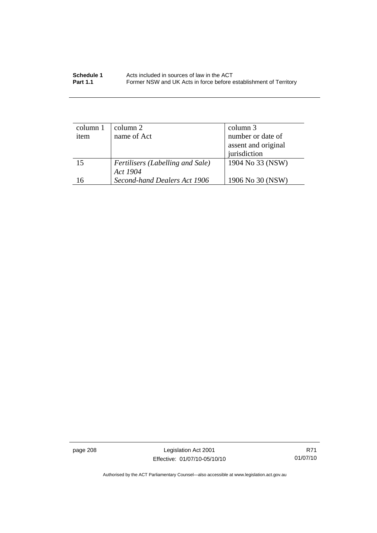| Schedule 1      | Acts included in sources of law in the ACT                        |
|-----------------|-------------------------------------------------------------------|
| <b>Part 1.1</b> | Former NSW and UK Acts in force before establishment of Territory |

| column 1 | column 2                         | column 3            |
|----------|----------------------------------|---------------------|
| item     | name of Act                      | number or date of   |
|          |                                  | assent and original |
|          |                                  | jurisdiction        |
| 15       | Fertilisers (Labelling and Sale) | 1904 No 33 (NSW)    |
|          | Act 1904                         |                     |
| 16       | Second-hand Dealers Act 1906     | 1906 No 30 (NSW)    |

page 208 Legislation Act 2001 Effective: 01/07/10-05/10/10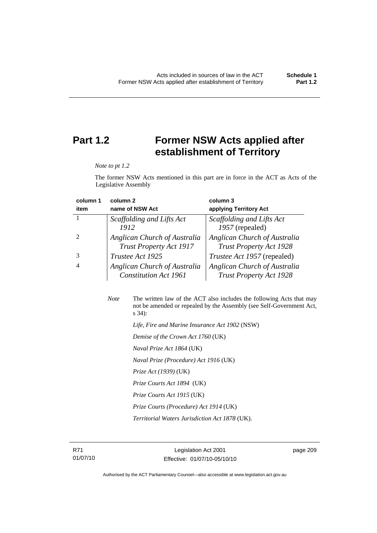# **Part 1.2 Former NSW Acts applied after establishment of Territory**

*Note to pt 1.2* 

The former NSW Acts mentioned in this part are in force in the ACT as Acts of the Legislative Assembly

| column 1       | column <sub>2</sub>                                            | column 3                                                       |
|----------------|----------------------------------------------------------------|----------------------------------------------------------------|
| item           | name of NSW Act                                                | applying Territory Act                                         |
|                | Scaffolding and Lifts Act                                      | Scaffolding and Lifts Act                                      |
|                | 1912                                                           | 1957 (repealed)                                                |
|                | Anglican Church of Australia<br><b>Trust Property Act 1917</b> | Anglican Church of Australia<br><b>Trust Property Act 1928</b> |
|                | Trustee Act 1925                                               | <i>Trustee Act 1957</i> (repealed)                             |
| $\overline{4}$ | Anglican Church of Australia<br><b>Constitution Act 1961</b>   | Anglican Church of Australia<br><b>Trust Property Act 1928</b> |

| <b>Note</b> | The written law of the ACT also includes the following Acts that may<br>not be amended or repealed by the Assembly (see Self-Government Act,<br>$s\,34$ : |
|-------------|-----------------------------------------------------------------------------------------------------------------------------------------------------------|
|             | Life, Fire and Marine Insurance Act 1902 (NSW)                                                                                                            |
|             | Demise of the Crown Act 1760 (UK)                                                                                                                         |
|             | <i>Naval Prize Act 1864</i> (UK)                                                                                                                          |
|             | Naval Prize (Procedure) Act 1916 (UK)                                                                                                                     |
|             | <i>Prize Act (1939)</i> (UK)                                                                                                                              |

 *Prize Courts Act 1894* (UK)

- *Prize Courts Act 1915* (UK)
- *Prize Courts (Procedure) Act 1914* (UK)

 *Territorial Waters Jurisdiction Act 1878* (UK).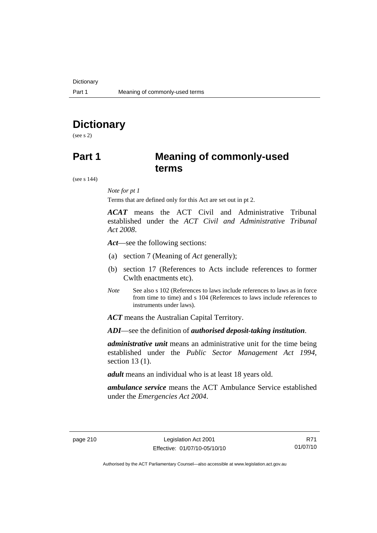# **Dictionary**

(see s 2)

# **Part 1 Meaning of commonly-used terms**

(see s 144)

### *Note for pt 1*

Terms that are defined only for this Act are set out in pt 2.

*ACAT* means the ACT Civil and Administrative Tribunal established under the *ACT Civil and Administrative Tribunal Act 2008*.

*Act*—see the following sections:

- (a) section 7 (Meaning of *Act* generally);
- (b) section 17 (References to Acts include references to former Cwlth enactments etc).
- *Note* See also s 102 (References to laws include references to laws as in force from time to time) and s 104 (References to laws include references to instruments under laws).

*ACT* means the Australian Capital Territory.

*ADI*—see the definition of *authorised deposit-taking institution*.

*administrative unit* means an administrative unit for the time being established under the *Public Sector Management Act 1994*, section 13 (1).

*adult* means an individual who is at least 18 years old.

*ambulance service* means the ACT Ambulance Service established under the *Emergencies Act 2004*.

R71 01/07/10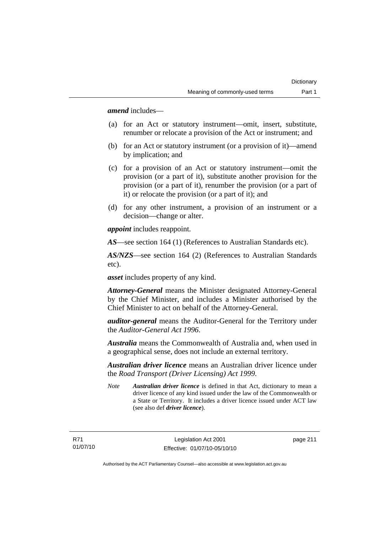*amend* includes—

- (a) for an Act or statutory instrument—omit, insert, substitute, renumber or relocate a provision of the Act or instrument; and
- (b) for an Act or statutory instrument (or a provision of it)—amend by implication; and
- (c) for a provision of an Act or statutory instrument—omit the provision (or a part of it), substitute another provision for the provision (or a part of it), renumber the provision (or a part of it) or relocate the provision (or a part of it); and
- (d) for any other instrument, a provision of an instrument or a decision—change or alter.

*appoint* includes reappoint.

*AS*—see section 164 (1) (References to Australian Standards etc).

*AS/NZS*—see section 164 (2) (References to Australian Standards etc).

*asset* includes property of any kind.

*Attorney-General* means the Minister designated Attorney-General by the Chief Minister, and includes a Minister authorised by the Chief Minister to act on behalf of the Attorney-General.

*auditor-general* means the Auditor-General for the Territory under the *Auditor-General Act 1996*.

*Australia* means the Commonwealth of Australia and, when used in a geographical sense, does not include an external territory.

*Australian driver licence* means an Australian driver licence under the *Road Transport (Driver Licensing) Act 1999*.

*Note Australian driver licence* is defined in that Act, dictionary to mean a driver licence of any kind issued under the law of the Commonwealth or a State or Territory. It includes a driver licence issued under ACT law (see also def *driver licence*).

R71 01/07/10 page 211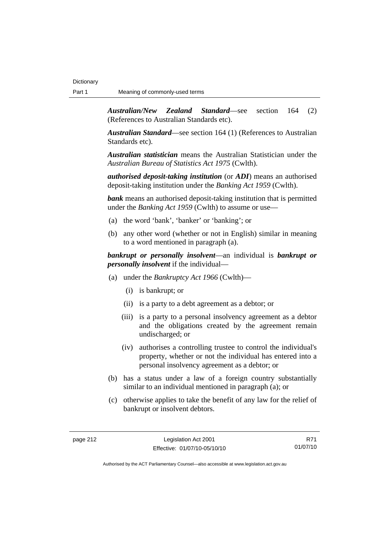*Australian/New Zealand Standard*—see section 164 (2) (References to Australian Standards etc).

*Australian Standard*—see section 164 (1) (References to Australian Standards etc).

*Australian statistician* means the Australian Statistician under the *Australian Bureau of Statistics Act 1975* (Cwlth).

*authorised deposit-taking institution* (or *ADI*) means an authorised deposit-taking institution under the *Banking Act 1959* (Cwlth).

*bank* means an authorised deposit-taking institution that is permitted under the *Banking Act 1959* (Cwlth) to assume or use—

- (a) the word 'bank', 'banker' or 'banking'; or
- (b) any other word (whether or not in English) similar in meaning to a word mentioned in paragraph (a).

*bankrupt or personally insolvent*—an individual is *bankrupt or personally insolvent* if the individual—

- (a) under the *Bankruptcy Act 1966* (Cwlth)—
	- (i) is bankrupt; or
	- (ii) is a party to a debt agreement as a debtor; or
	- (iii) is a party to a personal insolvency agreement as a debtor and the obligations created by the agreement remain undischarged; or
	- (iv) authorises a controlling trustee to control the individual's property, whether or not the individual has entered into a personal insolvency agreement as a debtor; or
- (b) has a status under a law of a foreign country substantially similar to an individual mentioned in paragraph (a); or
- (c) otherwise applies to take the benefit of any law for the relief of bankrupt or insolvent debtors.

R71 01/07/10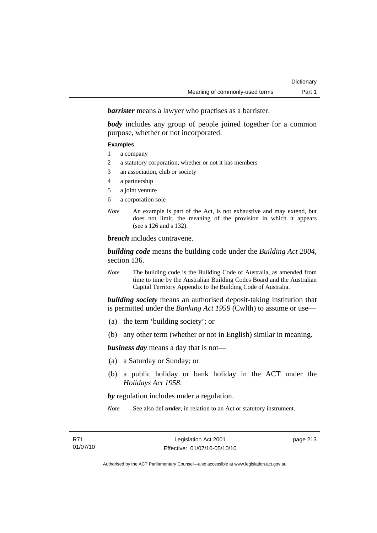*barrister* means a lawyer who practises as a barrister.

*body* includes any group of people joined together for a common purpose, whether or not incorporated.

#### **Examples**

- 1 a company
- 2 a statutory corporation, whether or not it has members
- 3 an association, club or society
- 4 a partnership
- 5 a joint venture
- 6 a corporation sole
- *Note* An example is part of the Act, is not exhaustive and may extend, but does not limit, the meaning of the provision in which it appears (see s 126 and s 132).

*breach* includes contravene.

*building code* means the building code under the *Building Act 2004*, section 136.

*Note* The building code is the Building Code of Australia, as amended from time to time by the Australian Building Codes Board and the Australian Capital Territory Appendix to the Building Code of Australia.

*building society* means an authorised deposit-taking institution that is permitted under the *Banking Act 1959* (Cwlth) to assume or use—

- (a) the term 'building society'; or
- (b) any other term (whether or not in English) similar in meaning.

*business day* means a day that is not—

- (a) a Saturday or Sunday; or
- (b) a public holiday or bank holiday in the ACT under the *Holidays Act 1958*.

*by* regulation includes under a regulation.

*Note* See also def *under*, in relation to an Act or statutory instrument.

page 213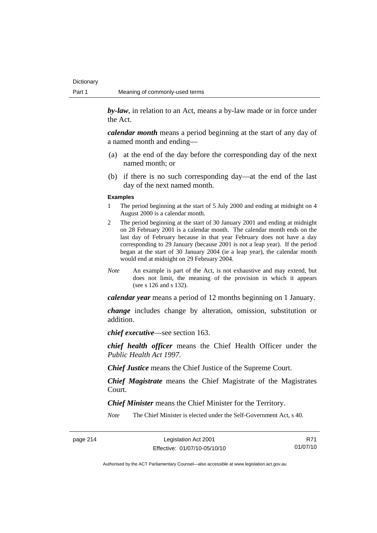*by-law*, in relation to an Act, means a by-law made or in force under the Act.

*calendar month* means a period beginning at the start of any day of a named month and ending—

- (a) at the end of the day before the corresponding day of the next named month; or
- (b) if there is no such corresponding day—at the end of the last day of the next named month.

#### **Examples**

- 1 The period beginning at the start of 5 July 2000 and ending at midnight on 4 August 2000 is a calendar month.
- 2 The period beginning at the start of 30 January 2001 and ending at midnight on 28 February 2001 is a calendar month. The calendar month ends on the last day of February because in that year February does not have a day corresponding to 29 January (because 2001 is not a leap year). If the period began at the start of 30 January 2004 (ie a leap year), the calendar month would end at midnight on 29 February 2004.
- *Note* An example is part of the Act, is not exhaustive and may extend, but does not limit, the meaning of the provision in which it appears (see s 126 and s 132).

*calendar year* means a period of 12 months beginning on 1 January.

*change* includes change by alteration, omission, substitution or addition.

*chief executive*—see section 163.

*chief health officer* means the Chief Health Officer under the *Public Health Act 1997*.

*Chief Justice* means the Chief Justice of the Supreme Court.

*Chief Magistrate* means the Chief Magistrate of the Magistrates Court.

*Chief Minister* means the Chief Minister for the Territory.

*Note* The Chief Minister is elected under the Self-Government Act, s 40.

page 214 Legislation Act 2001 Effective: 01/07/10-05/10/10

R71 01/07/10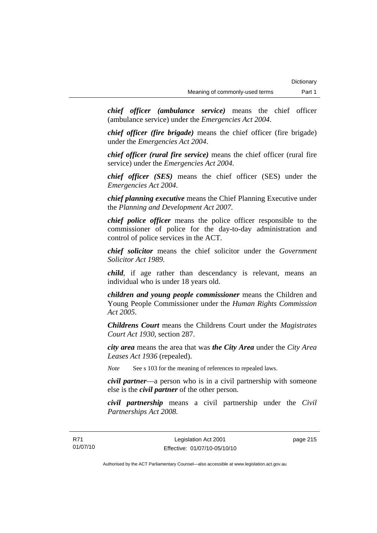*chief officer (ambulance service)* means the chief officer (ambulance service) under the *Emergencies Act 2004*.

*chief officer (fire brigade)* means the chief officer (fire brigade) under the *Emergencies Act 2004*.

*chief officer (rural fire service)* means the chief officer (rural fire service) under the *Emergencies Act 2004*.

*chief officer (SES)* means the chief officer (SES) under the *Emergencies Act 2004*.

*chief planning executive* means the Chief Planning Executive under the *Planning and Development Act 2007*.

*chief police officer* means the police officer responsible to the commissioner of police for the day-to-day administration and control of police services in the ACT.

*chief solicitor* means the chief solicitor under the *Government Solicitor Act 1989*.

*child*, if age rather than descendancy is relevant, means an individual who is under 18 years old.

*children and young people commissioner* means the Children and Young People Commissioner under the *Human Rights Commission Act 2005*.

*Childrens Court* means the Childrens Court under the *Magistrates Court Act 1930*, section 287.

*city area* means the area that was *the City Area* under the *City Area Leases Act 1936* (repealed).

*Note* See s 103 for the meaning of references to repealed laws.

*civil partner*—a person who is in a civil partnership with someone else is the *civil partner* of the other person.

*civil partnership* means a civil partnership under the *Civil Partnerships Act 2008*.

page 215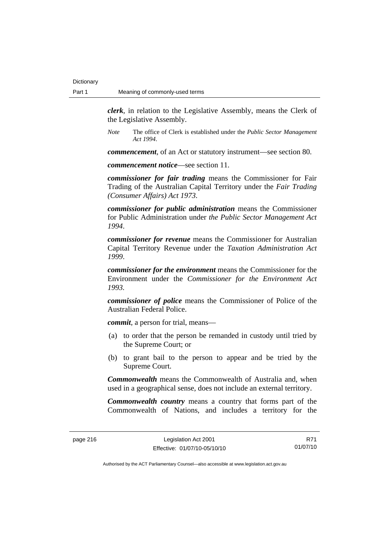*clerk*, in relation to the Legislative Assembly, means the Clerk of the Legislative Assembly.

*Note* The office of Clerk is established under the *Public Sector Management Act 1994*.

*commencement*, of an Act or statutory instrument—see section 80.

*commencement notice*—see section 11.

*commissioner for fair trading* means the Commissioner for Fair Trading of the Australian Capital Territory under the *Fair Trading (Consumer Affairs) Act 1973*.

*commissioner for public administration* means the Commissioner for Public Administration under *the Public Sector Management Act 1994*.

*commissioner for revenue* means the Commissioner for Australian Capital Territory Revenue under the *Taxation Administration Act 1999*.

*commissioner for the environment* means the Commissioner for the Environment under the *Commissioner for the Environment Act 1993.* 

*commissioner of police* means the Commissioner of Police of the Australian Federal Police.

*commit*, a person for trial, means—

- (a) to order that the person be remanded in custody until tried by the Supreme Court; or
- (b) to grant bail to the person to appear and be tried by the Supreme Court.

*Commonwealth* means the Commonwealth of Australia and, when used in a geographical sense, does not include an external territory.

*Commonwealth country* means a country that forms part of the Commonwealth of Nations, and includes a territory for the

R71 01/07/10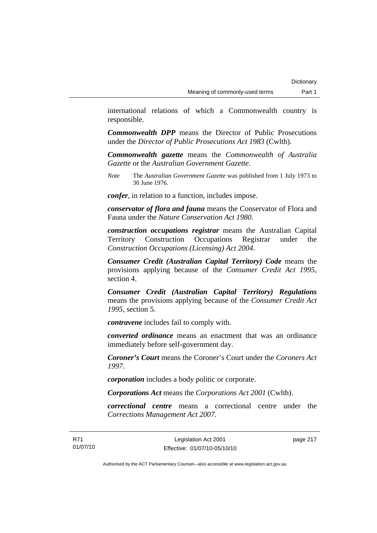international relations of which a Commonwealth country is responsible.

*Commonwealth DPP* means the Director of Public Prosecutions under the *Director of Public Prosecutions Act 1983* (Cwlth).

*Commonwealth gazette* means the *Commonwealth of Australia Gazette* or the *Australian Government Gazette*.

*Note* The *Australian Government Gazette* was published from 1 July 1973 to 30 June 1976.

*confer*, in relation to a function, includes impose.

*conservator of flora and fauna* means the Conservator of Flora and Fauna under the *Nature Conservation Act 1980*.

*construction occupations registrar* means the Australian Capital Territory Construction Occupations Registrar under the *Construction Occupations (Licensing) Act 2004*.

*Consumer Credit (Australian Capital Territory) Code* means the provisions applying because of the *Consumer Credit Act 1995*, section 4.

*Consumer Credit (Australian Capital Territory) Regulations* means the provisions applying because of the *Consumer Credit Act 1995*, section 5.

*contravene* includes fail to comply with.

*converted ordinance* means an enactment that was an ordinance immediately before self-government day.

*Coroner's Court* means the Coroner's Court under the *Coroners Act 1997*.

*corporation* includes a body politic or corporate.

*Corporations Act* means the *Corporations Act 2001* (Cwlth).

*correctional centre* means a correctional centre under the *Corrections Management Act 2007*.

page 217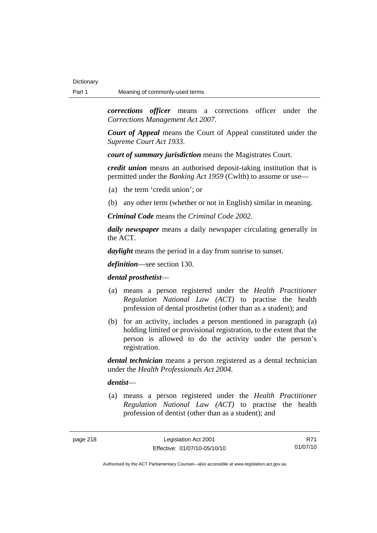*corrections officer* means a corrections officer under the *Corrections Management Act 2007*.

*Court of Appeal* means the Court of Appeal constituted under the *Supreme Court Act 1933*.

*court of summary jurisdiction* means the Magistrates Court.

*credit union* means an authorised deposit-taking institution that is permitted under the *Banking Act 1959* (Cwlth) to assume or use—

- (a) the term 'credit union'; or
- (b) any other term (whether or not in English) similar in meaning.

*Criminal Code* means the *Criminal Code 2002*.

*daily newspaper* means a daily newspaper circulating generally in the ACT.

*daylight* means the period in a day from sunrise to sunset.

*definition*—see section 130.

*dental prosthetist*—

- (a) means a person registered under the *Health Practitioner Regulation National Law (ACT)* to practise the health profession of dental prosthetist (other than as a student); and
- (b) for an activity, includes a person mentioned in paragraph (a) holding limited or provisional registration, to the extent that the person is allowed to do the activity under the person's registration.

*dental technician* means a person registered as a dental technician under the *Health Professionals Act 2004*.

### *dentist*—

 (a) means a person registered under the *Health Practitioner Regulation National Law (ACT)* to practise the health profession of dentist (other than as a student); and

R71 01/07/10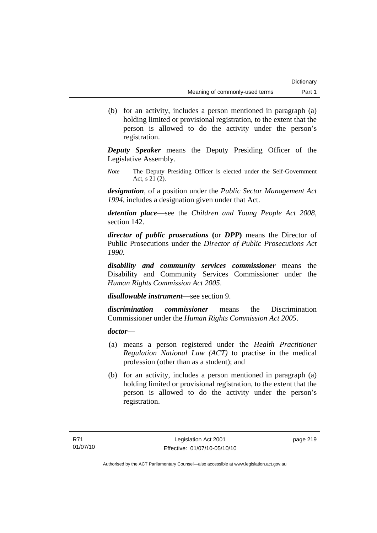(b) for an activity, includes a person mentioned in paragraph (a) holding limited or provisional registration, to the extent that the person is allowed to do the activity under the person's registration.

*Deputy Speaker* means the Deputy Presiding Officer of the Legislative Assembly.

*Note* The Deputy Presiding Officer is elected under the Self-Government Act, s 21 (2).

*designation*, of a position under the *Public Sector Management Act 1994*, includes a designation given under that Act.

*detention place*—see the *Children and Young People Act 2008*, section 142.

*director of public prosecutions* **(**or *DPP***)** means the Director of Public Prosecutions under the *Director of Public Prosecutions Act 1990*.

*disability and community services commissioner* means the Disability and Community Services Commissioner under the *Human Rights Commission Act 2005*.

*disallowable instrument*—see section 9.

*discrimination commissioner* means the Discrimination Commissioner under the *Human Rights Commission Act 2005*.

## *doctor*—

- (a) means a person registered under the *Health Practitioner Regulation National Law (ACT)* to practise in the medical profession (other than as a student); and
- (b) for an activity, includes a person mentioned in paragraph (a) holding limited or provisional registration, to the extent that the person is allowed to do the activity under the person's registration.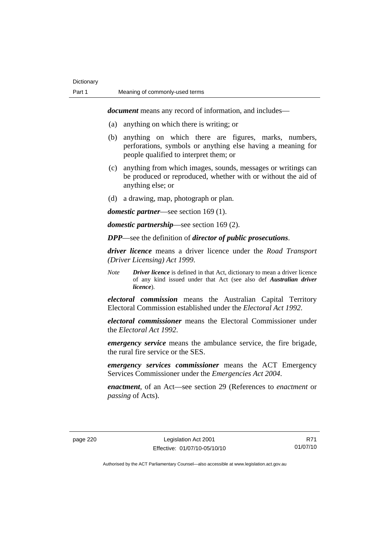*document* means any record of information, and includes—

- (a) anything on which there is writing; or
- (b) anything on which there are figures, marks, numbers, perforations, symbols or anything else having a meaning for people qualified to interpret them; or
- (c) anything from which images, sounds, messages or writings can be produced or reproduced, whether with or without the aid of anything else; or
- (d) a drawing, map, photograph or plan.

*domestic partner*—see section 169 (1).

*domestic partnership*—see section 169 (2).

*DPP*—see the definition of *director of public prosecutions*.

*driver licence* means a driver licence under the *Road Transport (Driver Licensing) Act 1999*.

*Note Driver licence* is defined in that Act, dictionary to mean a driver licence of any kind issued under that Act (see also def *Australian driver licence*).

*electoral commission* means the Australian Capital Territory Electoral Commission established under the *Electoral Act 1992*.

*electoral commissioner* means the Electoral Commissioner under the *Electoral Act 1992*.

*emergency service* means the ambulance service, the fire brigade, the rural fire service or the SES.

*emergency services commissioner* means the ACT Emergency Services Commissioner under the *Emergencies Act 2004*.

*enactment*, of an Act—see section 29 (References to *enactment* or *passing* of Acts).

R71 01/07/10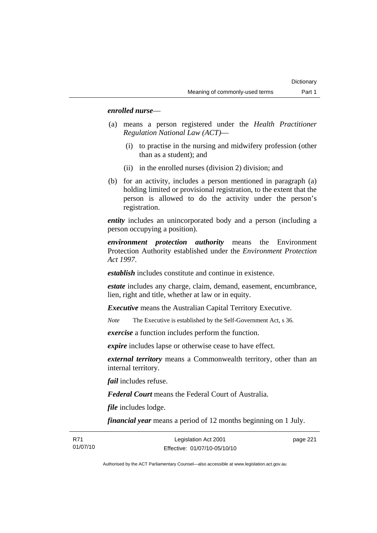### *enrolled nurse*—

- (a) means a person registered under the *Health Practitioner Regulation National Law (ACT)*—
	- (i) to practise in the nursing and midwifery profession (other than as a student); and
	- (ii) in the enrolled nurses (division 2) division; and
- (b) for an activity, includes a person mentioned in paragraph (a) holding limited or provisional registration, to the extent that the person is allowed to do the activity under the person's registration.

*entity* includes an unincorporated body and a person (including a person occupying a position).

*environment protection authority* means the Environment Protection Authority established under the *Environment Protection Act 1997*.

*establish* includes constitute and continue in existence.

*estate* includes any charge, claim, demand, easement, encumbrance, lien, right and title, whether at law or in equity.

*Executive* means the Australian Capital Territory Executive.

*Note* The Executive is established by the Self-Government Act, s 36.

*exercise* a function includes perform the function.

*expire* includes lapse or otherwise cease to have effect.

*external territory* means a Commonwealth territory, other than an internal territory.

*fail* includes refuse.

*Federal Court* means the Federal Court of Australia.

*file* includes lodge.

*financial year* means a period of 12 months beginning on 1 July.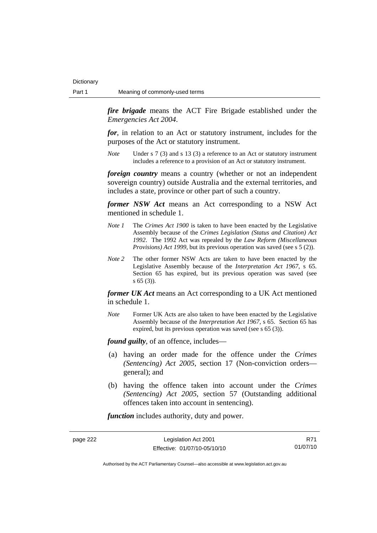*fire brigade* means the ACT Fire Brigade established under the *Emergencies Act 2004*.

*for*, in relation to an Act or statutory instrument, includes for the purposes of the Act or statutory instrument.

*Note* Under s 7 (3) and s 13 (3) a reference to an Act or statutory instrument includes a reference to a provision of an Act or statutory instrument.

*foreign country* means a country (whether or not an independent sovereign country) outside Australia and the external territories, and includes a state, province or other part of such a country.

*former NSW Act* means an Act corresponding to a NSW Act mentioned in schedule 1.

- *Note 1* The *Crimes Act 1900* is taken to have been enacted by the Legislative Assembly because of the *Crimes Legislation (Status and Citation) Act 1992*. The 1992 Act was repealed by the *Law Reform (Miscellaneous Provisions) Act 1999*, but its previous operation was saved (see s 5 (2)).
- *Note 2* The other former NSW Acts are taken to have been enacted by the Legislative Assembly because of the *Interpretation Act 1967*, s 65. Section 65 has expired, but its previous operation was saved (see s 65 (3)).

*former UK Act* means an Act corresponding to a UK Act mentioned in schedule 1.

*Note* Former UK Acts are also taken to have been enacted by the Legislative Assembly because of the *Interpretation Act 1967*, s 65. Section 65 has expired, but its previous operation was saved (see s 65 (3)).

*found guilty*, of an offence, includes—

- (a) having an order made for the offence under the *Crimes (Sentencing) Act 2005*, section 17 (Non-conviction orders general); and
- (b) having the offence taken into account under the *Crimes (Sentencing) Act 2005*, section 57 (Outstanding additional offences taken into account in sentencing).

*function* includes authority, duty and power.

page 222 Legislation Act 2001 Effective: 01/07/10-05/10/10

R71 01/07/10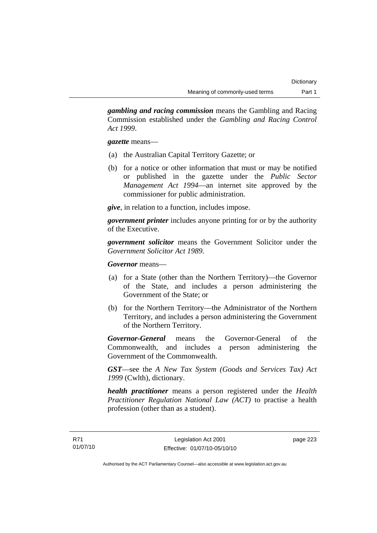*gambling and racing commission* means the Gambling and Racing Commission established under the *Gambling and Racing Control Act 1999*.

*gazette* means—

- (a) the Australian Capital Territory Gazette; or
- (b) for a notice or other information that must or may be notified or published in the gazette under the *Public Sector Management Act 1994*—an internet site approved by the commissioner for public administration.

*give*, in relation to a function, includes impose.

*government printer* includes anyone printing for or by the authority of the Executive.

*government solicitor* means the Government Solicitor under the *Government Solicitor Act 1989*.

*Governor* means—

- (a) for a State (other than the Northern Territory)—the Governor of the State, and includes a person administering the Government of the State; or
- (b) for the Northern Territory—the Administrator of the Northern Territory, and includes a person administering the Government of the Northern Territory.

*Governor-General* means the Governor-General of the Commonwealth, and includes a person administering the Government of the Commonwealth.

*GST*—see the *A New Tax System (Goods and Services Tax) Act 1999* (Cwlth), dictionary.

*health practitioner* means a person registered under the *Health Practitioner Regulation National Law (ACT)* to practise a health profession (other than as a student).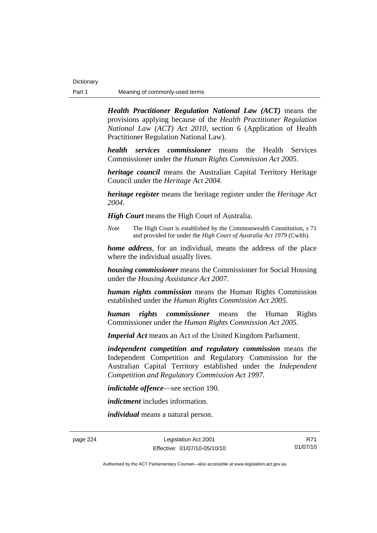*Health Practitioner Regulation National Law (ACT)* means the provisions applying because of the *Health Practitioner Regulation National Law (ACT) Act 2010*, section 6 (Application of Health Practitioner Regulation National Law).

*health services commissioner* means the Health Services Commissioner under the *Human Rights Commission Act 2005*.

*heritage council* means the Australian Capital Territory Heritage Council under the *Heritage Act 2004*.

*heritage register* means the heritage register under the *Heritage Act 2004*.

*High Court* means the High Court of Australia.

*Note* The High Court is established by the Commonwealth Constitution, s 71 and provided for under the *High Court of Australia Act 1979* (Cwlth).

*home address*, for an individual, means the address of the place where the individual usually lives.

*housing commissioner* means the Commissioner for Social Housing under the *Housing Assistance Act 2007*.

*human rights commission* means the Human Rights Commission established under the *Human Rights Commission Act 2005*.

*human rights commissioner* means the Human Rights Commissioner under the *Human Rights Commission Act 2005*.

*Imperial Act* means an Act of the United Kingdom Parliament.

*independent competition and regulatory commission* means the Independent Competition and Regulatory Commission for the Australian Capital Territory established under the *Independent Competition and Regulatory Commission Act 1997*.

*indictable offence*—see section 190.

*indictment* includes information.

*individual* means a natural person.

page 224 Legislation Act 2001 Effective: 01/07/10-05/10/10

R71 01/07/10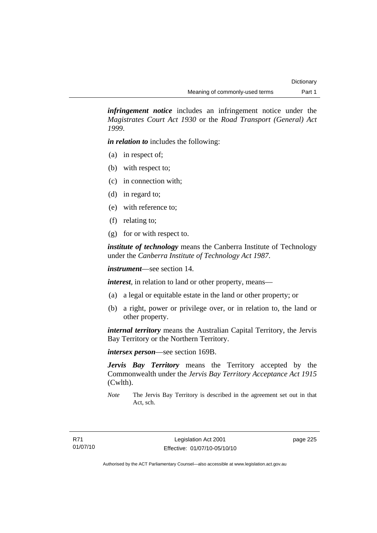*infringement notice* includes an infringement notice under the *Magistrates Court Act 1930* or the *Road Transport (General) Act 1999*.

*in relation to* includes the following:

- (a) in respect of;
- (b) with respect to;
- (c) in connection with;
- (d) in regard to;
- (e) with reference to;
- (f) relating to;
- (g) for or with respect to.

*institute of technology* means the Canberra Institute of Technology under the *Canberra Institute of Technology Act 1987*.

*instrument*—see section 14.

*interest*, in relation to land or other property, means—

- (a) a legal or equitable estate in the land or other property; or
- (b) a right, power or privilege over, or in relation to, the land or other property.

*internal territory* means the Australian Capital Territory, the Jervis Bay Territory or the Northern Territory.

*intersex person*—see section 169B.

*Jervis Bay Territory* means the Territory accepted by the Commonwealth under the *Jervis Bay Territory Acceptance Act 1915* (Cwlth).

*Note* The Jervis Bay Territory is described in the agreement set out in that Act, sch.

page 225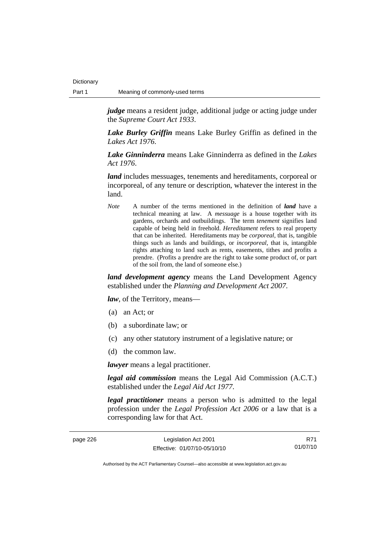*judge* means a resident judge, additional judge or acting judge under the *Supreme Court Act 1933*.

*Lake Burley Griffin* means Lake Burley Griffin as defined in the *Lakes Act 1976*.

*Lake Ginninderra* means Lake Ginninderra as defined in the *Lakes Act 1976*.

*land* includes messuages, tenements and hereditaments, corporeal or incorporeal, of any tenure or description, whatever the interest in the land.

*Note* A number of the terms mentioned in the definition of *land* have a technical meaning at law. A *messuage* is a house together with its gardens, orchards and outbuildings. The term *tenement* signifies land capable of being held in freehold. *Hereditament* refers to real property that can be inherited. Hereditaments may be *corporeal*, that is, tangible things such as lands and buildings, or *incorporeal*, that is, intangible rights attaching to land such as rents, easements, tithes and profits a prendre. (Profits a prendre are the right to take some product of, or part of the soil from, the land of someone else.)

*land development agency* means the Land Development Agency established under the *Planning and Development Act 2007*.

*law*, of the Territory, means—

- (a) an Act; or
- (b) a subordinate law; or
- (c) any other statutory instrument of a legislative nature; or
- (d) the common law.

*lawyer* means a legal practitioner.

*legal aid commission* means the Legal Aid Commission (A.C.T.) established under the *Legal Aid Act 1977*.

*legal practitioner* means a person who is admitted to the legal profession under the *Legal Profession Act 2006* or a law that is a corresponding law for that Act.

| page 226 |  |
|----------|--|
|----------|--|

R71 01/07/10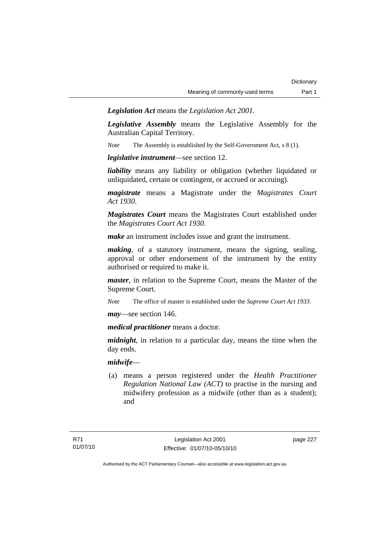*Legislation Act* means the *Legislation Act 2001*.

*Legislative Assembly* means the Legislative Assembly for the Australian Capital Territory.

*Note* The Assembly is established by the Self-Government Act, s 8 (1).

*legislative instrument*—see section 12.

*liability* means any liability or obligation (whether liquidated or unliquidated, certain or contingent, or accrued or accruing).

*magistrate* means a Magistrate under the *Magistrates Court Act 1930*.

*Magistrates Court* means the Magistrates Court established under the *Magistrates Court Act 1930*.

*make* an instrument includes issue and grant the instrument.

*making*, of a statutory instrument, means the signing, sealing, approval or other endorsement of the instrument by the entity authorised or required to make it.

*master*, in relation to the Supreme Court, means the Master of the Supreme Court.

*Note* The office of master is established under the *Supreme Court Act 1933*.

*may*—see section 146.

*medical practitioner* means a doctor.

*midnight*, in relation to a particular day, means the time when the day ends.

## *midwife*—

 (a) means a person registered under the *Health Practitioner Regulation National Law (ACT)* to practise in the nursing and midwifery profession as a midwife (other than as a student); and

page 227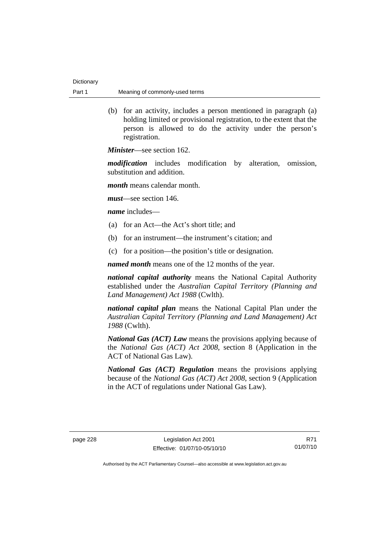(b) for an activity, includes a person mentioned in paragraph (a) holding limited or provisional registration, to the extent that the person is allowed to do the activity under the person's registration.

*Minister*—see section 162.

*modification* includes modification by alteration, omission, substitution and addition.

*month* means calendar month.

*must*—see section 146.

*name* includes—

- (a) for an Act—the Act's short title; and
- (b) for an instrument—the instrument's citation; and
- (c) for a position—the position's title or designation.

*named month* means one of the 12 months of the year.

*national capital authority* means the National Capital Authority established under the *Australian Capital Territory (Planning and Land Management) Act 1988* (Cwlth).

*national capital plan* means the National Capital Plan under the *Australian Capital Territory (Planning and Land Management) Act 1988* (Cwlth).

*National Gas (ACT) Law* means the provisions applying because of the *National Gas (ACT) Act 2008*, section 8 (Application in the ACT of National Gas Law).

*National Gas (ACT) Regulation* means the provisions applying because of the *National Gas (ACT) Act 2008*, section 9 (Application in the ACT of regulations under National Gas Law).

R71 01/07/10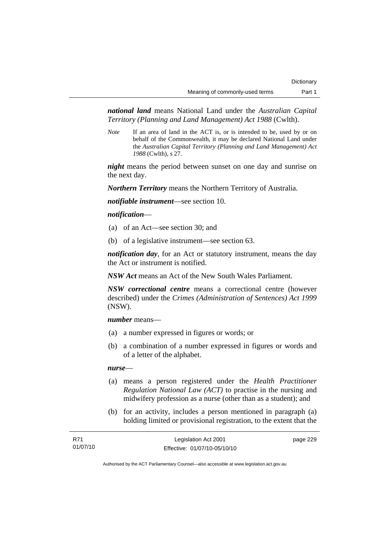*national land* means National Land under the *Australian Capital Territory (Planning and Land Management) Act 1988* (Cwlth).

*Note* If an area of land in the ACT is, or is intended to be, used by or on behalf of the Commonwealth, it may be declared National Land under the *Australian Capital Territory (Planning and Land Management) Act 1988* (Cwlth), s 27.

*night* means the period between sunset on one day and sunrise on the next day.

*Northern Territory* means the Northern Territory of Australia.

*notifiable instrument*—see section 10.

### *notification*—

- (a) of an Act—see section 30; and
- (b) of a legislative instrument—see section 63.

*notification day*, for an Act or statutory instrument, means the day the Act or instrument is notified.

*NSW Act* means an Act of the New South Wales Parliament.

*NSW correctional centre* means a correctional centre (however described) under the *Crimes (Administration of Sentences) Act 1999* (NSW).

*number* means—

- (a) a number expressed in figures or words; or
- (b) a combination of a number expressed in figures or words and of a letter of the alphabet.

### *nurse*—

- (a) means a person registered under the *Health Practitioner Regulation National Law (ACT)* to practise in the nursing and midwifery profession as a nurse (other than as a student); and
- (b) for an activity, includes a person mentioned in paragraph (a) holding limited or provisional registration, to the extent that the

| R71      | Legislation Act 2001         | page 229 |
|----------|------------------------------|----------|
| 01/07/10 | Effective: 01/07/10-05/10/10 |          |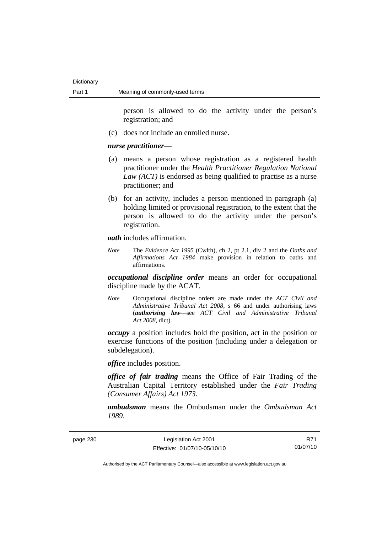person is allowed to do the activity under the person's registration; and

(c) does not include an enrolled nurse.

#### *nurse practitioner*—

- (a) means a person whose registration as a registered health practitioner under the *Health Practitioner Regulation National Law (ACT)* is endorsed as being qualified to practise as a nurse practitioner; and
- (b) for an activity, includes a person mentioned in paragraph (a) holding limited or provisional registration, to the extent that the person is allowed to do the activity under the person's registration.

#### *oath* includes affirmation.

*Note* The *Evidence Act 1995* (Cwlth), ch 2, pt 2.1, div 2 and the *Oaths and Affirmations Act 1984* make provision in relation to oaths and affirmations.

*occupational discipline order* means an order for occupational discipline made by the ACAT.

*Note* Occupational discipline orders are made under the *ACT Civil and Administrative Tribunal Act 2008*, s 66 and under authorising laws (*authorising law*—see *ACT Civil and Administrative Tribunal Act 2008*, dict).

*occupy* a position includes hold the position, act in the position or exercise functions of the position (including under a delegation or subdelegation).

*office* includes position.

*office of fair trading* means the Office of Fair Trading of the Australian Capital Territory established under the *Fair Trading (Consumer Affairs) Act 1973*.

*ombudsman* means the Ombudsman under the *Ombudsman Act 1989*.

| page 230 |  |
|----------|--|
|----------|--|

page 230 Legislation Act 2001 Effective: 01/07/10-05/10/10

R71 01/07/10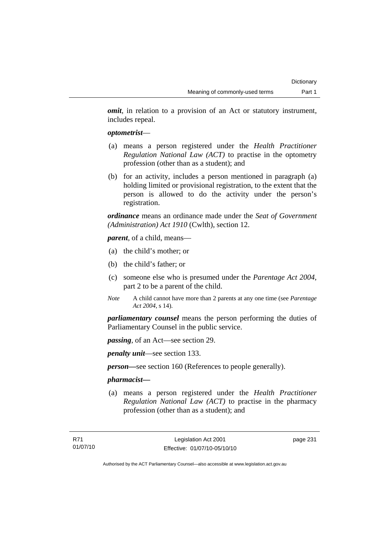*omit*, in relation to a provision of an Act or statutory instrument, includes repeal.

### *optometrist*—

- (a) means a person registered under the *Health Practitioner Regulation National Law (ACT)* to practise in the optometry profession (other than as a student); and
- (b) for an activity, includes a person mentioned in paragraph (a) holding limited or provisional registration, to the extent that the person is allowed to do the activity under the person's registration.

*ordinance* means an ordinance made under the *Seat of Government (Administration) Act 1910* (Cwlth), section 12.

*parent*, of a child, means—

- (a) the child's mother; or
- (b) the child's father; or
- (c) someone else who is presumed under the *Parentage Act 2004*, part 2 to be a parent of the child.
- *Note* A child cannot have more than 2 parents at any one time (see *Parentage Act 2004*, s 14).

*parliamentary counsel* means the person performing the duties of Parliamentary Counsel in the public service.

*passing*, of an Act—see section 29.

*penalty unit*—see section 133.

*person—*see section 160 (References to people generally).

## *pharmacist***—**

 (a) means a person registered under the *Health Practitioner Regulation National Law (ACT)* to practise in the pharmacy profession (other than as a student); and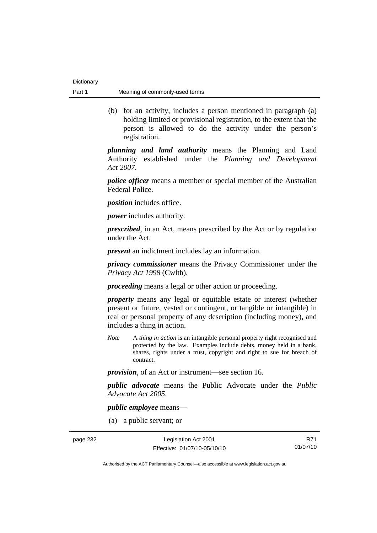(b) for an activity, includes a person mentioned in paragraph (a) holding limited or provisional registration, to the extent that the person is allowed to do the activity under the person's registration.

*planning and land authority* means the Planning and Land Authority established under the *Planning and Development Act 2007*.

*police officer* means a member or special member of the Australian Federal Police.

*position* includes office.

*power* includes authority.

*prescribed*, in an Act, means prescribed by the Act or by regulation under the Act.

*present* an indictment includes lay an information.

*privacy commissioner* means the Privacy Commissioner under the *Privacy Act 1998* (Cwlth).

*proceeding* means a legal or other action or proceeding.

*property* means any legal or equitable estate or interest (whether present or future, vested or contingent, or tangible or intangible) in real or personal property of any description (including money), and includes a thing in action.

*Note* A *thing in action* is an intangible personal property right recognised and protected by the law. Examples include debts, money held in a bank, shares, rights under a trust, copyright and right to sue for breach of contract.

*provision*, of an Act or instrument—see section 16.

*public advocate* means the Public Advocate under the *Public Advocate Act 2005*.

*public employee* means—

(a) a public servant; or

page 232 Legislation Act 2001 Effective: 01/07/10-05/10/10

R71 01/07/10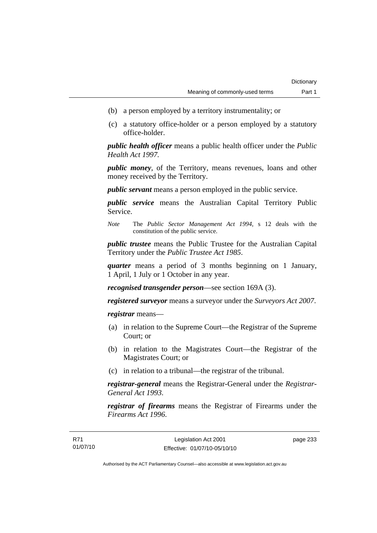- (b) a person employed by a territory instrumentality; or
- (c) a statutory office-holder or a person employed by a statutory office-holder.

*public health officer* means a public health officer under the *Public Health Act 1997.*

*public money*, of the Territory, means revenues, loans and other money received by the Territory.

*public servant* means a person employed in the public service.

*public service* means the Australian Capital Territory Public Service.

*Note* The *Public Sector Management Act 1994*, s 12 deals with the constitution of the public service.

*public trustee* means the Public Trustee for the Australian Capital Territory under the *Public Trustee Act 1985*.

*quarter* means a period of 3 months beginning on 1 January, 1 April, 1 July or 1 October in any year.

*recognised transgender person*—see section 169A (3).

*registered surveyor* means a surveyor under the *Surveyors Act 2007*.

*registrar* means—

- (a) in relation to the Supreme Court—the Registrar of the Supreme Court; or
- (b) in relation to the Magistrates Court—the Registrar of the Magistrates Court; or
- (c) in relation to a tribunal—the registrar of the tribunal.

*registrar-general* means the Registrar-General under the *Registrar-General Act 1993*.

*registrar of firearms* means the Registrar of Firearms under the *Firearms Act 1996*.

page 233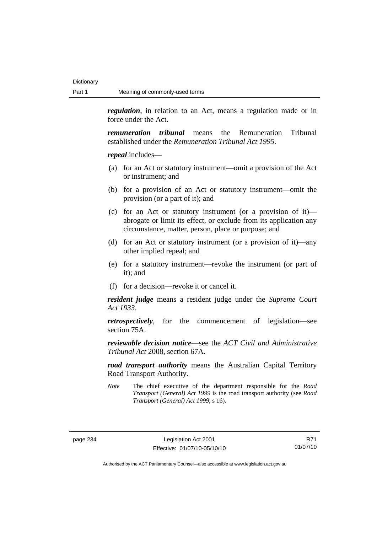*regulation*, in relation to an Act, means a regulation made or in force under the Act.

*remuneration tribunal* means the Remuneration Tribunal established under the *Remuneration Tribunal Act 1995*.

*repeal* includes—

- (a) for an Act or statutory instrument—omit a provision of the Act or instrument; and
- (b) for a provision of an Act or statutory instrument—omit the provision (or a part of it); and
- (c) for an Act or statutory instrument (or a provision of it) abrogate or limit its effect, or exclude from its application any circumstance, matter, person, place or purpose; and
- (d) for an Act or statutory instrument (or a provision of it)—any other implied repeal; and
- (e) for a statutory instrument—revoke the instrument (or part of it); and
- (f) for a decision—revoke it or cancel it.

*resident judge* means a resident judge under the *Supreme Court Act 1933*.

*retrospectively*, for the commencement of legislation—see section 75A.

*reviewable decision notice*—see the *ACT Civil and Administrative Tribunal Act* 2008, section 67A.

*road transport authority* means the Australian Capital Territory Road Transport Authority.

*Note* The chief executive of the department responsible for the *Road Transport (General) Act 1999* is the road transport authority (see *Road Transport (General) Act 1999*, s 16).

R71 01/07/10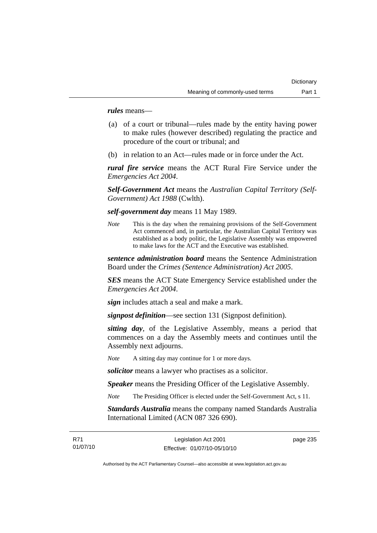*rules* means—

- (a) of a court or tribunal—rules made by the entity having power to make rules (however described) regulating the practice and procedure of the court or tribunal; and
- (b) in relation to an Act—rules made or in force under the Act.

*rural fire service* means the ACT Rural Fire Service under the *Emergencies Act 2004*.

*Self-Government Act* means the *Australian Capital Territory (Self-Government) Act 1988* (Cwlth).

*self-government day* means 11 May 1989.

*Note* This is the day when the remaining provisions of the Self-Government Act commenced and, in particular, the Australian Capital Territory was established as a body politic, the Legislative Assembly was empowered to make laws for the ACT and the Executive was established.

*sentence administration board* means the Sentence Administration Board under the *Crimes (Sentence Administration) Act 2005*.

*SES* means the ACT State Emergency Service established under the *Emergencies Act 2004*.

*sign* includes attach a seal and make a mark.

*signpost definition*—see section 131 (Signpost definition).

*sitting day*, of the Legislative Assembly, means a period that commences on a day the Assembly meets and continues until the Assembly next adjourns.

*Note* A sitting day may continue for 1 or more days.

*solicitor* means a lawyer who practises as a solicitor.

*Speaker* means the Presiding Officer of the Legislative Assembly.

*Note* The Presiding Officer is elected under the Self-Government Act, s 11.

*Standards Australia* means the company named Standards Australia International Limited (ACN 087 326 690).

page 235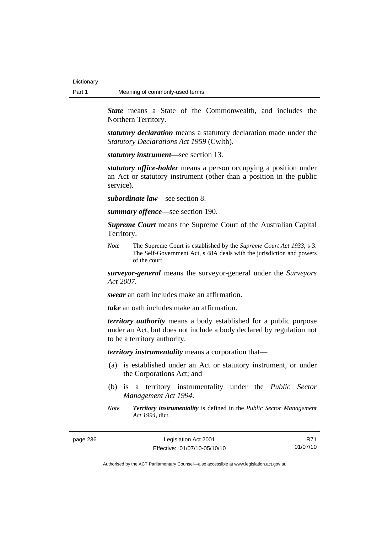*State* means a State of the Commonwealth, and includes the Northern Territory.

*statutory declaration* means a statutory declaration made under the *Statutory Declarations Act 1959* (Cwlth).

*statutory instrument*—see section 13.

*statutory office-holder* means a person occupying a position under an Act or statutory instrument (other than a position in the public service).

*subordinate law*—see section 8.

*summary offence*—see section 190.

*Supreme Court* means the Supreme Court of the Australian Capital Territory.

*Note* The Supreme Court is established by the *Supreme Court Act 1933*, s 3. The Self-Government Act, s 48A deals with the jurisdiction and powers of the court.

*surveyor-general* means the surveyor-general under the *Surveyors Act 2007*.

*swear* an oath includes make an affirmation.

*take* an oath includes make an affirmation.

*territory authority* means a body established for a public purpose under an Act, but does not include a body declared by regulation not to be a territory authority.

*territory instrumentality* means a corporation that—

- (a) is established under an Act or statutory instrument, or under the Corporations Act; and
- (b) is a territory instrumentality under the *Public Sector Management Act 1994*.
- *Note Territory instrumentality* is defined in the *Public Sector Management Act 1994*, dict.

page 236 Legislation Act 2001 Effective: 01/07/10-05/10/10

R71 01/07/10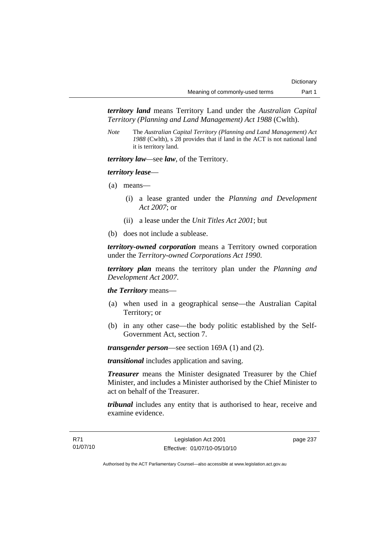*territory land* means Territory Land under the *Australian Capital Territory (Planning and Land Management) Act 1988* (Cwlth).

*Note* The *Australian Capital Territory (Planning and Land Management) Act 1988* (Cwlth), s 28 provides that if land in the ACT is not national land it is territory land.

*territory law—*see *law*, of the Territory.

## *territory lease*—

- (a) means—
	- (i) a lease granted under the *Planning and Development Act 2007*; or
	- (ii) a lease under the *Unit Titles Act 2001*; but
- (b) does not include a sublease.

*territory-owned corporation* means a Territory owned corporation under the *Territory-owned Corporations Act 1990*.

*territory plan* means the territory plan under the *Planning and Development Act 2007*.

*the Territory* means—

- (a) when used in a geographical sense—the Australian Capital Territory; or
- (b) in any other case—the body politic established by the Self-Government Act, section 7.

*transgender person*—see section 169A (1) and (2).

*transitional* includes application and saving.

*Treasurer* means the Minister designated Treasurer by the Chief Minister, and includes a Minister authorised by the Chief Minister to act on behalf of the Treasurer.

*tribunal* includes any entity that is authorised to hear, receive and examine evidence.

page 237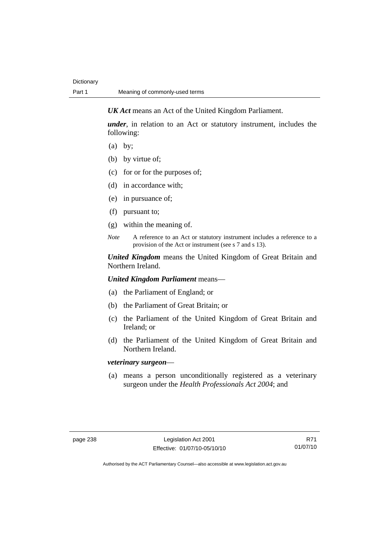*UK Act* means an Act of the United Kingdom Parliament.

*under*, in relation to an Act or statutory instrument, includes the following:

- (a) by;
- (b) by virtue of;
- (c) for or for the purposes of;
- (d) in accordance with;
- (e) in pursuance of;
- (f) pursuant to;
- (g) within the meaning of.
- *Note* A reference to an Act or statutory instrument includes a reference to a provision of the Act or instrument (see s 7 and s 13).

*United Kingdom* means the United Kingdom of Great Britain and Northern Ireland.

*United Kingdom Parliament* means—

- (a) the Parliament of England; or
- (b) the Parliament of Great Britain; or
- (c) the Parliament of the United Kingdom of Great Britain and Ireland; or
- (d) the Parliament of the United Kingdom of Great Britain and Northern Ireland.

## *veterinary surgeon*—

 (a) means a person unconditionally registered as a veterinary surgeon under the *Health Professionals Act 2004*; and

R71 01/07/10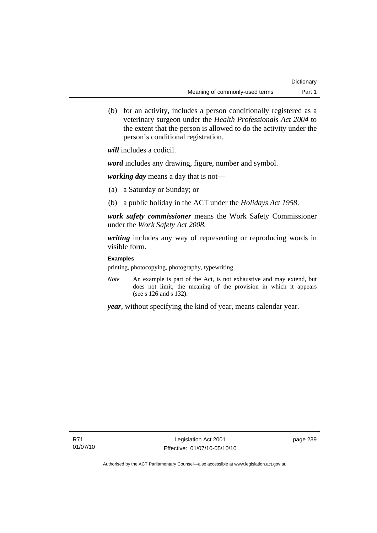(b) for an activity, includes a person conditionally registered as a veterinary surgeon under the *Health Professionals Act 2004* to the extent that the person is allowed to do the activity under the person's conditional registration.

*will* includes a codicil.

*word* includes any drawing, figure, number and symbol.

*working day* means a day that is not—

- (a) a Saturday or Sunday; or
- (b) a public holiday in the ACT under the *Holidays Act 1958*.

*work safety commissioner* means the Work Safety Commissioner under the *Work Safety Act 2008*.

*writing* includes any way of representing or reproducing words in visible form.

## **Examples**

printing, photocopying, photography, typewriting

*Note* An example is part of the Act, is not exhaustive and may extend, but does not limit, the meaning of the provision in which it appears (see s 126 and s 132).

*year*, without specifying the kind of year, means calendar year.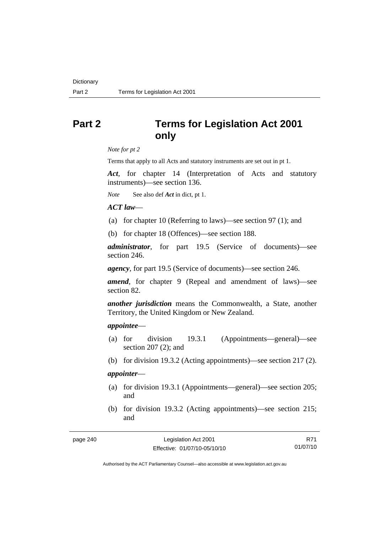# **Part 2 Terms for Legislation Act 2001 only**

*Note for pt 2* 

Terms that apply to all Acts and statutory instruments are set out in pt 1.

*Act*, for chapter 14 (Interpretation of Acts and statutory instruments)—see section 136.

*Note* See also def *Act* in dict, pt 1.

## *ACT law*—

- (a) for chapter 10 (Referring to laws)—see section 97 (1); and
- (b) for chapter 18 (Offences)—see section 188.

*administrator*, for part 19.5 (Service of documents)—see section 246.

*agency*, for part 19.5 (Service of documents)—see section 246.

*amend*, for chapter 9 (Repeal and amendment of laws)—see section 82.

*another jurisdiction* means the Commonwealth, a State, another Territory, the United Kingdom or New Zealand.

#### *appointee*—

- (a) for division 19.3.1 (Appointments—general)—see section 207 (2); and
- (b) for division 19.3.2 (Acting appointments)—see section 217 (2).

## *appointer*—

- (a) for division 19.3.1 (Appointments—general)—see section 205; and
- (b) for division 19.3.2 (Acting appointments)—see section 215; and

| page 240 |  |
|----------|--|
|----------|--|

R71 01/07/10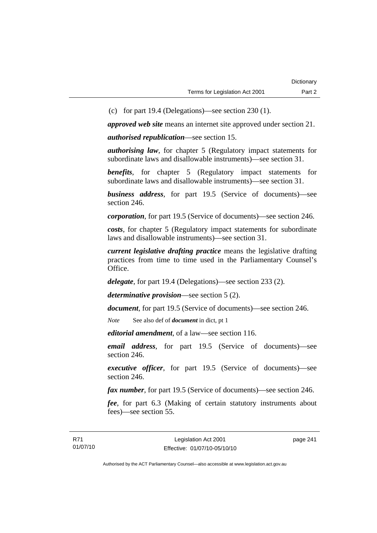(c) for part 19.4 (Delegations)—see section 230 (1).

*approved web site* means an internet site approved under section 21.

*authorised republication*—see section 15.

*authorising law*, for chapter 5 (Regulatory impact statements for subordinate laws and disallowable instruments)—see section 31.

*benefits*, for chapter 5 (Regulatory impact statements for subordinate laws and disallowable instruments)—see section 31.

*business address*, for part 19.5 (Service of documents)—see section 246.

*corporation*, for part 19.5 (Service of documents)—see section 246.

*costs*, for chapter 5 (Regulatory impact statements for subordinate laws and disallowable instruments)—see section 31.

*current legislative drafting practice* means the legislative drafting practices from time to time used in the Parliamentary Counsel's Office.

*delegate*, for part 19.4 (Delegations)—see section 233 (2).

*determinative provision*—see section 5 (2).

*document*, for part 19.5 (Service of documents)—see section 246.

*Note* See also def of *document* in dict, pt 1

*editorial amendment*, of a law—see section 116.

*email address*, for part 19.5 (Service of documents)—see section 246.

*executive officer*, for part 19.5 (Service of documents)—see section 246.

*fax number*, for part 19.5 (Service of documents)—see section 246.

*fee*, for part 6.3 (Making of certain statutory instruments about fees)—see section 55.

page 241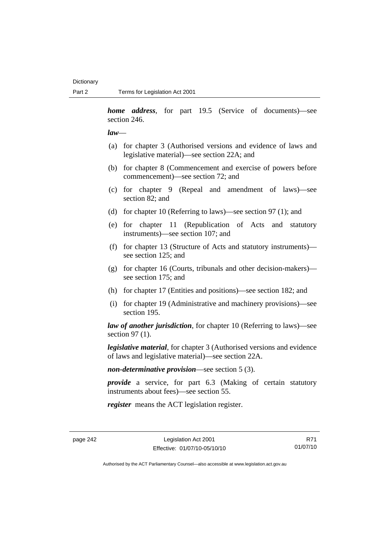*home address*, for part 19.5 (Service of documents)—see section 246.

#### *law*—

- (a) for chapter 3 (Authorised versions and evidence of laws and legislative material)—see section 22A; and
- (b) for chapter 8 (Commencement and exercise of powers before commencement)—see section 72; and
- (c) for chapter 9 (Repeal and amendment of laws)—see section 82; and
- (d) for chapter 10 (Referring to laws)—see section 97 (1); and
- (e) for chapter 11 (Republication of Acts and statutory instruments)—see section 107; and
- (f) for chapter 13 (Structure of Acts and statutory instruments) see section 125; and
- (g) for chapter 16 (Courts, tribunals and other decision-makers) see section 175; and
- (h) for chapter 17 (Entities and positions)—see section 182; and
- (i) for chapter 19 (Administrative and machinery provisions)—see section 195.

*law of another jurisdiction*, for chapter 10 (Referring to laws)—see section 97 (1).

*legislative material*, for chapter 3 (Authorised versions and evidence of laws and legislative material)—see section 22A.

*non-determinative provision*—see section 5 (3).

*provide* a service, for part 6.3 (Making of certain statutory instruments about fees)—see section 55.

*register* means the ACT legislation register.

R71 01/07/10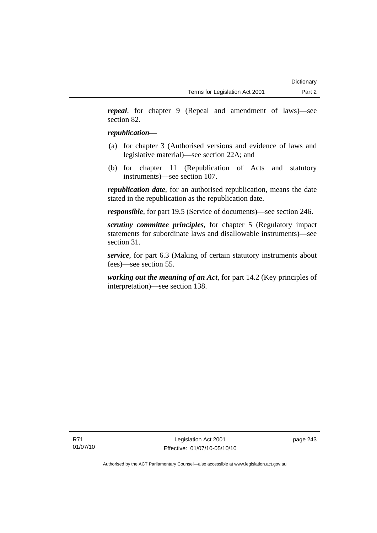*repeal*, for chapter 9 (Repeal and amendment of laws)—see section 82.

## *republication—*

- (a) for chapter 3 (Authorised versions and evidence of laws and legislative material)—see section 22A; and
- (b) for chapter 11 (Republication of Acts and statutory instruments)—see section 107.

*republication date*, for an authorised republication, means the date stated in the republication as the republication date.

*responsible*, for part 19.5 (Service of documents)—see section 246.

*scrutiny committee principles*, for chapter 5 (Regulatory impact statements for subordinate laws and disallowable instruments)—see section 31.

*service*, for part 6.3 (Making of certain statutory instruments about fees)—see section 55.

*working out the meaning of an Act*, for part 14.2 (Key principles of interpretation)—see section 138.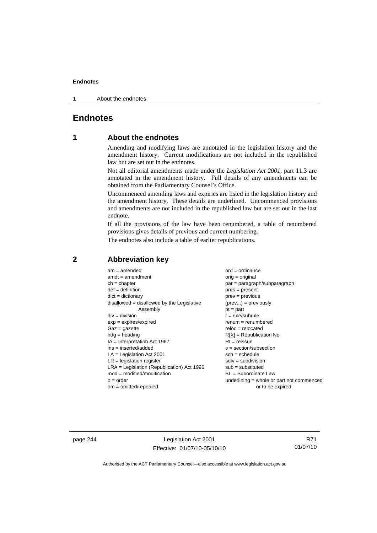1 About the endnotes

## **Endnotes**

## **1 About the endnotes**

Amending and modifying laws are annotated in the legislation history and the amendment history. Current modifications are not included in the republished law but are set out in the endnotes.

Not all editorial amendments made under the *Legislation Act 2001*, part 11.3 are annotated in the amendment history. Full details of any amendments can be obtained from the Parliamentary Counsel's Office.

Uncommenced amending laws and expiries are listed in the legislation history and the amendment history. These details are underlined. Uncommenced provisions and amendments are not included in the republished law but are set out in the last endnote.

If all the provisions of the law have been renumbered, a table of renumbered provisions gives details of previous and current numbering.

The endnotes also include a table of earlier republications.

| $am = amended$                               | $ord = ordinance$                         |
|----------------------------------------------|-------------------------------------------|
| $amdt = amendment$                           | $orig = original$                         |
| $ch = chapter$                               | par = paragraph/subparagraph              |
| $def = definition$                           | $pres = present$                          |
| $dict = dictionary$                          | $prev = previous$                         |
| $disallowed = disallowed by the Legislative$ | $(\text{prev}) = \text{previously}$       |
| Assembly                                     | $pt = part$                               |
| $div = division$                             | $r = rule/subrule$                        |
| $exp = expires/expired$                      | $remum = renumbered$                      |
| $Gaz = gazette$                              | $reloc = relocated$                       |
| $hdg =$ heading                              | $R[X]$ = Republication No                 |
| $IA = Interpretation Act 1967$               | $RI = reissue$                            |
| $ins = inserted/added$                       | $s = section/subsection$                  |
| $LA =$ Legislation Act 2001                  | $sch = schedule$                          |
| $LR =$ legislation register                  | $sdiv = subdivision$                      |
| $LRA =$ Legislation (Republication) Act 1996 | $sub = substituted$                       |
| $mod = modified/modification$                | $SL = Subordinate$ Law                    |
| $o = order$                                  | underlining = whole or part not commenced |
| $om = omitted/report$                        | or to be expired                          |
|                                              |                                           |

## **2 Abbreviation key**

page 244 Legislation Act 2001 Effective: 01/07/10-05/10/10

R71 01/07/10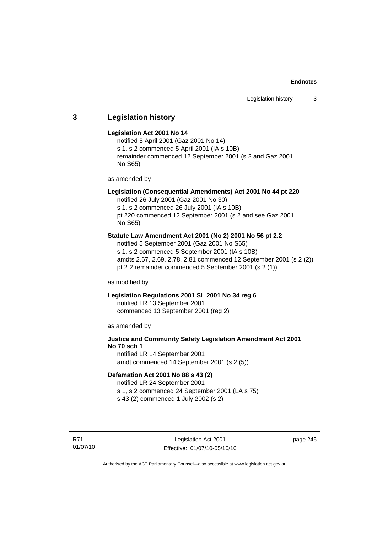## **3 Legislation history**

#### **Legislation Act 2001 No 14**

notified 5 April 2001 (Gaz 2001 No 14) s 1, s 2 commenced 5 April 2001 (IA s 10B) remainder commenced 12 September 2001 (s 2 and Gaz 2001 No S65)

as amended by

## **Legislation (Consequential Amendments) Act 2001 No 44 pt 220**

notified 26 July 2001 (Gaz 2001 No 30) s 1, s 2 commenced 26 July 2001 (IA s 10B) pt 220 commenced 12 September 2001 (s 2 and see Gaz 2001

No S65)

## **Statute Law Amendment Act 2001 (No 2) 2001 No 56 pt 2.2**

notified 5 September 2001 (Gaz 2001 No S65) s 1, s 2 commenced 5 September 2001 (IA s 10B) amdts 2.67, 2.69, 2.78, 2.81 commenced 12 September 2001 (s 2 (2)) pt 2.2 remainder commenced 5 September 2001 (s 2 (1))

as modified by

## **Legislation Regulations 2001 SL 2001 No 34 reg 6**

notified LR 13 September 2001 commenced 13 September 2001 (reg 2)

as amended by

## **Justice and Community Safety Legislation Amendment Act 2001 No 70 sch 1**

notified LR 14 September 2001 amdt commenced 14 September 2001 (s 2 (5))

## **Defamation Act 2001 No 88 s 43 (2)**

notified LR 24 September 2001 s 1, s 2 commenced 24 September 2001 (LA s 75)

s 43 (2) commenced 1 July 2002 (s 2)

R71 01/07/10 page 245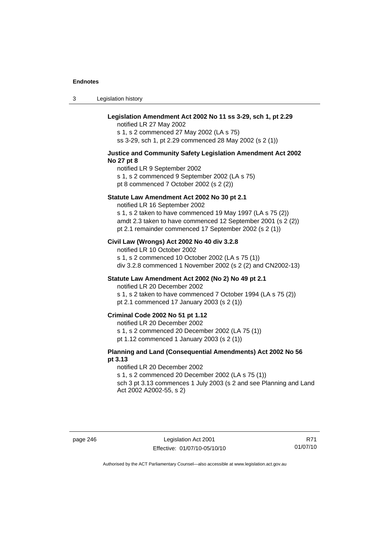3 Legislation history

## **Legislation Amendment Act 2002 No 11 ss 3-29, sch 1, pt 2.29**

notified LR 27 May 2002 s 1, s 2 commenced 27 May 2002 (LA s 75) ss 3-29, sch 1, pt 2.29 commenced 28 May 2002 (s 2 (1))

#### **Justice and Community Safety Legislation Amendment Act 2002 No 27 pt 8**

notified LR 9 September 2002 s 1, s 2 commenced 9 September 2002 (LA s 75) pt 8 commenced 7 October 2002 (s 2 (2))

#### **Statute Law Amendment Act 2002 No 30 pt 2.1**

notified LR 16 September 2002 s 1, s 2 taken to have commenced 19 May 1997 (LA s 75 (2)) amdt 2.3 taken to have commenced 12 September 2001 (s 2 (2)) pt 2.1 remainder commenced 17 September 2002 (s 2 (1))

#### **Civil Law (Wrongs) Act 2002 No 40 div 3.2.8**

notified LR 10 October 2002 s 1, s 2 commenced 10 October 2002 (LA s 75 (1)) div 3.2.8 commenced 1 November 2002 (s 2 (2) and CN2002-13)

## **Statute Law Amendment Act 2002 (No 2) No 49 pt 2.1**

notified LR 20 December 2002

s 1, s 2 taken to have commenced 7 October 1994 (LA s 75 (2)) pt 2.1 commenced 17 January 2003 (s 2 (1))

#### **Criminal Code 2002 No 51 pt 1.12**

notified LR 20 December 2002

s 1, s 2 commenced 20 December 2002 (LA 75 (1))

pt 1.12 commenced 1 January 2003 (s 2 (1))

## **Planning and Land (Consequential Amendments) Act 2002 No 56 pt 3.13**

#### notified LR 20 December 2002

s 1, s 2 commenced 20 December 2002 (LA s 75 (1))

sch 3 pt 3.13 commences 1 July 2003 (s 2 and see Planning and Land Act 2002 A2002-55, s 2)

R71 01/07/10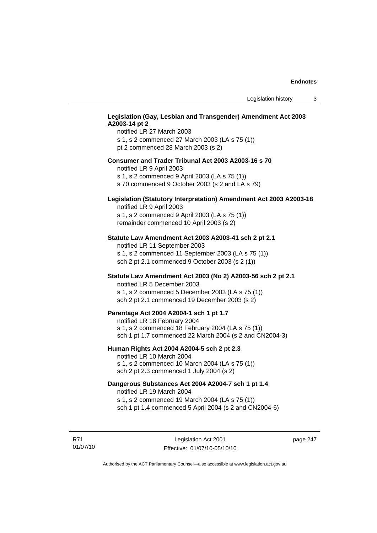## **Legislation (Gay, Lesbian and Transgender) Amendment Act 2003 A2003-14 pt 2**

notified LR 27 March 2003 s 1, s 2 commenced 27 March 2003 (LA s 75 (1)) pt 2 commenced 28 March 2003 (s 2)

#### **Consumer and Trader Tribunal Act 2003 A2003-16 s 70**

notified LR 9 April 2003

s 1, s 2 commenced 9 April 2003 (LA s 75 (1))

s 70 commenced 9 October 2003 (s 2 and LA s 79)

## **Legislation (Statutory Interpretation) Amendment Act 2003 A2003-18**

notified LR 9 April 2003 s 1, s 2 commenced 9 April 2003 (LA s 75 (1)) remainder commenced 10 April 2003 (s 2)

#### **Statute Law Amendment Act 2003 A2003-41 sch 2 pt 2.1**

notified LR 11 September 2003 s 1, s 2 commenced 11 September 2003 (LA s 75 (1)) sch 2 pt 2.1 commenced 9 October 2003 (s 2 (1))

## **Statute Law Amendment Act 2003 (No 2) A2003-56 sch 2 pt 2.1**

notified LR 5 December 2003 s 1, s 2 commenced 5 December 2003 (LA s 75 (1)) sch 2 pt 2.1 commenced 19 December 2003 (s 2)

#### **Parentage Act 2004 A2004-1 sch 1 pt 1.7**

notified LR 18 February 2004 s 1, s 2 commenced 18 February 2004 (LA s 75 (1)) sch 1 pt 1.7 commenced 22 March 2004 (s 2 and CN2004-3)

#### **Human Rights Act 2004 A2004-5 sch 2 pt 2.3**

notified LR 10 March 2004 s 1, s 2 commenced 10 March 2004 (LA s 75 (1)) sch 2 pt 2.3 commenced 1 July 2004 (s 2)

## **Dangerous Substances Act 2004 A2004-7 sch 1 pt 1.4**

notified LR 19 March 2004 s 1, s 2 commenced 19 March 2004 (LA s 75 (1)) sch 1 pt 1.4 commenced 5 April 2004 (s 2 and CN2004-6)

R71 01/07/10 page 247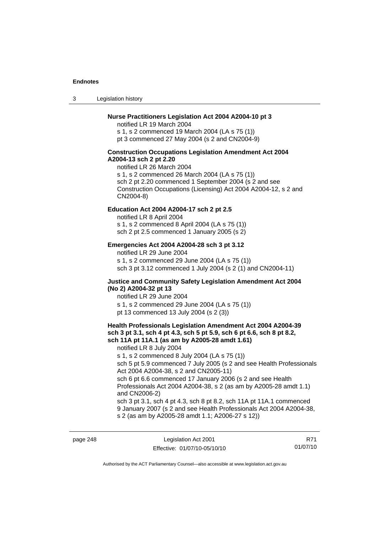3 Legislation history

## **Nurse Practitioners Legislation Act 2004 A2004-10 pt 3**

notified LR 19 March 2004 s 1, s 2 commenced 19 March 2004 (LA s 75 (1)) pt 3 commenced 27 May 2004 (s 2 and CN2004-9)

#### **Construction Occupations Legislation Amendment Act 2004 A2004-13 sch 2 pt 2.20**

notified LR 26 March 2004 s 1, s 2 commenced 26 March 2004 (LA s 75 (1)) sch 2 pt 2.20 commenced 1 September 2004 (s 2 and see Construction Occupations (Licensing) Act 2004 A2004-12, s 2 and CN2004-8)

#### **Education Act 2004 A2004-17 sch 2 pt 2.5**

notified LR 8 April 2004 s 1, s 2 commenced 8 April 2004 (LA s 75 (1))

sch 2 pt 2.5 commenced 1 January 2005 (s 2)

#### **Emergencies Act 2004 A2004-28 sch 3 pt 3.12**

notified LR 29 June 2004

s 1, s 2 commenced 29 June 2004 (LA s 75 (1)) sch 3 pt 3.12 commenced 1 July 2004 (s 2 (1) and CN2004-11)

#### **Justice and Community Safety Legislation Amendment Act 2004 (No 2) A2004-32 pt 13**

notified LR 29 June 2004 s 1, s 2 commenced 29 June 2004 (LA s 75 (1)) pt 13 commenced 13 July 2004 (s 2 (3))

#### **Health Professionals Legislation Amendment Act 2004 A2004-39 sch 3 pt 3.1, sch 4 pt 4.3, sch 5 pt 5.9, sch 6 pt 6.6, sch 8 pt 8.2, sch 11A pt 11A.1 (as am by A2005-28 amdt 1.61)**

notified LR 8 July 2004

s 1, s 2 commenced 8 July 2004 (LA s 75 (1))

sch 5 pt 5.9 commenced 7 July 2005 (s 2 and see Health Professionals Act 2004 A2004-38, s 2 and CN2005-11)

sch 6 pt 6.6 commenced 17 January 2006 (s 2 and see Health Professionals Act 2004 A2004-38, s 2 (as am by A2005-28 amdt 1.1) and CN2006-2)

sch 3 pt 3.1, sch 4 pt 4.3, sch 8 pt 8.2, sch 11A pt 11A.1 commenced 9 January 2007 (s 2 and see Health Professionals Act 2004 A2004-38, s 2 (as am by A2005-28 amdt 1.1; A2006-27 s 12))

page 248 Legislation Act 2001 Effective: 01/07/10-05/10/10

R71 01/07/10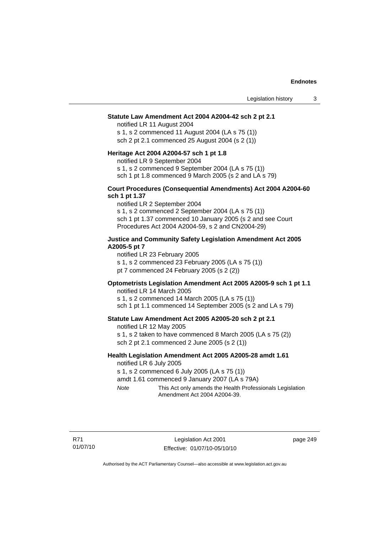#### **Statute Law Amendment Act 2004 A2004-42 sch 2 pt 2.1**

notified LR 11 August 2004 s 1, s 2 commenced 11 August 2004 (LA s 75 (1)) sch 2 pt 2.1 commenced 25 August 2004 (s 2 (1))

#### **Heritage Act 2004 A2004-57 sch 1 pt 1.8**

notified LR 9 September 2004

s 1, s 2 commenced 9 September 2004 (LA s 75 (1))

sch 1 pt 1.8 commenced 9 March 2005 (s 2 and LA s 79)

#### **Court Procedures (Consequential Amendments) Act 2004 A2004-60 sch 1 pt 1.37**

notified LR 2 September 2004 s 1, s 2 commenced 2 September 2004 (LA s 75 (1)) sch 1 pt 1.37 commenced 10 January 2005 (s 2 and see Court Procedures Act 2004 A2004-59, s 2 and CN2004-29)

#### **Justice and Community Safety Legislation Amendment Act 2005 A2005-5 pt 7**

notified LR 23 February 2005

s 1, s 2 commenced 23 February 2005 (LA s 75 (1))

pt 7 commenced 24 February 2005 (s 2 (2))

## **Optometrists Legislation Amendment Act 2005 A2005-9 sch 1 pt 1.1**

notified LR 14 March 2005 s 1, s 2 commenced 14 March 2005 (LA s 75 (1)) sch 1 pt 1.1 commenced 14 September 2005 (s 2 and LA s 79)

#### **Statute Law Amendment Act 2005 A2005-20 sch 2 pt 2.1**

notified LR 12 May 2005 s 1, s 2 taken to have commenced 8 March 2005 (LA s 75 (2)) sch 2 pt 2.1 commenced 2 June 2005 (s 2 (1))

#### **Health Legislation Amendment Act 2005 A2005-28 amdt 1.61**  notified LR 6 July 2005

s 1, s 2 commenced 6 July 2005 (LA s 75 (1))

amdt 1.61 commenced 9 January 2007 (LA s 79A)

*Note* This Act only amends the Health Professionals Legislation Amendment Act 2004 A2004-39.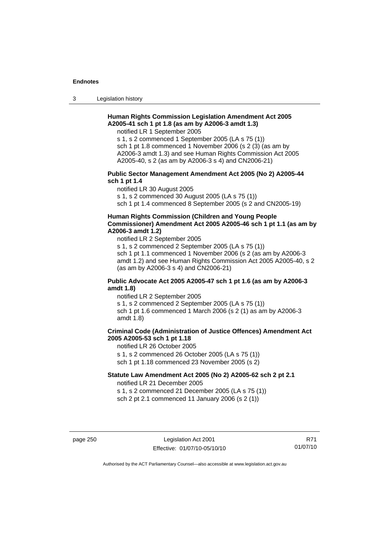3 Legislation history

## **Human Rights Commission Legislation Amendment Act 2005 A2005-41 sch 1 pt 1.8 (as am by A2006-3 amdt 1.3)**

notified LR 1 September 2005

s 1, s 2 commenced 1 September 2005 (LA s 75 (1)) sch 1 pt 1.8 commenced 1 November 2006 (s 2 (3) (as am by A2006-3 amdt 1.3) and see Human Rights Commission Act 2005 A2005-40, s 2 (as am by A2006-3 s 4) and CN2006-21)

#### **Public Sector Management Amendment Act 2005 (No 2) A2005-44 sch 1 pt 1.4**

notified LR 30 August 2005

s 1, s 2 commenced 30 August 2005 (LA s 75 (1))

sch 1 pt 1.4 commenced 8 September 2005 (s 2 and CN2005-19)

## **Human Rights Commission (Children and Young People Commissioner) Amendment Act 2005 A2005-46 sch 1 pt 1.1 (as am by A2006-3 amdt 1.2)**

notified LR 2 September 2005

s 1, s 2 commenced 2 September 2005 (LA s 75 (1)) sch 1 pt 1.1 commenced 1 November 2006 (s 2 (as am by A2006-3 amdt 1.2) and see Human Rights Commission Act 2005 A2005-40, s 2 (as am by A2006-3 s 4) and CN2006-21)

## **Public Advocate Act 2005 A2005-47 sch 1 pt 1.6 (as am by A2006-3 amdt 1.8)**

notified LR 2 September 2005 s 1, s 2 commenced 2 September 2005 (LA s 75 (1)) sch 1 pt 1.6 commenced 1 March 2006 (s 2 (1) as am by A2006-3 amdt 1.8)

## **Criminal Code (Administration of Justice Offences) Amendment Act 2005 A2005-53 sch 1 pt 1.18**

notified LR 26 October 2005 s 1, s 2 commenced 26 October 2005 (LA s 75 (1))

sch 1 pt 1.18 commenced 23 November 2005 (s 2)

## **Statute Law Amendment Act 2005 (No 2) A2005-62 sch 2 pt 2.1**

notified LR 21 December 2005 s 1, s 2 commenced 21 December 2005 (LA s 75 (1))

sch 2 pt 2.1 commenced 11 January 2006 (s 2 (1))

page 250 Legislation Act 2001 Effective: 01/07/10-05/10/10

R71 01/07/10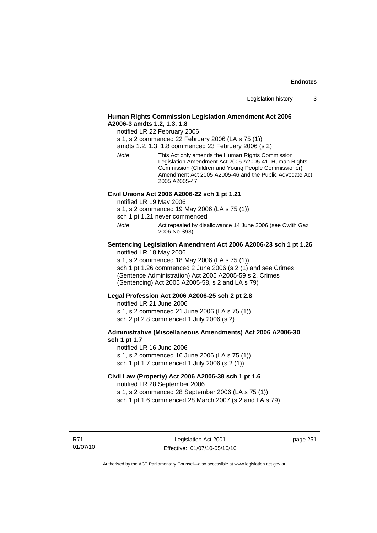## **Human Rights Commission Legislation Amendment Act 2006 A2006-3 amdts 1.2, 1.3, 1.8**

notified LR 22 February 2006

s 1, s 2 commenced 22 February 2006 (LA s 75 (1))

amdts 1.2, 1.3, 1.8 commenced 23 February 2006 (s 2)

*Note* This Act only amends the Human Rights Commission Legislation Amendment Act 2005 A2005-41, Human Rights Commission (Children and Young People Commissioner) Amendment Act 2005 A2005-46 and the Public Advocate Act 2005 A2005-47

## **Civil Unions Act 2006 A2006-22 sch 1 pt 1.21**

notified LR 19 May 2006

s 1, s 2 commenced 19 May 2006 (LA s 75 (1))

sch 1 pt 1.21 never commenced

*Note* Act repealed by disallowance 14 June 2006 (see Cwlth Gaz 2006 No S93)

#### **Sentencing Legislation Amendment Act 2006 A2006-23 sch 1 pt 1.26**  notified LR 18 May 2006

s 1, s 2 commenced 18 May 2006 (LA s 75 (1))

sch 1 pt 1.26 commenced 2 June 2006 (s 2 (1) and see Crimes (Sentence Administration) Act 2005 A2005-59 s 2, Crimes (Sentencing) Act 2005 A2005-58, s 2 and LA s 79)

#### **Legal Profession Act 2006 A2006-25 sch 2 pt 2.8**

notified LR 21 June 2006 s 1, s 2 commenced 21 June 2006 (LA s 75 (1)) sch 2 pt 2.8 commenced 1 July 2006 (s 2)

## **Administrative (Miscellaneous Amendments) Act 2006 A2006-30 sch 1 pt 1.7**

notified LR 16 June 2006 s 1, s 2 commenced 16 June 2006 (LA s 75 (1)) sch 1 pt 1.7 commenced 1 July 2006 (s 2 (1))

## **Civil Law (Property) Act 2006 A2006-38 sch 1 pt 1.6**  notified LR 28 September 2006

s 1, s 2 commenced 28 September 2006 (LA s 75 (1)) sch 1 pt 1.6 commenced 28 March 2007 (s 2 and LA s 79)

R71 01/07/10 page 251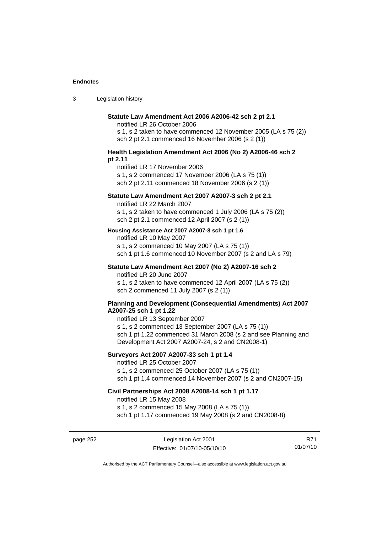3 Legislation history

#### **Statute Law Amendment Act 2006 A2006-42 sch 2 pt 2.1**

notified LR 26 October 2006

s 1, s 2 taken to have commenced 12 November 2005 (LA s 75 (2)) sch 2 pt 2.1 commenced 16 November 2006 (s 2 (1))

#### **Health Legislation Amendment Act 2006 (No 2) A2006-46 sch 2 pt 2.11**

notified LR 17 November 2006

s 1, s 2 commenced 17 November 2006 (LA s 75 (1))

sch 2 pt 2.11 commenced 18 November 2006 (s 2 (1))

## **Statute Law Amendment Act 2007 A2007-3 sch 2 pt 2.1**

notified LR 22 March 2007

s 1, s 2 taken to have commenced 1 July 2006 (LA s 75 (2)) sch 2 pt 2.1 commenced 12 April 2007 (s 2 (1))

#### **Housing Assistance Act 2007 A2007-8 sch 1 pt 1.6**

notified LR 10 May 2007

s 1, s 2 commenced 10 May 2007 (LA s 75 (1)) sch 1 pt 1.6 commenced 10 November 2007 (s 2 and LA s 79)

#### **Statute Law Amendment Act 2007 (No 2) A2007-16 sch 2**  notified LR 20 June 2007

s 1, s 2 taken to have commenced 12 April 2007 (LA s 75 (2)) sch 2 commenced 11 July 2007 (s 2 (1))

#### **Planning and Development (Consequential Amendments) Act 2007 A2007-25 sch 1 pt 1.22**

notified LR 13 September 2007

s 1, s 2 commenced 13 September 2007 (LA s 75 (1)) sch 1 pt 1.22 commenced 31 March 2008 (s 2 and see Planning and Development Act 2007 A2007-24, s 2 and CN2008-1)

## **Surveyors Act 2007 A2007-33 sch 1 pt 1.4**

notified LR 25 October 2007 s 1, s 2 commenced 25 October 2007 (LA s 75 (1)) sch 1 pt 1.4 commenced 14 November 2007 (s 2 and CN2007-15)

#### **Civil Partnerships Act 2008 A2008-14 sch 1 pt 1.17**

notified LR 15 May 2008

s 1, s 2 commenced 15 May 2008 (LA s 75 (1))

sch 1 pt 1.17 commenced 19 May 2008 (s 2 and CN2008-8)

page 252 Legislation Act 2001 Effective: 01/07/10-05/10/10

R71 01/07/10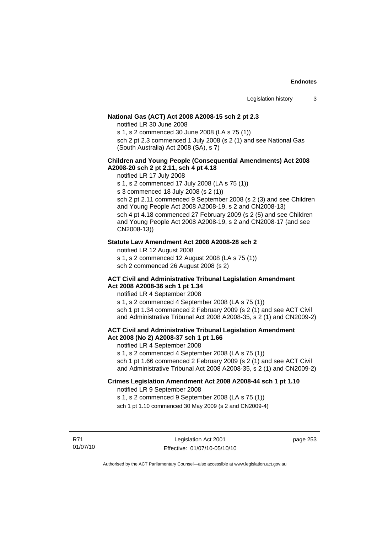## **National Gas (ACT) Act 2008 A2008-15 sch 2 pt 2.3**

notified LR 30 June 2008

s 1, s 2 commenced 30 June 2008 (LA s 75 (1))

sch 2 pt 2.3 commenced 1 July 2008 (s 2 (1) and see National Gas (South Australia) Act 2008 (SA), s 7)

## **Children and Young People (Consequential Amendments) Act 2008 A2008-20 sch 2 pt 2.11, sch 4 pt 4.18**

notified LR 17 July 2008

s 1, s 2 commenced 17 July 2008 (LA s 75 (1))

s 3 commenced 18 July 2008 (s 2 (1))

sch 2 pt 2.11 commenced 9 September 2008 (s 2 (3) and see Children and Young People Act 2008 A2008-19, s 2 and CN2008-13) sch 4 pt 4.18 commenced 27 February 2009 (s 2 (5) and see Children and Young People Act 2008 A2008-19, s 2 and CN2008-17 (and see CN2008-13))

#### **Statute Law Amendment Act 2008 A2008-28 sch 2**

notified LR 12 August 2008

s 1, s 2 commenced 12 August 2008 (LA s 75 (1))

sch 2 commenced 26 August 2008 (s 2)

#### **ACT Civil and Administrative Tribunal Legislation Amendment Act 2008 A2008-36 sch 1 pt 1.34**

notified LR 4 September 2008

s 1, s 2 commenced 4 September 2008 (LA s 75 (1)) sch 1 pt 1.34 commenced 2 February 2009 (s 2 (1) and see ACT Civil and Administrative Tribunal Act 2008 A2008-35, s 2 (1) and CN2009-2)

## **ACT Civil and Administrative Tribunal Legislation Amendment Act 2008 (No 2) A2008-37 sch 1 pt 1.66**

notified LR 4 September 2008

s 1, s 2 commenced 4 September 2008 (LA s 75 (1))

sch 1 pt 1.66 commenced 2 February 2009 (s 2 (1) and see ACT Civil and Administrative Tribunal Act 2008 A2008-35, s 2 (1) and CN2009-2)

## **Crimes Legislation Amendment Act 2008 A2008-44 sch 1 pt 1.10**

notified LR 9 September 2008

s 1, s 2 commenced 9 September 2008 (LA s 75 (1))

sch 1 pt 1.10 commenced 30 May 2009 (s 2 and CN2009-4)

R71 01/07/10 page 253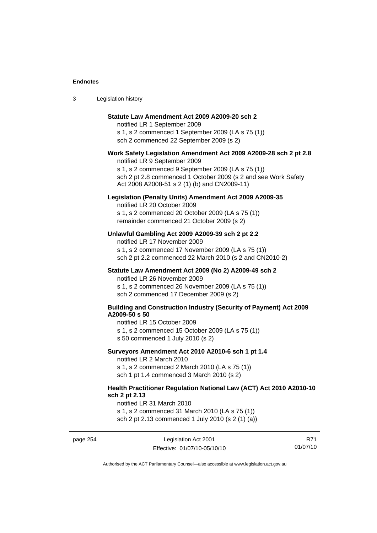| Legislation history<br>-3 |  |
|---------------------------|--|
|---------------------------|--|

#### **Statute Law Amendment Act 2009 A2009-20 sch 2**

notified LR 1 September 2009 s 1, s 2 commenced 1 September 2009 (LA s 75 (1)) sch 2 commenced 22 September 2009 (s 2)

## **Work Safety Legislation Amendment Act 2009 A2009-28 sch 2 pt 2.8**

notified LR 9 September 2009

s 1, s 2 commenced 9 September 2009 (LA s 75 (1)) sch 2 pt 2.8 commenced 1 October 2009 (s 2 and see Work Safety Act 2008 A2008-51 s 2 (1) (b) and CN2009-11)

#### **Legislation (Penalty Units) Amendment Act 2009 A2009-35**

notified LR 20 October 2009 s 1, s 2 commenced 20 October 2009 (LA s 75 (1)) remainder commenced 21 October 2009 (s 2)

## **Unlawful Gambling Act 2009 A2009-39 sch 2 pt 2.2**

notified LR 17 November 2009 s 1, s 2 commenced 17 November 2009 (LA s 75 (1)) sch 2 pt 2.2 commenced 22 March 2010 (s 2 and CN2010-2)

#### **Statute Law Amendment Act 2009 (No 2) A2009-49 sch 2**

notified LR 26 November 2009

s 1, s 2 commenced 26 November 2009 (LA s 75 (1))

sch 2 commenced 17 December 2009 (s 2)

#### **Building and Construction Industry (Security of Payment) Act 2009 A2009-50 s 50**

notified LR 15 October 2009

s 1, s 2 commenced 15 October 2009 (LA s 75 (1))

s 50 commenced 1 July 2010 (s 2)

**Surveyors Amendment Act 2010 A2010-6 sch 1 pt 1.4** 

notified LR 2 March 2010

s 1, s 2 commenced 2 March 2010 (LA s 75 (1))

sch 1 pt 1.4 commenced 3 March 2010 (s 2)

## **Health Practitioner Regulation National Law (ACT) Act 2010 A2010-10 sch 2 pt 2.13**

notified LR 31 March 2010

s 1, s 2 commenced 31 March 2010 (LA s 75 (1)) sch 2 pt 2.13 commenced 1 July 2010 (s 2 (1) (a))

page 254 Legislation Act 2001 Effective: 01/07/10-05/10/10

R71 01/07/10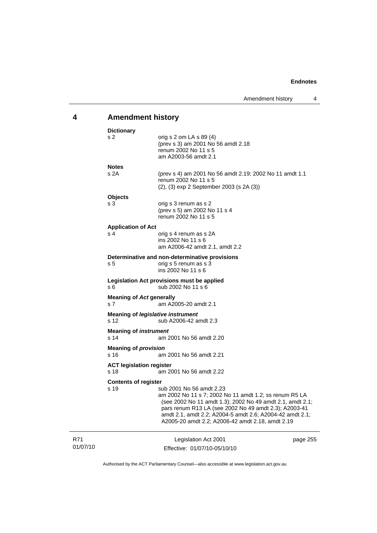# **4 Amendment history**

| <b>Dictionary</b>                                 |                                                                                                                                                                                                                                                                                                                          |          |
|---------------------------------------------------|--------------------------------------------------------------------------------------------------------------------------------------------------------------------------------------------------------------------------------------------------------------------------------------------------------------------------|----------|
| s <sub>2</sub>                                    | orig s 2 om LA s $89(4)$<br>(prev s 3) am 2001 No 56 amdt 2.18<br>renum 2002 No 11 s 5<br>am A2003-56 amdt 2.1                                                                                                                                                                                                           |          |
| <b>Notes</b>                                      |                                                                                                                                                                                                                                                                                                                          |          |
| s 2A                                              | (prev s 4) am 2001 No 56 amdt 2.19; 2002 No 11 amdt 1.1<br>renum 2002 No 11 s 5<br>(2), (3) exp 2 September 2003 (s 2A (3))                                                                                                                                                                                              |          |
| <b>Objects</b>                                    |                                                                                                                                                                                                                                                                                                                          |          |
| s 3                                               | orig s 3 renum as s 2<br>(prev s 5) am 2002 No 11 s 4<br>renum 2002 No 11 s 5                                                                                                                                                                                                                                            |          |
| <b>Application of Act</b>                         |                                                                                                                                                                                                                                                                                                                          |          |
| s 4                                               | orig s 4 renum as s 2A<br>ins 2002 No 11 s 6<br>am A2006-42 amdt 2.1, amdt 2.2                                                                                                                                                                                                                                           |          |
|                                                   | Determinative and non-determinative provisions                                                                                                                                                                                                                                                                           |          |
| s 5                                               | orig s 5 renum as s 3<br>$ins$ 2002 No 11 s 6                                                                                                                                                                                                                                                                            |          |
| s 6                                               | Legislation Act provisions must be applied<br>sub 2002 No 11 s 6                                                                                                                                                                                                                                                         |          |
| <b>Meaning of Act generally</b><br>s <sub>7</sub> | am A2005-20 amdt 2.1                                                                                                                                                                                                                                                                                                     |          |
| s <sub>12</sub>                                   | <b>Meaning of legislative instrument</b><br>sub A2006-42 amdt 2.3                                                                                                                                                                                                                                                        |          |
| <b>Meaning of instrument</b><br>s <sub>14</sub>   | am 2001 No 56 amdt 2.20                                                                                                                                                                                                                                                                                                  |          |
| <b>Meaning of provision</b><br>s 16               | am 2001 No 56 amdt 2.21                                                                                                                                                                                                                                                                                                  |          |
| <b>ACT legislation register</b><br>s 18           | am 2001 No 56 amdt 2.22                                                                                                                                                                                                                                                                                                  |          |
| <b>Contents of register</b>                       |                                                                                                                                                                                                                                                                                                                          |          |
| s 19                                              | sub 2001 No 56 amdt 2.23<br>am 2002 No 11 s 7; 2002 No 11 amdt 1.2; ss renum R5 LA<br>(see 2002 No 11 amdt 1.3); 2002 No 49 amdt 2.1, amdt 2.1;<br>pars renum R13 LA (see 2002 No 49 amdt 2.3); A2003-41<br>amdt 2.1, amdt 2.2; A2004-5 amdt 2.6; A2004-42 amdt 2.1;<br>A2005-20 amdt 2.2; A2006-42 amdt 2.18, amdt 2.19 |          |
|                                                   | Legislation Act 2001                                                                                                                                                                                                                                                                                                     | page 255 |

R71 01/07/10 Effective: 01/07/10-05/10/10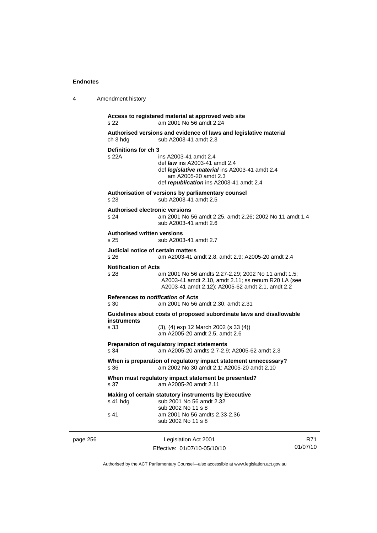4 Amendment history

|          | s 22                                              | Access to registered material at approved web site<br>am 2001 No 56 amdt 2.24                                                                                                             |    |
|----------|---------------------------------------------------|-------------------------------------------------------------------------------------------------------------------------------------------------------------------------------------------|----|
|          | ch 3 hdg                                          | Authorised versions and evidence of laws and legislative material<br>sub A2003-41 amdt 2.3                                                                                                |    |
|          | Definitions for ch 3<br>s 22A                     | ins A2003-41 amdt 2.4<br>def <i>law</i> ins A2003-41 amdt 2.4<br>def <i>legislative material</i> ins A2003-41 amdt 2.4<br>am A2005-20 amdt 2.3<br>def republication ins A2003-41 amdt 2.4 |    |
|          | s 23                                              | Authorisation of versions by parliamentary counsel<br>sub A2003-41 amdt 2.5                                                                                                               |    |
|          | <b>Authorised electronic versions</b><br>s 24     | am 2001 No 56 amdt 2.25, amdt 2.26; 2002 No 11 amdt 1.4<br>sub A2003-41 amdt 2.6                                                                                                          |    |
|          | <b>Authorised written versions</b><br>s 25        | sub A2003-41 amdt 2.7                                                                                                                                                                     |    |
|          | Judicial notice of certain matters<br>s 26        | am A2003-41 amdt 2.8, amdt 2.9; A2005-20 amdt 2.4                                                                                                                                         |    |
|          | <b>Notification of Acts</b><br>s 28               | am 2001 No 56 amdts 2.27-2.29; 2002 No 11 amdt 1.5;<br>A2003-41 amdt 2.10, amdt 2.11; ss renum R20 LA (see<br>A2003-41 amdt 2.12); A2005-62 amdt 2.1, amdt 2.2                            |    |
|          | References to <i>notification</i> of Acts<br>s 30 | am 2001 No 56 amdt 2.30, amdt 2.31                                                                                                                                                        |    |
|          | instruments<br>s 33                               | Guidelines about costs of proposed subordinate laws and disallowable<br>$(3)$ , $(4)$ exp 12 March 2002 $(s 33 (4))$<br>am A2005-20 amdt 2.5, amdt 2.6                                    |    |
|          | s 34                                              | Preparation of regulatory impact statements<br>am A2005-20 amdts 2.7-2.9; A2005-62 amdt 2.3                                                                                               |    |
|          | s 36                                              | When is preparation of regulatory impact statement unnecessary?<br>am 2002 No 30 amdt 2.1; A2005-20 amdt 2.10                                                                             |    |
|          | s 37                                              | When must regulatory impact statement be presented?<br>am A2005-20 amdt 2.11                                                                                                              |    |
|          | s 41 hdg                                          | Making of certain statutory instruments by Executive<br>sub 2001 No 56 amdt 2.32<br>sub 2002 No 11 s 8                                                                                    |    |
|          | s 41                                              | am 2001 No 56 amdts 2.33-2.36<br>sub 2002 No 11 s 8                                                                                                                                       |    |
| page 256 |                                                   | Legislation Act 2001                                                                                                                                                                      | R7 |

Effective: 01/07/10-05/10/10

 $\overline{1}$ 01/07/10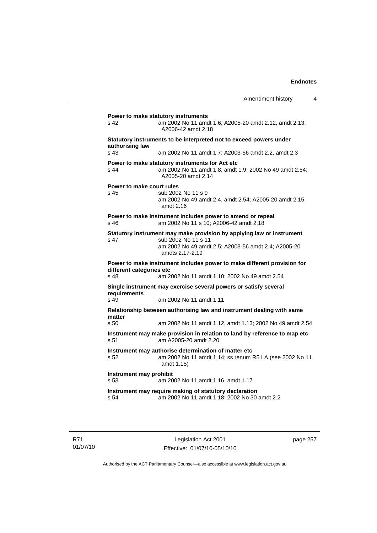| s 42                                                                                                                                     | am 2002 No 11 amdt 1.6; A2005-20 amdt 2.12, amdt 2.13;<br>A2006-42 amdt 2.18                                                     |
|------------------------------------------------------------------------------------------------------------------------------------------|----------------------------------------------------------------------------------------------------------------------------------|
| authorising law                                                                                                                          | Statutory instruments to be interpreted not to exceed powers under                                                               |
| s <sub>43</sub>                                                                                                                          | am 2002 No 11 amdt 1.7; A2003-56 amdt 2.2, amdt 2.3                                                                              |
| s 44                                                                                                                                     | Power to make statutory instruments for Act etc<br>am 2002 No 11 amdt 1.8, amdt 1.9; 2002 No 49 amdt 2.54;<br>A2005-20 amdt 2.14 |
| Power to make court rules                                                                                                                |                                                                                                                                  |
| $s$ 45                                                                                                                                   | sub 2002 No 11 s 9<br>am 2002 No 49 amdt 2.4, amdt 2.54; A2005-20 amdt 2.15,<br>amdt 2.16                                        |
| $s$ 46                                                                                                                                   | Power to make instrument includes power to amend or repeal<br>am 2002 No 11 s 10; A2006-42 amdt 2.18                             |
|                                                                                                                                          | Statutory instrument may make provision by applying law or instrument                                                            |
| s 47                                                                                                                                     | sub 2002 No 11 s 11<br>am 2002 No 49 amdt 2.5; A2003-56 amdt 2.4; A2005-20                                                       |
|                                                                                                                                          | amdts 2.17-2.19                                                                                                                  |
|                                                                                                                                          | Power to make instrument includes power to make different provision for                                                          |
|                                                                                                                                          | am 2002 No 11 amdt 1.10; 2002 No 49 amdt 2.54                                                                                    |
|                                                                                                                                          | Single instrument may exercise several powers or satisfy several                                                                 |
|                                                                                                                                          | am 2002 No 11 amdt 1.11                                                                                                          |
|                                                                                                                                          | Relationship between authorising law and instrument dealing with same                                                            |
|                                                                                                                                          | am 2002 No 11 amdt 1.12, amdt 1.13; 2002 No 49 amdt 2.54                                                                         |
|                                                                                                                                          | Instrument may make provision in relation to land by reference to map etc<br>am A2005-20 amdt 2.20                               |
|                                                                                                                                          | Instrument may authorise determination of matter etc<br>am 2002 No 11 amdt 1.14; ss renum R5 LA (see 2002 No 11<br>amdt 1.15)    |
| different categories etc<br>s 48<br>requirements<br>s 49<br>matter<br>s <sub>50</sub><br>s 51<br>s 52<br>Instrument may prohibit<br>s 53 | am 2002 No 11 amdt 1.16, amdt 1.17                                                                                               |

R71 01/07/10

Legislation Act 2001 Effective: 01/07/10-05/10/10 page 257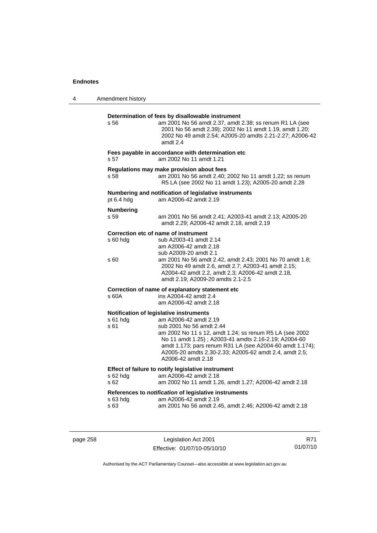| 4 | Amendment history        |                                                                                                                                                                                                                                                                                                                                                             |
|---|--------------------------|-------------------------------------------------------------------------------------------------------------------------------------------------------------------------------------------------------------------------------------------------------------------------------------------------------------------------------------------------------------|
|   | s 56                     | Determination of fees by disallowable instrument<br>am 2001 No 56 amdt 2.37, amdt 2.38; ss renum R1 LA (see<br>2001 No 56 amdt 2.39); 2002 No 11 amdt 1.19, amdt 1.20;<br>2002 No 49 amdt 2.54; A2005-20 amdts 2.21-2.27; A2006-42<br>amdt 2.4                                                                                                              |
|   | s 57                     | Fees payable in accordance with determination etc<br>am 2002 No 11 amdt 1.21                                                                                                                                                                                                                                                                                |
|   | s 58                     | Regulations may make provision about fees<br>am 2001 No 56 amdt 2.40; 2002 No 11 amdt 1.22; ss renum<br>R5 LA (see 2002 No 11 amdt 1.23); A2005-20 amdt 2.28                                                                                                                                                                                                |
|   | pt 6.4 hdg               | Numbering and notification of legislative instruments<br>am A2006-42 amdt 2.19                                                                                                                                                                                                                                                                              |
|   | <b>Numbering</b><br>s 59 | am 2001 No 56 amdt 2.41; A2003-41 amdt 2.13; A2005-20<br>amdt 2.29; A2006-42 amdt 2.18, amdt 2.19                                                                                                                                                                                                                                                           |
|   | $s$ 60 hdg               | Correction etc of name of instrument<br>sub A2003-41 amdt 2.14<br>am A2006-42 amdt 2.18<br>sub A2009-20 amdt 2.1                                                                                                                                                                                                                                            |
|   | s 60                     | am 2001 No 56 amdt 2.42, amdt 2.43; 2001 No 70 amdt 1.8;<br>2002 No 49 amdt 2.6, amdt 2.7; A2003-41 amdt 2.15;<br>A2004-42 amdt 2.2, amdt 2.3; A2006-42 amdt 2.18,<br>amdt 2.19; A2009-20 amdts 2.1-2.5                                                                                                                                                     |
|   | s 60A                    | Correction of name of explanatory statement etc<br>ins A2004-42 amdt 2.4<br>am A2006-42 amdt 2.18                                                                                                                                                                                                                                                           |
|   | s 61 hdg<br>s 61         | Notification of legislative instruments<br>am A2006-42 amdt 2.19<br>sub 2001 No 56 amdt 2.44<br>am 2002 No 11 s 12, amdt 1.24; ss renum R5 LA (see 2002<br>No 11 amdt 1.25); A2003-41 amdts 2.16-2.19; A2004-60<br>amdt 1.173; pars renum R31 LA (see A2004-60 amdt 1.174);<br>A2005-20 amdts 2.30-2.33; A2005-62 amdt 2.4, amdt 2.5;<br>A2006-42 amdt 2.18 |
|   | s 62                     | Effect of failure to notify legislative instrument<br>am 2002 No 11 amdt 1.26, amdt 1.27; A2006-42 amdt 2.18                                                                                                                                                                                                                                                |
|   | s 63 hdg<br>s 63         | References to notification of legislative instruments<br>am A2006-42 amdt 2.19<br>am 2001 No 56 amdt 2.45, amdt 2.46; A2006-42 amdt 2.18                                                                                                                                                                                                                    |

| page 258 |  |
|----------|--|
|----------|--|

page 258 Legislation Act 2001 Effective: 01/07/10-05/10/10

R71 01/07/10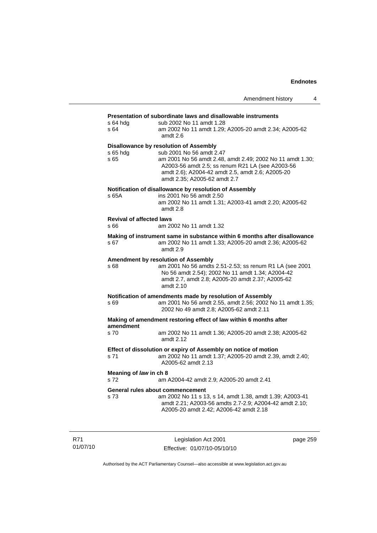## **Presentation of subordinate laws and disallowable instruments**

| s 64 hda<br>s 64                        | sub 2002 No 11 amdt 1.28<br>am 2002 No 11 amdt 1.29; A2005-20 amdt 2.34; A2005-62                                                                                                                 |
|-----------------------------------------|---------------------------------------------------------------------------------------------------------------------------------------------------------------------------------------------------|
|                                         | amdt 2.6                                                                                                                                                                                          |
| s 65 hdg                                | <b>Disallowance by resolution of Assembly</b><br>sub 2001 No 56 amdt 2.47                                                                                                                         |
| s 65                                    | am 2001 No 56 amdt 2.48, amdt 2.49; 2002 No 11 amdt 1.30;<br>A2003-56 amdt 2.5; ss renum R21 LA (see A2003-56<br>amdt 2.6); A2004-42 amdt 2.5, amdt 2.6; A2005-20<br>amdt 2.35; A2005-62 amdt 2.7 |
|                                         | Notification of disallowance by resolution of Assembly                                                                                                                                            |
| s 65A                                   | ins 2001 No 56 amdt 2.50<br>am 2002 No 11 amdt 1.31; A2003-41 amdt 2.20; A2005-62<br>amdt 2.8                                                                                                     |
| <b>Revival of affected laws</b><br>s 66 | am 2002 No 11 amdt 1.32                                                                                                                                                                           |
|                                         |                                                                                                                                                                                                   |
| s 67                                    | Making of instrument same in substance within 6 months after disallowance<br>am 2002 No 11 amdt 1.33; A2005-20 amdt 2.36; A2005-62<br>amdt 2.9                                                    |
|                                         | Amendment by resolution of Assembly                                                                                                                                                               |
| s 68                                    | am 2001 No 56 amdts 2.51-2.53; ss renum R1 LA (see 2001<br>No 56 amdt 2.54); 2002 No 11 amdt 1.34; A2004-42<br>amdt 2.7, amdt 2.8; A2005-20 amdt 2.37; A2005-62<br>amdt 2.10                      |
|                                         | Notification of amendments made by resolution of Assembly                                                                                                                                         |
| s 69                                    | am 2001 No 56 amdt 2.55, amdt 2.56; 2002 No 11 amdt 1.35;<br>2002 No 49 amdt 2.8; A2005-62 amdt 2.11                                                                                              |
| amendment                               | Making of amendment restoring effect of law within 6 months after                                                                                                                                 |
| s 70                                    | am 2002 No 11 amdt 1.36; A2005-20 amdt 2.38; A2005-62<br>amdt 2.12                                                                                                                                |
| s 71                                    | Effect of dissolution or expiry of Assembly on notice of motion<br>am 2002 No 11 amdt 1.37; A2005-20 amdt 2.39, amdt 2.40;<br>A2005-62 amdt 2.13                                                  |
| Meaning of law in ch 8<br>s 72          | am A2004-42 amdt 2.9; A2005-20 amdt 2.41                                                                                                                                                          |
|                                         | General rules about commencement                                                                                                                                                                  |
| s 73                                    | am 2002 No 11 s 13, s 14, amdt 1.38, amdt 1.39; A2003-41<br>amdt 2.21; A2003-56 amdts 2.7-2.9; A2004-42 amdt 2.10;<br>A2005-20 amdt 2.42; A2006-42 amdt 2.18                                      |
|                                         |                                                                                                                                                                                                   |

R71 01/07/10

Legislation Act 2001 Effective: 01/07/10-05/10/10 page 259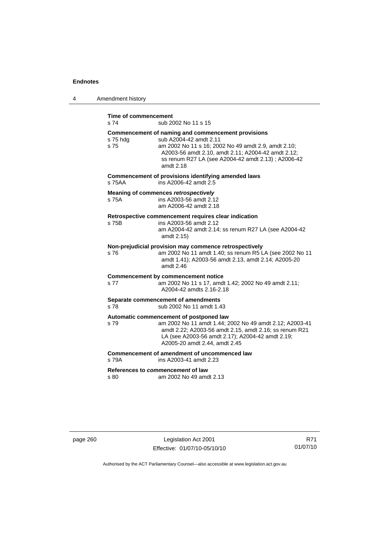| 4 | Amendment history                              |                                                                                                                                                                                                                                                               |
|---|------------------------------------------------|---------------------------------------------------------------------------------------------------------------------------------------------------------------------------------------------------------------------------------------------------------------|
|   | <b>Time of commencement</b><br>s <sub>74</sub> | sub 2002 No 11 s 15                                                                                                                                                                                                                                           |
|   | s 75 hdg<br>s 75                               | Commencement of naming and commencement provisions<br>sub A2004-42 amdt 2.11<br>am 2002 No 11 s 16; 2002 No 49 amdt 2.9, amdt 2.10;<br>A2003-56 amdt 2.10, amdt 2.11; A2004-42 amdt 2.12;<br>ss renum R27 LA (see A2004-42 amdt 2.13) ; A2006-42<br>amdt 2.18 |
|   | s 75AA                                         | Commencement of provisions identifying amended laws<br>ins A2006-42 amdt 2.5                                                                                                                                                                                  |
|   | s 75A                                          | <b>Meaning of commences retrospectively</b><br>ins A2003-56 amdt 2.12<br>am A2006-42 amdt 2.18                                                                                                                                                                |
|   | s 75B                                          | Retrospective commencement requires clear indication<br>ins A2003-56 amdt 2.12<br>am A2004-42 amdt 2.14; ss renum R27 LA (see A2004-42<br>amdt 2.15)                                                                                                          |
|   | s 76                                           | Non-prejudicial provision may commence retrospectively<br>am 2002 No 11 amdt 1.40; ss renum R5 LA (see 2002 No 11<br>amdt 1.41); A2003-56 amdt 2.13, amdt 2.14; A2005-20<br>amdt 2.46                                                                         |
|   | s 77                                           | <b>Commencement by commencement notice</b><br>am 2002 No 11 s 17, amdt 1.42; 2002 No 49 amdt 2.11;<br>A2004-42 amdts 2.16-2.18                                                                                                                                |
|   | s 78                                           | Separate commencement of amendments<br>sub 2002 No 11 amdt 1.43                                                                                                                                                                                               |
|   | s 79                                           | Automatic commencement of postponed law<br>am 2002 No 11 amdt 1.44; 2002 No 49 amdt 2.12; A2003-41<br>amdt 2.22; A2003-56 amdt 2.15, amdt 2.16; ss renum R21<br>LA (see A2003-56 amdt 2.17); A2004-42 amdt 2.19;<br>A2005-20 amdt 2.44, amdt 2.45             |
|   | s 79A                                          | Commencement of amendment of uncommenced law<br>ins A2003-41 amdt 2.23                                                                                                                                                                                        |
|   | s 80                                           | References to commencement of law<br>am 2002 No 49 amdt 2.13                                                                                                                                                                                                  |

page 260 Legislation Act 2001 Effective: 01/07/10-05/10/10

R71 01/07/10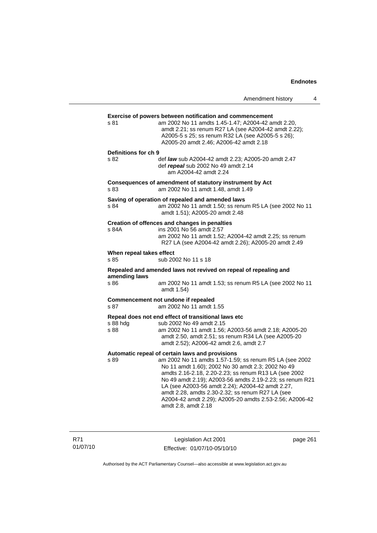|                                  | Amendment history                                                                                                                                                                                                                                                                                                                                                                                                                                                              | 4 |
|----------------------------------|--------------------------------------------------------------------------------------------------------------------------------------------------------------------------------------------------------------------------------------------------------------------------------------------------------------------------------------------------------------------------------------------------------------------------------------------------------------------------------|---|
| s 81                             | <b>Exercise of powers between notification and commencement</b><br>am 2002 No 11 amdts 1.45-1.47; A2004-42 amdt 2.20,<br>amdt 2.21; ss renum R27 LA (see A2004-42 amdt 2.22);<br>A2005-5 s 25; ss renum R32 LA (see A2005-5 s 26);<br>A2005-20 amdt 2.46; A2006-42 amdt 2.18                                                                                                                                                                                                   |   |
| Definitions for ch 9<br>s 82     | def law sub A2004-42 amdt 2.23; A2005-20 amdt 2.47<br>def repeal sub 2002 No 49 amdt 2.14<br>am A2004-42 amdt 2.24                                                                                                                                                                                                                                                                                                                                                             |   |
| s 83                             | Consequences of amendment of statutory instrument by Act<br>am 2002 No 11 amdt 1.48, amdt 1.49                                                                                                                                                                                                                                                                                                                                                                                 |   |
| s 84                             | Saving of operation of repealed and amended laws<br>am 2002 No 11 amdt 1.50; ss renum R5 LA (see 2002 No 11<br>amdt 1.51); A2005-20 amdt 2.48                                                                                                                                                                                                                                                                                                                                  |   |
| s 84A                            | Creation of offences and changes in penalties<br>ins 2001 No 56 amdt 2.57<br>am 2002 No 11 amdt 1.52; A2004-42 amdt 2.25; ss renum<br>R27 LA (see A2004-42 amdt 2.26); A2005-20 amdt 2.49                                                                                                                                                                                                                                                                                      |   |
| When repeal takes effect<br>s 85 | sub 2002 No 11 s 18                                                                                                                                                                                                                                                                                                                                                                                                                                                            |   |
| amending laws<br>s 86            | Repealed and amended laws not revived on repeal of repealing and<br>am 2002 No 11 amdt 1.53; ss renum R5 LA (see 2002 No 11<br>amdt 1.54)                                                                                                                                                                                                                                                                                                                                      |   |
| s 87                             | Commencement not undone if repealed<br>am 2002 No 11 amdt 1.55                                                                                                                                                                                                                                                                                                                                                                                                                 |   |
| s 88 hdg<br>s 88                 | Repeal does not end effect of transitional laws etc<br>sub 2002 No 49 amdt 2.15<br>am 2002 No 11 amdt 1.56; A2003-56 amdt 2.18; A2005-20<br>amdt 2.50, amdt 2.51; ss renum R34 LA (see A2005-20<br>amdt 2.52); A2006-42 amdt 2.6, amdt 2.7                                                                                                                                                                                                                                     |   |
| s 89                             | Automatic repeal of certain laws and provisions<br>am 2002 No 11 amdts 1.57-1.59; ss renum R5 LA (see 2002<br>No 11 amdt 1.60); 2002 No 30 amdt 2.3; 2002 No 49<br>amdts 2.16-2.18, 2.20-2.23; ss renum R13 LA (see 2002<br>No 49 amdt 2.19); A2003-56 amdts 2.19-2.23; ss renum R21<br>LA (see A2003-56 amdt 2.24); A2004-42 amdt 2.27,<br>amdt 2.28, amdts 2.30-2.32; ss renum R27 LA (see<br>A2004-42 amdt 2.29); A2005-20 amdts 2.53-2.56; A2006-42<br>amdt 2.8, amdt 2.18 |   |

R71 01/07/10

Legislation Act 2001 Effective: 01/07/10-05/10/10 page 261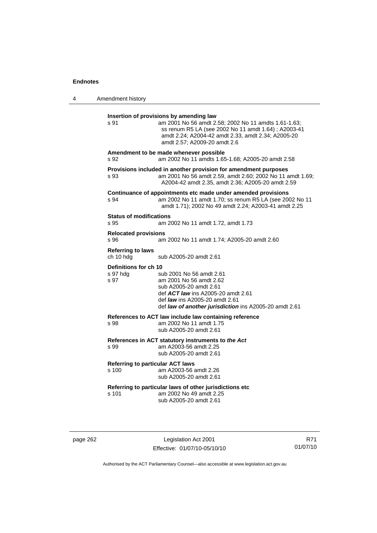| 4 | Amendment history                                                                                                                                                                                                                                                          |  |
|---|----------------------------------------------------------------------------------------------------------------------------------------------------------------------------------------------------------------------------------------------------------------------------|--|
|   | Insertion of provisions by amending law<br>s 91<br>am 2001 No 56 amdt 2.58; 2002 No 11 amdts 1.61-1.63;<br>ss renum R5 LA (see 2002 No 11 amdt 1.64); A2003-41<br>amdt 2.24; A2004-42 amdt 2.33, amdt 2.34; A2005-20<br>amdt 2.57; A2009-20 amdt 2.6                       |  |
|   | Amendment to be made whenever possible<br>s 92<br>am 2002 No 11 amdts 1.65-1.68; A2005-20 amdt 2.58                                                                                                                                                                        |  |
|   | Provisions included in another provision for amendment purposes<br>am 2001 No 56 amdt 2.59, amdt 2.60; 2002 No 11 amdt 1.69;<br>s 93<br>A2004-42 amdt 2.35, amdt 2.36; A2005-20 amdt 2.59                                                                                  |  |
|   | Continuance of appointments etc made under amended provisions<br>am 2002 No 11 amdt 1.70; ss renum R5 LA (see 2002 No 11<br>s 94<br>amdt 1.71); 2002 No 49 amdt 2.24; A2003-41 amdt 2.25                                                                                   |  |
|   | <b>Status of modifications</b><br>s 95<br>am 2002 No 11 amdt 1.72, amdt 1.73                                                                                                                                                                                               |  |
|   | <b>Relocated provisions</b><br>s 96<br>am 2002 No 11 amdt 1.74; A2005-20 amdt 2.60                                                                                                                                                                                         |  |
|   | <b>Referring to laws</b><br>ch 10 hdg<br>sub A2005-20 amdt 2.61                                                                                                                                                                                                            |  |
|   | Definitions for ch 10<br>s 97 hdg<br>sub 2001 No 56 amdt 2.61<br>s 97<br>am 2001 No 56 amdt 2.62<br>sub A2005-20 amdt 2.61<br>def <b>ACT law</b> ins A2005-20 amdt 2.61<br>def <i>law</i> ins A2005-20 amdt 2.61<br>def law of another jurisdiction ins A2005-20 amdt 2.61 |  |
|   | References to ACT law include law containing reference<br>am 2002 No 11 amdt 1.75<br>s 98<br>sub A2005-20 amdt 2.61                                                                                                                                                        |  |
|   | References in ACT statutory instruments to the Act<br>s 99<br>am A2003-56 amdt 2.25<br>sub A2005-20 amdt 2.61                                                                                                                                                              |  |
|   | <b>Referring to particular ACT laws</b><br>s 100<br>am A2003-56 amdt 2.26<br>sub A2005-20 amdt 2.61                                                                                                                                                                        |  |
|   | Referring to particular laws of other jurisdictions etc<br>s 101<br>am 2002 No 49 amdt 2.25<br>sub A2005-20 amdt 2.61                                                                                                                                                      |  |

page 262 Legislation Act 2001 Effective: 01/07/10-05/10/10

R71 01/07/10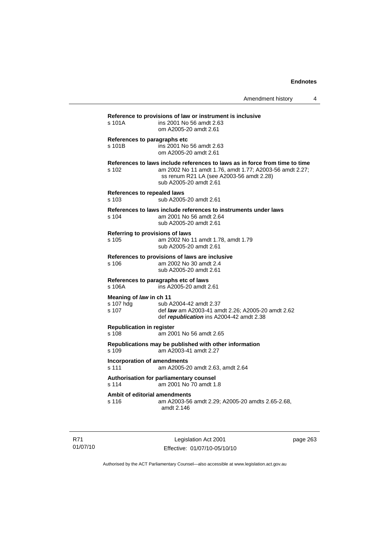| s 101A                                          | ins 2001 No 56 amdt 2.63<br>om A2005-20 amdt 2.61                                                                                                                                                            |
|-------------------------------------------------|--------------------------------------------------------------------------------------------------------------------------------------------------------------------------------------------------------------|
| s 101B                                          | References to paragraphs etc<br>ins 2001 No 56 amdt 2.63<br>om A2005-20 amdt 2.61                                                                                                                            |
| s 102                                           | References to laws include references to laws as in force from time to time<br>am 2002 No 11 amdt 1.76, amdt 1.77; A2003-56 amdt 2.27;<br>ss renum R21 LA (see A2003-56 amdt 2.28)<br>sub A2005-20 amdt 2.61 |
| <b>References to repealed laws</b><br>s 103     | sub A2005-20 amdt 2.61                                                                                                                                                                                       |
| s 104                                           | References to laws include references to instruments under laws<br>am 2001 No 56 amdt 2.64<br>sub A2005-20 amdt 2.61                                                                                         |
| s 105                                           | Referring to provisions of laws<br>am 2002 No 11 amdt 1.78, amdt 1.79<br>sub A2005-20 amdt 2.61                                                                                                              |
| s 106                                           | References to provisions of laws are inclusive<br>am 2002 No 30 amdt 2.4<br>sub A2005-20 amdt 2.61                                                                                                           |
| s 106A                                          | References to paragraphs etc of laws<br>ins A2005-20 amdt 2.61                                                                                                                                               |
| Meaning of law in ch 11<br>s 107 hdg<br>$s$ 107 | sub A2004-42 amdt 2.37<br>def law am A2003-41 amdt 2.26; A2005-20 amdt 2.62<br>def republication ins A2004-42 amdt 2.38                                                                                      |
| <b>Republication in register</b><br>s 108       | am 2001 No 56 amdt 2.65                                                                                                                                                                                      |
| s 109                                           | Republications may be published with other information<br>am A2003-41 amdt 2.27                                                                                                                              |
| s 111                                           | <b>Incorporation of amendments</b><br>am A2005-20 amdt 2.63, amdt 2.64                                                                                                                                       |
| s 114                                           | Authorisation for parliamentary counsel<br>am 2001 No 70 amdt 1.8                                                                                                                                            |
| s 116                                           | Ambit of editorial amendments<br>am A2003-56 amdt 2.29; A2005-20 amdts 2.65-2.68,<br>amdt 2.146                                                                                                              |

R71 01/07/10

Legislation Act 2001 Effective: 01/07/10-05/10/10 page 263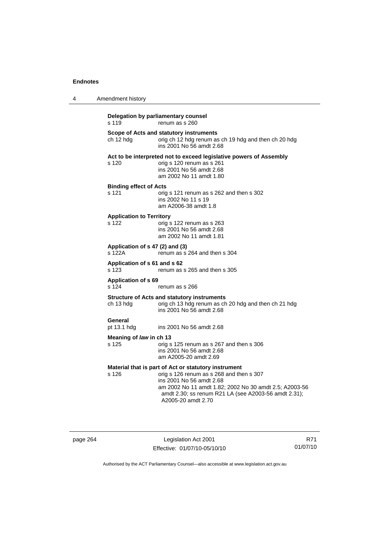| 4 | Amendment history                         |                                                                                                                                                                                                                                                                      |
|---|-------------------------------------------|----------------------------------------------------------------------------------------------------------------------------------------------------------------------------------------------------------------------------------------------------------------------|
|   | s 119                                     | Delegation by parliamentary counsel<br>renum as s 260                                                                                                                                                                                                                |
|   | ch 12 hdg                                 | Scope of Acts and statutory instruments<br>orig ch 12 hdg renum as ch 19 hdg and then ch 20 hdg<br>ins 2001 No 56 amdt 2.68                                                                                                                                          |
|   | s 120                                     | Act to be interpreted not to exceed legislative powers of Assembly<br>orig s 120 renum as s 261<br>ins 2001 No 56 amdt 2.68<br>am 2002 No 11 amdt 1.80                                                                                                               |
|   | <b>Binding effect of Acts</b><br>s 121    | orig s 121 renum as s 262 and then s 302<br>ins 2002 No 11 s 19<br>am A2006-38 amdt 1.8                                                                                                                                                                              |
|   | <b>Application to Territory</b><br>s 122  | orig s 122 renum as s 263<br>ins 2001 No 56 amdt 2.68<br>am 2002 No 11 amdt 1.81                                                                                                                                                                                     |
|   | Application of s 47 (2) and (3)<br>s 122A | renum as s 264 and then s 304                                                                                                                                                                                                                                        |
|   | Application of s 61 and s 62<br>s 123     | renum as s 265 and then s 305                                                                                                                                                                                                                                        |
|   | <b>Application of s 69</b><br>s 124       | renum as s 266                                                                                                                                                                                                                                                       |
|   | ch 13 hdg                                 | <b>Structure of Acts and statutory instruments</b><br>orig ch 13 hdg renum as ch 20 hdg and then ch 21 hdg<br>ins 2001 No 56 amdt 2.68                                                                                                                               |
|   | General<br>pt 13.1 hdg                    | ins 2001 No 56 amdt 2.68                                                                                                                                                                                                                                             |
|   | Meaning of law in ch 13<br>s 125          | orig s 125 renum as s 267 and then s 306<br>ins 2001 No 56 amdt 2.68<br>am A2005-20 amdt 2.69                                                                                                                                                                        |
|   | s 126                                     | Material that is part of Act or statutory instrument<br>orig s 126 renum as s 268 and then s 307<br>ins 2001 No 56 amdt 2.68<br>am 2002 No 11 amdt 1.82; 2002 No 30 amdt 2.5; A2003-56<br>amdt 2.30; ss renum R21 LA (see A2003-56 amdt 2.31);<br>A2005-20 amdt 2.70 |

page 264 Legislation Act 2001 Effective: 01/07/10-05/10/10

R71 01/07/10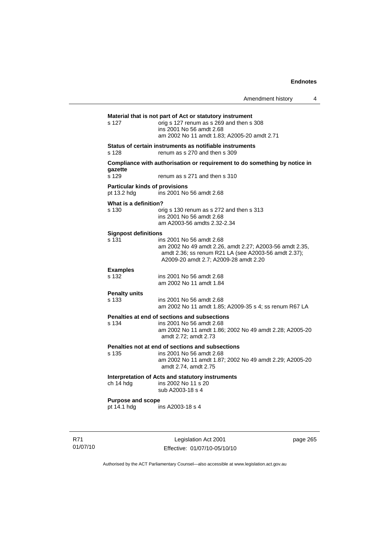|                                                      | Amendment history                                                                                                                                                                    | 4 |
|------------------------------------------------------|--------------------------------------------------------------------------------------------------------------------------------------------------------------------------------------|---|
| s 127                                                | Material that is not part of Act or statutory instrument<br>orig s 127 renum as s 269 and then s 308<br>ins 2001 No 56 amdt 2.68<br>am 2002 No 11 amdt 1.83; A2005-20 amdt 2.71      |   |
| s 128                                                | Status of certain instruments as notifiable instruments<br>renum as s 270 and then s 309                                                                                             |   |
| qazette                                              | Compliance with authorisation or requirement to do something by notice in                                                                                                            |   |
| s 129                                                | renum as s 271 and then s 310                                                                                                                                                        |   |
| <b>Particular kinds of provisions</b><br>pt 13.2 hdg | ins 2001 No 56 amdt 2.68                                                                                                                                                             |   |
| What is a definition?<br>s 130                       | orig s 130 renum as s 272 and then s 313<br>ins 2001 No 56 amdt 2.68<br>am A2003-56 amdts 2.32-2.34                                                                                  |   |
| <b>Signpost definitions</b><br>s 131                 | ins 2001 No 56 amdt 2.68<br>am 2002 No 49 amdt 2.26, amdt 2.27; A2003-56 amdt 2.35,<br>amdt 2.36; ss renum R21 LA (see A2003-56 amdt 2.37);<br>A2009-20 amdt 2.7; A2009-28 amdt 2.20 |   |
| <b>Examples</b><br>s 132                             | ins 2001 No 56 amdt 2.68<br>am 2002 No 11 amdt 1.84                                                                                                                                  |   |
| <b>Penalty units</b><br>s 133                        | ins 2001 No 56 amdt 2.68<br>am 2002 No 11 amdt 1.85; A2009-35 s 4; ss renum R67 LA                                                                                                   |   |
| s 134                                                | Penalties at end of sections and subsections<br>ins 2001 No 56 amdt 2.68<br>am 2002 No 11 amdt 1.86; 2002 No 49 amdt 2.28; A2005-20<br>amdt 2.72; amdt 2.73                          |   |
| s 135                                                | Penalties not at end of sections and subsections<br>ins 2001 No 56 amdt 2.68<br>am 2002 No 11 amdt 1.87; 2002 No 49 amdt 2.29; A2005-20<br>amdt 2.74, amdt 2.75                      |   |
| ch 14 hdg                                            | Interpretation of Acts and statutory instruments<br>ins 2002 No 11 s 20<br>sub A2003-18 s 4                                                                                          |   |
| <b>Purpose and scope</b><br>pt 14.1 hdg              | ins A2003-18 s 4                                                                                                                                                                     |   |
|                                                      |                                                                                                                                                                                      |   |

R71 01/07/10

Legislation Act 2001 Effective: 01/07/10-05/10/10 page 265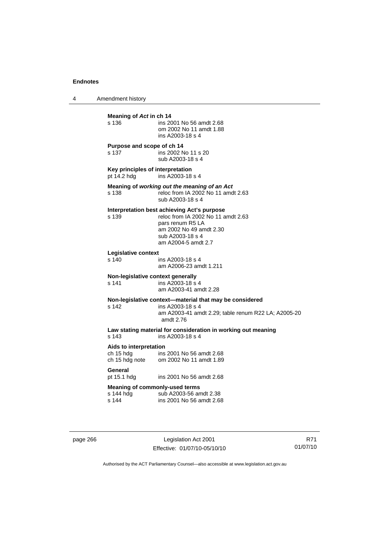4 Amendment history

| Meaning of Act in ch 14<br>s 136                     | ins 2001 No 56 amdt 2.68<br>om 2002 No 11 amdt 1.88<br>ins A2003-18 s 4                                                                                                     |
|------------------------------------------------------|-----------------------------------------------------------------------------------------------------------------------------------------------------------------------------|
| Purpose and scope of ch 14<br>s 137                  | ins 2002 No 11 s 20<br>sub A2003-18 s 4                                                                                                                                     |
| Key principles of interpretation<br>pt 14.2 hdg      | ins A2003-18 s 4                                                                                                                                                            |
| s 138                                                | Meaning of working out the meaning of an Act<br>reloc from IA 2002 No 11 amdt 2.63<br>sub A2003-18 s 4                                                                      |
| s 139                                                | Interpretation best achieving Act's purpose<br>reloc from IA 2002 No 11 amdt 2.63<br>pars renum R5 LA<br>am 2002 No 49 amdt 2.30<br>sub A2003-18 s 4<br>am A2004-5 amdt 2.7 |
| Legislative context<br>s 140                         | ins A2003-18 s 4<br>am A2006-23 amdt 1.211                                                                                                                                  |
| Non-legislative context generally<br>s 141           | ins A2003-18 s 4<br>am A2003-41 amdt 2.28                                                                                                                                   |
| s 142                                                | Non-legislative context-material that may be considered<br>ins A2003-18 s 4<br>am A2003-41 amdt 2.29; table renum R22 LA; A2005-20<br>amdt 2.76                             |
| s 143                                                | Law stating material for consideration in working out meaning<br>ins A2003-18 s 4                                                                                           |
| Aids to interpretation<br>ch 15 hdg                  | ins 2001 No 56 amdt 2.68<br>ch 15 hdg note om 2002 No 11 amdt 1.89                                                                                                          |
| General<br>pt 15.1 hdg                               | ins 2001 No 56 amdt 2.68                                                                                                                                                    |
| Meaning of commonly-used terms<br>s 144 hdg<br>s 144 | sub A2003-56 amdt 2.38<br>ins 2001 No 56 amdt 2.68                                                                                                                          |
|                                                      |                                                                                                                                                                             |

page 266 Legislation Act 2001 Effective: 01/07/10-05/10/10

R71 01/07/10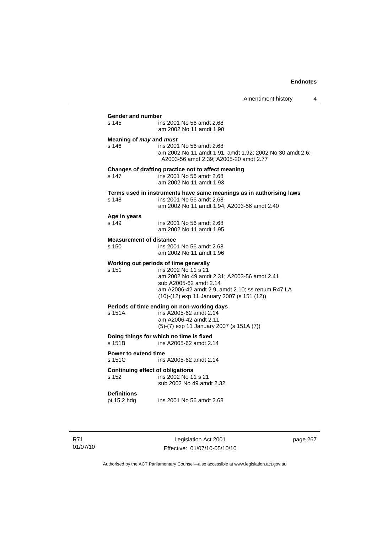Amendment history 4 **Gender and number**  ins 2001 No 56 amdt 2.68 am 2002 No 11 amdt 1.90 **Meaning of** *may* **and** *must* s 146 ins 2001 No 56 amdt 2.68 am 2002 No 11 amdt 1.91, amdt 1.92; 2002 No 30 amdt 2.6; A2003-56 amdt 2.39; A2005-20 amdt 2.77 **Changes of drafting practice not to affect meaning**  ins 2001 No 56 amdt 2.68 am 2002 No 11 amdt 1.93 **Terms used in instruments have same meanings as in authorising laws** s 148 **ins 2001 No 56 amdt 2.68** ins 2001 No 56 amdt 2.68 am 2002 No 11 amdt 1.94; A2003-56 amdt 2.40 **Age in years**  ins 2001 No 56 amdt 2.68 am 2002 No 11 amdt 1.95 **Measurement of distance**  s 150 ins 2001 No 56 amdt 2.68 am 2002 No 11 amdt 1.96 **Working out periods of time generally**  s 151 ins 2002 No 11 s 21 am 2002 No 49 amdt 2.31; A2003-56 amdt 2.41 sub A2005-62 amdt 2.14 am A2006-42 amdt 2.9, amdt 2.10; ss renum R47 LA (10)-(12) exp 11 January 2007 (s 151 (12)) **Periods of time ending on non-working days**  s 151A ins A2005-62 amdt 2.14 am A2006-42 amdt 2.11 (5)-(7) exp 11 January 2007 (s 151A (7)) **Doing things for which no time is fixed**<br>s 151B ins A2005-62 amdt 2. ins A2005-62 amdt 2.14 **Power to extend time**  s 151C ins A2005-62 amdt 2.14 **Continuing effect of obligations**<br> **s** 152 **ins 2002 No 11** ins 2002 No 11 s 21 sub 2002 No 49 amdt 2.32 **Definitions**  ins 2001 No 56 amdt 2.68

R71 01/07/10

Legislation Act 2001 Effective: 01/07/10-05/10/10 page 267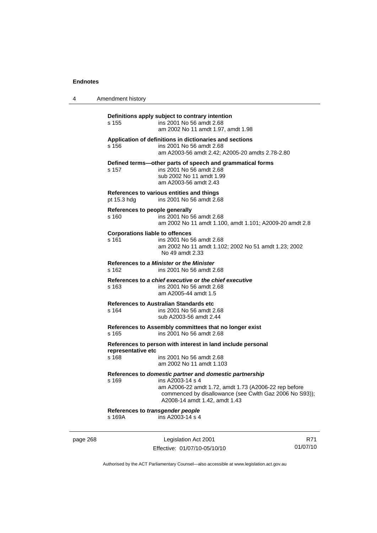| 4        | Amendment history                               |                                                                                                                                                                                                                                  |     |
|----------|-------------------------------------------------|----------------------------------------------------------------------------------------------------------------------------------------------------------------------------------------------------------------------------------|-----|
|          | s 155                                           | Definitions apply subject to contrary intention<br>ins 2001 No 56 amdt 2.68<br>am 2002 No 11 amdt 1.97, amdt 1.98                                                                                                                |     |
|          | s 156                                           | Application of definitions in dictionaries and sections<br>ins 2001 No 56 amdt 2.68<br>am A2003-56 amdt 2.42; A2005-20 amdts 2.78-2.80                                                                                           |     |
|          | s 157                                           | Defined terms-other parts of speech and grammatical forms<br>ins 2001 No 56 amdt 2.68<br>sub 2002 No 11 amdt 1.99<br>am A2003-56 amdt 2.43                                                                                       |     |
|          | pt 15.3 hdg                                     | References to various entities and things<br>ins 2001 No 56 amdt 2.68                                                                                                                                                            |     |
|          | References to people generally<br>s 160         | ins 2001 No 56 amdt 2.68<br>am 2002 No 11 amdt 1.100, amdt 1.101; A2009-20 amdt 2.8                                                                                                                                              |     |
|          | <b>Corporations liable to offences</b><br>s 161 | ins 2001 No 56 amdt 2.68<br>am 2002 No 11 amdt 1.102; 2002 No 51 amdt 1.23; 2002<br>No 49 amdt 2.33                                                                                                                              |     |
|          | s 162                                           | References to a Minister or the Minister<br>ins 2001 No 56 amdt 2.68                                                                                                                                                             |     |
|          | s 163                                           | References to a chief executive or the chief executive<br>ins 2001 No 56 amdt 2.68<br>am A2005-44 amdt 1.5                                                                                                                       |     |
|          | s 164                                           | <b>References to Australian Standards etc.</b><br>ins 2001 No 56 amdt 2.68<br>sub A2003-56 amdt 2.44                                                                                                                             |     |
|          | s 165                                           | References to Assembly committees that no longer exist<br>ins 2001 No 56 amdt 2.68                                                                                                                                               |     |
|          | representative etc<br>s 168                     | References to person with interest in land include personal<br>ins 2001 No 56 amdt 2.68<br>am 2002 No 11 amdt 1.103                                                                                                              |     |
|          | s 169                                           | References to domestic partner and domestic partnership<br>ins A2003-14 s 4<br>am A2006-22 amdt 1.72, amdt 1.73 (A2006-22 rep before<br>commenced by disallowance (see Cwlth Gaz 2006 No S93));<br>A2008-14 amdt 1.42, amdt 1.43 |     |
|          | References to transgender people<br>s 169A      | ins A2003-14 s 4                                                                                                                                                                                                                 |     |
| page 268 |                                                 | Legislation Act 2001                                                                                                                                                                                                             | R71 |

Authorised by the ACT Parliamentary Counsel—also accessible at www.legislation.act.gov.au

01/07/10

Effective: 01/07/10-05/10/10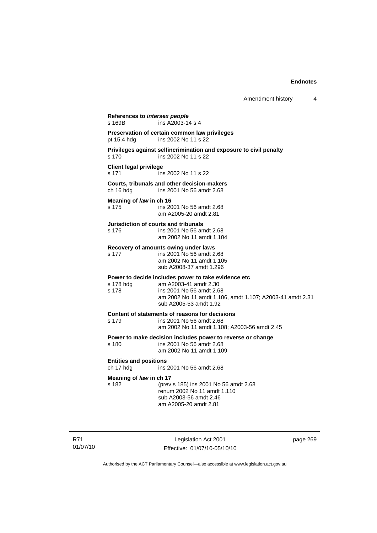**References to** *intersex people*  s 169B ins A2003-14 s 4 **Preservation of certain common law privileges**  pt 15.4 hdg ins 2002 No 11 s 22 **Privileges against selfincrimination and exposure to civil penalty**  s 170 ins 2002 No 11 s 22 **Client legal privilege**  s 171 ins 2002 No 11 s 22 **Courts, tribunals and other decision-makers**  ins 2001 No 56 amdt 2.68 **Meaning of** *law* **in ch 16**  s 175 ins 2001 No 56 amdt 2.68 am A2005-20 amdt 2.81 **Jurisdiction of courts and tribunals**  s 176 ins 2001 No 56 amdt 2.68 am 2002 No 11 amdt 1.104 **Recovery of amounts owing under laws**  s 177 ins 2001 No 56 amdt 2.68 am 2002 No 11 amdt 1.105 sub A2008-37 amdt 1.296 **Power to decide includes power to take evidence etc**  s 178 hdg am A2003-41 amdt 2.30 s 178 ins 2001 No 56 amdt 2.68 am 2002 No 11 amdt 1.106, amdt 1.107; A2003-41 amdt 2.31 sub A2005-53 amdt 1.92 **Content of statements of reasons for decisions**  s 179 ins 2001 No 56 amdt 2.68 am 2002 No 11 amdt 1.108; A2003-56 amdt 2.45 **Power to make decision includes power to reverse or change**  s 180 ins 2001 No 56 amdt 2.68 am 2002 No 11 amdt 1.109 **Entities and positions**  ch 17 hdg ins 2001 No 56 amdt 2.68 **Meaning of** *law* **in ch 17**<br>s 182 (prev s 182 (prev s 185) ins 2001 No 56 amdt 2.68 renum 2002 No 11 amdt 1.110 sub A2003-56 amdt 2.46 am A2005-20 amdt 2.81

R71 01/07/10

Legislation Act 2001 Effective: 01/07/10-05/10/10 page 269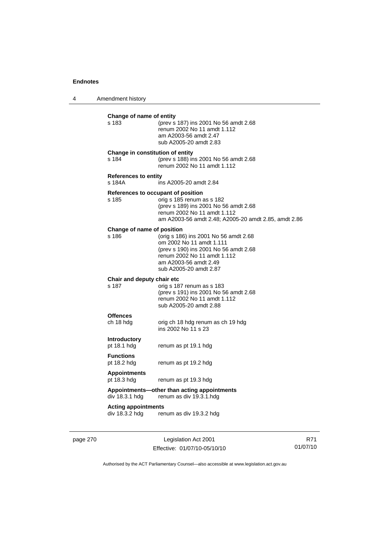4 Amendment history

| s 183                                 | Change of name of entity<br>(prev s 187) ins 2001 No 56 amdt 2.68<br>renum 2002 No 11 amdt 1.112<br>am A2003-56 amdt 2.47<br>sub A2005-20 amdt 2.83                                             |
|---------------------------------------|-------------------------------------------------------------------------------------------------------------------------------------------------------------------------------------------------|
| s 184                                 | Change in constitution of entity<br>(prev s 188) ins 2001 No 56 amdt 2.68<br>renum 2002 No 11 amdt 1.112                                                                                        |
| <b>References to entity</b><br>s 184A | ins A2005-20 amdt 2.84                                                                                                                                                                          |
| s 185                                 | References to occupant of position<br>orig s 185 renum as s 182<br>(prev s 189) ins 2001 No 56 amdt 2.68<br>renum 2002 No 11 amdt 1.112<br>am A2003-56 amdt 2.48; A2005-20 amdt 2.85, amdt 2.86 |
| Change of name of position<br>s 186   | (orig s 186) ins 2001 No 56 amdt 2.68<br>om 2002 No 11 amdt 1.111<br>(prev s 190) ins 2001 No 56 amdt 2.68<br>renum 2002 No 11 amdt 1.112<br>am A2003-56 amdt 2.49                              |
|                                       | sub A2005-20 amdt 2.87                                                                                                                                                                          |
| Chair and deputy chair etc<br>s 187   | orig s 187 renum as s 183<br>(prev s 191) ins 2001 No 56 amdt 2.68<br>renum 2002 No 11 amdt 1.112<br>sub A2005-20 amdt 2.88                                                                     |
| <b>Offences</b><br>ch 18 hdg          | orig ch 18 hdg renum as ch 19 hdg<br>ins 2002 No 11 s 23                                                                                                                                        |
| <b>Introductory</b><br>pt 18.1 hdg    | renum as pt 19.1 hdg                                                                                                                                                                            |
| <b>Functions</b><br>pt 18.2 hdg       | renum as pt 19.2 hdg                                                                                                                                                                            |
| <b>Appointments</b><br>pt 18.3 hdg    | renum as pt 19.3 hdg                                                                                                                                                                            |
| div 18.3.1 hdg                        | Appointments-other than acting appointments<br>renum as div 19.3.1.hdg                                                                                                                          |

page 270 Legislation Act 2001 Effective: 01/07/10-05/10/10

R71 01/07/10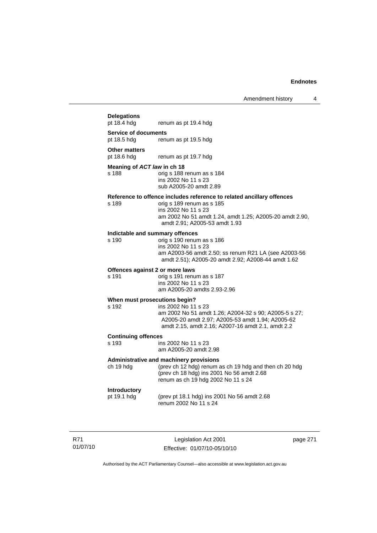## **Delegations**  renum as pt 19.4 hdg **Service of documents**  pt 18.5 hdg renum as pt 19.5 hdg **Other matters**<br>pt 18.6 hdg renum as pt 19.7 hdg **Meaning of** *ACT law* **in ch 18**  s 188 orig s 188 renum as s 184 ins 2002 No 11 s 23 sub A2005-20 amdt 2.89 **Reference to offence includes reference to related ancillary offences**  orig s 189 renum as s 185 ins 2002 No 11 s 23 am 2002 No 51 amdt 1.24, amdt 1.25; A2005-20 amdt 2.90, amdt 2.91; A2005-53 amdt 1.93 **Indictable and summary offences**  orig s 190 renum as s 186 ins 2002 No 11 s 23 am A2003-56 amdt 2.50; ss renum R21 LA (see A2003-56 amdt 2.51); A2005-20 amdt 2.92; A2008-44 amdt 1.62 **Offences against 2 or more laws**  s 191 orig s 191 renum as s 187 ins 2002 No 11 s 23 am A2005-20 amdts 2.93-2.96 **When must prosecutions begin?**  s 192 ins 2002 No 11 s 23 am 2002 No 51 amdt 1.26; A2004-32 s 90; A2005-5 s 27; A2005-20 amdt 2.97; A2005-53 amdt 1.94; A2005-62 amdt 2.15, amdt 2.16; A2007-16 amdt 2.1, amdt 2.2 **Continuing offences**  ins 2002 No 11 s 23 am A2005-20 amdt 2.98 **Administrative and machinery provisions**

ch 19 hdg (prev ch 12 hdg) renum as ch 19 hdg and then ch 20 hdg (prev ch 18 hdg) ins 2001 No 56 amdt 2.68 renum as ch 19 hdg 2002 No 11 s 24

#### **Introductory**

pt 19.1 hdg (prev pt 18.1 hdg) ins 2001 No 56 amdt 2.68 renum 2002 No 11 s 24

R71 01/07/10

Legislation Act 2001 Effective: 01/07/10-05/10/10 page 271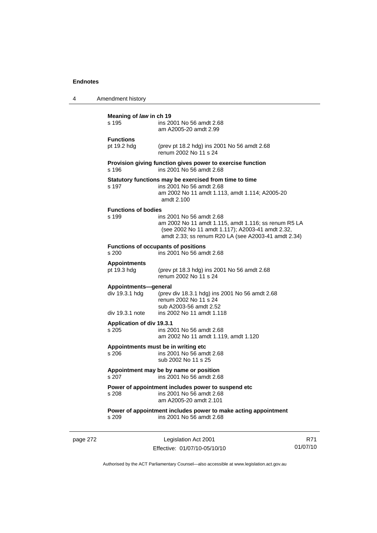| 4 | Amendment history                                         |                                                                                                                                                                                             |
|---|-----------------------------------------------------------|---------------------------------------------------------------------------------------------------------------------------------------------------------------------------------------------|
|   | Meaning of law in ch 19<br>s 195                          | ins 2001 No 56 amdt 2.68<br>am A2005-20 amdt 2.99                                                                                                                                           |
|   | <b>Functions</b><br>pt 19.2 hdg                           | (prev pt 18.2 hdg) ins 2001 No 56 amdt 2.68<br>renum 2002 No 11 s 24                                                                                                                        |
|   | s 196                                                     | Provision giving function gives power to exercise function<br>ins 2001 No 56 amdt 2.68                                                                                                      |
|   | s 197                                                     | Statutory functions may be exercised from time to time<br>ins 2001 No 56 amdt 2.68<br>am 2002 No 11 amdt 1.113, amdt 1.114; A2005-20<br>amdt 2.100                                          |
|   | <b>Functions of bodies</b><br>s 199                       | ins 2001 No 56 amdt 2.68<br>am 2002 No 11 amdt 1.115, amdt 1.116; ss renum R5 LA<br>(see 2002 No 11 amdt 1.117); A2003-41 amdt 2.32,<br>amdt 2.33; ss renum R20 LA (see A2003-41 amdt 2.34) |
|   | s 200                                                     | <b>Functions of occupants of positions</b><br>ins 2001 No 56 amdt 2.68                                                                                                                      |
|   | <b>Appointments</b><br>pt 19.3 hdg                        | (prev pt 18.3 hdg) ins 2001 No 56 amdt 2.68<br>renum 2002 No 11 s 24                                                                                                                        |
|   | Appointments-general<br>div 19.3.1 hdg<br>div 19.3.1 note | (prev div 18.3.1 hdg) ins 2001 No 56 amdt 2.68<br>renum 2002 No 11 s 24<br>sub A2003-56 amdt 2.52<br>ins 2002 No 11 amdt 1.118                                                              |
|   | Application of div 19.3.1<br>s 205                        | ins 2001 No 56 amdt 2.68<br>am 2002 No 11 amdt 1.119, amdt 1.120                                                                                                                            |
|   | s 206                                                     | Appointments must be in writing etc<br>ins 2001 No 56 amdt 2.68<br>sub 2002 No 11 s 25                                                                                                      |
|   |                                                           | Appointment may be by name or position<br>s 207 ins 2001 No 56 amdt 2.68                                                                                                                    |
|   | s 208                                                     | Power of appointment includes power to suspend etc<br>ins 2001 No 56 amdt 2.68<br>am A2005-20 amdt 2.101                                                                                    |
|   | s 209                                                     | Power of appointment includes power to make acting appointment<br>ins 2001 No 56 amdt 2.68                                                                                                  |
|   |                                                           |                                                                                                                                                                                             |

page 272 Legislation Act 2001 Effective: 01/07/10-05/10/10

R71 01/07/10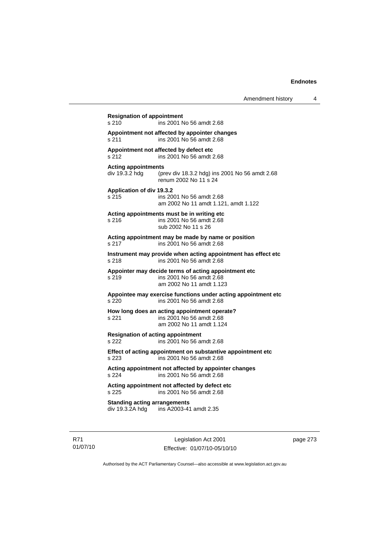**Resignation of appointment**  s 210 ins 2001 No 56 amdt 2.68 **Appointment not affected by appointer changes**  s 211 ins 2001 No 56 amdt 2.68 **Appointment not affected by defect etc**  s 212 ins 2001 No 56 amdt 2.68 **Acting appointments**  div 19.3.2 hdg (prev div 18.3.2 hdg) ins 2001 No 56 amdt 2.68 renum 2002 No 11 s 24 **Application of div 19.3.2**  s 215 ins 2001 No 56 amdt 2.68 am 2002 No 11 amdt 1.121, amdt 1.122 **Acting appointments must be in writing etc**  s 216 ins 2001 No 56 amdt 2.68 sub 2002 No 11 s 26 **Acting appointment may be made by name or position**  s 217 ins 2001 No 56 amdt 2.68 **Instrument may provide when acting appointment has effect etc**  s 218 ins 2001 No 56 amdt 2.68 **Appointer may decide terms of acting appointment etc**  s 219 ins 2001 No 56 amdt 2.68 am 2002 No 11 amdt 1.123 **Appointee may exercise functions under acting appointment etc**  s 220 ins 2001 No 56 amdt 2.68 **How long does an acting appointment operate?**  s 221 ins 2001 No 56 amdt 2.68 am 2002 No 11 amdt 1.124 **Resignation of acting appointment**  s 222 ins 2001 No 56 amdt 2.68 **Effect of acting appointment on substantive appointment etc**  s 223 ins 2001 No 56 amdt 2.68 **Acting appointment not affected by appointer changes**  s 224 ins 2001 No 56 amdt 2.68 **Acting appointment not affected by defect etc**  s 225 ins 2001 No 56 amdt 2.68 **Standing acting arrangements**  div 19.3.2A hdg ins A2003-41 amdt 2.35

R71 01/07/10

Legislation Act 2001 Effective: 01/07/10-05/10/10 page 273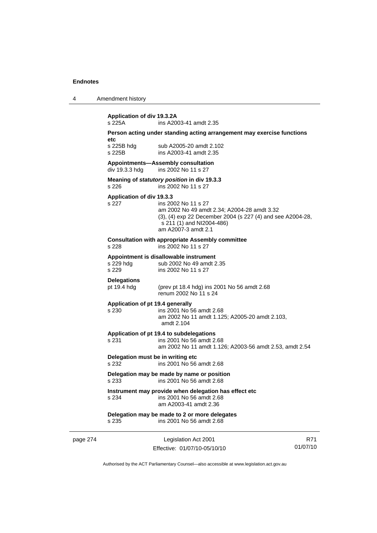| 4 | Amendment history |
|---|-------------------|
|---|-------------------|

|          | div 19.3.3 hdg<br>s 226                    | ins 2002 No 11 s 27<br>Meaning of statutory position in div 19.3.3<br>ins 2002 No 11 s 27                                                                                            |     |
|----------|--------------------------------------------|--------------------------------------------------------------------------------------------------------------------------------------------------------------------------------------|-----|
|          | Application of div 19.3.3<br>s 227         | ins 2002 No 11 s 27<br>am 2002 No 49 amdt 2.34; A2004-28 amdt 3.32<br>(3), (4) exp 22 December 2004 (s 227 (4) and see A2004-28,<br>s 211 (1) and NI2004-486)<br>am A2007-3 amdt 2.1 |     |
|          | s 228                                      | <b>Consultation with appropriate Assembly committee</b><br>ins 2002 No 11 s 27                                                                                                       |     |
|          | s 229 hdg<br>s 229                         | Appointment is disallowable instrument<br>sub 2002 No 49 amdt 2.35<br>ins 2002 No 11 s 27                                                                                            |     |
|          | <b>Delegations</b><br>pt 19.4 hdg          | (prev pt 18.4 hdg) ins 2001 No 56 amdt 2.68<br>renum 2002 No 11 s 24                                                                                                                 |     |
|          | Application of pt 19.4 generally<br>s 230  | ins 2001 No 56 amdt 2.68<br>am 2002 No 11 amdt 1.125; A2005-20 amdt 2.103,<br>amdt 2.104                                                                                             |     |
|          | s 231                                      | Application of pt 19.4 to subdelegations<br>ins 2001 No 56 amdt 2.68<br>am 2002 No 11 amdt 1.126; A2003-56 amdt 2.53, amdt 2.54                                                      |     |
|          | Delegation must be in writing etc<br>s 232 | ins 2001 No 56 amdt 2.68                                                                                                                                                             |     |
|          | s 233                                      | Delegation may be made by name or position<br>ins 2001 No 56 amdt 2.68                                                                                                               |     |
|          | s 234                                      | Instrument may provide when delegation has effect etc<br>ins 2001 No 56 amdt 2.68<br>am A2003-41 amdt 2.36                                                                           |     |
|          | s 235                                      | Delegation may be made to 2 or more delegates<br>ins 2001 No 56 amdt 2.68                                                                                                            |     |
| page 274 |                                            | Legislation Act 2001                                                                                                                                                                 | R71 |

Authorised by the ACT Parliamentary Counsel—also accessible at www.legislation.act.gov.au

Effective: 01/07/10-05/10/10

01/07/10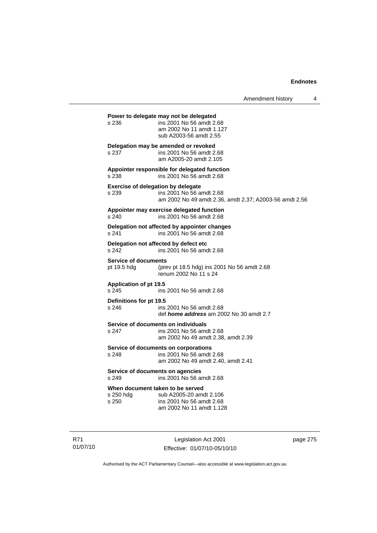Amendment history 4

**Power to delegate may not be delegated**  s 236 ins 2001 No 56 amdt 2.68 am 2002 No 11 amdt 1.127 sub A2003-56 amdt 2.55 **Delegation may be amended or revoked**  s 237 ins 2001 No 56 amdt 2.68 am A2005-20 amdt 2.105 **Appointer responsible for delegated function**  s 238 ins 2001 No 56 amdt 2.68 **Exercise of delegation by delegate**  s 239 ins 2001 No 56 amdt 2.68 am 2002 No 49 amdt 2.36, amdt 2.37; A2003-56 amdt 2.56 **Appointer may exercise delegated function**  s 240 ins 2001 No 56 amdt 2.68 **Delegation not affected by appointer changes**  s 241 ins 2001 No 56 amdt 2.68 **Delegation not affected by defect etc**  s 242 ins 2001 No 56 amdt 2.68 **Service of documents**<br>pt 19.5 hdg (pre (prev pt 18.5 hdg) ins 2001 No 56 amdt  $2.68$ renum 2002 No 11 s 24 **Application of pt 19.5**  s 245 ins 2001 No 56 amdt 2.68 **Definitions for pt 19.5**  ins 2001 No 56 amdt 2.68 def *home address* am 2002 No 30 amdt 2.7 **Service of documents on individuals**<br>s 247 **ins 2001** No 56 among ins 2001 No 56 amdt 2.68 am 2002 No 49 amdt 2.38, amdt 2.39 **Service of documents on corporations**  s 248 ins 2001 No 56 amdt 2.68 am 2002 No 49 amdt 2.40, amdt 2.41 **Service of documents on agencies**  s 249 ins 2001 No 56 amdt 2.68 **When document taken to be served**  s 250 hdg sub A2005-20 amdt 2.106 s 250 ins 2001 No 56 amdt 2.68 am 2002 No 11 amdt 1.128

R71 01/07/10

Legislation Act 2001 Effective: 01/07/10-05/10/10 page 275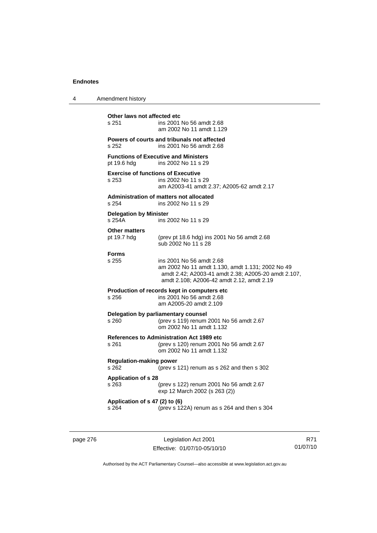| 4 | Amendment history                                  |                                                                                                                                                                                  |
|---|----------------------------------------------------|----------------------------------------------------------------------------------------------------------------------------------------------------------------------------------|
|   | Other laws not affected etc<br>s 251               | ins 2001 No 56 amdt 2.68<br>am 2002 No 11 amdt 1.129                                                                                                                             |
|   | s 252                                              | Powers of courts and tribunals not affected<br>ins 2001 No 56 amdt 2.68                                                                                                          |
|   | pt 19.6 hdg                                        | <b>Functions of Executive and Ministers</b><br>ins 2002 No 11 s 29                                                                                                               |
|   | <b>Exercise of functions of Executive</b><br>s 253 | ins 2002 No 11 s 29<br>am A2003-41 amdt 2.37; A2005-62 amdt 2.17                                                                                                                 |
|   | s 254                                              | <b>Administration of matters not allocated</b><br>ins 2002 No 11 s 29                                                                                                            |
|   | <b>Delegation by Minister</b><br>s 254A            | ins 2002 No 11 s 29                                                                                                                                                              |
|   | <b>Other matters</b><br>pt 19.7 hdg                | (prev pt 18.6 hdg) ins 2001 No 56 amdt 2.68<br>sub 2002 No 11 s 28                                                                                                               |
|   | <b>Forms</b><br>s 255                              | ins 2001 No 56 amdt 2.68<br>am 2002 No 11 amdt 1.130, amdt 1.131; 2002 No 49<br>amdt 2.42; A2003-41 amdt 2.38; A2005-20 amdt 2.107,<br>amdt 2.108; A2006-42 amdt 2.12, amdt 2.19 |
|   | s 256                                              | Production of records kept in computers etc<br>ins 2001 No 56 amdt 2.68<br>am A2005-20 amdt 2.109                                                                                |
|   | s 260                                              | Delegation by parliamentary counsel<br>(prev s 119) renum 2001 No 56 amdt 2.67<br>om 2002 No 11 amdt 1.132                                                                       |
|   | s 261                                              | References to Administration Act 1989 etc<br>(prev s 120) renum 2001 No 56 amdt 2.67<br>om 2002 No 11 amdt 1.132                                                                 |
|   | <b>Regulation-making power</b><br>s 262            | (prev s 121) renum as s 262 and then s 302                                                                                                                                       |
|   | <b>Application of s 28</b><br>s 263                | (prev s 122) renum 2001 No 56 amdt 2.67<br>exp 12 March 2002 (s 263 (2))                                                                                                         |
|   | Application of s 47 (2) to (6)<br>s 264            | (prev s 122A) renum as s 264 and then s 304                                                                                                                                      |
|   |                                                    |                                                                                                                                                                                  |

page 276 Legislation Act 2001 Effective: 01/07/10-05/10/10

R71 01/07/10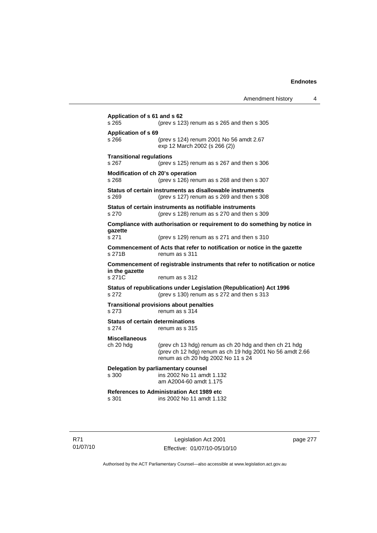**Application of s 61 and s 62**  s 265 (prev s 123) renum as s 265 and then s 305 **Application of s 69**  s 266 (prev s 124) renum 2001 No 56 amdt 2.67 exp 12 March 2002 (s 266 (2)) **Transitional regulations**  s 267 (prev s 125) renum as s 267 and then s 306 **Modification of ch 20's operation**  s 268 (prev s 126) renum as s 268 and then s 307 **Status of certain instruments as disallowable instruments**  s 269 (prev s 127) renum as s 269 and then s 308 **Status of certain instruments as notifiable instruments**  s 270 (prev s 128) renum as s 270 and then s 309 **Compliance with authorisation or requirement to do something by notice in gazette**  s 271 (prev s 129) renum as s 271 and then s 310 **Commencement of Acts that refer to notification or notice in the gazette**  s 271B renum as s 311 **Commencement of registrable instruments that refer to notification or notice in the gazette**  s 271C renum as s 312 **Status of republications under Legislation (Republication) Act 1996**  s 272 (prev s 130) renum as s 272 and then s 313 **Transitional provisions about penalties** s 273 renum as s 314 **Status of certain determinations**  s 274 renum as s 315 **Miscellaneous**  ch 20 hdg (prev ch 13 hdg) renum as ch 20 hdg and then ch 21 hdg (prev ch 12 hdg) renum as ch 19 hdg 2001 No 56 amdt 2.66 renum as ch 20 hdg 2002 No 11 s 24 **Delegation by parliamentary counsel**  s 300 ins 2002 No 11 amdt 1.132 am A2004-60 amdt 1.175 **References to Administration Act 1989 etc**  ins 2002 No 11 amdt 1.132

R71 01/07/10

Legislation Act 2001 Effective: 01/07/10-05/10/10 page 277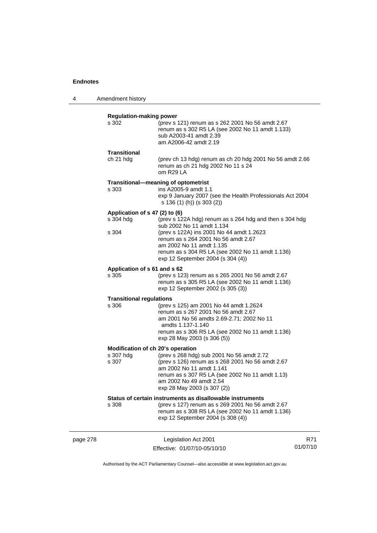4 Amendment history

|          | <b>Regulation-making power</b>                          |                                                                                                                                                                                                                                                                                              |     |
|----------|---------------------------------------------------------|----------------------------------------------------------------------------------------------------------------------------------------------------------------------------------------------------------------------------------------------------------------------------------------------|-----|
|          | s 302                                                   | (prev s 121) renum as s 262 2001 No 56 amdt 2.67<br>renum as s 302 R5 LA (see 2002 No 11 amdt 1.133)<br>sub A2003-41 amdt 2.39<br>am A2006-42 amdt 2.19                                                                                                                                      |     |
|          | <b>Transitional</b><br>ch 21 hdg                        | (prev ch 13 hdg) renum as ch 20 hdg 2001 No 56 amdt 2.66<br>renum as ch 21 hdg 2002 No 11 s 24<br>om R29 LA                                                                                                                                                                                  |     |
|          | s 303                                                   | Transitional-meaning of optometrist<br>ins A2005-9 amdt 1.1<br>exp 9 January 2007 (see the Health Professionals Act 2004<br>s 136 (1) (h)) (s 303 (2))                                                                                                                                       |     |
|          | Application of s 47 (2) to (6)<br>s 304 hdg<br>s 304    | (prev s 122A hdg) renum as s 264 hdg and then s 304 hdg<br>sub 2002 No 11 amdt 1.134<br>(prev s 122A) ins 2001 No 44 amdt 1.2623<br>renum as s 264 2001 No 56 amdt 2.67<br>am 2002 No 11 amdt 1.135<br>renum as s 304 R5 LA (see 2002 No 11 amdt 1.136)<br>exp 12 September 2004 (s 304 (4)) |     |
|          | Application of s 61 and s 62<br>s 305                   | (prev s 123) renum as s 265 2001 No 56 amdt 2.67<br>renum as s 305 R5 LA (see 2002 No 11 amdt 1.136)<br>exp 12 September 2002 (s 305 (3))                                                                                                                                                    |     |
|          | <b>Transitional regulations</b><br>s 306                | (prev s 125) am 2001 No 44 amdt 1.2624<br>renum as s 267 2001 No 56 amdt 2.67<br>am 2001 No 56 amdts 2.69-2.71; 2002 No 11<br>amdts 1.137-1.140<br>renum as s 306 R5 LA (see 2002 No 11 amdt 1.136)<br>exp 28 May 2003 (s 306 (5))                                                           |     |
|          | Modification of ch 20's operation<br>s 307 hdg<br>s 307 | (prev s 268 hdg) sub 2001 No 56 amdt 2.72<br>(prev s 126) renum as s 268 2001 No 56 amdt 2.67<br>am 2002 No 11 amdt 1.141<br>renum as s 307 R5 LA (see 2002 No 11 amdt 1.13)<br>am 2002 No 49 amdt 2.54<br>exp 28 May 2003 (s 307 (2))                                                       |     |
|          | s 308                                                   | Status of certain instruments as disallowable instruments<br>(prev s 127) renum as s 269 2001 No 56 amdt 2.67<br>renum as s 308 R5 LA (see 2002 No 11 amdt 1.136)<br>exp 12 September 2004 (s 308 (4))                                                                                       |     |
| page 278 |                                                         | Legislation Act 2001                                                                                                                                                                                                                                                                         | R71 |

Authorised by the ACT Parliamentary Counsel—also accessible at www.legislation.act.gov.au

01/07/10

Effective: 01/07/10-05/10/10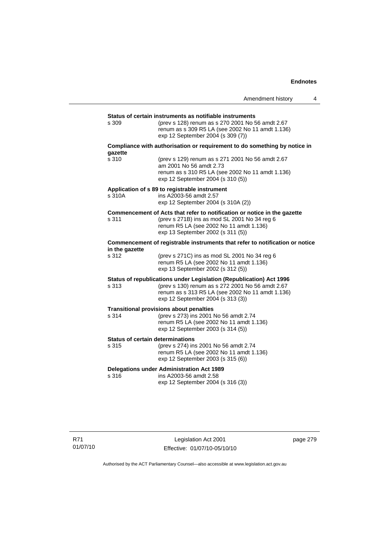|                                                  |                                                                                                                                                                                                                  | Amendment history | 4 |
|--------------------------------------------------|------------------------------------------------------------------------------------------------------------------------------------------------------------------------------------------------------------------|-------------------|---|
|                                                  | Status of certain instruments as notifiable instruments                                                                                                                                                          |                   |   |
| s 309                                            | (prev s 128) renum as s 270 2001 No 56 amdt 2.67<br>renum as s 309 R5 LA (see 2002 No 11 amdt 1.136)<br>exp 12 September 2004 (s 309 (7))                                                                        |                   |   |
| gazette                                          | Compliance with authorisation or requirement to do something by notice in                                                                                                                                        |                   |   |
| s 310                                            | (prev s 129) renum as s 271 2001 No 56 amdt 2.67<br>am 2001 No 56 amdt 2.73<br>renum as s 310 R5 LA (see 2002 No 11 amdt 1.136)<br>exp 12 September 2004 (s 310 (5))                                             |                   |   |
| s 310A                                           | Application of s 89 to registrable instrument<br>ins A2003-56 amdt 2.57<br>exp 12 September 2004 (s 310A (2))                                                                                                    |                   |   |
| s 311                                            | Commencement of Acts that refer to notification or notice in the gazette<br>(prev s 271B) ins as mod SL 2001 No 34 reg 6<br>renum R5 LA (see 2002 No 11 amdt 1.136)<br>exp 13 September 2002 (s 311 (5))         |                   |   |
| in the gazette                                   | Commencement of registrable instruments that refer to notification or notice                                                                                                                                     |                   |   |
| s 312                                            | (prev s 271C) ins as mod SL 2001 No 34 reg 6<br>renum R5 LA (see 2002 No 11 amdt 1.136)<br>exp 13 September 2002 (s 312 (5))                                                                                     |                   |   |
| s 313                                            | Status of republications under Legislation (Republication) Act 1996<br>(prev s 130) renum as s 272 2001 No 56 amdt 2.67<br>renum as s 313 R5 LA (see 2002 No 11 amdt 1.136)<br>exp 12 September 2004 (s 313 (3)) |                   |   |
| s 314                                            | <b>Transitional provisions about penalties</b><br>(prev s 273) ins 2001 No 56 amdt 2.74<br>renum R5 LA (see 2002 No 11 amdt 1.136)<br>exp 12 September 2003 (s 314 (5))                                          |                   |   |
| <b>Status of certain determinations</b><br>s 315 | (prev s 274) ins 2001 No 56 amdt 2.74<br>renum R5 LA (see 2002 No 11 amdt 1.136)<br>exp 12 September 2003 (s 315 (6))                                                                                            |                   |   |
| s 316                                            | <b>Delegations under Administration Act 1989</b><br>ins A2003-56 amdt 2.58<br>exp 12 September 2004 (s 316 (3))                                                                                                  |                   |   |

page 279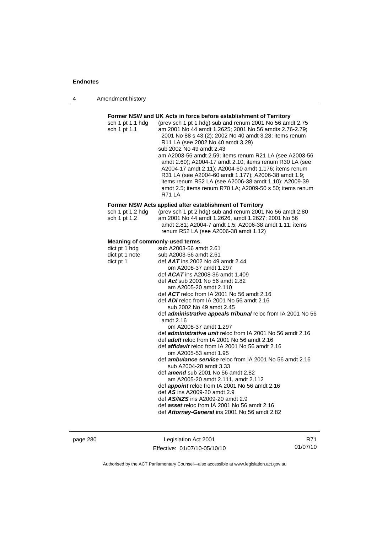| Amendment history<br>4 |  |
|------------------------|--|
|------------------------|--|

### **Former NSW and UK Acts in force before establishment of Territory**  sch 1 pt 1.1 hdg (prev sch 1 pt 1 hdg) sub and renum 2001 No 56 amdt 2.75 sch 1 pt 1.1 am 2001 No 44 amdt 1.2625; 2001 No 56 amdts 2.76-2.79; 2001 No 88 s 43 (2); 2002 No 40 amdt 3.28; items renum R11 LA (see 2002 No 40 amdt 3.29) sub 2002 No 49 amdt 2.43 am A2003-56 amdt 2.59; items renum R21 LA (see A2003-56 amdt 2.60); A2004-17 amdt 2.10; items renum R30 LA (see A2004-17 amdt 2.11); A2004-60 amdt 1.176; items renum R31 LA (see A2004-60 amdt 1.177); A2006-38 amdt 1.9; items renum R52 LA (see A2006-38 amdt 1.10); A2009-39 amdt 2.5; items renum R70 LA; A2009-50 s 50; items renum R71 LA **Former NSW Acts applied after establishment of Territory**  sch 1 pt 1.2 hdg (prev sch 1 pt 2 hdg) sub and renum 2001 No 56 amdt 2.80 sch 1 pt 1.2 am 2001 No 44 amdt 1.2626, amdt 1.2627; 2001 No 56 amdt 2.81; A2004-7 amdt 1.5; A2006-38 amdt 1.11; items renum R52 LA (see A2006-38 amdt 1.12) **Meaning of commonly-used terms**  dict pt 1 hdg sub A2003-56 amdt 2.61<br>dict pt 1 note sub A2003-56 amdt 2.61 sub A2003-56 amdt 2.61 dict pt 1 def *AAT* ins 2002 No 49 amdt 2.44 om A2008-37 amdt 1.297 def *ACAT* ins A2008-36 amdt 1.409 def *Act* sub 2001 No 56 amdt 2.82 am A2005-20 amdt 2.110 def *ACT* reloc from IA 2001 No 56 amdt 2.16 def *ADI* reloc from IA 2001 No 56 amdt 2.16 sub 2002 No 49 amdt 2.45 def *administrative appeals tribunal* reloc from IA 2001 No 56 amdt 2.16 om A2008-37 amdt 1.297 def *administrative unit* reloc from IA 2001 No 56 amdt 2.16 def *adult* reloc from IA 2001 No 56 amdt 2.16 def *affidavit* reloc from IA 2001 No 56 amdt 2.16 om A2005-53 amdt 1.95 def *ambulance service* reloc from IA 2001 No 56 amdt 2.16 sub A2004-28 amdt 3.33 def *amend* sub 2001 No 56 amdt 2.82 am A2005-20 amdt 2.111, amdt 2.112 def *appoint* reloc from IA 2001 No 56 amdt 2.16 def *AS* ins A2009-20 amdt 2.9 def *AS/NZS* ins A2009-20 amdt 2.9 def *asset* reloc from IA 2001 No 56 amdt 2.16 def *Attorney-General* ins 2001 No 56 amdt 2.82

page 280 Legislation Act 2001 Effective: 01/07/10-05/10/10

R71 01/07/10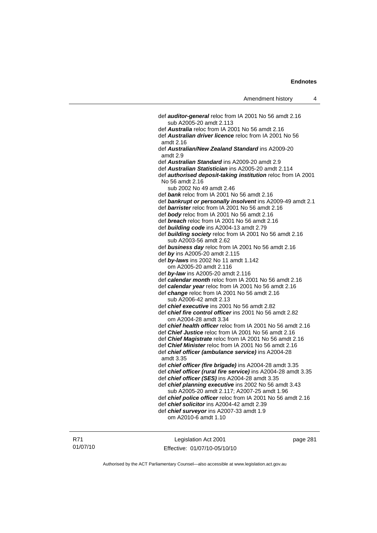| Amendment history |  |
|-------------------|--|
|-------------------|--|

 def *auditor-general* reloc from IA 2001 No 56 amdt 2.16 sub A2005-20 amdt 2.113 def *Australia* reloc from IA 2001 No 56 amdt 2.16 def *Australian driver licence* reloc from IA 2001 No 56 amdt 2.16 def *Australian/New Zealand Standard* ins A2009-20 amdt 2.9 def *Australian Standard* ins A2009-20 amdt 2.9 def *Australian Statistician* ins A2005-20 amdt 2.114 def *authorised deposit-taking institution* reloc from IA 2001 No 56 amdt 2.16 sub 2002 No 49 amdt 2.46 def *bank* reloc from IA 2001 No 56 amdt 2.16 def *bankrupt or personally insolvent* ins A2009-49 amdt 2.1 def *barrister* reloc from IA 2001 No 56 amdt 2.16 def *body* reloc from IA 2001 No 56 amdt 2.16 def *breach* reloc from IA 2001 No 56 amdt 2.16 def *building code* ins A2004-13 amdt 2.79 def *building society* reloc from IA 2001 No 56 amdt 2.16 sub A2003-56 amdt 2.62 def *business day* reloc from IA 2001 No 56 amdt 2.16 def *by* ins A2005-20 amdt 2.115 def *by-laws* ins 2002 No 11 amdt 1.142 om A2005-20 amdt 2.116 def *by-law* ins A2005-20 amdt 2.116 def *calendar month* reloc from IA 2001 No 56 amdt 2.16 def *calendar year* reloc from IA 2001 No 56 amdt 2.16 def *change* reloc from IA 2001 No 56 amdt 2.16 sub A2006-42 amdt 2.13 def *chief executive* ins 2001 No 56 amdt 2.82 def *chief fire control officer* ins 2001 No 56 amdt 2.82 om A2004-28 amdt 3.34 def *chief health officer* reloc from IA 2001 No 56 amdt 2.16 def *Chief Justice* reloc from IA 2001 No 56 amdt 2.16 def *Chief Magistrate* reloc from IA 2001 No 56 amdt 2.16 def *Chief Minister* reloc from IA 2001 No 56 amdt 2.16 def *chief officer (ambulance service)* ins A2004-28 amdt 3.35 def *chief officer (fire brigade)* ins A2004-28 amdt 3.35 def *chief officer (rural fire service)* ins A2004-28 amdt 3.35 def *chief officer (SES)* ins A2004-28 amdt 3.35 def *chief planning executive* ins 2002 No 56 amdt 3.43 sub A2005-20 amdt 2.117; A2007-25 amdt 1.96 def *chief police officer* reloc from IA 2001 No 56 amdt 2.16 def *chief solicitor* ins A2004-42 amdt 2.39 def *chief surveyor* ins A2007-33 amdt 1.9 om A2010-6 amdt 1.10

Legislation Act 2001 Effective: 01/07/10-05/10/10 page 281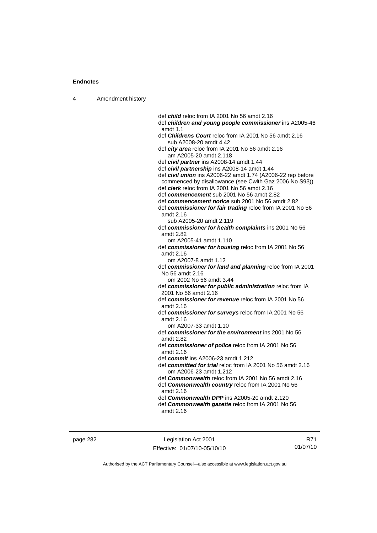4 Amendment history

 def *child* reloc from IA 2001 No 56 amdt 2.16 def *children and young people commissioner* ins A2005-46 amdt 1.1 def *Childrens Court* reloc from IA 2001 No 56 amdt 2.16 sub A2008-20 amdt 4.42 def *city area* reloc from IA 2001 No 56 amdt 2.16 am A2005-20 amdt 2.118 def *civil partner* ins A2008-14 amdt 1.44 def *civil partnership* ins A2008-14 amdt 1.44 def *civil union* ins A2006-22 amdt 1.74 (A2006-22 rep before commenced by disallowance (see Cwlth Gaz 2006 No S93)) def *clerk* reloc from IA 2001 No 56 amdt 2.16 def *commencement* sub 2001 No 56 amdt 2.82 def *commencement notice* sub 2001 No 56 amdt 2.82 def *commissioner for fair trading* reloc from IA 2001 No 56 amdt 2.16 sub A2005-20 amdt 2.119 def *commissioner for health complaints* ins 2001 No 56 amdt 2.82 om A2005-41 amdt 1.110 def *commissioner for housing* reloc from IA 2001 No 56 amdt 2.16 om A2007-8 amdt 1.12 def *commissioner for land and planning* reloc from IA 2001 No 56 amdt 2.16 om 2002 No 56 amdt 3.44 def *commissioner for public administration* reloc from IA 2001 No 56 amdt 2.16 def *commissioner for revenue* reloc from IA 2001 No 56 amdt 2.16 def *commissioner for surveys* reloc from IA 2001 No 56 amdt 2.16 om A2007-33 amdt 1.10 def *commissioner for the environment* ins 2001 No 56 amdt 2.82 def *commissioner of police* reloc from IA 2001 No 56 amdt 2.16 def *commit* ins A2006-23 amdt 1.212 def *committed for trial* reloc from IA 2001 No 56 amdt 2.16 om A2006-23 amdt 1.212 def *Commonwealth* reloc from IA 2001 No 56 amdt 2.16 def *Commonwealth country* reloc from IA 2001 No 56 amdt 2.16 def *Commonwealth DPP* ins A2005-20 amdt 2.120 def *Commonwealth gazette* reloc from IA 2001 No 56

amdt 2.16

page 282 Legislation Act 2001 Effective: 01/07/10-05/10/10

R71 01/07/10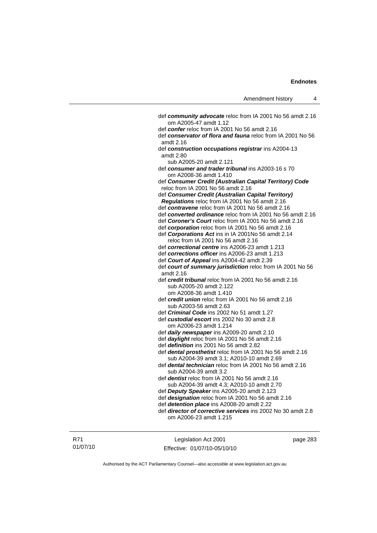| Amendment history |  |  |
|-------------------|--|--|
|-------------------|--|--|

 def *community advocate* reloc from IA 2001 No 56 amdt 2.16 om A2005-47 amdt 1.12 def *confer* reloc from IA 2001 No 56 amdt 2.16 def *conservator of flora and fauna* reloc from IA 2001 No 56 amdt 2.16 def *construction occupations registrar* ins A2004-13 amdt 2.80 sub A2005-20 amdt 2.121 def *consumer and trader tribunal* ins A2003-16 s 70 om A2008-36 amdt 1.410 def *Consumer Credit (Australian Capital Territory) Code* reloc from IA 2001 No 56 amdt 2.16 def *Consumer Credit (Australian Capital Territory) Regulations* reloc from IA 2001 No 56 amdt 2.16 def *contravene* reloc from IA 2001 No 56 amdt 2.16 def *converted ordinance* reloc from IA 2001 No 56 amdt 2.16 def *Coroner's Court* reloc from IA 2001 No 56 amdt 2.16 def *corporation* reloc from IA 2001 No 56 amdt 2.16 def *Corporations Act* ins in IA 2001No 56 amdt 2.14 reloc from IA 2001 No 56 amdt 2.16 def *correctional centre* ins A2006-23 amdt 1.213 def *corrections officer* ins A2006-23 amdt 1.213 def *Court of Appeal* ins A2004-42 amdt 2.39 def *court of summary jurisdiction* reloc from IA 2001 No 56 amdt 2.16 def *credit tribunal* reloc from IA 2001 No 56 amdt 2.16 sub A2005-20 amdt 2.122 om A2008-36 amdt 1.410 def *credit union* reloc from IA 2001 No 56 amdt 2.16 sub A2003-56 amdt 2.63 def *Criminal Code* ins 2002 No 51 amdt 1.27 def *custodial escort* ins 2002 No 30 amdt 2.8 om A2006-23 amdt 1.214 def *daily newspaper* ins A2009-20 amdt 2.10 def *daylight* reloc from IA 2001 No 56 amdt 2.16 def *definition* ins 2001 No 56 amdt 2.82 def *dental prosthetist* reloc from IA 2001 No 56 amdt 2.16 sub A2004-39 amdt 3.1; A2010-10 amdt 2.69 def *dental technician* reloc from IA 2001 No 56 amdt 2.16 sub A2004-39 amdt 3.2 def *dentist* reloc from IA 2001 No 56 amdt 2.16 sub A2004-39 amdt 4.3; A2010-10 amdt 2.70 def *Deputy Speaker* ins A2005-20 amdt 2.123 def *designation* reloc from IA 2001 No 56 amdt 2.16 def *detention place* ins A2008-20 amdt 2.22 def *director of corrective services* ins 2002 No 30 amdt 2.8 om A2006-23 amdt 1.215

Legislation Act 2001 Effective: 01/07/10-05/10/10 page 283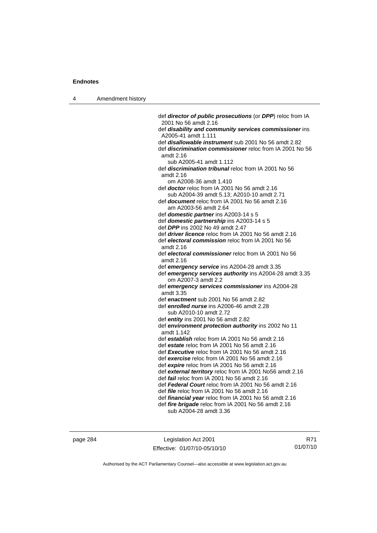| 4 | Amendment history |                                                                                                   |
|---|-------------------|---------------------------------------------------------------------------------------------------|
|   |                   |                                                                                                   |
|   |                   | def director of public prosecutions (or DPP) reloc from IA                                        |
|   |                   | 2001 No 56 amdt 2.16                                                                              |
|   |                   | def disability and community services commissioner ins                                            |
|   |                   | A2005-41 amdt 1.111                                                                               |
|   |                   | def <i>disallowable instrument</i> sub 2001 No 56 amdt 2.82                                       |
|   |                   | def <i>discrimination commissioner</i> reloc from IA 2001 No 56                                   |
|   |                   | amdt 2.16<br>sub A2005-41 amdt 1.112                                                              |
|   |                   | def <i>discrimination tribunal</i> reloc from IA 2001 No 56                                       |
|   |                   | amdt 2.16                                                                                         |
|   |                   | om A2008-36 amdt 1.410                                                                            |
|   |                   | def <b>doctor</b> reloc from IA 2001 No 56 amdt 2.16                                              |
|   |                   | sub A2004-39 amdt 5.13; A2010-10 amdt 2.71                                                        |
|   |                   | def <i>document</i> reloc from IA 2001 No 56 amdt 2.16                                            |
|   |                   | am A2003-56 amdt 2.64                                                                             |
|   |                   | def <i>domestic partner</i> ins A2003-14 s 5                                                      |
|   |                   | def domestic partnership ins A2003-14 s 5                                                         |
|   |                   | def <b>DPP</b> ins 2002 No 49 amdt 2.47                                                           |
|   |                   | def <i>driver licence</i> reloc from IA 2001 No 56 amdt 2.16                                      |
|   |                   | def electoral commission reloc from IA 2001 No 56                                                 |
|   |                   | amdt 2.16                                                                                         |
|   |                   | def electoral commissioner reloc from IA 2001 No 56<br>amdt 2.16                                  |
|   |                   | def emergency service ins A2004-28 amdt 3.35                                                      |
|   |                   | def emergency services authority ins A2004-28 amdt 3.35                                           |
|   |                   | om A2007-3 amdt 2.2                                                                               |
|   |                   | def emergency services commissioner ins A2004-28                                                  |
|   |                   | amdt 3.35                                                                                         |
|   |                   | def enactment sub 2001 No 56 amdt 2.82                                                            |
|   |                   | def enrolled nurse ins A2006-46 amdt 2.28                                                         |
|   |                   | sub A2010-10 amdt 2.72                                                                            |
|   |                   | def entity ins 2001 No 56 amdt 2.82                                                               |
|   |                   | def environment protection authority ins 2002 No 11                                               |
|   |                   | amdt 1.142                                                                                        |
|   |                   | def establish reloc from IA 2001 No 56 amdt 2.16                                                  |
|   |                   | def estate reloc from IA 2001 No 56 amdt 2.16<br>def Executive reloc from IA 2001 No 56 amdt 2.16 |
|   |                   | def exercise reloc from IA 2001 No 56 amdt 2.16                                                   |
|   |                   | def expire reloc from IA 2001 No 56 amdt 2.16                                                     |
|   |                   | def external territory reloc from IA 2001 No56 amdt 2.16                                          |
|   |                   | def <i>fail</i> reloc from IA 2001 No 56 amdt 2.16                                                |
|   |                   | def Federal Court reloc from IA 2001 No 56 amdt 2.16                                              |
|   |                   | def <i>file</i> reloc from IA 2001 No 56 amdt 2.16                                                |
|   |                   | def <i>financial year</i> reloc from IA 2001 No 56 amdt 2.16                                      |

 def *fire brigade* reloc from IA 2001 No 56 amdt 2.16 sub A2004-28 amdt 3.36

page 284 Legislation Act 2001 Effective: 01/07/10-05/10/10

R71 01/07/10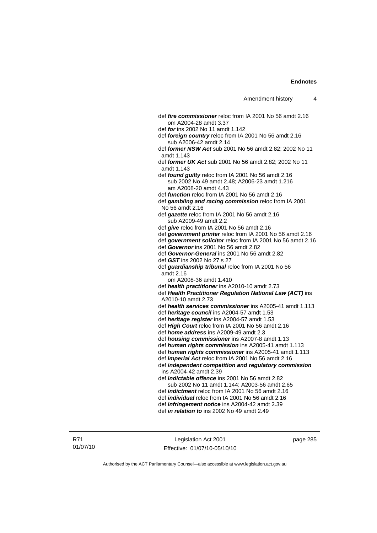| def <i>fire commissioner</i> reloc from IA 2001 No 56 amdt 2.16                  |
|----------------------------------------------------------------------------------|
| om A2004-28 amdt 3.37                                                            |
| def for ins 2002 No 11 amdt 1.142                                                |
| def foreign country reloc from IA 2001 No 56 amdt 2.16<br>sub A2006-42 amdt 2.14 |
| def former NSW Act sub 2001 No 56 amdt 2.82; 2002 No 11<br>amdt 1.143            |
| def former UK Act sub 2001 No 56 amdt 2.82; 2002 No 11<br>amdt 1.143             |
| def found guilty reloc from IA 2001 No 56 amdt 2.16                              |
| sub 2002 No 49 amdt 2.48; A2006-23 amdt 1.216<br>am A2008-20 amdt 4.43           |
| def function reloc from IA 2001 No 56 amdt 2.16                                  |
| def gambling and racing commission reloc from IA 2001<br>No 56 amdt 2.16         |
| def gazette reloc from IA 2001 No 56 amdt 2.16                                   |
| sub A2009-49 amdt 2.2                                                            |
| def give reloc from IA 2001 No 56 amdt 2.16                                      |
| def government printer reloc from IA 2001 No 56 amdt 2.16                        |
| def government solicitor reloc from IA 2001 No 56 amdt 2.16                      |
| def Governor ins 2001 No 56 amdt 2.82                                            |
| def Governor-General ins 2001 No 56 amdt 2.82                                    |
| def GST ins 2002 No 27 s 27                                                      |
| def guardianship tribunal reloc from IA 2001 No 56<br>amdt 2.16                  |
| om A2008-36 amdt 1.410                                                           |
| def health practitioner ins A2010-10 amdt 2.73                                   |
| def Health Practitioner Regulation National Law (ACT) ins                        |
| A2010-10 amdt 2.73                                                               |
| def health services commissioner ins A2005-41 amdt 1.113                         |
| def heritage council ins A2004-57 amdt 1.53                                      |
| def heritage register ins A2004-57 amdt 1.53                                     |
| def High Court reloc from IA 2001 No 56 amdt 2.16                                |
| def home address ins A2009-49 amdt 2.3                                           |
| def housing commissioner ins A2007-8 amdt 1.13                                   |
| def human rights commission ins A2005-41 amdt 1.113                              |
| def human rights commissioner ins A2005-41 amdt 1.113                            |
| def Imperial Act reloc from IA 2001 No 56 amdt 2.16                              |
| def independent competition and regulatory commission                            |
| ins A2004-42 amdt 2.39                                                           |
| def <i>indictable offence</i> ins 2001 No 56 amdt 2.82                           |
| sub 2002 No 11 amdt 1.144; A2003-56 amdt 2.65                                    |
| def <i>indictment</i> reloc from IA 2001 No 56 amdt 2.16                         |
| def <i>individual</i> reloc from IA 2001 No 56 amdt 2.16                         |
| def <i>infringement notice</i> ins A2004-42 amdt 2.39                            |
| def <i>in relation to</i> ins 2002 No 49 amdt 2.49                               |
|                                                                                  |

Legislation Act 2001 Effective: 01/07/10-05/10/10 page 285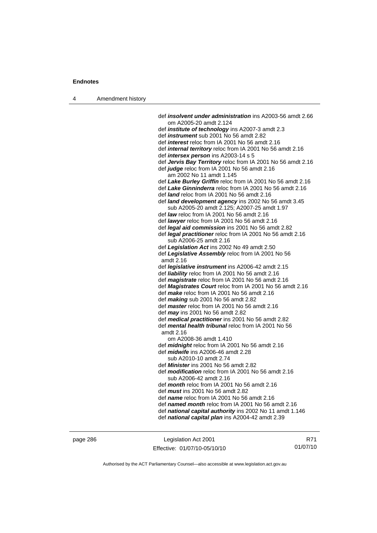| Amendment history |                                                                  |
|-------------------|------------------------------------------------------------------|
|                   | def <i>insolvent under administration</i> ins A2003-56 amdt 2.66 |

 om A2005-20 amdt 2.124 def *institute of technology* ins A2007-3 amdt 2.3 def *instrument* sub 2001 No 56 amdt 2.82 def *interest* reloc from IA 2001 No 56 amdt 2.16 def *internal territory* reloc from IA 2001 No 56 amdt 2.16 def *intersex person* ins A2003-14 s 5 def *Jervis Bay Territory* reloc from IA 2001 No 56 amdt 2.16 def *judge* reloc from IA 2001 No 56 amdt 2.16 am 2002 No 11 amdt 1.145 def *Lake Burley Griffin* reloc from IA 2001 No 56 amdt 2.16 def *Lake Ginninderra* reloc from IA 2001 No 56 amdt 2.16 def *land* reloc from IA 2001 No 56 amdt 2.16 def *land development agency* ins 2002 No 56 amdt 3.45 sub A2005-20 amdt 2.125; A2007-25 amdt 1.97 def *law* reloc from IA 2001 No 56 amdt 2.16 def *lawyer* reloc from IA 2001 No 56 amdt 2.16 def *legal aid commission* ins 2001 No 56 amdt 2.82 def *legal practitioner* reloc from IA 2001 No 56 amdt 2.16 sub A2006-25 amdt 2.16 def *Legislation Act* ins 2002 No 49 amdt 2.50 def *Legislative Assembly* reloc from IA 2001 No 56 amdt 2.16 def *legislative instrument* ins A2006-42 amdt 2.15 def *liability* reloc from IA 2001 No 56 amdt 2.16 def *magistrate* reloc from IA 2001 No 56 amdt 2.16 def *Magistrates Court* reloc from IA 2001 No 56 amdt 2.16 def *make* reloc from IA 2001 No 56 amdt 2.16 def *making* sub 2001 No 56 amdt 2.82 def *master* reloc from IA 2001 No 56 amdt 2.16 def *may* ins 2001 No 56 amdt 2.82 def *medical practitioner* ins 2001 No 56 amdt 2.82 def *mental health tribunal* reloc from IA 2001 No 56 amdt 2.16 om A2008-36 amdt 1.410 def *midnight* reloc from IA 2001 No 56 amdt 2.16 def *midwife* ins A2006-46 amdt 2.28 sub A2010-10 amdt 2.74 def *Minister* ins 2001 No 56 amdt 2.82 def *modification* reloc from IA 2001 No 56 amdt 2.16 sub A2006-42 amdt 2.16 def *month* reloc from IA 2001 No 56 amdt 2.16 def *must* ins 2001 No 56 amdt 2.82 def *name* reloc from IA 2001 No 56 amdt 2.16 def *named month* reloc from IA 2001 No 56 amdt 2.16 def *national capital authority* ins 2002 No 11 amdt 1.146 def *national capital plan* ins A2004-42 amdt 2.39

page 286 Legislation Act 2001 Effective: 01/07/10-05/10/10

R71 01/07/10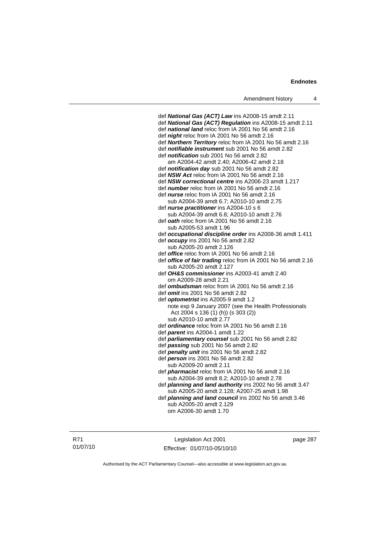def *National Gas (ACT) Law* ins A2008-15 amdt 2.11 def *National Gas (ACT) Regulation* ins A2008-15 amdt 2.11 def *national land* reloc from IA 2001 No 56 amdt 2.16 def *night* reloc from IA 2001 No 56 amdt 2.16 def *Northern Territory* reloc from IA 2001 No 56 amdt 2.16 def *notifiable instrument* sub 2001 No 56 amdt 2.82 def *notification* sub 2001 No 56 amdt 2.82 am A2004-42 amdt 2.40; A2006-42 amdt 2.18 def *notification day* sub 2001 No 56 amdt 2.82 def *NSW Act* reloc from IA 2001 No 56 amdt 2.16 def *NSW correctional centre* ins A2006-23 amdt 1.217 def *number* reloc from IA 2001 No 56 amdt 2.16 def *nurse* reloc from IA 2001 No 56 amdt 2.16 sub A2004-39 amdt 6.7; A2010-10 amdt 2.75 def *nurse practitioner* ins A2004-10 s 6 sub A2004-39 amdt 6.8; A2010-10 amdt 2.76 def *oath* reloc from IA 2001 No 56 amdt 2.16 sub A2005-53 amdt 1.96 def *occupational discipline order* ins A2008-36 amdt 1.411 def *occupy* ins 2001 No 56 amdt 2.82 sub A2005-20 amdt 2.126 def *office* reloc from IA 2001 No 56 amdt 2.16 def *office of fair trading* reloc from IA 2001 No 56 amdt 2.16 sub A2005-20 amdt 2.127 def *OH&S commissioner* ins A2003-41 amdt 2.40 om A2009-28 amdt 2.21 def *ombudsman* reloc from IA 2001 No 56 amdt 2.16 def *omit* ins 2001 No 56 amdt 2.82 def *optometrist* ins A2005-9 amdt 1.2 note exp 9 January 2007 (see the Health Professionals Act 2004 s 136 (1) (h)) (s 303 (2)) sub A2010-10 amdt 2.77 def *ordinance* reloc from IA 2001 No 56 amdt 2.16 def *parent* ins A2004-1 amdt 1.22 def *parliamentary counsel* sub 2001 No 56 amdt 2.82 def *passing* sub 2001 No 56 amdt 2.82 def *penalty unit* ins 2001 No 56 amdt 2.82 def *person* ins 2001 No 56 amdt 2.82 sub A2009-20 amdt 2.11 def *pharmacist* reloc from IA 2001 No 56 amdt 2.16 sub A2004-39 amdt 8.2; A2010-10 amdt 2.78 def *planning and land authority* ins 2002 No 56 amdt 3.47 sub A2005-20 amdt 2.128; A2007-25 amdt 1.98 def *planning and land council* ins 2002 No 56 amdt 3.46 sub A2005-20 amdt 2.129

om A2006-30 amdt 1.70

R71 01/07/10

Legislation Act 2001 Effective: 01/07/10-05/10/10 page 287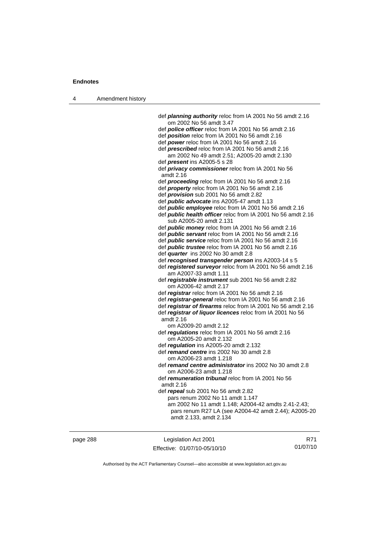| 4        |                                                                                                                       |     |
|----------|-----------------------------------------------------------------------------------------------------------------------|-----|
|          | def <i>planning authority</i> reloc from IA 2001 No 56 amdt 2.16                                                      |     |
|          | om 2002 No 56 amdt 3.47                                                                                               |     |
|          | def police officer reloc from IA 2001 No 56 amdt 2.16                                                                 |     |
|          | def <i>position</i> reloc from IA 2001 No 56 amdt 2.16                                                                |     |
|          | def power reloc from IA 2001 No 56 amdt 2.16                                                                          |     |
|          | def <b>prescribed</b> reloc from IA 2001 No 56 amdt 2.16                                                              |     |
|          | am 2002 No 49 amdt 2.51; A2005-20 amdt 2.130                                                                          |     |
|          | def <i>present</i> ins A2005-5 s 28                                                                                   |     |
|          | def privacy commissioner reloc from IA 2001 No 56<br>amdt 2.16                                                        |     |
|          | def proceeding reloc from IA 2001 No 56 amdt 2.16                                                                     |     |
|          | def <i>property</i> reloc from IA 2001 No 56 amdt 2.16                                                                |     |
|          | def <i>provision</i> sub 2001 No 56 amdt 2.82                                                                         |     |
|          | def <i>public advocate</i> ins A2005-47 amdt 1.13                                                                     |     |
|          | def <i>public</i> employee reloc from IA 2001 No 56 amdt 2.16                                                         |     |
|          | def <b>public health officer</b> reloc from IA 2001 No 56 amdt 2.16                                                   |     |
|          | sub A2005-20 amdt 2.131                                                                                               |     |
|          | def <i>public money</i> reloc from IA 2001 No 56 amdt 2.16                                                            |     |
|          | def <i>public servant</i> reloc from IA 2001 No 56 amdt 2.16                                                          |     |
|          | def <i>public service</i> reloc from IA 2001 No 56 amdt 2.16<br>def public trustee reloc from IA 2001 No 56 amdt 2.16 |     |
|          | def quarter ins 2002 No 30 amdt 2.8                                                                                   |     |
|          | def recognised transgender person ins A2003-14 s 5                                                                    |     |
|          | def registered surveyor reloc from IA 2001 No 56 amdt 2.16                                                            |     |
|          | am A2007-33 amdt 1.11                                                                                                 |     |
|          | def registrable instrument sub 2001 No 56 amdt 2.82                                                                   |     |
|          | om A2006-42 amdt 2.17                                                                                                 |     |
|          | def registrar reloc from IA 2001 No 56 amdt 2.16                                                                      |     |
|          | def registrar-general reloc from IA 2001 No 56 amdt 2.16                                                              |     |
|          | def registrar of firearms reloc from IA 2001 No 56 amdt 2.16                                                          |     |
|          | def registrar of liquor licences reloc from IA 2001 No 56                                                             |     |
|          | amdt 2.16                                                                                                             |     |
|          | om A2009-20 amdt 2.12                                                                                                 |     |
|          | def regulations reloc from IA 2001 No 56 amdt 2.16                                                                    |     |
|          | om A2005-20 amdt 2.132                                                                                                |     |
|          | def regulation ins A2005-20 amdt 2.132<br>def remand centre ins 2002 No 30 amdt 2.8                                   |     |
|          | om A2006-23 amdt 1.218                                                                                                |     |
|          | def remand centre administrator ins 2002 No 30 amdt 2.8                                                               |     |
|          | om A2006-23 amdt 1.218                                                                                                |     |
|          | def remuneration tribunal reloc from IA 2001 No 56                                                                    |     |
|          | amdt 2.16                                                                                                             |     |
|          | def repeal sub 2001 No 56 amdt 2.82                                                                                   |     |
|          | pars renum 2002 No 11 amdt 1.147                                                                                      |     |
|          | am 2002 No 11 amdt 1.148; A2004-42 amdts 2.41-2.43;                                                                   |     |
|          | pars renum R27 LA (see A2004-42 amdt 2.44); A2005-20<br>amdt 2.133, amdt 2.134                                        |     |
| page 288 | Legislation Act 2001                                                                                                  | R71 |

Effective: 01/07/10-05/10/10

R71 01/07/10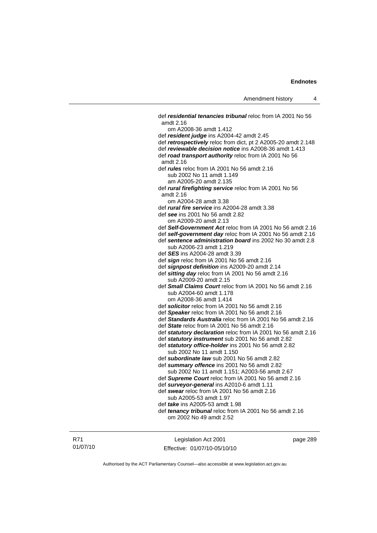def *residential tenancies tribunal* reloc from IA 2001 No 56 amdt 2.16 om A2008-36 amdt 1.412 def *resident judge* ins A2004-42 amdt 2.45 def *retrospectively* reloc from dict, pt 2 A2005-20 amdt 2.148 def *reviewable decision notice* ins A2008-36 amdt 1.413 def *road transport authority* reloc from IA 2001 No 56 amdt 2.16 def *rules* reloc from IA 2001 No 56 amdt 2.16 sub 2002 No 11 amdt 1.149 am A2005-20 amdt 2.135 def *rural firefighting service* reloc from IA 2001 No 56 amdt 2.16 om A2004-28 amdt 3.38 def *rural fire service* ins A2004-28 amdt 3.38 def *see* ins 2001 No 56 amdt 2.82 om A2009-20 amdt 2.13 def *Self-Government Act* reloc from IA 2001 No 56 amdt 2.16 def *self-government day* reloc from IA 2001 No 56 amdt 2.16 def *sentence administration board* ins 2002 No 30 amdt 2.8 sub A2006-23 amdt 1.219 def *SES* ins A2004-28 amdt 3.39 def *sign* reloc from IA 2001 No 56 amdt 2.16 def *signpost definition* ins A2009-20 amdt 2.14 def *sitting day* reloc from IA 2001 No 56 amdt 2.16 sub A2009-20 amdt 2.15 def *Small Claims Court* reloc from IA 2001 No 56 amdt 2.16 sub A2004-60 amdt 1.178 om A2008-36 amdt 1.414 def *solicitor* reloc from IA 2001 No 56 amdt 2.16 def *Speaker* reloc from IA 2001 No 56 amdt 2.16 def *Standards Australia* reloc from IA 2001 No 56 amdt 2.16 def *State* reloc from IA 2001 No 56 amdt 2.16 def *statutory declaration* reloc from IA 2001 No 56 amdt 2.16 def *statutory instrument* sub 2001 No 56 amdt 2.82 def *statutory office-holder* ins 2001 No 56 amdt 2.82 sub 2002 No 11 amdt 1.150 def *subordinate law* sub 2001 No 56 amdt 2.82 def *summary offence* ins 2001 No 56 amdt 2.82 sub 2002 No 11 amdt 1.151; A2003-56 amdt 2.67 def *Supreme Court* reloc from IA 2001 No 56 amdt 2.16 def *surveyor-general* ins A2010-6 amdt 1.11 def *swear* reloc from IA 2001 No 56 amdt 2.16 sub A2005-53 amdt 1.97 def *take* ins A2005-53 amdt 1.98 def *tenancy tribunal* reloc from IA 2001 No 56 amdt 2.16 om 2002 No 49 amdt 2.52

R71 01/07/10

Legislation Act 2001 Effective: 01/07/10-05/10/10 page 289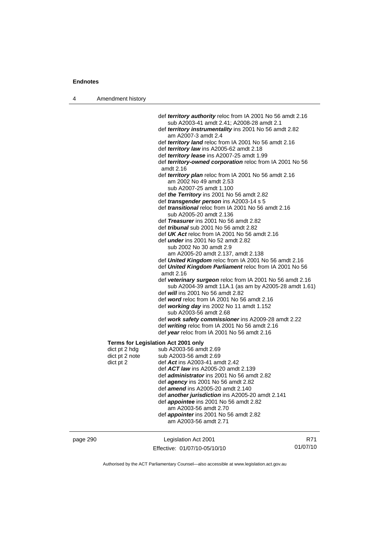4 Amendment history

 def *territory authority* reloc from IA 2001 No 56 amdt 2.16 sub A2003-41 amdt 2.41; A2008-28 amdt 2.1 def *territory instrumentality* ins 2001 No 56 amdt 2.82 am A2007-3 amdt 2.4 def *territory land* reloc from IA 2001 No 56 amdt 2.16 def *territory law* ins A2005-62 amdt 2.18 def *territory lease* ins A2007-25 amdt 1.99 def *territory-owned corporation* reloc from IA 2001 No 56 amdt 2.16 def *territory plan* reloc from IA 2001 No 56 amdt 2.16 am 2002 No 49 amdt 2.53 sub A2007-25 amdt 1.100 def *the Territory* ins 2001 No 56 amdt 2.82 def *transgender person* ins A2003-14 s 5 def *transitional* reloc from IA 2001 No 56 amdt 2.16 sub A2005-20 amdt 2.136 def *Treasurer* ins 2001 No 56 amdt 2.82 def *tribunal* sub 2001 No 56 amdt 2.82 def *UK Act* reloc from IA 2001 No 56 amdt 2.16 def *under* ins 2001 No 52 amdt 2.82 sub 2002 No 30 amdt 2.9 am A2005-20 amdt 2.137, amdt 2.138 def *United Kingdom* reloc from IA 2001 No 56 amdt 2.16 def *United Kingdom Parliament* reloc from IA 2001 No 56 amdt 2.16 def *veterinary surgeon* reloc from IA 2001 No 56 amdt 2.16 sub A2004-39 amdt 11A.1 (as am by A2005-28 amdt 1.61) def *will* ins 2001 No 56 amdt 2.82 def *word* reloc from IA 2001 No 56 amdt 2.16 def *working day* ins 2002 No 11 amdt 1.152 sub A2003-56 amdt 2.68 def *work safety commissioner* ins A2009-28 amdt 2.22 def *writing* reloc from IA 2001 No 56 amdt 2.16 def *year* reloc from IA 2001 No 56 amdt 2.16 **Terms for Legislation Act 2001 only**  dict pt 2 hdg sub A2003-56 amdt 2.69<br>dict pt 2 note sub A2003-56 amdt 2.69 sub A2003-56 amdt 2.69 dict pt 2 def *Act* ins A2003-41 amdt 2.42 def *ACT law* ins A2005-20 amdt 2.139 def *administrator* ins 2001 No 56 amdt 2.82 def *agency* ins 2001 No 56 amdt 2.82 def *amend* ins A2005-20 amdt 2.140 def *another jurisdiction* ins A2005-20 amdt 2.141 def *appointee* ins 2001 No 56 amdt 2.82 am A2003-56 amdt 2.70 def *appointer* ins 2001 No 56 amdt 2.82 am A2003-56 amdt 2.71

| page 290 | Legislation Act 2001         | R71      |
|----------|------------------------------|----------|
|          | Effective: 01/07/10-05/10/10 | 01/07/10 |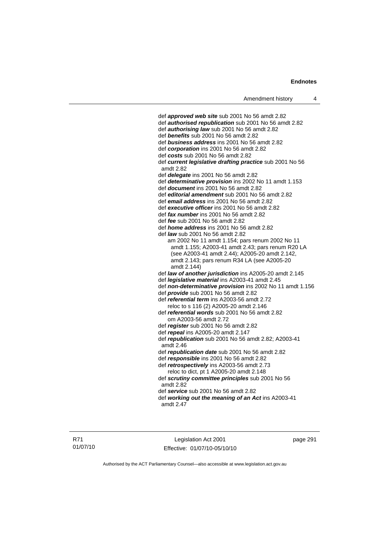def *approved web site* sub 2001 No 56 amdt 2.82 def *authorised republication* sub 2001 No 56 amdt 2.82 def *authorising law* sub 2001 No 56 amdt 2.82 def *benefits* sub 2001 No 56 amdt 2.82 def *business address* ins 2001 No 56 amdt 2.82 def *corporation* ins 2001 No 56 amdt 2.82 def *costs* sub 2001 No 56 amdt 2.82 def *current legislative drafting practice* sub 2001 No 56 amdt 2.82 def *delegate* ins 2001 No 56 amdt 2.82 def *determinative provision* ins 2002 No 11 amdt 1.153 def *document* ins 2001 No 56 amdt 2.82 def *editorial amendment* sub 2001 No 56 amdt 2.82 def *email address* ins 2001 No 56 amdt 2.82 def *executive officer* ins 2001 No 56 amdt 2.82 def *fax number* ins 2001 No 56 amdt 2.82 def *fee* sub 2001 No 56 amdt 2.82 def *home address* ins 2001 No 56 amdt 2.82 def *law* sub 2001 No 56 amdt 2.82 am 2002 No 11 amdt 1.154; pars renum 2002 No 11 amdt 1.155; A2003-41 amdt 2.43; pars renum R20 LA (see A2003-41 amdt 2.44); A2005-20 amdt 2.142, amdt 2.143; pars renum R34 LA (see A2005-20 amdt 2.144) def *law of another jurisdiction* ins A2005-20 amdt 2.145 def *legislative material* ins A2003-41 amdt 2.45 def *non-determinative provision* ins 2002 No 11 amdt 1.156 def *provide* sub 2001 No 56 amdt 2.82 def *referential term* ins A2003-56 amdt 2.72 reloc to s 116 (2) A2005-20 amdt 2.146 def *referential words* sub 2001 No 56 amdt 2.82 om A2003-56 amdt 2.72 def *register* sub 2001 No 56 amdt 2.82 def *repeal* ins A2005-20 amdt 2.147 def *republication* sub 2001 No 56 amdt 2.82; A2003-41 amdt 2.46 def *republication date* sub 2001 No 56 amdt 2.82 def *responsible* ins 2001 No 56 amdt 2.82 def *retrospectively* ins A2003-56 amdt 2.73 reloc to dict, pt 1 A2005-20 amdt 2.148 def *scrutiny committee principles* sub 2001 No 56 amdt 2.82 def *service* sub 2001 No 56 amdt 2.82 def *working out the meaning of an Act* ins A2003-41 amdt 2.47

Legislation Act 2001 Effective: 01/07/10-05/10/10 page 291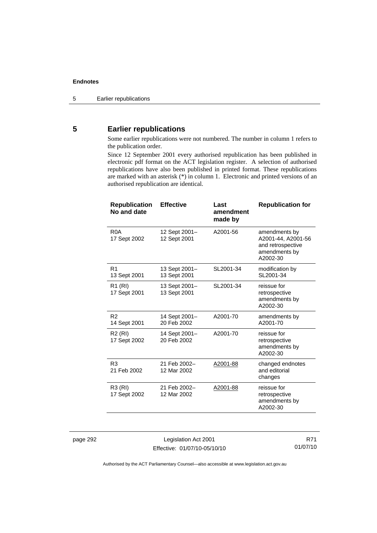## **5 Earlier republications**

Some earlier republications were not numbered. The number in column 1 refers to the publication order.

Since 12 September 2001 every authorised republication has been published in electronic pdf format on the ACT legislation register. A selection of authorised republications have also been published in printed format. These republications are marked with an asterisk (\*) in column 1. Electronic and printed versions of an authorised republication are identical.

| <b>Republication</b><br>No and date | <b>Effective</b>              | Last<br>amendment<br>made by | <b>Republication for</b>                                                              |
|-------------------------------------|-------------------------------|------------------------------|---------------------------------------------------------------------------------------|
| R <sub>0</sub> A<br>17 Sept 2002    | 12 Sept 2001-<br>12 Sept 2001 | A2001-56                     | amendments by<br>A2001-44, A2001-56<br>and retrospective<br>amendments by<br>A2002-30 |
| R1<br>13 Sept 2001                  | 13 Sept 2001-<br>13 Sept 2001 | SL2001-34                    | modification by<br>SL2001-34                                                          |
| R <sub>1</sub> (RI)<br>17 Sept 2001 | 13 Sept 2001-<br>13 Sept 2001 | SL2001-34                    | reissue for<br>retrospective<br>amendments by<br>A2002-30                             |
| R <sub>2</sub><br>14 Sept 2001      | 14 Sept 2001-<br>20 Feb 2002  | A2001-70                     | amendments by<br>A2001-70                                                             |
| R <sub>2</sub> (RI)<br>17 Sept 2002 | 14 Sept 2001-<br>20 Feb 2002  | A2001-70                     | reissue for<br>retrospective<br>amendments by<br>A2002-30                             |
| R <sub>3</sub><br>21 Feb 2002       | 21 Feb 2002-<br>12 Mar 2002   | A2001-88                     | changed endnotes<br>and editorial<br>changes                                          |
| R3 (RI)<br>17 Sept 2002             | 21 Feb 2002-<br>12 Mar 2002   | A2001-88                     | reissue for<br>retrospective<br>amendments by<br>A2002-30                             |

page 292 Legislation Act 2001 Effective: 01/07/10-05/10/10

R71 01/07/10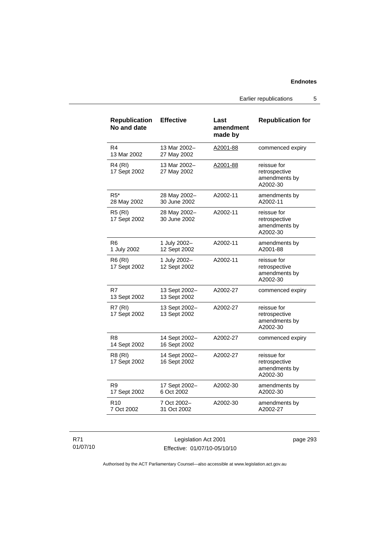Earlier republications 5

| <b>Republication</b><br>No and date | <b>Effective</b>              | Last<br>amendment<br>made by | <b>Republication for</b>                                  |
|-------------------------------------|-------------------------------|------------------------------|-----------------------------------------------------------|
| R4<br>13 Mar 2002                   | 13 Mar 2002-<br>27 May 2002   | A2001-88                     | commenced expiry                                          |
| R4 (RI)<br>17 Sept 2002             | 13 Mar 2002-<br>27 May 2002   | A2001-88                     | reissue for<br>retrospective<br>amendments by<br>A2002-30 |
| $R5*$<br>28 May 2002                | 28 May 2002-<br>30 June 2002  | A2002-11                     | amendments by<br>A2002-11                                 |
| <b>R5 (RI)</b><br>17 Sept 2002      | 28 May 2002-<br>30 June 2002  | A2002-11                     | reissue for<br>retrospective<br>amendments by<br>A2002-30 |
| R6<br>1 July 2002                   | 1 July 2002-<br>12 Sept 2002  | A2002-11                     | amendments by<br>A2001-88                                 |
| <b>R6 (RI)</b><br>17 Sept 2002      | 1 July 2002-<br>12 Sept 2002  | A2002-11                     | reissue for<br>retrospective<br>amendments by<br>A2002-30 |
| R7<br>13 Sept 2002                  | 13 Sept 2002-<br>13 Sept 2002 | A2002-27                     | commenced expiry                                          |
| <b>R7 (RI)</b><br>17 Sept 2002      | 13 Sept 2002-<br>13 Sept 2002 | A2002-27                     | reissue for<br>retrospective<br>amendments by<br>A2002-30 |
| R8<br>14 Sept 2002                  | 14 Sept 2002-<br>16 Sept 2002 | A2002-27                     | commenced expiry                                          |
| <b>R8 (RI)</b><br>17 Sept 2002      | 14 Sept 2002-<br>16 Sept 2002 | A2002-27                     | reissue for<br>retrospective<br>amendments by<br>A2002-30 |
| R <sub>9</sub><br>17 Sept 2002      | 17 Sept 2002-<br>6 Oct 2002   | A2002-30                     | amendments by<br>A2002-30                                 |
| R <sub>10</sub><br>7 Oct 2002       | 7 Oct 2002-<br>31 Oct 2002    | A2002-30                     | amendments by<br>A2002-27                                 |

## R71 01/07/10

Legislation Act 2001 Effective: 01/07/10-05/10/10 page 293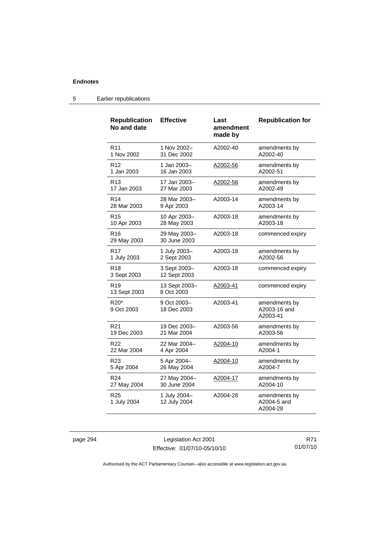| <b>Republication</b><br>No and date        | <b>Effective</b>             | Last<br>amendment<br>made by | <b>Republication for</b>                  |
|--------------------------------------------|------------------------------|------------------------------|-------------------------------------------|
| R <sub>11</sub>                            | 1 Nov 2002-                  | A2002-40                     | amendments by                             |
| 1 Nov 2002                                 | 31 Dec 2002                  |                              | A2002-40                                  |
| R12                                        | 1 Jan 2003-                  | A2002-56                     | amendments by                             |
| 1 Jan 2003                                 | 16 Jan 2003                  |                              | A2002-51                                  |
| R <sub>13</sub>                            | 17 Jan 2003-                 | A2002-56                     | amendments by                             |
| 17 Jan 2003                                | 27 Mar 2003                  |                              | A2002-49                                  |
| R <sub>14</sub>                            | 28 Mar 2003-                 | A2003-14                     | amendments by                             |
| 28 Mar 2003                                | 9 Apr 2003                   |                              | A2003-14                                  |
| R <sub>15</sub>                            | 10 Apr 2003-                 | A2003-18                     | amendments by                             |
| 10 Apr 2003                                | 28 May 2003                  |                              | A2003-18                                  |
| R <sub>16</sub><br>29 May 2003             | 29 May 2003-<br>30 June 2003 | A2003-18                     | commenced expiry                          |
| R <sub>17</sub>                            | 1 July 2003-                 | A2003-18                     | amendments by                             |
| 1 July 2003                                | 2 Sept 2003                  |                              | A2002-56                                  |
| R <sub>18</sub><br>3 Sept 2003             | 3 Sept 2003-<br>12 Sept 2003 | A2003-18                     | commenced expiry                          |
| R19<br>13 Sept 2003                        | 13 Sept 2003-<br>8 Oct 2003  | A2003-41                     | commenced expiry                          |
| R <sub>20</sub> <sup>*</sup><br>9 Oct 2003 | 9 Oct 2003-<br>18 Dec 2003   | A2003-41                     | amendments by<br>A2003-16 and<br>A2003-41 |
| R21                                        | 19 Dec 2003-                 | A2003-56                     | amendments by                             |
| 19 Dec 2003                                | 21 Mar 2004                  |                              | A2003-56                                  |
| R22                                        | 22 Mar 2004-                 | A2004-10                     | amendments by                             |
| 22 Mar 2004                                | 4 Apr 2004                   |                              | A2004-1                                   |
| R23                                        | 5 Apr 2004-                  | A2004-10                     | amendments by                             |
| 5 Apr 2004                                 | 26 May 2004                  |                              | A2004-7                                   |
| R <sub>24</sub>                            | 27 May 2004-                 | A2004-17                     | amendments by                             |
| 27 May 2004                                | 30 June 2004                 |                              | A2004-10                                  |
| R <sub>25</sub><br>1 July 2004             | 1 July 2004-<br>12 July 2004 | A2004-28                     | amendments by<br>A2004-5 and<br>A2004-28  |

## 5 Earlier republications

page 294 Legislation Act 2001 Effective: 01/07/10-05/10/10

R71 01/07/10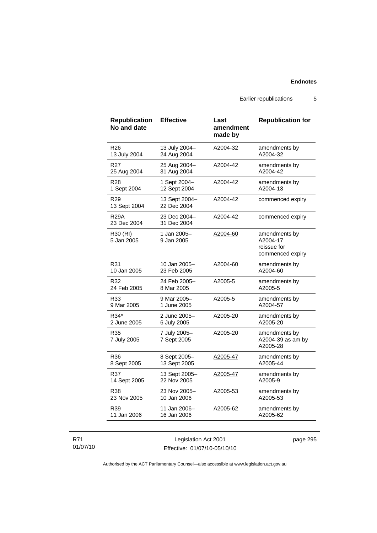Earlier republications 5

| <b>Republication</b><br>No and date | <b>Effective</b>             | Last<br>amendment<br>made by | <b>Republication for</b>                                     |
|-------------------------------------|------------------------------|------------------------------|--------------------------------------------------------------|
| R <sub>26</sub>                     | 13 July 2004-                | A2004-32                     | amendments by                                                |
| 13 July 2004                        | 24 Aug 2004                  |                              | A2004-32                                                     |
| R <sub>27</sub>                     | 25 Aug 2004-                 | A2004-42                     | amendments by                                                |
| 25 Aug 2004                         | 31 Aug 2004                  |                              | A2004-42                                                     |
| R <sub>28</sub>                     | 1 Sept 2004-                 | A2004-42                     | amendments by                                                |
| 1 Sept 2004                         | 12 Sept 2004                 |                              | A2004-13                                                     |
| R <sub>29</sub><br>13 Sept 2004     | 13 Sept 2004-<br>22 Dec 2004 | A2004-42                     | commenced expiry                                             |
| <b>R29A</b><br>23 Dec 2004          | 23 Dec 2004-<br>31 Dec 2004  | A2004-42                     | commenced expiry                                             |
| R30 (RI)<br>5 Jan 2005              | 1 Jan 2005-<br>9 Jan 2005    | A2004-60                     | amendments by<br>A2004-17<br>reissue for<br>commenced expiry |
| R31                                 | 10 Jan 2005-                 | A2004-60                     | amendments by                                                |
| 10 Jan 2005                         | 23 Feb 2005                  |                              | A2004-60                                                     |
| R32                                 | 24 Feb 2005-                 | A2005-5                      | amendments by                                                |
| 24 Feb 2005                         | 8 Mar 2005                   |                              | A2005-5                                                      |
| R33                                 | 9 Mar 2005-                  | A2005-5                      | amendments by                                                |
| 9 Mar 2005                          | 1 June 2005                  |                              | A2004-57                                                     |
| R34*                                | 2 June 2005-                 | A2005-20                     | amendments by                                                |
| 2 June 2005                         | 6 July 2005                  |                              | A2005-20                                                     |
| R35<br>7 July 2005                  | 7 July 2005-<br>7 Sept 2005  | A2005-20                     | amendments by<br>A2004-39 as am by<br>A2005-28               |
| R36                                 | 8 Sept 2005–                 | A2005-47                     | amendments by                                                |
| 8 Sept 2005                         | 13 Sept 2005                 |                              | A2005-44                                                     |
| R37                                 | 13 Sept 2005-                | <u>A2005-47</u>              | amendments by                                                |
| 14 Sept 2005                        | 22 Nov 2005                  |                              | A2005-9                                                      |
| R38                                 | 23 Nov 2005-                 | A2005-53                     | amendments by                                                |
| 23 Nov 2005                         | 10 Jan 2006                  |                              | A2005-53                                                     |
| R39                                 | 11 Jan 2006-                 | A2005-62                     | amendments by                                                |
| 11 Jan 2006                         | 16 Jan 2006                  |                              | A2005-62                                                     |

R71 01/07/10

Legislation Act 2001 Effective: 01/07/10-05/10/10 page 295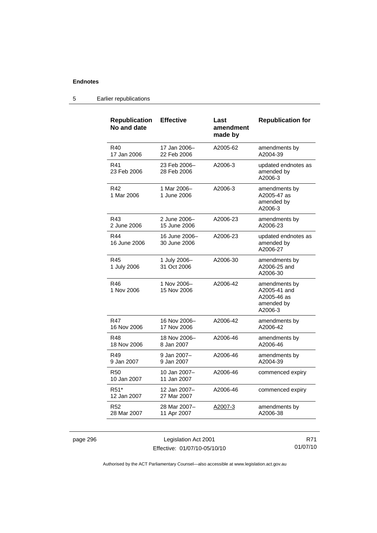#### **Republication No and date Effective Last amendment made by Republication for**  R40 17 Jan 2006 17 Jan 2006– 22 Feb 2006 A2005-62 amendments by A2004-39 R41 23 Feb 2006 23 Feb 2006– 28 Feb 2006 A2006-3 updated endnotes as amended by A2006-3 R42 1 Mar 2006 1 Mar 2006– 1 June 2006 A2006-3 amendments by A2005-47 as amended by A2006-3 R43 2 June 2006 2 June 2006– 15 June 2006 A2006-23 amendments by A2006-23 R44 16 June 2006 16 June 2006– 30 June 2006 A2006-23 updated endnotes as amended by A2006-27 R45 1 July 2006 1 July 2006– 31 Oct 2006 A2006-30 amendments by A2006-25 and A2006-30 R46 1 Nov 2006 1 Nov 2006– 15 Nov 2006 A2006-42 amendments by A2005-41 and A2005-46 as amended by A2006-3 R47 16 Nov 2006 16 Nov 2006– 17 Nov 2006 A2006-42 amendments by A2006-42 R48 18 Nov 2006 18 Nov 2006– 8 Jan 2007 A2006-46 amendments by A2006-46 R49 9 Jan 2007 9 Jan 2007– 9 Jan 2007 A2006-46 amendments by A2004-39 R50 10 Jan 2007 10 Jan 2007– 11 Jan 2007 A2006-46 commenced expiry R51\* 12 Jan 2007 12 Jan 2007– 27 Mar 2007 A2006-46 commenced expiry R52 28 Mar 2007 28 Mar 2007– 11 Apr 2007 A2007-3 amendments by A2006-38

#### 5 Earlier republications

page 296 Legislation Act 2001 Effective: 01/07/10-05/10/10

R71 01/07/10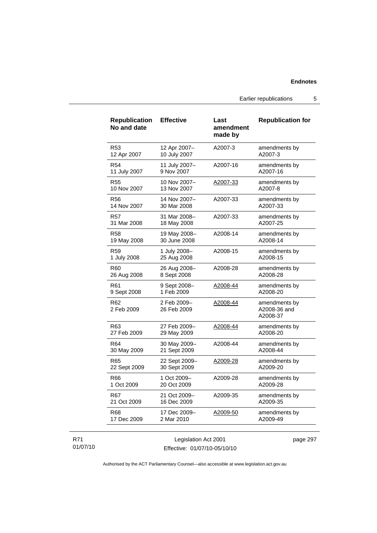Earlier republications 5

| <b>Republication</b><br>No and date | <b>Effective</b>           | Last<br>amendment<br>made by | <b>Republication for</b>                  |
|-------------------------------------|----------------------------|------------------------------|-------------------------------------------|
| R53                                 | 12 Apr 2007-               | A2007-3                      | amendments by                             |
| 12 Apr 2007                         | 10 July 2007               |                              | A2007-3                                   |
| R <sub>54</sub>                     | 11 July 2007-              | A2007-16                     | amendments by                             |
| 11 July 2007                        | 9 Nov 2007                 |                              | A2007-16                                  |
| <b>R55</b>                          | 10 Nov 2007-               | A2007-33                     | amendments by                             |
| 10 Nov 2007                         | 13 Nov 2007                |                              | A2007-8                                   |
| R56                                 | 14 Nov 2007-               | A2007-33                     | amendments by                             |
| 14 Nov 2007                         | 30 Mar 2008                |                              | A2007-33                                  |
| R57                                 | 31 Mar 2008-               | A2007-33                     | amendments by                             |
| 31 Mar 2008                         | 18 May 2008                |                              | A2007-25                                  |
| R58                                 | 19 May 2008-               | A2008-14                     | amendments by                             |
| 19 May 2008                         | 30 June 2008               |                              | A2008-14                                  |
| R59                                 | 1 July 2008-               | A2008-15                     | amendments by                             |
| 1 July 2008                         | 25 Aug 2008                |                              | A2008-15                                  |
| R60                                 | 26 Aug 2008-               | A2008-28                     | amendments by                             |
| 26 Aug 2008                         | 8 Sept 2008                |                              | A2008-28                                  |
| R61                                 | 9 Sept 2008-               | A2008-44                     | amendments by                             |
| 9 Sept 2008                         | 1 Feb 2009                 |                              | A2008-20                                  |
| R62<br>2 Feb 2009                   | 2 Feb 2009-<br>26 Feb 2009 | A2008-44                     | amendments by<br>A2008-36 and<br>A2008-37 |
| R63                                 | 27 Feb 2009-               | A2008-44                     | amendments by                             |
| 27 Feb 2009                         | 29 May 2009                |                              | A2008-20                                  |
| R64                                 | 30 May 2009-               | A2008-44                     | amendments by                             |
| 30 May 2009                         | 21 Sept 2009               |                              | A2008-44                                  |
| R65                                 | 22 Sept 2009-              | A2009-28                     | amendments by                             |
| 22 Sept 2009                        | 30 Sept 2009               |                              | A2009-20                                  |
| R66                                 | 1 Oct 2009-                | A2009-28                     | amendments by                             |
| 1 Oct 2009                          | 20 Oct 2009                |                              | A2009-28                                  |
| R67                                 | 21 Oct 2009-               | A2009-35                     | amendments by                             |
| 21 Oct 2009                         | 16 Dec 2009                |                              | A2009-35                                  |
| R68                                 | 17 Dec 2009-               | A2009-50                     | amendments by                             |
| 17 Dec 2009                         | 2 Mar 2010                 |                              | A2009-49                                  |

## R71 01/07/10

Legislation Act 2001 Effective: 01/07/10-05/10/10 page 297